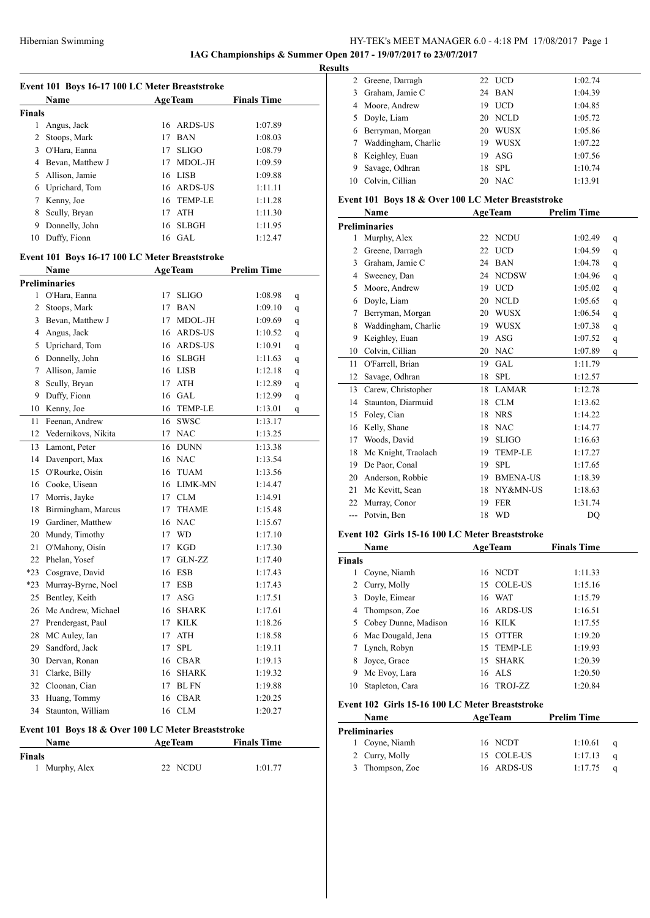# HY-TEK's MEET MANAGER 6.0 - 4:18 PM 17/08/2017 Page 1 **IAG Championships & Summer Open 2017 - 19/07/2017 to 23/07/2017**

**Results**

|               | Event 101 Boys 16-17 100 LC Meter Breaststroke                |    |                |                    |   |
|---------------|---------------------------------------------------------------|----|----------------|--------------------|---|
|               | Name                                                          |    | <b>AgeTeam</b> | <b>Finals Time</b> |   |
| <b>Finals</b> |                                                               |    |                |                    |   |
| 1             | Angus, Jack                                                   | 16 | ARDS-US        | 1:07.89            |   |
| $\mathbf{2}$  | Stoops, Mark                                                  | 17 | <b>BAN</b>     | 1:08.03            |   |
|               | 3 O'Hara, Eanna                                               | 17 | <b>SLIGO</b>   | 1:08.79            |   |
|               | 4 Bevan, Matthew J                                            | 17 | MDOL-JH        | 1:09.59            |   |
|               | 5 Allison, Jamie                                              | 16 | <b>LISB</b>    | 1:09.88            |   |
|               | 6 Uprichard, Tom                                              | 16 | ARDS-US        | 1:11.11            |   |
|               | 7 Kenny, Joe                                                  | 16 | <b>TEMP-LE</b> | 1:11.28            |   |
| 8             | Scully, Bryan                                                 | 17 | ATH            | 1:11.30            |   |
| 9             | Donnelly, John                                                | 16 | <b>SLBGH</b>   | 1:11.95            |   |
| 10            | Duffy, Fionn                                                  |    | 16 GAL         | 1:12.47            |   |
|               | Event 101 Boys 16-17 100 LC Meter Breaststroke                |    |                |                    |   |
|               | <b>Name</b>                                                   |    | <b>AgeTeam</b> | <b>Prelim Time</b> |   |
|               | <b>Preliminaries</b>                                          |    |                |                    |   |
|               | 1 O'Hara, Eanna                                               | 17 | <b>SLIGO</b>   | 1:08.98            | q |
|               | 2 Stoops, Mark                                                | 17 | <b>BAN</b>     | 1:09.10            | q |
| 3             | Bevan, Matthew J                                              | 17 | MDOL-JH        | 1:09.69            | q |
|               | 4 Angus, Jack                                                 | 16 | ARDS-US        | 1:10.52            | q |
|               | 5 Uprichard, Tom                                              | 16 | ARDS-US        | 1:10.91            | q |
|               | 6 Donnelly, John                                              |    | 16 SLBGH       | 1:11.63            | q |
|               | 7 Allison, Jamie                                              | 16 | <b>LISB</b>    | 1:12.18            | q |
| 8             | Scully, Bryan                                                 | 17 | ATH            | 1:12.89            | q |
| 9             | Duffy, Fionn                                                  | 16 | <b>GAL</b>     | 1:12.99            | q |
| 10            | Kenny, Joe                                                    | 16 | <b>TEMP-LE</b> | 1:13.01            | q |
| 11            | Feenan, Andrew                                                | 16 | <b>SWSC</b>    | 1:13.17            |   |
|               | 12 Vedernikovs, Nikita                                        | 17 | <b>NAC</b>     | 1:13.25            |   |
| 13            | Lamont, Peter                                                 | 16 | <b>DUNN</b>    | 1:13.38            |   |
|               | 14 Davenport, Max                                             | 16 | <b>NAC</b>     | 1:13.54            |   |
|               | 15 O'Rourke, Oisín                                            | 16 | <b>TUAM</b>    | 1:13.56            |   |
|               | 16 Cooke, Uisean                                              | 16 | <b>LIMK-MN</b> | 1:14.47            |   |
|               | 17 Morris, Jayke                                              |    | 17 CLM         | 1:14.91            |   |
| 18            | Birmingham, Marcus                                            | 17 | <b>THAME</b>   | 1:15.48            |   |
|               | 19 Gardiner, Matthew                                          | 16 | <b>NAC</b>     | 1:15.67            |   |
|               | 20 Mundy, Timothy                                             | 17 | WD             | 1:17.10            |   |
|               | 21 O'Mahony, Oisín                                            | 17 | <b>KGD</b>     | 1:17.30            |   |
| 22            | Phelan, Yosef                                                 | 17 | GLN-ZZ         | 1:17.40            |   |
| *23           | Cosgrave, David                                               |    | 16 ESB         | 1:17.43            |   |
| *23           | Murray-Byrne, Noel                                            | 17 | <b>ESB</b>     | 1:17.43            |   |
| 25            | Bentley, Keith                                                | 17 | ASG            | 1:17.51            |   |
| 26            | Mc Andrew, Michael                                            | 16 | <b>SHARK</b>   | 1:17.61            |   |
|               | 27 Prendergast, Paul                                          | 17 | <b>KILK</b>    | 1:18.26            |   |
| 28            | MC Auley, Ian                                                 | 17 | ATH            | 1:18.58            |   |
| 29            | Sandford, Jack                                                | 17 | SPL            | 1:19.11            |   |
| 30            | Dervan, Ronan                                                 | 16 | <b>CBAR</b>    | 1:19.13            |   |
| 31            | Clarke, Billy                                                 | 16 | <b>SHARK</b>   | 1:19.32            |   |
|               | 32 Cloonan, Cian                                              | 17 | <b>BL FN</b>   | 1:19.88            |   |
| 33            | Huang, Tommy                                                  | 16 | CBAR           | 1:20.25            |   |
| 34            | Staunton, William                                             |    |                |                    |   |
|               |                                                               |    | 16 CLM         | 1:20.27            |   |
|               | <b>Fyent 101 Roys 18 &amp; Over 100 LC Meter Rreaststroke</b> |    |                |                    |   |

# **Event 101 Boys 18 & Over 100 LC Meter Breaststroke**

| Name          | <b>AgeTeam</b> | <b>Finals Time</b> |
|---------------|----------------|--------------------|
| <b>Finals</b> |                |                    |
| Murphy, Alex  | 22 NCDU        | 1:01.77            |

|    | 2 Greene, Darragh   | 22 | UCD         | 1:02.74 |
|----|---------------------|----|-------------|---------|
| 3  | Graham, Jamie C     |    | 24 BAN      | 1:04.39 |
| 4  | Moore, Andrew       | 19 | <b>UCD</b>  | 1:04.85 |
|    | Doyle, Liam         | 20 | NCLD        | 1:05.72 |
| 6  | Berryman, Morgan    | 20 | <b>WUSX</b> | 1:05.86 |
|    | Waddingham, Charlie | 19 | WUSX        | 1:07.22 |
| 8  | Keighley, Euan      | 19 | ASG         | 1:07.56 |
| 9  | Savage, Odhran      | 18 | SPL.        | 1:10.74 |
| 10 | Colvin, Cillian     | 20 | <b>NAC</b>  | 1:13.91 |
|    |                     |    |             |         |

# **Event 101 Boys 18 & Over 100 LC Meter Breaststroke**

|                | <b>Name</b>         |    | <b>AgeTeam</b>  | <b>Prelim Time</b> |   |
|----------------|---------------------|----|-----------------|--------------------|---|
|                | Preliminaries       |    |                 |                    |   |
| 1              | Murphy, Alex        | 22 | <b>NCDU</b>     | 1:02.49            | q |
| $\overline{2}$ | Greene, Darragh     | 22 | <b>UCD</b>      | 1:04.59            | q |
| 3              | Graham, Jamie C     | 24 | <b>BAN</b>      | 1:04.78            | q |
| 4              | Sweeney, Dan        | 24 | <b>NCDSW</b>    | 1:04.96            | q |
| 5              | Moore, Andrew       | 19 | <b>UCD</b>      | 1:05.02            | q |
| 6              | Doyle, Liam         | 20 | <b>NCLD</b>     | 1:05.65            | q |
| 7              | Berryman, Morgan    | 20 | <b>WUSX</b>     | 1:06.54            | q |
| 8              | Waddingham, Charlie | 19 | <b>WUSX</b>     | 1:07.38            | q |
| 9              | Keighley, Euan      | 19 | <b>ASG</b>      | 1:07.52            | q |
| 10             | Colvin, Cillian     | 20 | <b>NAC</b>      | 1:07.89            | q |
| 11             | O'Farrell, Brian    | 19 | <b>GAL</b>      | 1:11.79            |   |
| 12             | Savage, Odhran      | 18 | <b>SPL</b>      | 1:12.57            |   |
| 13             | Carew, Christopher  | 18 | <b>LAMAR</b>    | 1:12.78            |   |
| 14             | Staunton, Diarmuid  | 18 | <b>CLM</b>      | 1:13.62            |   |
| 15             | Foley, Cian         | 18 | <b>NRS</b>      | 1:14.22            |   |
| 16             | Kelly, Shane        | 18 | <b>NAC</b>      | 1:14.77            |   |
| 17             | Woods, David        | 19 | <b>SLIGO</b>    | 1:16.63            |   |
| 18             | Mc Knight, Traolach | 19 | <b>TEMP-LE</b>  | 1:17.27            |   |
| 19             | De Paor, Conal      | 19 | <b>SPL</b>      | 1:17.65            |   |
| 20             | Anderson, Robbie    | 19 | <b>BMENA-US</b> | 1:18.39            |   |
| 21             | Mc Kevitt, Sean     | 18 | NY&MN-US        | 1:18.63            |   |
| 22             | Murray, Conor       | 19 | <b>FER</b>      | 1:31.74            |   |
| ---            | Potvin, Ben         | 18 | <b>WD</b>       | DO                 |   |

### **Event 102 Girls 15-16 100 LC Meter Breaststroke**

|               | Name                   | <b>AgeTeam</b> |              | <b>Finals Time</b> |         |
|---------------|------------------------|----------------|--------------|--------------------|---------|
| <b>Finals</b> |                        |                |              |                    |         |
|               | Coyne, Niamh           |                | 16 NCDT      |                    | 1:11.33 |
|               | 2 Curry, Molly         |                | 15 COLE-US   |                    | 1:15.16 |
| 3             | Doyle, Eimear          |                | 16 WAT       |                    | 1:15.79 |
|               | 4 Thompson, Zoe        |                | 16 ARDS-US   |                    | 1:16.51 |
|               | 5 Cobey Dunne, Madison | 16             | <b>KILK</b>  |                    | 1:17.55 |
| 6             | Mac Dougald, Jena      | 15             | <b>OTTER</b> |                    | 1:19.20 |
|               | Lynch, Robyn           |                | 15 TEMP-LE   |                    | 1:19.93 |
| 8             | Joyce, Grace           | 15             | SHARK        |                    | 1:20.39 |
| 9             | Mc Evoy, Lara          |                | 16 ALS       |                    | 1:20.50 |
| 10            | Stapleton, Cara        | 16             | TROJ-ZZ      |                    | 1:20.84 |

# **Event 102 Girls 15-16 100 LC Meter Breaststroke**

| Name                 | <b>AgeTeam</b> |            | <b>Prelim Time</b> |     |
|----------------------|----------------|------------|--------------------|-----|
| <b>Preliminaries</b> |                |            |                    |     |
| 1 Coyne, Niamh       |                | 16 NCDT    | 1:10.61            | - a |
| 2 Curry, Molly       |                | 15 COLE-US | 1:17.13            | a   |
| 3 Thompson, Zoe      |                | 16 ARDS-US | 1:17.75            | a   |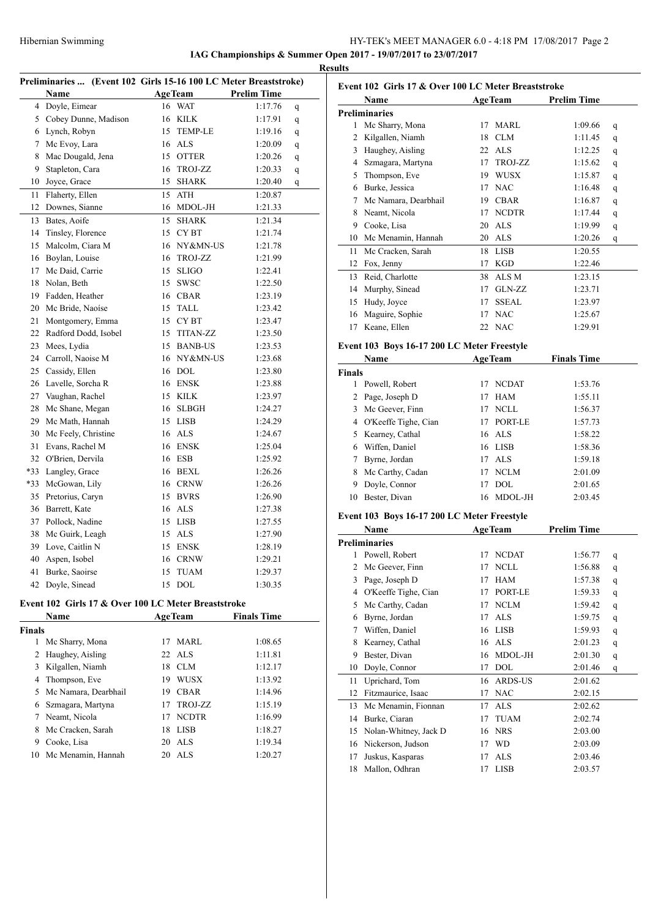# HY-TEK's MEET MANAGER 6.0 - 4:18 PM 17/08/2017 Page 2 **IAG Championships & Summer Open 2017 - 19/07/2017 to 23/07/2017**

**Resul** 

|               |                                                                  |    |                    |                    |   | 17 |
|---------------|------------------------------------------------------------------|----|--------------------|--------------------|---|----|
|               | Preliminaries  (Event 102 Girls 15-16 100 LC Meter Breaststroke) |    |                    |                    |   |    |
|               | Name                                                             |    | <b>AgeTeam</b>     | <b>Prelim Time</b> |   |    |
| 4             | Doyle, Eimear                                                    | 16 | <b>WAT</b>         | 1:17.76            | q |    |
| 5             | Cobey Dunne, Madison                                             | 16 | KILK               | 1:17.91            | q |    |
| 6             | Lynch, Robyn                                                     | 15 | <b>TEMP-LE</b>     | 1:19.16            | q |    |
| 7             | Mc Evoy, Lara                                                    | 16 | <b>ALS</b>         | 1:20.09            | q |    |
| 8             | Mac Dougald, Jena                                                | 15 | <b>OTTER</b>       | 1:20.26            | q |    |
| 9             | Stapleton, Cara                                                  | 16 | TROJ-ZZ            | 1:20.33            | q |    |
| 10            | Joyce, Grace                                                     | 15 | <b>SHARK</b>       | 1:20.40            | q |    |
| 11            | Flaherty, Ellen                                                  | 15 | ATH                | 1:20.87            |   |    |
| 12            | Downes, Sianne                                                   | 16 | MDOL-JH            | 1:21.33            |   |    |
| 13            | Bates, Aoife                                                     | 15 | <b>SHARK</b>       | 1:21.34            |   |    |
| 14            | Tinsley, Florence                                                | 15 | CY BT              | 1:21.74            |   |    |
| 15            | Malcolm, Ciara M                                                 | 16 | NY&MN-US           | 1:21.78            |   |    |
|               | 16 Boylan, Louise                                                | 16 | TROJ-ZZ            | 1:21.99            |   |    |
| 17            | Mc Daid, Carrie                                                  | 15 | <b>SLIGO</b>       | 1:22.41            |   |    |
| 18            | Nolan, Beth                                                      | 15 | SWSC               | 1:22.50            |   |    |
| 19            | Fadden, Heather                                                  | 16 | <b>CBAR</b>        | 1:23.19            |   |    |
| 20            | Mc Bride, Naoíse                                                 | 15 | TALL               | 1:23.42            |   |    |
| 21            | Montgomery, Emma                                                 |    | 15 CYBT            | 1:23.47            |   |    |
| 22            | Radford Dodd, Isobel                                             |    | 15 TITAN-ZZ        | 1:23.50            |   |    |
| 23            | Mees, Lydia                                                      |    | 15 BANB-US         | 1:23.53            |   |    |
| 24            | Carroll, Naoise M                                                | 16 | NY&MN-US           | 1:23.68            |   |    |
| 25            | Cassidy, Ellen                                                   | 16 | <b>DOL</b>         | 1:23.80            |   |    |
| 26            | Lavelle, Sorcha R                                                | 16 | ENSK               | 1:23.88            |   |    |
| 27            | Vaughan, Rachel                                                  | 15 | $\textmd{KILK}$    | 1:23.97            |   |    |
| 28            | Mc Shane, Megan                                                  | 16 | SLBGH              | 1:24.27            |   |    |
| 29            | Mc Math, Hannah                                                  | 15 | LISB               | 1:24.29            |   |    |
| 30            | Mc Feely, Christine                                              | 16 | ALS                | 1:24.67            |   |    |
| 31            | Evans, Rachel M                                                  | 16 | <b>ENSK</b>        | 1:25.04            |   |    |
|               | 32 O'Brien, Dervila                                              | 16 | <b>ESB</b>         | 1:25.92            |   |    |
| *33           | Langley, Grace                                                   | 16 | BEXL               | 1:26.26            |   |    |
| *33           | McGowan, Lily                                                    | 16 | <b>CRNW</b>        | 1:26.26            |   |    |
| 35            | Pretorius, Caryn                                                 | 15 | <b>BVRS</b>        | 1:26.90            |   |    |
| 36            | Barrett, Kate                                                    | 16 | <b>ALS</b>         | 1:27.38            |   |    |
| 37            | Pollock, Nadine                                                  | 15 | <b>LISB</b>        | 1:27.55            |   |    |
| 38            | Mc Guirk, Leagh                                                  | 15 | <b>ALS</b>         | 1:27.90            |   |    |
| 39            | Love, Caitlin N                                                  | 15 | <b>ENSK</b>        | 1:28.19            |   |    |
|               | 40 Aspen, Isobel                                                 |    | 16 CRNW            | 1:29.21            |   |    |
| 41            | Burke, Saoirse                                                   | 15 | <b>TUAM</b>        | 1:29.37            |   |    |
| 42            | Doyle, Sinead                                                    | 15 | <b>DOL</b>         | 1:30.35            |   |    |
|               | Event 102 Girls 17 & Over 100 LC Meter Breaststroke              |    |                    |                    |   |    |
|               |                                                                  |    |                    | <b>Finals Time</b> |   |    |
|               | Name                                                             |    | <b>AgeTeam</b>     |                    |   |    |
| <b>Finals</b> |                                                                  |    |                    |                    |   |    |
| 1             | Mc Sharry, Mona                                                  | 17 | MARL<br><b>ALS</b> | 1:08.65            |   |    |
| $\mathbf{2}$  | Haughey, Aisling                                                 | 22 |                    | 1:11.81            |   |    |
| 3             | Kilgallen, Niamh                                                 |    | 18 CLM             | 1:12.17            |   |    |
|               | 4 Thompson, Eve                                                  |    | 19 WUSX            | 1:13.92            |   |    |
|               | 5 Mc Namara, Dearbhail                                           |    | 19 CBAR            | 1:14.96            |   |    |
|               | 6 Szmagara, Martyna                                              | 17 | TROJ-ZZ            | 1:15.19            |   |    |
| 7             | Neamt, Nicola                                                    |    | 17 NCDTR           | 1:16.99            |   |    |
|               | 8 Mc Cracken, Sarah                                              | 18 | LISB               | 1:18.27            |   |    |
|               | 9 Cooke, Lisa                                                    | 20 | ALS                | 1:19.34            |   |    |
| 10            | Mc Menamin, Hannah                                               | 20 | <b>ALS</b>         | 1:20.27            |   |    |
|               |                                                                  |    |                    |                    |   |    |

| ults          |                                                     |    |                |                    |        |
|---------------|-----------------------------------------------------|----|----------------|--------------------|--------|
|               | Event 102 Girls 17 & Over 100 LC Meter Breaststroke |    |                |                    |        |
|               | Name                                                |    | <b>AgeTeam</b> | <b>Prelim Time</b> |        |
|               | <b>Preliminaries</b>                                |    |                |                    |        |
|               | 1 Mc Sharry, Mona                                   | 17 | MARL           | 1:09.66            | q      |
| 2             | Kilgallen, Niamh                                    | 18 | <b>CLM</b>     | 1:11.45            | q      |
|               | 3 Haughey, Aisling                                  |    | 22 ALS         | 1:12.25            | q      |
|               | 4 Szmagara, Martyna                                 |    | 17 TROJ-ZZ     | 1:15.62            | q      |
| 5             | Thompson, Eve                                       |    | 19 WUSX        | 1:15.87            | q      |
|               | 6 Burke, Jessica                                    |    | 17 NAC         | 1:16.48            | q      |
|               | 7 Mc Namara, Dearbhail                              |    | 19 CBAR        | 1:16.87            | q      |
| 8             | Neamt, Nicola                                       |    | 17 NCDTR       | 1:17.44            | q      |
|               | 9 Cooke, Lisa                                       |    | 20 ALS         | 1:19.99            | q      |
|               | 10 Mc Menamin, Hannah                               |    | 20 ALS         | 1:20.26            | q      |
| 11            | Mc Cracken, Sarah                                   |    | 18 LISB        | 1:20.55            |        |
|               | 12 Fox, Jenny                                       |    | 17 KGD         | 1:22.46            |        |
|               | 13 Reid, Charlotte                                  |    | 38 ALSM        | 1:23.15            |        |
|               | 14 Murphy, Sinead                                   |    | 17 GLN-ZZ      | 1:23.71            |        |
|               | 15 Hudy, Joyce                                      | 17 | <b>SSEAL</b>   | 1:23.97            |        |
|               | 16 Maguire, Sophie                                  | 17 | <b>NAC</b>     | 1:25.67            |        |
| 17            | Keane, Ellen                                        |    | 22 NAC         | 1:29.91            |        |
|               |                                                     |    |                |                    |        |
|               | Event 103 Boys 16-17 200 LC Meter Freestyle         |    |                |                    |        |
|               | Name                                                |    | <b>AgeTeam</b> | <b>Finals Time</b> |        |
| <b>Finals</b> |                                                     |    |                |                    |        |
|               | 1 Powell, Robert                                    |    | 17 NCDAT       | 1:53.76            |        |
| 2             | Page, Joseph D                                      | 17 | HAM            | 1:55.11            |        |
| 3             | Mc Geever, Finn                                     |    | 17 NCLL        | 1:56.37            |        |
|               | 4 O'Keeffe Tighe, Cian                              |    | 17 PORT-LE     | 1:57.73            |        |
|               | 5 Kearney, Cathal                                   |    | 16 ALS         | 1:58.22            |        |
|               | 6 Wiffen, Daniel                                    |    | 16 LISB        | 1:58.36            |        |
| 7             | Byrne, Jordan                                       |    | 17 ALS         | 1:59.18            |        |
| 8             | Mc Carthy, Cadan                                    |    | 17 NCLM        | 2:01.09            |        |
| 9             | Doyle, Connor                                       | 17 | <b>DOL</b>     | 2:01.65            |        |
| 10            | Bester, Divan                                       | 16 | MDOL-JH        | 2:03.45            |        |
|               | Event 103 Boys 16-17 200 LC Meter Freestyle         |    |                |                    |        |
|               | Name                                                |    | <b>AgeTeam</b> | <b>Prelim Time</b> |        |
|               | <b>Preliminaries</b>                                |    |                |                    |        |
| I             | Powell, Robert                                      | 17 | <b>NCDAT</b>   | 1:56.77            | q      |
| 2             | Mc Geever, Finn                                     | 17 | NCLL           | 1:56.88            | q      |
| 3             | Page, Joseph D                                      | 17 | HAM            | 1:57.38            |        |
| 4             | O'Keeffe Tighe, Cian                                | 17 | PORT-LE        | 1:59.33            | q<br>q |
| 5             | Mc Carthy, Cadan                                    | 17 | NCLM           | 1:59.42            |        |
| 6             | Byrne, Jordan                                       | 17 | ALS            | 1:59.75            | q      |
| 7             | Wiffen, Daniel                                      | 16 | LISB           | 1:59.93            | q<br>q |
| 8             | Kearney, Cathal                                     | 16 | <b>ALS</b>     | 2:01.23            |        |
| 9             | Bester, Divan                                       | 16 | MDOL-JH        | 2:01.30            | q      |
| 10            | Doyle, Connor                                       | 17 | DOL            | 2:01.46            | q<br>q |
| 11            | Uprichard, Tom                                      | 16 | ARDS-US        | 2:01.62            |        |
| 12            | Fitzmaurice, Isaac                                  | 17 | <b>NAC</b>     | 2:02.15            |        |
|               |                                                     |    |                |                    |        |

|     | TO DOVIG, COMPUT         |    | $\mathbf{1}$ $\mathbf{1}$ | 2.01.70 | ч |
|-----|--------------------------|----|---------------------------|---------|---|
|     | 11 Uprichard, Tom        |    | 16 ARDS-US                | 2:01.62 |   |
|     | 12 Fitzmaurice, Isaac    |    | 17 NAC                    | 2:02.15 |   |
|     | 13 Mc Menamin, Fionnan   | 17 | ALS                       | 2:02.62 |   |
| 14  | Burke, Ciaran            | 17 | TUAM                      | 2:02.74 |   |
|     | 15 Nolan-Whitney, Jack D |    | 16 NRS                    | 2:03.00 |   |
|     | 16 Nickerson, Judson     | 17 | <b>WD</b>                 | 2:03.09 |   |
| 17  | Juskus, Kasparas         | 17 | ALS                       | 2:03.46 |   |
| 18. | Mallon, Odhran           |    | LISB                      | 2:03.57 |   |
|     |                          |    |                           |         |   |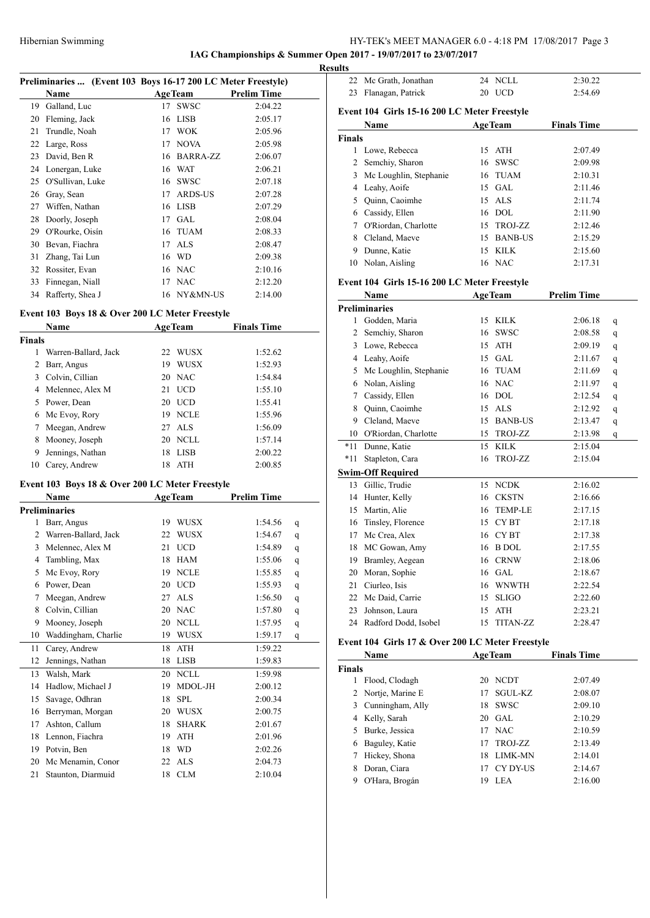**IAG Championships & Summer Open 2017 - 19/07/2017 to 23/07/2017**

**Results**

|    | Preliminaries  (Event 103 Boys 16-17 200 LC Meter Freestyle) |    |                |                    |
|----|--------------------------------------------------------------|----|----------------|--------------------|
|    | Name                                                         |    | <b>AgeTeam</b> | <b>Prelim Time</b> |
| 19 | Galland, Luc                                                 | 17 | <b>SWSC</b>    | 2:04.22            |
| 20 | Fleming, Jack                                                | 16 | <b>LISB</b>    | 2:05.17            |
| 21 | Trundle, Noah                                                | 17 | <b>WOK</b>     | 2:05.96            |
| 22 | Large, Ross                                                  | 17 | <b>NOVA</b>    | 2:05.98            |
| 23 | David, Ben R                                                 | 16 | BARRA-ZZ       | 2:06.07            |
| 24 | Lonergan, Luke                                               | 16 | WAT            | 2:06.21            |
| 25 | O'Sullivan, Luke                                             | 16 | <b>SWSC</b>    | 2:07.18            |
| 26 | Gray, Sean                                                   | 17 | <b>ARDS-US</b> | 2:07.28            |
| 27 | Wiffen, Nathan                                               | 16 | <b>LISB</b>    | 2:07.29            |
| 28 | Doorly, Joseph                                               | 17 | GAL            | 2:08.04            |
| 29 | O'Rourke, Oisín                                              | 16 | <b>TUAM</b>    | 2:08.33            |
| 30 | Bevan, Fiachra                                               | 17 | ALS            | 2:08.47            |
| 31 | Zhang, Tai Lun                                               | 16 | WD             | 2:09.38            |
| 32 | Rossiter, Evan                                               | 16 | <b>NAC</b>     | 2:10.16            |
| 33 | Finnegan, Niall                                              | 17 | <b>NAC</b>     | 2:12.20            |
| 34 | Rafferty, Shea J                                             |    | 16 NY&MN-US    | 2:14.00            |

# **Event 103 Boys 18 & Over 200 LC Meter Freestyle**

|               | <b>Name</b>          |    | AgeTeam     | <b>Finals Time</b> |  |
|---------------|----------------------|----|-------------|--------------------|--|
| <b>Finals</b> |                      |    |             |                    |  |
| 1             | Warren-Ballard, Jack | 22 | <b>WUSX</b> | 1:52.62            |  |
| 2             | Barr, Angus          | 19 | <b>WUSX</b> | 1:52.93            |  |
|               | 3 Colvin, Cillian    |    | 20 NAC      | 1:54.84            |  |
|               | 4 Melennec, Alex M   | 21 | <b>UCD</b>  | 1:55.10            |  |
|               | 5 Power, Dean        |    | 20 UCD      | 1:55.41            |  |
| 6             | Mc Evoy, Rory        |    | 19 NCLE     | 1:55.96            |  |
| 7             | Meegan, Andrew       |    | 27 ALS      | 1:56.09            |  |
| 8             | Mooney, Joseph       |    | 20 NCLL     | 1:57.14            |  |
| 9             | Jennings, Nathan     | 18 | <b>LISB</b> | 2:00.22            |  |
| 10            | Carey, Andrew        | 18 | ATH         | 2:00.85            |  |

# **Event 103 Boys 18 & Over 200 LC Meter Freestyle**

|    | Name                 |    | <b>AgeTeam</b> | <b>Prelim Time</b> |   |
|----|----------------------|----|----------------|--------------------|---|
|    | <b>Preliminaries</b> |    |                |                    |   |
| 1  | Barr, Angus          | 19 | <b>WUSX</b>    | 1:54.56            | q |
| 2  | Warren-Ballard, Jack | 22 | <b>WUSX</b>    | 1:54.67            | q |
| 3  | Melennec, Alex M     | 21 | <b>UCD</b>     | 1:54.89            | q |
| 4  | Tambling, Max        | 18 | <b>HAM</b>     | 1:55.06            | q |
| 5  | Mc Evoy, Rory        | 19 | <b>NCLE</b>    | 1:55.85            | q |
| 6  | Power, Dean          | 20 | <b>UCD</b>     | 1:55.93            | q |
| 7  | Meegan, Andrew       | 27 | <b>ALS</b>     | 1:56.50            | q |
| 8  | Colvin, Cillian      | 20 | <b>NAC</b>     | 1:57.80            | q |
| 9  | Mooney, Joseph       | 20 | <b>NCLL</b>    | 1:57.95            | q |
| 10 | Waddingham, Charlie  | 19 | <b>WUSX</b>    | 1:59.17            | q |
| 11 | Carey, Andrew        | 18 | <b>ATH</b>     | 1:59.22            |   |
| 12 | Jennings, Nathan     | 18 | <b>LISB</b>    | 1:59.83            |   |
| 13 | Walsh, Mark          | 20 | <b>NCLL</b>    | 1:59.98            |   |
| 14 | Hadlow, Michael J    | 19 | MDOL-JH        | 2:00.12            |   |
| 15 | Savage, Odhran       | 18 | SPL            | 2:00.34            |   |
| 16 | Berryman, Morgan     | 20 | <b>WUSX</b>    | 2:00.75            |   |
| 17 | Ashton, Callum       | 18 | <b>SHARK</b>   | 2:01.67            |   |
| 18 | Lennon, Fiachra      | 19 | <b>ATH</b>     | 2:01.96            |   |
| 19 | Potvin, Ben          | 18 | <b>WD</b>      | 2:02.26            |   |
| 20 | Mc Menamin, Conor    | 22 | <b>ALS</b>     | 2:04.73            |   |
| 21 | Staunton, Diarmuid   | 18 | <b>CLM</b>     | 2:10.04            |   |

|               | 22 Mc Grath, Jonathan                        |    | 24 NCLL        | 2:30.22            |  |
|---------------|----------------------------------------------|----|----------------|--------------------|--|
| 23            | Flanagan, Patrick                            |    | 20 UCD         | 2:54.69            |  |
|               | Event 104 Girls 15-16 200 LC Meter Freestyle |    |                |                    |  |
|               | Name                                         |    | <b>AgeTeam</b> | <b>Finals Time</b> |  |
| <b>Finals</b> |                                              |    |                |                    |  |
|               | Lowe, Rebecca                                |    | 15 ATH         | 2:07.49            |  |
|               | 2 Semchiy, Sharon                            |    | 16 SWSC        | 2:09.98            |  |
| 3             | Mc Loughlin, Stephanie                       |    | 16 TUAM        | 2:10.31            |  |
| 4             | Leahy, Aoife                                 | 15 | GAL.           | 2:11.46            |  |
| 5             | Quinn, Caoimhe                               |    | 15 ALS         | 2:11.74            |  |
| 6             | Cassidy, Ellen                               |    | 16 DOL         | 2:11.90            |  |
| 7             | O'Riordan, Charlotte                         | 15 | TROJ-ZZ        | 2:12.46            |  |
| 8             | Cleland, Maeve                               | 15 | <b>BANB-US</b> | 2:15.29            |  |
| 9             | Dunne, Katie                                 | 15 | KILK.          | 2:15.60            |  |
| 10            | Nolan, Aisling                               |    | 16 NAC         | 2:17.31            |  |
|               |                                              |    |                |                    |  |

# **Event 104 Girls 15-16 200 LC Meter Freestyle**

|              | Name                     | <b>AgeTeam</b>         | <b>Prelim Time</b> |   |
|--------------|--------------------------|------------------------|--------------------|---|
|              | <b>Preliminaries</b>     |                        |                    |   |
| $\mathbf{1}$ | Godden, Maria            | <b>KILK</b><br>15      | 2:06.18            | q |
| 2            | Semchiy, Sharon          | <b>SWSC</b><br>16      | 2:08.58            | q |
| 3            | Lowe, Rebecca            | <b>ATH</b><br>15       | 2:09.19            | q |
| 4            | Leahy, Aoife             | <b>GAL</b><br>15       | 2:11.67            | q |
| 5            | Mc Loughlin, Stephanie   | <b>TUAM</b><br>16      | 2:11.69            | q |
| 6            | Nolan, Aisling           | <b>NAC</b><br>16       | 2:11.97            | q |
| 7            | Cassidy, Ellen           | <b>DOL</b><br>16       | 2:12.54            | q |
| 8            | Quinn, Caoimhe           | <b>ALS</b><br>15       | 2:12.92            | q |
| 9            | Cleland, Maeve           | <b>BANB-US</b><br>15   | 2:13.47            | q |
| 10           | O'Riordan, Charlotte     | TROJ-ZZ<br>15          | 2:13.98            | q |
| $*11$        | Dunne, Katie             | <b>KILK</b><br>15      | 2:15.04            |   |
| $*11$        | Stapleton, Cara          | TROJ-ZZ<br>16          | 2:15.04            |   |
|              | <b>Swim-Off Required</b> |                        |                    |   |
| 13           | Gillic, Trudie           | <b>NCDK</b><br>15      | 2:16.02            |   |
| 14           | Hunter, Kelly            | <b>CKSTN</b><br>16     | 2:16.66            |   |
| 15           | Martin, Alie             | <b>TEMP-LE</b><br>16   | 2:17.15            |   |
| 16           | Tinsley, Florence        | CY <sub>BT</sub><br>15 | 2:17.18            |   |
| 17           | Mc Crea, Alex            | CY <sub>BT</sub><br>16 | 2:17.38            |   |
| 18           | MC Gowan, Amy            | <b>B</b> DOL<br>16     | 2:17.55            |   |
| 19           | Bramley, Aegean          | <b>CRNW</b><br>16      | 2:18.06            |   |
| 20           | Moran, Sophie            | <b>GAL</b><br>16       | 2:18.67            |   |
| 21           | Ciurleo, Isis            | <b>WNWTH</b><br>16     | 2:22.54            |   |
| 22           | Mc Daid, Carrie          | <b>SLIGO</b><br>15     | 2:22.60            |   |
| 23           | Johnson, Laura           | <b>ATH</b><br>15       | 2:23.21            |   |
| 24           | Radford Dodd, Isobel     | <b>TITAN-ZZ</b><br>15  | 2:28.47            |   |

### **Event 104 Girls 17 & Over 200 LC Meter Freestyle**

|               | Name<br><b>AgeTeam</b> |     | <b>Finals Time</b> |         |  |
|---------------|------------------------|-----|--------------------|---------|--|
| <b>Finals</b> |                        |     |                    |         |  |
|               | Flood, Clodagh         | 20  | NCDT               | 2:07.49 |  |
|               | 2 Nortje, Marine E     | 17  | SGUL-KZ            | 2:08.07 |  |
|               | 3 Cunningham, Ally     | 18  | <b>SWSC</b>        | 2:09.10 |  |
|               | 4 Kelly, Sarah         |     | $20$ GAL           | 2:10.29 |  |
| 5.            | Burke, Jessica         | 17  | <b>NAC</b>         | 2:10.59 |  |
| 6             | Baguley, Katie         | 17  | TROJ-ZZ            | 2:13.49 |  |
| 7             | Hickey, Shona          | 18. | <b>LIMK-MN</b>     | 2:14.01 |  |
|               | Doran, Ciara           | 17  | CY DY-US           | 2:14.67 |  |
|               | O'Hara, Brogán         | 19  | <b>LEA</b>         | 2:16.00 |  |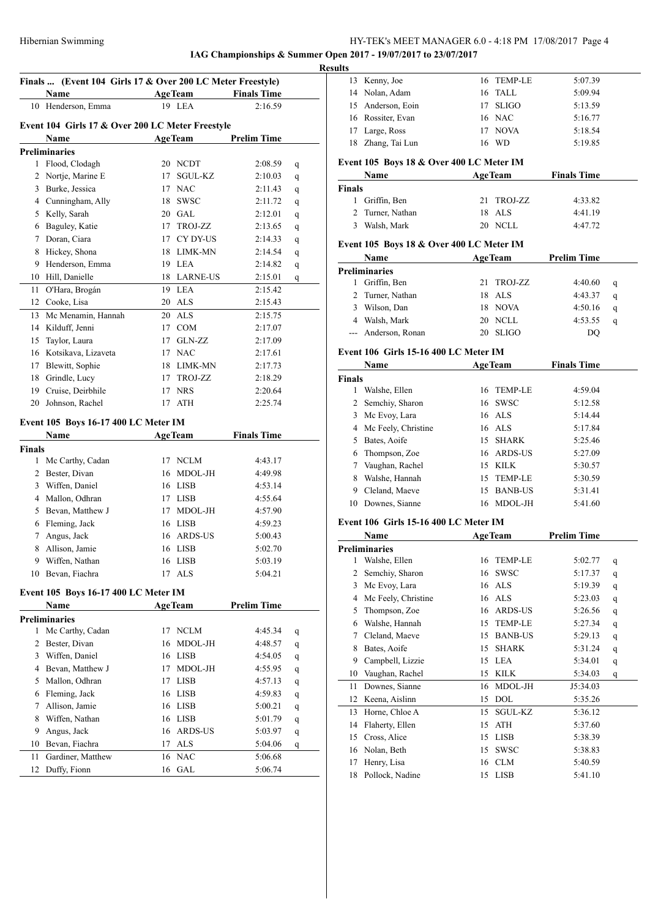Kenny, Joe 16 TEMP-LE 5:07.39

**IAG Championships & Summer Open 2017 - 19/07/2017 to 23/07/2017**

|                | Finals  (Event 104 Girls 17 & Over 200 LC Meter Freestyle) |    |                |                    |   |
|----------------|------------------------------------------------------------|----|----------------|--------------------|---|
|                | Name                                                       |    | <b>AgeTeam</b> | <b>Finals Time</b> |   |
|                | 10 Henderson, Emma                                         |    | 19 LEA         | 2:16.59            |   |
|                |                                                            |    |                |                    |   |
|                | Event 104 Girls 17 & Over 200 LC Meter Freestyle           |    |                |                    |   |
|                | Name                                                       |    | AgeTeam        | <b>Prelim Time</b> |   |
|                | <b>Preliminaries</b>                                       |    |                |                    |   |
|                | 1 Flood, Clodagh                                           |    | 20 NCDT        | 2:08.59            | q |
|                | 2 Nortje, Marine E                                         | 17 | SGUL-KZ        | 2:10.03            | q |
|                | 3 Burke, Jessica                                           |    | 17 NAC         | 2:11.43            | q |
|                | 4 Cunningham, Ally                                         | 18 | <b>SWSC</b>    | 2:11.72            | q |
|                | 5 Kelly, Sarah                                             |    | 20 GAL         | 2:12.01            | q |
|                | 6 Baguley, Katie                                           |    | 17 TROJ-ZZ     | 2:13.65            | q |
|                | 7 Doran, Ciara                                             |    | 17 CY DY-US    | 2:14.33            | q |
|                | 8 Hickey, Shona                                            |    | 18 LIMK-MN     | 2:14.54            | q |
|                | 9 Henderson, Emma                                          |    | 19 LEA         | 2:14.82            | q |
|                | 10 Hill, Danielle                                          |    | 18 LARNE-US    | 2:15.01            | q |
| 11             | O'Hara, Brogán                                             |    | 19 LEA         | 2:15.42            |   |
|                | 12 Cooke, Lisa                                             |    | 20 ALS         | 2:15.43            |   |
|                | 13 Mc Menamin, Hannah                                      |    | 20 ALS         | 2:15.75            |   |
|                | 14 Kilduff, Jenni                                          |    | 17 COM         | 2:17.07            |   |
| 15             | Taylor, Laura                                              |    | 17 GLN-ZZ      | 2:17.09            |   |
|                | 16 Kotsikava, Lizaveta                                     |    | 17 NAC         | 2:17.61            |   |
|                | 17 Blewitt, Sophie                                         |    | 18 LIMK-MN     | 2:17.73            |   |
|                | 18 Grindle, Lucy                                           |    | 17 TROJ-ZZ     | 2:18.29            |   |
|                | 19 Cruise, Deirbhile                                       |    | 17 NRS         | 2:20.64            |   |
|                | 20 Johnson, Rachel                                         |    | 17 ATH         | 2:25.74            |   |
|                |                                                            |    |                |                    |   |
|                | Event 105 Boys 16-17 400 LC Meter IM                       |    |                |                    |   |
|                | Name                                                       |    | <b>AgeTeam</b> | <b>Finals Time</b> |   |
| Finals         |                                                            |    |                |                    |   |
|                | 1 Mc Carthy, Cadan                                         |    | 17 NCLM        | 4:43.17            |   |
|                | 2 Bester, Divan                                            |    | 16 MDOL-JH     | 4:49.98            |   |
|                | 3 Wiffen, Daniel                                           |    | 16 LISB        | 4:53.14            |   |
|                | 4 Mallon, Odhran                                           |    | 17 LISB        | 4:55.64            |   |
|                | 5 Bevan, Matthew J                                         |    | 17 MDOL-JH     | 4:57.90            |   |
|                | 6 Fleming, Jack                                            |    | 16 LISB        | 4:59.23            |   |
| 7              | Angus, Jack                                                |    | 16 ARDS-US     | 5:00.43            |   |
|                | 8 Allison, Jamie                                           |    | 16 LISB        | 5:02.70            |   |
|                | 9 Wiffen, Nathan                                           |    | 16 LISB        | 5:03.19            |   |
|                | 10 Bevan, Fiachra                                          |    | 17 ALS         | 5:04.21            |   |
|                | Event 105 Boys 16-17 400 LC Meter IM                       |    |                |                    |   |
|                | Name                                                       |    | <b>AgeTeam</b> | <b>Prelim Time</b> |   |
|                | <b>Preliminaries</b>                                       |    |                |                    |   |
| 1              | Mc Carthy, Cadan                                           |    | 17 NCLM        | 4:45.34            | q |
| $\overline{2}$ | Bester, Divan                                              | 16 | MDOL-JH        | 4:48.57            | q |
| 3              | Wiffen, Daniel                                             |    | 16 LISB        | 4:54.05            | q |
| 4              | Bevan, Matthew J                                           | 17 | MDOL-JH        | 4:55.95            |   |
| 5              | Mallon, Odhran                                             | 17 | <b>LISB</b>    | 4:57.13            | q |
|                | Fleming, Jack                                              |    | 16 LISB        |                    | q |
| 6              |                                                            |    |                | 4:59.83            | q |
| 7              | Allison, Jamie                                             |    | 16 LISB        | 5:00.21            | q |
| 8              | Wiffen, Nathan                                             |    | 16 LISB        | 5:01.79            | q |
| 9              | Angus, Jack                                                | 16 | ARDS-US        | 5:03.97            | q |
| 10             | Bevan, Fiachra                                             | 17 | ALS            | 5:04.06            | q |
| 11             | Gardiner, Matthew                                          | 16 | <b>NAC</b>     | 5:06.68            |   |
| 12             | Duffy, Fionn                                               |    | 16 GAL         | 5:06.74            |   |

| 14            | Nolan, Adam                                      | TALL<br>16                        | 5:09.94            |             |
|---------------|--------------------------------------------------|-----------------------------------|--------------------|-------------|
| 15            | Anderson, Eoin                                   | 17<br><b>SLIGO</b>                | 5:13.59            |             |
|               | 16 Rossiter, Evan                                | 16 NAC                            | 5:16.77            |             |
|               | 17 Large, Ross                                   | 17 NOVA                           | 5:18.54            |             |
|               | 18 Zhang, Tai Lun                                | 16 WD                             | 5:19.85            |             |
|               |                                                  |                                   |                    |             |
|               | Event 105 Boys 18 & Over 400 LC Meter IM<br>Name | <b>AgeTeam</b>                    |                    |             |
| Finals        |                                                  |                                   | <b>Finals Time</b> |             |
|               | 1 Griffin, Ben                                   | 21<br>TROJ-ZZ                     | 4:33.82            |             |
|               | 2 Turner, Nathan                                 | <b>ALS</b><br>18                  | 4:41.19            |             |
|               | 3 Walsh, Mark                                    | 20 NCLL                           | 4:47.72            |             |
|               |                                                  |                                   |                    |             |
|               | Event 105 Boys 18 & Over 400 LC Meter IM         |                                   |                    |             |
|               | Name                                             | <b>AgeTeam</b>                    | <b>Prelim Time</b> |             |
|               | <b>Preliminaries</b>                             |                                   |                    |             |
|               | 1 Griffin, Ben                                   | 21<br>TROJ-ZZ                     | 4:40.60            | q           |
|               | 2 Turner, Nathan                                 | 18 ALS                            | 4:43.37            | q           |
|               | 3 Wilson, Dan                                    | 18 NOVA                           | 4:50.16            | q           |
|               | 4 Walsh, Mark                                    | 20 NCLL<br>20 SLIGO               | 4:53.55<br>DO      | q           |
|               | --- Anderson, Ronan                              |                                   |                    |             |
|               | Event 106 Girls 15-16 400 LC Meter IM            |                                   |                    |             |
|               | <b>Name</b>                                      | <b>AgeTeam</b>                    | <b>Finals Time</b> |             |
| <b>Finals</b> |                                                  |                                   |                    |             |
|               | 1 Walshe, Ellen                                  | 16 TEMP-LE                        | 4:59.04            |             |
|               | 2 Semchiy, Sharon                                | 16 SWSC                           | 5:12.58            |             |
|               | 3 Mc Evoy, Lara                                  | 16 ALS                            | 5:14.44            |             |
|               | 4 Mc Feely, Christine                            | 16 ALS                            | 5:17.84            |             |
|               | 5 Bates, Aoife                                   | 15 SHARK                          | 5:25.46            |             |
|               | 6 Thompson, Zoe                                  | 16 ARDS-US                        | 5:27.09            |             |
|               | 7 Vaughan, Rachel                                | 15 KILK                           | 5:30.57            |             |
| 8             | Walshe, Hannah                                   | 15 TEMP-LE                        | 5:30.59            |             |
|               | 9 Cleland, Maeve                                 | 15 BANB-US                        | 5:31.41            |             |
|               | 10 Downes, Sianne                                | 16 MDOL-JH                        | 5:41.60            |             |
|               | Event 106 Girls 15-16 400 LC Meter IM            |                                   |                    |             |
|               | Name                                             | <b>AgeTeam</b>                    | <b>Prelim Time</b> |             |
|               | Preliminaries                                    |                                   |                    |             |
|               | 1 Walshe, Ellen                                  | 16 TEMP-LE                        | 5:02.77            | q           |
|               | 2 Semchiy, Sharon                                | 16 SWSC                           | 5:17.37            | q           |
| 3             | Mc Evoy, Lara                                    | $\ensuremath{\mathbf{ALS}}$<br>16 | 5:19.39            | q           |
| 4             | Mc Feely, Christine                              | 16<br>$\mathbf{ALS}\xspace$       | 5:23.03            | q           |
| 5             | Thompson, Zoe                                    | ARDS-US<br>16                     | 5:26.56            | q           |
| 6             | Walshe, Hannah                                   | 15<br>TEMP-LE                     | 5:27.34            | q           |
| 7             | Cleland, Maeve                                   | 15 BANB-US                        | 5:29.13            | q           |
| 8             | Bates, Aoife                                     | 15<br><b>SHARK</b>                | 5:31.24            | q           |
| 9             | Campbell, Lizzie                                 | 15<br>LEA                         | 5:34.01            | $\mathbf q$ |
| 10            | Vaughan, Rachel                                  | 15<br><b>KILK</b>                 | 5:34.03            | q           |
| 11            | Downes, Sianne                                   | MDOL-JH<br>16                     | J5:34.03           |             |
| 12            | Keena, Aislinn                                   | 15<br>DOL                         | 5:35.26            |             |
| 13            | Horne, Chloe A                                   | 15<br>SGUL-KZ                     | 5:36.12            |             |
| 14            | Flaherty, Ellen                                  | ATH<br>15                         | 5:37.60            |             |
| 15            | Cross, Alice                                     | 15<br>LISB                        | 5:38.39            |             |
| 16            | Nolan, Beth                                      | SWSC<br>15                        | 5:38.83            |             |
| 17            | Henry, Lisa                                      | 16<br><b>CLM</b>                  | 5:40.59            |             |
| 18            | Pollock, Nadine                                  | 15<br>LISB                        | 5:41.10            |             |
|               |                                                  |                                   |                    |             |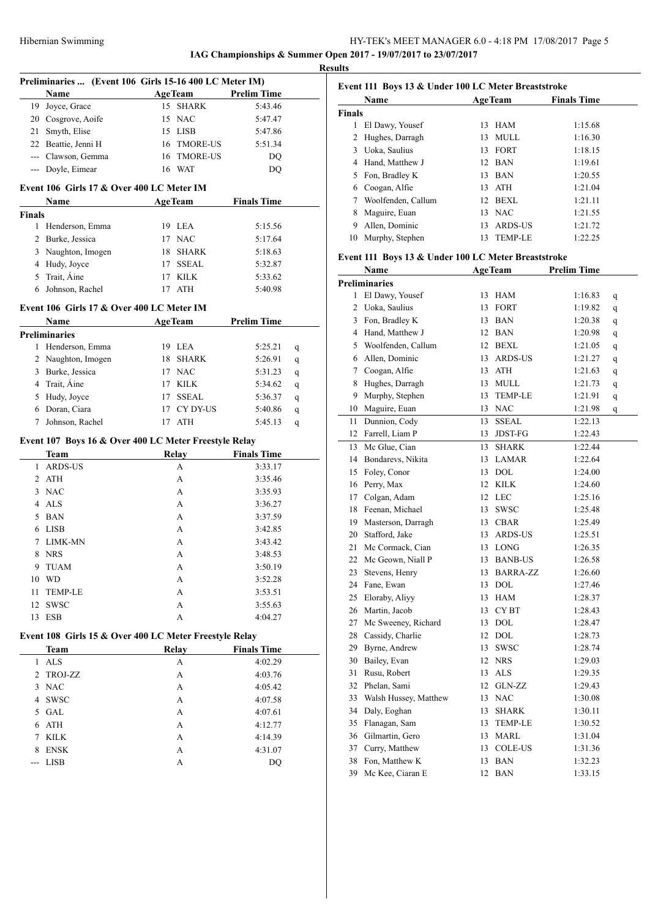# HY-TEK's MEET MANAGER 6.0 - 4:18 PM 17/08/2017 Page 5 **IAG Championships & Summer Open 2017 - 19/07/2017 to 23/07/2017**

**Results**

|                |                                           | Preliminaries  (Event 106 Girls 15-16 400 LC Meter IM)<br><b>AgeTeam</b> | <b>Prelim Time</b> |   |
|----------------|-------------------------------------------|--------------------------------------------------------------------------|--------------------|---|
|                | Name<br>19 Joyce, Grace                   | 15 SHARK                                                                 | 5:43.46            |   |
|                | 20 Cosgrove, Aoife                        | 15 NAC                                                                   |                    |   |
|                |                                           |                                                                          | 5:47.47            |   |
|                | 21 Smyth, Elise                           | 15 LISB                                                                  | 5:47.86            |   |
|                | 22 Beattie, Jenni H                       | 16 TMORE-US                                                              | 5:51.34            |   |
|                | --- Clawson, Gemma                        | 16 TMORE-US                                                              | DQ                 |   |
|                | --- Doyle, Eimear                         | 16 WAT                                                                   | DQ                 |   |
|                | Event 106 Girls 17 & Over 400 LC Meter IM |                                                                          |                    |   |
| <b>Finals</b>  | Name                                      | <b>AgeTeam</b>                                                           | <b>Finals Time</b> |   |
| 1              | Henderson, Emma                           | 19 LEA                                                                   | 5:15.56            |   |
|                | 2 Burke, Jessica                          | 17 NAC                                                                   | 5:17.64            |   |
|                | 3 Naughton, Imogen                        | 18 SHARK                                                                 | 5:18.63            |   |
|                | 4 Hudy, Joyce                             | 17 SSEAL                                                                 |                    |   |
|                | 5 Trait, Aine                             | 17 KILK                                                                  | 5:32.87<br>5:33.62 |   |
|                |                                           |                                                                          |                    |   |
|                | 6 Johnson, Rachel                         | 17 ATH                                                                   | 5:40.98            |   |
|                | Event 106 Girls 17 & Over 400 LC Meter IM |                                                                          |                    |   |
|                | Name<br><b>Preliminaries</b>              | <b>AgeTeam</b>                                                           | <b>Prelim Time</b> |   |
|                | 1 Henderson, Emma                         | 19 LEA                                                                   | 5:25.21            | q |
|                | 2 Naughton, Imogen                        | 18 SHARK                                                                 | 5:26.91            |   |
|                | 3 Burke, Jessica                          | 17 NAC                                                                   | 5:31.23            | q |
|                |                                           |                                                                          |                    | q |
|                | 4 Trait, Aine                             | 17 KILK                                                                  | 5:34.62            | q |
|                | 5 Hudy, Joyce                             | 17 SSEAL                                                                 | 5:36.37            | q |
|                | 6 Doran, Ciara                            | 17 CY DY-US                                                              | 5:40.86            | q |
| 7              | Johnson, Rachel                           | 17 ATH                                                                   | 5:45.13            | q |
|                |                                           | Event 107 Boys 16 & Over 400 LC Meter Freestyle Relay                    |                    |   |
|                | Team                                      | Relay                                                                    | <b>Finals Time</b> |   |
| 1              | <b>ARDS-US</b>                            | A                                                                        | 3:33.17            |   |
|                | 2 ATH                                     | А                                                                        | 3:35.46            |   |
|                | 3 NAC                                     | A                                                                        | 3:35.93            |   |
|                | 4 ALS                                     | A                                                                        | 3:36.27            |   |
| 5              | <b>BAN</b>                                | А                                                                        | 3:37.59            |   |
| 6              | <b>LISB</b>                               | A                                                                        | 3:42.85            |   |
| 7              | LIMK-MN                                   | А                                                                        | 3:43.42            |   |
| 8              | <b>NRS</b>                                | А                                                                        | 3:48.53            |   |
| 9              | <b>TUAM</b>                               | А                                                                        | 3:50.19            |   |
| 10             | WD                                        | А                                                                        | 3:52.28            |   |
| 11             | <b>TEMP-LE</b>                            | А                                                                        | 3:53.51            |   |
|                |                                           |                                                                          |                    |   |
| 12<br>13       | <b>SWSC</b><br><b>ESB</b>                 | А<br>А                                                                   | 3:55.63<br>4:04.27 |   |
|                |                                           |                                                                          |                    |   |
|                | Team                                      | Event 108 Girls 15 & Over 400 LC Meter Freestyle Relay<br>Relay          | <b>Finals Time</b> |   |
| $\mathbf{1}$   | $\ensuremath{\mathbf{ALS}}$               | А                                                                        | 4:02.29            |   |
| $\overline{2}$ | <b>TROJ-ZZ</b>                            | A                                                                        | 4:03.76            |   |
| 3              | <b>NAC</b>                                | А                                                                        | 4:05.42            |   |
|                |                                           |                                                                          |                    |   |
|                | 4 SWSC                                    | А                                                                        | 4:07.58            |   |
|                | 5 GAL                                     | А                                                                        | 4:07.61            |   |
|                | ATH                                       | А                                                                        | 4:12.77            |   |
| 6              |                                           |                                                                          | 4:14.39            |   |
| 7              | KILK                                      | A                                                                        |                    |   |
| 8              | <b>ENSK</b>                               | А                                                                        | 4:31.07            |   |

|        | Name               |    | <b>AgeTeam</b> | <b>Finals Time</b> |
|--------|--------------------|----|----------------|--------------------|
| Finals |                    |    |                |                    |
| 1      | El Dawy, Yousef    | 13 | <b>HAM</b>     | 1:15.68            |
| 2      | Hughes, Darragh    | 13 | <b>MULL</b>    | 1:16.30            |
| 3      | Uoka, Saulius      |    | 13 FORT        | 1:18.15            |
| 4      | Hand, Matthew J    |    | 12 BAN         | 1:19.61            |
| 5      | Fon, Bradley K     | 13 | <b>BAN</b>     | 1:20.55            |
| 6      | Coogan, Alfie      | 13 | ATH            | 1:21.04            |
| 7      | Woolfenden, Callum | 12 | BEXL           | 1:21.11            |
| 8      | Maguire, Euan      |    | 13 NAC         | 1:21.55            |
| 9      | Allen, Dominic     | 13 | ARDS-US        | 1:21.72            |
| 10     | Murphy, Stephen    | 13 | <b>TEMP-LE</b> | 1:22.25            |
|        |                    |    |                |                    |

# **Event 111 Boys 13 & Under 100 LC Meter Breaststroke**

| Name                  |                              |                | <b>Prelim Time</b>                                                                                                                                                                                                                                                                                                                                                         |   |
|-----------------------|------------------------------|----------------|----------------------------------------------------------------------------------------------------------------------------------------------------------------------------------------------------------------------------------------------------------------------------------------------------------------------------------------------------------------------------|---|
| Preliminaries         |                              |                |                                                                                                                                                                                                                                                                                                                                                                            |   |
| El Dawy, Yousef       | 13                           | <b>HAM</b>     | 1:16.83                                                                                                                                                                                                                                                                                                                                                                    | q |
| Uoka, Saulius         |                              |                | 1:19.82                                                                                                                                                                                                                                                                                                                                                                    | q |
| Fon, Bradley K        |                              |                | 1:20.38                                                                                                                                                                                                                                                                                                                                                                    | q |
| Hand, Matthew J       |                              |                | 1:20.98                                                                                                                                                                                                                                                                                                                                                                    | q |
| Woolfenden, Callum    |                              |                | 1:21.05                                                                                                                                                                                                                                                                                                                                                                    | q |
| Allen, Dominic        | 13                           |                | 1:21.27                                                                                                                                                                                                                                                                                                                                                                    | q |
| Coogan, Alfie         |                              |                | 1:21.63                                                                                                                                                                                                                                                                                                                                                                    | q |
| Hughes, Darragh       |                              |                | 1:21.73                                                                                                                                                                                                                                                                                                                                                                    | q |
| Murphy, Stephen       | 13                           | <b>TEMP-LE</b> | 1:21.91                                                                                                                                                                                                                                                                                                                                                                    | q |
| Maguire, Euan         | 13                           |                | 1:21.98                                                                                                                                                                                                                                                                                                                                                                    | q |
| Dunnion, Cody         | 13                           | <b>SSEAL</b>   | 1:22.13                                                                                                                                                                                                                                                                                                                                                                    |   |
| Farrell, Liam P       |                              | <b>JDST-FG</b> | 1:22.43                                                                                                                                                                                                                                                                                                                                                                    |   |
| Mc Glue, Cian         |                              | <b>SHARK</b>   | 1:22.44                                                                                                                                                                                                                                                                                                                                                                    |   |
| Bondarevs, Nikita     |                              |                | 1:22.64                                                                                                                                                                                                                                                                                                                                                                    |   |
| Foley, Conor          |                              |                | 1:24.00                                                                                                                                                                                                                                                                                                                                                                    |   |
| Perry, Max            |                              |                | 1:24.60                                                                                                                                                                                                                                                                                                                                                                    |   |
| Colgan, Adam          | 12                           |                | 1:25.16                                                                                                                                                                                                                                                                                                                                                                    |   |
| Feenan, Michael       | 13                           | <b>SWSC</b>    | 1:25.48                                                                                                                                                                                                                                                                                                                                                                    |   |
| Masterson, Darragh    |                              |                | 1:25.49                                                                                                                                                                                                                                                                                                                                                                    |   |
| Stafford, Jake        |                              |                | 1:25.51                                                                                                                                                                                                                                                                                                                                                                    |   |
| Mc Cormack, Cian      |                              |                | 1:26.35                                                                                                                                                                                                                                                                                                                                                                    |   |
| Mc Geown, Niall P     |                              |                | 1:26.58                                                                                                                                                                                                                                                                                                                                                                    |   |
| Stevens, Henry        |                              |                | 1:26.60                                                                                                                                                                                                                                                                                                                                                                    |   |
| Fane, Ewan            |                              |                | 1:27.46                                                                                                                                                                                                                                                                                                                                                                    |   |
| Eloraby, Aliyy        |                              |                | 1:28.37                                                                                                                                                                                                                                                                                                                                                                    |   |
| Martin, Jacob         |                              |                | 1:28.43                                                                                                                                                                                                                                                                                                                                                                    |   |
| Mc Sweeney, Richard   | 13                           |                | 1:28.47                                                                                                                                                                                                                                                                                                                                                                    |   |
| Cassidy, Charlie      |                              |                | 1:28.73                                                                                                                                                                                                                                                                                                                                                                    |   |
| Byrne, Andrew         |                              | SWSC           | 1:28.74                                                                                                                                                                                                                                                                                                                                                                    |   |
| Bailey, Evan          |                              |                | 1:29.03                                                                                                                                                                                                                                                                                                                                                                    |   |
|                       | 13                           |                | 1:29.35                                                                                                                                                                                                                                                                                                                                                                    |   |
| Phelan, Sami          |                              |                | 1:29.43                                                                                                                                                                                                                                                                                                                                                                    |   |
| Walsh Hussey, Matthew |                              |                | 1:30.08                                                                                                                                                                                                                                                                                                                                                                    |   |
|                       |                              | <b>SHARK</b>   | 1:30.11                                                                                                                                                                                                                                                                                                                                                                    |   |
| Flanagan, Sam         |                              |                | 1:30.52                                                                                                                                                                                                                                                                                                                                                                    |   |
| Gilmartin, Gero       |                              |                | 1:31.04                                                                                                                                                                                                                                                                                                                                                                    |   |
| Curry, Matthew        |                              |                | 1:31.36                                                                                                                                                                                                                                                                                                                                                                    |   |
| Fon, Matthew K        | 13                           | <b>BAN</b>     | 1:32.23                                                                                                                                                                                                                                                                                                                                                                    |   |
| Mc Kee, Ciaran E      | 12                           | BAN            | 1:33.15                                                                                                                                                                                                                                                                                                                                                                    |   |
|                       | Rusu, Robert<br>Daly, Eoghan |                | <b>AgeTeam</b><br>13 FORT<br>13 BAN<br>12 BAN<br>12 BEXL<br>ARDS-US<br>13 ATH<br>13 MULL<br><b>NAC</b><br>13<br>13<br>13 LAMAR<br>13 DOL<br>12 KILK<br>LEC<br>13 CBAR<br>13 ARDS-US<br>13 LONG<br>13 BANB-US<br>13 BARRA-ZZ<br>13 DOL<br>13 HAM<br>13 CYBT<br>DOL<br>12 DOL<br>13<br>12 NRS<br>ALS<br>12 GLN-ZZ<br>13 NAC<br>$13 -$<br>13 TEMP-LE<br>13 MARL<br>13 COLE-US |   |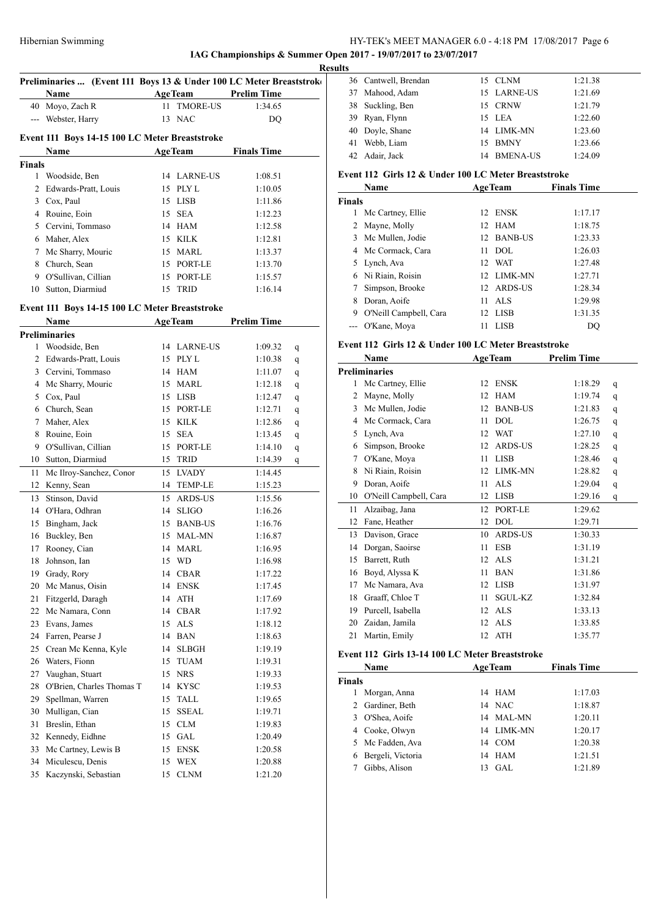### HY-TEK's MEET MANAGER 6.0 - 4:18 PM 17/08/2017 Page 6 **IAG Championships & Summer Open 2017 - 19/07/2017 to 23/07/2017**

**Results**

| Preliminaries  (Event 111 Boys 13 & Under 100 LC Meter Breaststroke |                                                |    |                 |                    |   |  |
|---------------------------------------------------------------------|------------------------------------------------|----|-----------------|--------------------|---|--|
|                                                                     | Name                                           |    | <b>AgeTeam</b>  | <b>Prelim Time</b> |   |  |
|                                                                     |                                                |    | <b>TMORE-US</b> |                    |   |  |
|                                                                     | 40 Moyo, Zach R                                | 11 |                 | 1:34.65            |   |  |
|                                                                     | --- Webster, Harry                             |    | 13 NAC          | DQ                 |   |  |
|                                                                     | Event 111 Boys 14-15 100 LC Meter Breaststroke |    |                 |                    |   |  |
|                                                                     | Name                                           |    | <b>AgeTeam</b>  | <b>Finals Time</b> |   |  |
| <b>Finals</b>                                                       |                                                |    |                 |                    |   |  |
| $\mathbf{1}$                                                        | Woodside, Ben                                  |    | 14 LARNE-US     | 1:08.51            |   |  |
|                                                                     | 2 Edwards-Pratt, Louis                         |    | 15 PLY L        | 1:10.05            |   |  |
|                                                                     | 3 Cox, Paul                                    |    | 15 LISB         | 1:11.86            |   |  |
|                                                                     | 4 Rouine, Eoin                                 |    | 15 SEA          | 1:12.23            |   |  |
|                                                                     | 5 Cervini, Tommaso                             |    | 14 HAM          | 1:12.58            |   |  |
|                                                                     | 6 Maher, Alex                                  |    | 15 KILK         | 1:12.81            |   |  |
|                                                                     | 7 Mc Sharry, Mouric                            |    | 15 MARL         | 1:13.37            |   |  |
|                                                                     | 8 Church, Sean                                 |    | 15 PORT-LE      | 1:13.70            |   |  |
|                                                                     | 9 O'Sullivan, Cillian                          |    | 15 PORT-LE      | 1:15.57            |   |  |
|                                                                     | 10 Sutton, Diarmiud                            |    | 15 TRID         | 1:16.14            |   |  |
|                                                                     |                                                |    |                 |                    |   |  |
|                                                                     | Event 111 Boys 14-15 100 LC Meter Breaststroke |    |                 |                    |   |  |
|                                                                     | <b>Name</b>                                    |    | <b>AgeTeam</b>  | <b>Prelim Time</b> |   |  |
|                                                                     | <b>Preliminaries</b>                           |    |                 |                    |   |  |
| 1                                                                   | Woodside, Ben                                  |    | 14 LARNE-US     | 1:09.32            | q |  |
|                                                                     | 2 Edwards-Pratt, Louis                         |    | 15 PLY L        | 1:10.38            | q |  |
|                                                                     | 3 Cervini, Tommaso                             |    | 14 HAM          | 1:11.07            | q |  |
|                                                                     | 4 Mc Sharry, Mouric                            |    | 15 MARL         | 1:12.18            | q |  |
|                                                                     | 5 Cox, Paul                                    |    | 15 LISB         | 1:12.47            | q |  |
|                                                                     | 6 Church, Sean                                 |    | 15 PORT-LE      | 1:12.71            | q |  |
|                                                                     | 7 Maher, Alex                                  |    | 15 KILK         | 1:12.86            | q |  |
|                                                                     | 8 Rouine, Eoin                                 |    | 15 SEA          | 1:13.45            | q |  |
|                                                                     | 9 O'Sullivan, Cillian                          |    | 15 PORT-LE      | 1:14.10            | q |  |
|                                                                     | 10 Sutton, Diarmiud                            |    | 15 TRID         | 1:14.39            | q |  |
| 11                                                                  | Mc Ilroy-Sanchez, Conor                        |    | 15 LVADY        | 1:14.45            |   |  |
|                                                                     | 12 Kenny, Sean                                 |    | 14 TEMP-LE      | 1:15.23            |   |  |
| 13                                                                  | Stinson, David                                 |    | 15 ARDS-US      | 1:15.56            |   |  |
|                                                                     | 14 O'Hara, Odhran                              |    | 14 SLIGO        | 1:16.26            |   |  |
| 15                                                                  | Bingham, Jack                                  |    | 15 BANB-US      | 1:16.76            |   |  |
| 16                                                                  | Buckley, Ben                                   |    | 15 MAL-MN       | 1:16.87            |   |  |
| 17                                                                  | Rooney, Cian                                   |    | 14 MARL         | 1:16.95            |   |  |
| 18                                                                  | Johnson, Ian                                   |    | 15 WD           | 1:16.98            |   |  |
| 19                                                                  | Grady, Rory                                    | 14 | CBAR            | 1:17.22            |   |  |
| 20                                                                  | Mc Manus, Oisin                                |    | 14 ENSK         | 1:17.45            |   |  |
|                                                                     | 21 Fitzgerld, Daragh                           |    | 14 ATH          | 1:17.69            |   |  |
|                                                                     | 22 Mc Namara, Conn                             |    | 14 CBAR         | 1:17.92            |   |  |
|                                                                     | 23 Evans, James                                | 15 | ALS             | 1:18.12            |   |  |
|                                                                     | 24 Farren, Pearse J                            |    | 14 BAN          | 1:18.63            |   |  |
|                                                                     | 25 Crean Mc Kenna, Kyle                        |    | 14 SLBGH        | 1:19.19            |   |  |
|                                                                     | 26 Waters, Fionn                               |    | 15 TUAM         | 1:19.31            |   |  |
|                                                                     | 27 Vaughan, Stuart                             |    | 15 NRS          | 1:19.33            |   |  |
|                                                                     | 28 O'Brien, Charles Thomas T                   |    | 14 KYSC         | 1:19.53            |   |  |
| 29                                                                  | Spellman, Warren                               | 15 | TALL            | 1:19.65            |   |  |
| 30                                                                  | Mulligan, Cian                                 | 15 | <b>SSEAL</b>    | 1:19.71            |   |  |
| 31                                                                  | Breslin, Ethan                                 |    | 15 CLM          | 1:19.83            |   |  |
|                                                                     | 32 Kennedy, Eidhne                             | 15 | GAL             | 1:20.49            |   |  |
|                                                                     | 33 Mc Cartney, Lewis B                         | 15 | <b>ENSK</b>     | 1:20.58            |   |  |
|                                                                     | 34 Miculescu, Denis                            | 15 | WEX             | 1:20.88            |   |  |
|                                                                     | 35 Kaczynski, Sebastian                        | 15 | <b>CLNM</b>     | 1:21.20            |   |  |

| LS |                      |    |                 |         |
|----|----------------------|----|-----------------|---------|
|    | 36 Cantwell, Brendan |    | 15 CLNM         | 1:21.38 |
|    | 37 Mahood, Adam      |    | 15 LARNE-US     | 1:21.69 |
|    | 38 Suckling, Ben     |    | 15 CRNW         | 1:21.79 |
|    | 39 Ryan, Flynn       |    | 15 LEA          | 1:22.60 |
|    | 40 Doyle, Shane      |    | 14 LIMK-MN      | 1:23.60 |
| 41 | Webb, Liam           |    | 15 BMNY         | 1:23.66 |
|    | 42 Adair, Jack       | 14 | <b>BMENA-US</b> | 1:24.09 |

# **Event 112 Girls 12 & Under 100 LC Meter Breaststroke**

|               | Name                   | <b>AgeTeam</b> | <b>Finals Time</b> |
|---------------|------------------------|----------------|--------------------|
| <b>Finals</b> |                        |                |                    |
|               | Mc Cartney, Ellie      | ENSK<br>12.    | 1:17.17            |
|               | 2 Mayne, Molly         | 12 HAM         | 1:18.75            |
|               | 3 Mc Mullen, Jodie     | 12 BANB-US     | 1:23.33            |
|               | 4 Mc Cormack, Cara     | DOL.<br>11     | 1:26.03            |
|               | 5 Lynch, Ava           | 12 WAT         | 1:27.48            |
|               | 6 Ni Riain, Roisin     | 12 LIMK-MN     | 1:27.71            |
|               | Simpson, Brooke        | 12 ARDS-US     | 1:28.34            |
| 8             | Doran, Aoife           | ALS<br>11      | 1:29.98            |
| 9             | O'Neill Campbell, Cara | LISB<br>12.    | 1:31.35            |
|               | O'Kane, Moya           | LISB           | DO                 |

### **Event 112 Girls 12 & Under 100 LC Meter Breaststroke**

| Name |                        | <b>AgeTeam</b>       | <b>Prelim Time</b> |   |
|------|------------------------|----------------------|--------------------|---|
|      | <b>Preliminaries</b>   |                      |                    |   |
| 1    | Mc Cartney, Ellie      | <b>ENSK</b><br>12    | 1:18.29            | q |
| 2    | Mayne, Molly           | <b>HAM</b><br>12     | 1:19.74            | q |
| 3    | Mc Mullen, Jodie       | <b>BANB-US</b><br>12 | 1:21.83            | q |
| 4    | Mc Cormack, Cara       | <b>DOL</b><br>11     | 1:26.75            | q |
| 5    | Lynch, Ava             | <b>WAT</b><br>12     | 1:27.10            | q |
| 6    | Simpson, Brooke        | <b>ARDS-US</b><br>12 | 1:28.25            | q |
| 7    | O'Kane, Moya           | <b>LISB</b><br>11    | 1:28.46            | q |
| 8    | Ni Riain, Roisin       | LIMK-MN<br>12        | 1:28.82            | q |
| 9    | Doran, Aoife           | ALS.<br>11           | 1:29.04            | q |
| 10   | O'Neill Campbell, Cara | <b>LISB</b><br>12    | 1:29.16            | q |
| 11   | Alzaibag, Jana         | PORT-LE<br>12        | 1:29.62            |   |
| 12   | Fane, Heather          | <b>DOL</b><br>12     | 1:29.71            |   |
| 13   | Davison, Grace         | <b>ARDS-US</b><br>10 | 1:30.33            |   |
| 14   | Dorgan, Saoirse        | <b>ESB</b><br>11     | 1:31.19            |   |
| 15   | Barrett, Ruth          | <b>ALS</b><br>12     | 1:31.21            |   |
| 16   | Boyd, Alyssa K         | <b>BAN</b><br>11     | 1:31.86            |   |
| 17   | Mc Namara, Ava         | <b>LISB</b><br>12    | 1:31.97            |   |
| 18   | Graaff, Chloe T        | SGUL-KZ<br>11        | 1:32.84            |   |
| 19   | Purcell, Isabella      | <b>ALS</b><br>12     | 1:33.13            |   |
| 20   | Zaidan, Jamila         | <b>ALS</b><br>12     | 1:33.85            |   |
| 21   | Martin, Emily          | <b>ATH</b><br>12     | 1:35.77            |   |

# **Event 112 Girls 13-14 100 LC Meter Breaststroke**

| Name   |                   |     | <b>AgeTeam</b> | <b>Finals Time</b> |  |
|--------|-------------------|-----|----------------|--------------------|--|
| Finals |                   |     |                |                    |  |
|        | Morgan, Anna      |     | 14 HAM         | 1:17.03            |  |
|        | 2 Gardiner, Beth  |     | 14 NAC         | 1:18.87            |  |
| 3.     | O'Shea, Aoife     |     | 14 MAL-MN      | 1:20.11            |  |
|        | 4 Cooke, Olwyn    |     | 14 LIMK-MN     | 1:20.17            |  |
|        | 5 Mc Fadden, Ava  | 14  | COM            | 1:20.38            |  |
| 6      | Bergeli, Victoria | 14  | HAM            | 1:21.51            |  |
|        | Gibbs, Alison     | 13. | GAL.           | 1:21.89            |  |
|        |                   |     |                |                    |  |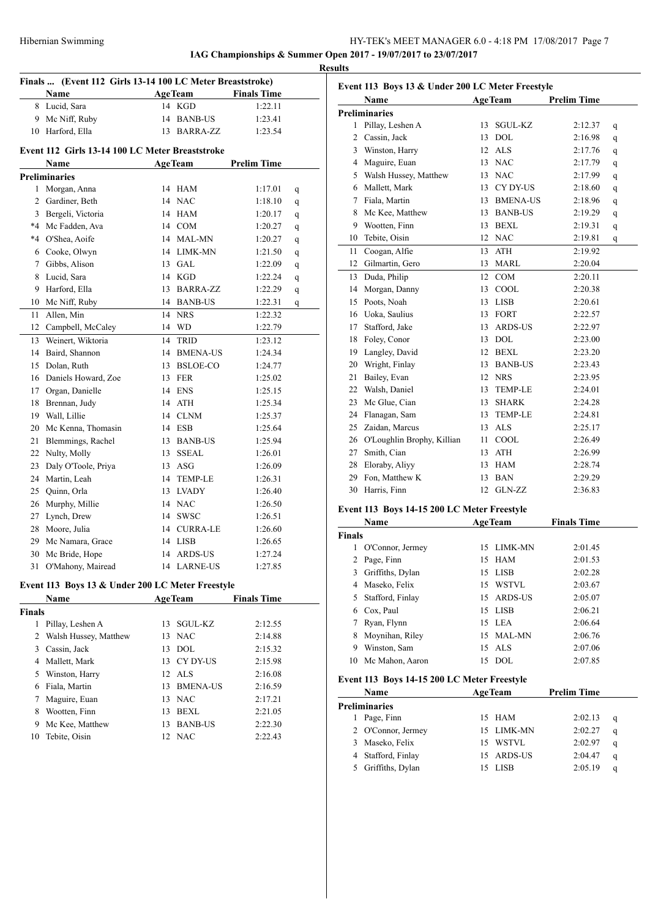# HY-TEK's MEET MANAGER 6.0 - 4:18 PM 17/08/2017 Page 7 **IAG Championships & Summer Open 2017 - 19/07/2017 to 23/07/2017**

**Results**

|                | Finals  (Event 112 Girls 13-14 100 LC Meter Breaststroke) |    |                |                    |        |
|----------------|-----------------------------------------------------------|----|----------------|--------------------|--------|
|                | Name                                                      |    | <b>AgeTeam</b> | <b>Finals Time</b> |        |
|                | 8 Lucid, Sara                                             |    | 14 KGD         | 1:22.11            |        |
|                | 9 Mc Niff, Ruby                                           |    | 14 BANB-US     | 1:23.41            |        |
|                | 10 Harford, Ella                                          |    | 13 BARRA-ZZ    | 1:23.54            |        |
|                | Event 112 Girls 13-14 100 LC Meter Breaststroke           |    |                |                    |        |
|                | Name                                                      |    | <b>AgeTeam</b> | <b>Prelim Time</b> |        |
|                | <b>Preliminaries</b>                                      |    |                |                    |        |
|                | 1 Morgan, Anna                                            |    | 14 HAM         | 1:17.01            | q      |
|                | 2 Gardiner, Beth                                          |    | 14 NAC         | 1:18.10            | q      |
|                | 3 Bergeli, Victoria                                       |    | 14 HAM         | 1:20.17            | q      |
|                | *4 Mc Fadden, Ava                                         |    | 14 COM         | 1:20.27            | q      |
|                | *4 O'Shea, Aoife                                          |    | 14 MAL-MN      | 1:20.27            |        |
|                | 6 Cooke, Olwyn                                            |    | 14 LIMK-MN     | 1:21.50            | q      |
|                | 7 Gibbs, Alison                                           |    | 13 GAL         | 1:22.09            | q      |
|                | 8 Lucid, Sara                                             |    | 14 KGD         | 1:22.24            | q      |
| 9.             | Harford, Ella                                             |    | 13 BARRA-ZZ    | 1:22.29            | q      |
|                | 10 Mc Niff, Ruby                                          |    | 14 BANB-US     | 1:22.31            | q<br>q |
| 11             | Allen, Min                                                | 14 | <b>NRS</b>     | 1:22.32            |        |
|                | 12 Campbell, McCaley                                      |    | 14 WD          | 1:22.79            |        |
| 13             | Weinert, Wiktoria                                         | 14 | <b>TRID</b>    | 1:23.12            |        |
|                | 14 Baird, Shannon                                         |    | 14 BMENA-US    | 1:24.34            |        |
| 15             | Dolan, Ruth                                               |    | 13 BSLOE-CO    | 1:24.77            |        |
|                | 16 Daniels Howard, Zoe                                    |    | 13 FER         | 1:25.02            |        |
|                | 17 Organ, Danielle                                        |    | 14 ENS         | 1:25.15            |        |
|                | 18 Brennan, Judy                                          |    | 14 ATH         | 1:25.34            |        |
|                | 19 Wall, Lillie                                           |    | 14 CLNM        | 1:25.37            |        |
| 20             | Mc Kenna, Thomasin                                        |    | 14 ESB         | 1:25.64            |        |
| 21             | Blemmings, Rachel                                         |    | 13 BANB-US     | 1:25.94            |        |
|                | 22 Nulty, Molly                                           |    | 13 SSEAL       | 1:26.01            |        |
| 23             | Daly O'Toole, Priya                                       |    | 13 ASG         | 1:26.09            |        |
|                | 24 Martin, Leah                                           |    | 14 TEMP-LE     | 1:26.31            |        |
| 25             | Ouinn, Orla                                               |    | 13 LVADY       | 1:26.40            |        |
|                | 26 Murphy, Millie                                         |    | 14 NAC         | 1:26.50            |        |
|                | 27 Lynch, Drew                                            |    | 14 SWSC        | 1:26.51            |        |
|                | 28 Moore, Julia                                           |    | 14 CURRA-LE    | 1:26.60            |        |
|                | 29 Mc Namara, Grace                                       |    | 14 LISB        | 1:26.65            |        |
| 30             | Mc Bride, Hope                                            | 14 | ARDS-US        | 1:27.24            |        |
|                | 31 O'Mahony, Mairead                                      |    | 14 LARNE-US    | 1:27.85            |        |
|                |                                                           |    |                |                    |        |
|                | Event 113 Boys 13 & Under 200 LC Meter Freestyle          |    |                |                    |        |
|                | Name                                                      |    | <b>AgeTeam</b> | <b>Finals Time</b> |        |
| Finals         |                                                           |    |                |                    |        |
|                | 1 Pillay, Leshen A                                        | 13 | SGUL-KZ        | 2:12.55            |        |
| $\overline{2}$ | Walsh Hussey, Matthew                                     | 13 | NAC            | 2:14.88            |        |
|                | 3 Cassin, Jack                                            |    | 13 DOL         | 2:15.32            |        |
|                | 4 Mallett, Mark                                           |    | 13 CY DY-US    | 2:15.98            |        |
|                | 5 Winston, Harry                                          |    | 12 ALS         | 2:16.08            |        |
|                | 6 Fiala, Martin                                           |    | 13 BMENA-US    | 2:16.59            |        |
|                | 7 Maguire, Euan                                           |    | 13 NAC         | 2:17.21            |        |
| 8              | Wootten, Finn                                             |    | 13 BEXL        | 2:21.05            |        |
|                | 9 Mc Kee, Matthew                                         |    | 13 BANB-US     | 2:22.30            |        |
|                | 10 Tebite, Oisin                                          |    | 12 NAC         | 2:22.43            |        |

|    | Event 113 Boys 13 & Under 200 LC Meter Freestyle |    |                |                    |   |
|----|--------------------------------------------------|----|----------------|--------------------|---|
|    | <b>Name</b>                                      |    | <b>AgeTeam</b> | <b>Prelim Time</b> |   |
|    | <b>Preliminaries</b>                             |    |                |                    |   |
| 1  | Pillay, Leshen A                                 | 13 | SGUL-KZ        | 2:12.37            | q |
| 2  | Cassin, Jack                                     | 13 | <b>DOL</b>     | 2:16.98            | q |
|    | 3 Winston, Harry                                 |    | 12 ALS         | 2:17.76            | q |
|    | 4 Maguire, Euan                                  | 13 | <b>NAC</b>     | 2:17.79            | q |
|    | 5 Walsh Hussey, Matthew                          |    | 13 NAC         | 2:17.99            | q |
|    | 6 Mallett, Mark                                  | 13 | CY DY-US       | 2:18.60            | q |
|    | 7 Fiala, Martin                                  |    | 13 BMENA-US    | 2:18.96            | q |
| 8  | Mc Kee, Matthew                                  |    | 13 BANB-US     | 2:19.29            | q |
| 9  | Wootten, Finn                                    |    | 13 BEXL        | 2:19.31            | q |
| 10 | Tebite, Oisin                                    |    | 12 NAC         | 2:19.81            | q |
| 11 | Coogan, Alfie                                    | 13 | <b>ATH</b>     | 2:19.92            |   |
| 12 | Gilmartin, Gero                                  | 13 | <b>MARL</b>    | 2:20.04            |   |
| 13 | Duda, Philip                                     | 12 | COM            | 2:20.11            |   |
| 14 | Morgan, Danny                                    | 13 | COOL           | 2:20.38            |   |
|    | 15 Poots, Noah                                   | 13 | <b>LISB</b>    | 2:20.61            |   |
|    | 16 Uoka, Saulius                                 | 13 | <b>FORT</b>    | 2:22.57            |   |
|    | 17 Stafford, Jake                                | 13 | ARDS-US        | 2:22.97            |   |
|    | 18 Foley, Conor                                  |    | 13 DOL         | 2:23.00            |   |
| 19 | Langley, David                                   | 12 | BEXL           | 2:23.20            |   |
| 20 | Wright, Finlay                                   | 13 | <b>BANB-US</b> | 2:23.43            |   |
| 21 | Bailey, Evan                                     | 12 | <b>NRS</b>     | 2:23.95            |   |
|    | 22 Walsh, Daniel                                 | 13 | <b>TEMP-LE</b> | 2:24.01            |   |
| 23 | Mc Glue, Cian                                    | 13 | <b>SHARK</b>   | 2:24.28            |   |
|    | 24 Flanagan, Sam                                 | 13 | <b>TEMP-LE</b> | 2:24.81            |   |
|    | 25 Zaidan, Marcus                                | 13 | ALS            | 2:25.17            |   |
|    | 26 O'Loughlin Brophy, Killian                    | 11 | COOL           | 2:26.49            |   |
| 27 | Smith, Cian                                      | 13 | <b>ATH</b>     | 2:26.99            |   |
| 28 | Eloraby, Aliyy                                   | 13 | <b>HAM</b>     | 2:28.74            |   |
| 29 | Fon, Matthew K                                   | 13 | <b>BAN</b>     | 2:29.29            |   |
| 30 | Harris, Finn                                     | 12 | GLN-ZZ         | 2:36.83            |   |

# **Event 113 Boys 14-15 200 LC Meter Freestyle**

| Name          |                  |    | <b>AgeTeam</b> | <b>Finals Time</b> |
|---------------|------------------|----|----------------|--------------------|
| <b>Finals</b> |                  |    |                |                    |
|               | O'Connor, Jermey |    | 15 LIMK-MN     | 2:01.45            |
| 2             | Page, Finn       |    | 15 HAM         | 2:01.53            |
| 3             | Griffiths, Dylan |    | 15 LISB        | 2:02.28            |
| 4             | Maseko, Felix    | 15 | WSTVL          | 2:03.67            |
| 5.            | Stafford, Finlay |    | 15 ARDS-US     | 2:05.07            |
| 6             | Cox, Paul        |    | 15 LISB        | 2:06.21            |
|               | Ryan, Flynn      |    | 15 LEA         | 2:06.64            |
| 8             | Moynihan, Riley  |    | 15 MAL-MN      | 2:06.76            |
| 9             | Winston, Sam     |    | $15$ ALS       | 2:07.06            |
| 10            | Mc Mahon, Aaron  | 15 | DOL.           | 2:07.85            |

### **Event 113 Boys 14-15 200 LC Meter Freestyle**

| Name                 | <b>AgeTeam</b> | <b>Prelim Time</b> |   |
|----------------------|----------------|--------------------|---|
| <b>Preliminaries</b> |                |                    |   |
| Page, Finn           | 15 HAM         | 2:02.13            | q |
| 2 O'Connor, Jermey   | 15 LIMK-MN     | 2:02.27            | q |
| Maseko, Felix<br>3   | 15 WSTVL       | 2:02.97            | q |
| Stafford, Finlay     | 15 ARDS-US     | 2:04.47            | q |
| Griffiths, Dylan     | LISB           | 2:05.19            | q |
|                      |                |                    |   |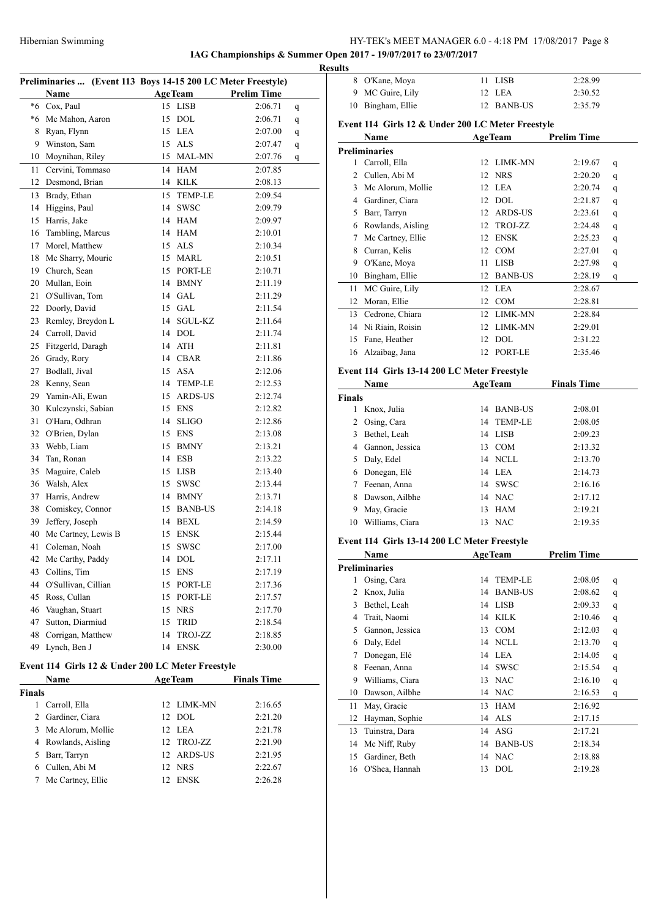**IAG Championships & Summer Open 2017 - 19/07/2017 to 23/07/2017**

| Preliminaries  (Event 113 Boys 14-15 200 LC Meter Freestyle) |                       |    |                |                    |   |  |
|--------------------------------------------------------------|-----------------------|----|----------------|--------------------|---|--|
|                                                              | Name                  |    | AgeTeam        | <b>Prelim Time</b> |   |  |
| *6                                                           | Cox, Paul             | 15 | <b>LISB</b>    | 2:06.71            | q |  |
|                                                              | *6 Mc Mahon, Aaron    | 15 | DOL            | 2:06.71            | q |  |
| 8                                                            | Ryan, Flynn           |    | 15 LEA         | 2:07.00            | q |  |
| 9                                                            | Winston, Sam          |    | 15 ALS         | 2:07.47            | q |  |
| 10                                                           | Moynihan, Riley       | 15 | <b>MAL-MN</b>  | 2:07.76            | q |  |
| 11                                                           | Cervini, Tommaso      | 14 | HAM            | 2:07.85            |   |  |
| 12                                                           | Desmond, Brian        |    | 14 KILK        | 2:08.13            |   |  |
| 13                                                           | Brady, Ethan          | 15 | <b>TEMP-LE</b> | 2:09.54            |   |  |
| 14                                                           | Higgins, Paul         | 14 | <b>SWSC</b>    | 2:09.79            |   |  |
| 15                                                           | Harris, Jake          |    | 14 HAM         | 2:09.97            |   |  |
| 16                                                           | Tambling, Marcus      |    | 14 HAM         | 2:10.01            |   |  |
| 17                                                           | Morel, Matthew        |    | 15 ALS         | 2:10.34            |   |  |
| 18                                                           | Mc Sharry, Mouric     |    | 15 MARL        | 2:10.51            |   |  |
|                                                              | 19 Church, Sean       |    | 15 PORT-LE     | 2:10.71            |   |  |
| 20                                                           | Mullan, Eoin          |    | 14 BMNY        | 2:11.19            |   |  |
| 21                                                           | O'Sullivan, Tom       |    | 14 GAL         | 2:11.29            |   |  |
| 22                                                           | Doorly, David         |    | 15 GAL         | 2:11.54            |   |  |
| 23                                                           | Remley, Breydon L     | 14 | SGUL-KZ        | 2:11.64            |   |  |
|                                                              | 24 Carroll, David     |    | 14 DOL         | 2:11.74            |   |  |
| 25                                                           | Fitzgerld, Daragh     |    | 14 ATH         | 2:11.81            |   |  |
| 26                                                           | Grady, Rory           |    | 14 CBAR        | 2:11.86            |   |  |
| 27                                                           | Bodlall, Jival        |    | 15 ASA         | 2:12.06            |   |  |
| 28                                                           | Kenny, Sean           |    | 14 TEMP-LE     | 2:12.53            |   |  |
| 29                                                           | Yamin-Ali, Ewan       |    | 15 ARDS-US     | 2:12.74            |   |  |
|                                                              | 30 Kulczynski, Sabian |    | 15 ENS         | 2:12.82            |   |  |
| 31                                                           | O'Hara, Odhran        |    | 14 SLIGO       | 2:12.86            |   |  |
| 32                                                           | O'Brien, Dylan        | 15 | <b>ENS</b>     | 2:13.08            |   |  |
| 33                                                           | Webb, Liam            | 15 | <b>BMNY</b>    | 2:13.21            |   |  |
| 34                                                           | Tan, Ronan            |    | 14 ESB         | 2:13.22            |   |  |
| 35                                                           | Maguire, Caleb        |    | 15 LISB        | 2:13.40            |   |  |
| 36                                                           | Walsh, Alex           | 15 | SWSC           | 2:13.44            |   |  |
| 37                                                           | Harris, Andrew        |    | 14 BMNY        | 2:13.71            |   |  |
| 38                                                           | Comiskey, Connor      |    | 15 BANB-US     | 2:14.18            |   |  |
| 39                                                           | Jeffery, Joseph       |    | 14 BEXL        | 2:14.59            |   |  |
| 40                                                           | Mc Cartney, Lewis B   |    | 15 ENSK        | 2:15.44            |   |  |
| 41                                                           | Coleman, Noah         |    | 15 SWSC        | 2:17.00            |   |  |
|                                                              | 42 Mc Carthy, Paddy   |    | 14 DOL         | 2:17.11            |   |  |
|                                                              | 43 Collins, Tim       |    | 15 ENS         | 2:17.19            |   |  |
| 44                                                           | O'Sullivan, Cillian   | 15 | PORT-LE        | 2:17.36            |   |  |
| 45                                                           | Ross, Cullan          | 15 | PORT-LE        | 2:17.57            |   |  |
| 46                                                           | Vaughan, Stuart       | 15 | <b>NRS</b>     | 2:17.70            |   |  |
| 47                                                           | Sutton, Diarmiud      | 15 | <b>TRID</b>    | 2:18.54            |   |  |
| 48                                                           | Corrigan, Matthew     | 14 | TROJ-ZZ        | 2:18.85            |   |  |
| 49                                                           | Lynch, Ben J          | 14 | <b>ENSK</b>    | 2:30.00            |   |  |
|                                                              |                       |    |                |                    |   |  |

### **Event 114 Girls 12 & Under 200 LC Meter Freestyle**

| <b>Name</b>   |                     |    | <b>AgeTeam</b> | <b>Finals Time</b> |  |  |
|---------------|---------------------|----|----------------|--------------------|--|--|
| <b>Finals</b> |                     |    |                |                    |  |  |
|               | Carroll, Ella       |    | 12 LIMK-MN     | 2:16.65            |  |  |
|               | 2 Gardiner, Ciara   |    | 12 DOL         | 2:21.20            |  |  |
|               | 3 Mc Alorum, Mollie |    | 12 LEA         | 2:21.78            |  |  |
|               | 4 Rowlands, Aisling |    | 12 TROJ-ZZ     | 2:21.90            |  |  |
|               | 5 Barr, Tarryn      |    | 12 ARDS-US     | 2:21.95            |  |  |
|               | Cullen, Abi M       |    | 12 NRS         | 2:22.67            |  |  |
|               | Mc Cartney, Ellie   | 12 | <b>ENSK</b>    | 2:26.28            |  |  |

| <b>Results</b> |                   |            |         |
|----------------|-------------------|------------|---------|
|                | 8 O'Kane, Moya    | 11 LISB    | 2:28.99 |
|                | 9 MC Guire, Lily  | 12 LEA     | 2:30.52 |
|                | 10 Bingham, Ellie | 12 BANB-US | 2:35.79 |

### **Event 114 Girls 12 & Under 200 LC Meter Freestyle**

| Name |                      | <b>AgeTeam</b>       | <b>Prelim Time</b> |
|------|----------------------|----------------------|--------------------|
|      | <b>Preliminaries</b> |                      |                    |
| 1    | Carroll, Ella        | LIMK-MN<br>12        | 2:19.67<br>q       |
| 2    | Cullen, Abi M        | <b>NRS</b><br>12     | 2:20.20<br>q       |
| 3    | Mc Alorum, Mollie    | LEA<br>12            | 2:20.74<br>q       |
| 4    | Gardiner, Ciara      | <b>DOL</b><br>12     | 2:21.87<br>q       |
| 5    | Barr, Tarryn         | <b>ARDS-US</b><br>12 | 2:23.61<br>q       |
| 6    | Rowlands, Aisling    | TROJ-ZZ<br>12        | 2:24.48<br>q       |
| 7    | Mc Cartney, Ellie    | <b>ENSK</b><br>12    | 2:25.23<br>q       |
| 8    | Curran, Kelis        | COM<br>12            | 2:27.01<br>q       |
| 9    | O'Kane, Moya         | LISB<br>11           | 2:27.98<br>q       |
| 10   | Bingham, Ellie       | <b>BANB-US</b><br>12 | 2:28.19<br>q       |
| 11   | MC Guire, Lily       | LEA<br>12            | 2:28.67            |
| 12   | Moran, Ellie         | <b>COM</b><br>12     | 2:28.81            |
| 13   | Cedrone, Chiara      | <b>LIMK-MN</b><br>12 | 2:28.84            |
| 14   | Ni Riain, Roisin     | <b>LIMK-MN</b><br>12 | 2:29.01            |
| 15   | Fane, Heather        | DOL<br>12            | 2:31.22            |
| 16   | Alzaibag, Jana       | PORT-LE<br>12        | 2:35.46            |
|      |                      |                      |                    |

### **Event 114 Girls 13-14 200 LC Meter Freestyle**

| <b>Name</b> |                 |    | <b>AgeTeam</b> | <b>Finals Time</b> |  |  |
|-------------|-----------------|----|----------------|--------------------|--|--|
| Finals      |                 |    |                |                    |  |  |
|             | Knox, Julia     | 14 | <b>BANB-US</b> | 2:08.01            |  |  |
| 2           | Osing, Cara     |    | 14 TEMP-LE     | 2:08.05            |  |  |
| 3           | Bethel, Leah    |    | 14 LISB        | 2:09.23            |  |  |
| 4           | Gannon, Jessica | 13 | <b>COM</b>     | 2:13.32            |  |  |
| 5           | Daly, Edel      |    | 14 NCLL        | 2:13.70            |  |  |
| 6           | Donegan, Elé    |    | 14 LEA         | 2:14.73            |  |  |
|             | Feenan, Anna    |    | 14 SWSC        | 2:16.16            |  |  |
| 8           | Dawson, Ailbhe  |    | 14 NAC         | 2:17.12            |  |  |
| 9           | May, Gracie     | 13 | HAM            | 2:19.21            |  |  |
| 10          | Williams, Ciara | 13 | <b>NAC</b>     | 2:19.35            |  |  |

### **Event 114 Girls 13-14 200 LC Meter Freestyle**

|                | Name                 | <b>AgeTeam</b> |                | <b>Prelim Time</b> |   |
|----------------|----------------------|----------------|----------------|--------------------|---|
|                | <b>Preliminaries</b> |                |                |                    |   |
| 1              | Osing, Cara          | 14             | <b>TEMP-LE</b> | 2:08.05            | q |
| $\overline{c}$ | Knox, Julia          | 14             | <b>BANB-US</b> | 2:08.62            | q |
| 3              | Bethel, Leah         | 14             | <b>LISB</b>    | 2:09.33            | q |
| 4              | Trait, Naomi         | 14             | KILK           | 2:10.46            | q |
| 5              | Gannon, Jessica      | 13             | <b>COM</b>     | 2:12.03            | q |
| 6              | Daly, Edel           | 14             | NCLL           | 2:13.70            | q |
| 7              | Donegan, Elé         | 14             | LEA            | 2:14.05            | q |
| 8              | Feenan, Anna         | 14             | <b>SWSC</b>    | 2:15.54            | q |
| 9              | Williams, Ciara      | 13             | <b>NAC</b>     | 2:16.10            | q |
| 10             | Dawson, Ailbhe       |                | 14 NAC         | 2:16.53            | q |
| 11             | May, Gracie          | 13             | <b>HAM</b>     | 2:16.92            |   |
| 12             | Hayman, Sophie       | 14             | ALS            | 2:17.15            |   |
| 13             | Tuinstra, Dara       | 14             | ASG            | 2:17.21            |   |
| 14             | Mc Niff, Ruby        | 14             | <b>BANB-US</b> | 2:18.34            |   |
| 15             | Gardiner, Beth       | 14             | <b>NAC</b>     | 2:18.88            |   |
| 16             | O'Shea, Hannah       | 13             | <b>DOL</b>     | 2:19.28            |   |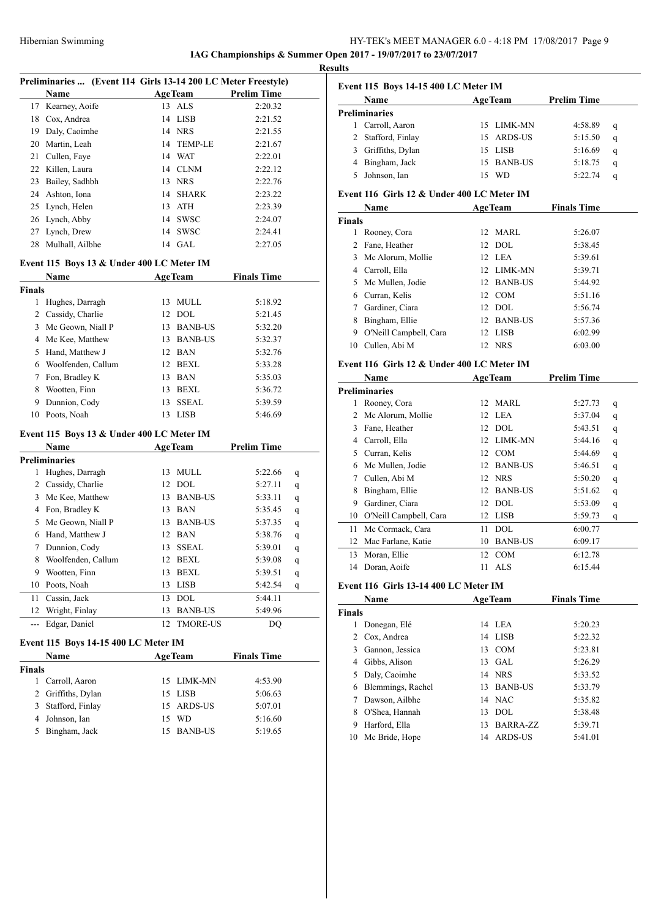# HY-TEK's MEET MANAGER 6.0 - 4:18 PM 17/08/2017 Page 9 **IAG Championships & Summer Open 2017 - 19/07/2017 to 23/07/2017**

**Results**

| Preliminaries  (Event 114 Girls 13-14 200 LC Meter Freestyle) |                                           |    |                |                    |             |  |
|---------------------------------------------------------------|-------------------------------------------|----|----------------|--------------------|-------------|--|
|                                                               | Name                                      |    | <b>AgeTeam</b> | <b>Prelim Time</b> |             |  |
|                                                               | 17 Kearney, Aoife                         | 13 | ALS            | 2:20.32            |             |  |
|                                                               | 18 Cox, Andrea                            | 14 | LISB           | 2:21.52            |             |  |
|                                                               | 19 Daly, Caoimhe                          |    | 14 NRS         | 2:21.55            |             |  |
|                                                               | 20 Martin, Leah                           |    | 14 TEMP-LE     | 2:21.67            |             |  |
|                                                               | 21 Cullen, Faye                           |    | 14 WAT         | 2:22.01            |             |  |
|                                                               | 22 Killen, Laura                          |    | 14 CLNM        | 2:22.12            |             |  |
|                                                               | 23 Bailey, Sadhbh                         |    | 13 NRS         | 2:22.76            |             |  |
|                                                               | 24 Ashton, Iona                           |    | 14 SHARK       | 2:23.22            |             |  |
|                                                               | 25 Lynch, Helen                           |    | 13 ATH         | 2:23.39            |             |  |
|                                                               | 26 Lynch, Abby                            |    | 14 SWSC        | 2:24.07            |             |  |
| 27                                                            | Lynch, Drew                               | 14 | <b>SWSC</b>    | 2:24.41            |             |  |
| 28                                                            | Mulhall, Ailbhe                           |    | 14 GAL         | 2:27.05            |             |  |
|                                                               |                                           |    |                |                    |             |  |
|                                                               | Event 115 Boys 13 & Under 400 LC Meter IM |    |                |                    |             |  |
|                                                               | Name                                      |    | <b>AgeTeam</b> | <b>Finals Time</b> |             |  |
| <b>Finals</b>                                                 |                                           |    |                |                    |             |  |
|                                                               | 1 Hughes, Darragh                         |    | 13 MULL        | 5:18.92            |             |  |
|                                                               | 2 Cassidy, Charlie                        |    | 12 DOL         | 5:21.45            |             |  |
|                                                               | 3 Mc Geown, Niall P                       |    | 13 BANB-US     | 5:32.20            |             |  |
|                                                               | 4 Mc Kee, Matthew                         |    | 13 BANB-US     | 5:32.37            |             |  |
|                                                               | 5 Hand, Matthew J                         |    | 12 BAN         | 5:32.76            |             |  |
|                                                               | 6 Woolfenden, Callum                      |    | 12 BEXL        | 5:33.28            |             |  |
| 7                                                             | Fon, Bradley K                            |    | 13 BAN         | 5:35.03            |             |  |
|                                                               | 8 Wootten, Finn                           |    | 13 BEXL        | 5:36.72            |             |  |
| 9                                                             | Dunnion, Cody                             | 13 | <b>SSEAL</b>   | 5:39.59            |             |  |
| 10                                                            | Poots, Noah                               |    | 13 LISB        | 5:46.69            |             |  |
|                                                               | Event 115 Boys 13 & Under 400 LC Meter IM |    |                |                    |             |  |
|                                                               | Name                                      |    | <b>AgeTeam</b> | <b>Prelim Time</b> |             |  |
|                                                               | <b>Preliminaries</b>                      |    |                |                    |             |  |
| 1                                                             | Hughes, Darragh                           |    | 13 MULL        | 5:22.66            | q           |  |
|                                                               | 2 Cassidy, Charlie                        |    | 12 DOL         | 5:27.11            | q           |  |
|                                                               | 3 Mc Kee, Matthew                         |    | 13 BANB-US     | 5:33.11            | q           |  |
|                                                               | 4 Fon, Bradley K                          |    | 13 BAN         | 5:35.45            | q           |  |
|                                                               | 5 Mc Geown, Niall P                       |    | 13 BANB-US     | 5:37.35            | q           |  |
|                                                               | 6 Hand, Matthew J                         |    | 12 BAN         | 5:38.76            | q           |  |
| 7                                                             | Dunnion, Cody                             |    | 13 SSEAL       | 5:39.01            | q           |  |
|                                                               | 8 Woolfenden, Callum                      |    | 12 BEXL        | 5:39.08            | $\mathbf q$ |  |
| 9                                                             | Wootten, Finn                             | 13 | <b>BEXL</b>    | 5:39.51            | q           |  |
| 10                                                            | Poots, Noah                               | 13 | LISB           | 5:42.54            | q           |  |
| 11                                                            | Cassin, Jack                              | 13 | <b>DOL</b>     | 5:44.11            |             |  |
| 12                                                            | Wright, Finlay                            | 13 | <b>BANB-US</b> | 5:49.96            |             |  |
| ---                                                           | Edgar, Daniel                             | 12 | TMORE-US       | DQ                 |             |  |
|                                                               |                                           |    |                |                    |             |  |
|                                                               | Event 115 Boys 14-15 400 LC Meter IM      |    |                |                    |             |  |
|                                                               | Name                                      |    | <b>AgeTeam</b> | <b>Finals Time</b> |             |  |
| Finals                                                        |                                           |    |                |                    |             |  |
| 1                                                             | Carroll, Aaron                            | 15 | LIMK-MN        | 4:53.90            |             |  |
| 2                                                             | Griffiths, Dylan                          | 15 | <b>LISB</b>    | 5:06.63            |             |  |
| 3                                                             | Stafford, Finlay                          | 15 | ARDS-US        | 5:07.01            |             |  |
| 4                                                             | Johnson, Ian                              | 15 | WD             | 5:16.60            |             |  |
| 5                                                             | Bingham, Jack                             | 15 | <b>BANB-US</b> | 5:19.65            |             |  |

# **Event 115 Boys 14-15 400 LC Meter IM**

|                    |    | <b>AgeTeam</b> | <b>Prelim Time</b>                                |   |
|--------------------|----|----------------|---------------------------------------------------|---|
| Preliminaries      |    |                |                                                   |   |
| Carroll, Aaron     |    |                | 4:58.89                                           | q |
| 2 Stafford, Finlay |    |                | 5:15.50                                           | q |
| Griffiths, Dylan   |    |                | 5:16.69                                           | q |
| Bingham, Jack      |    |                | 5:18.75                                           | q |
| Johnson, Ian       | 15 | - WD           | 5:22.74                                           | q |
|                    |    |                | 15 LIMK-MN<br>15 ARDS-US<br>15 LISB<br>15 BANB-US |   |

# **Event 116 Girls 12 & Under 400 LC Meter IM**

| Name                   |  |            |                                                                                                                            |                    |
|------------------------|--|------------|----------------------------------------------------------------------------------------------------------------------------|--------------------|
| <b>Finals</b>          |  |            |                                                                                                                            |                    |
| Rooney, Cora           |  |            | 5:26.07                                                                                                                    |                    |
| 2 Fane, Heather        |  |            | 5:38.45                                                                                                                    |                    |
| Mc Alorum, Mollie<br>3 |  |            | 5:39.61                                                                                                                    |                    |
| Carroll, Ella          |  |            | 5:39.71                                                                                                                    |                    |
| 5 Mc Mullen, Jodie     |  |            | 5:44.92                                                                                                                    |                    |
| 6 Curran, Kelis        |  |            | 5:51.16                                                                                                                    |                    |
| Gardiner, Ciara        |  |            | 5:56.74                                                                                                                    |                    |
| Bingham, Ellie         |  |            | 5:57.36                                                                                                                    |                    |
| O'Neill Campbell, Cara |  |            | 6:02.99                                                                                                                    |                    |
| Cullen, Abi M          |  | <b>NRS</b> | 6:03.00                                                                                                                    |                    |
|                        |  |            | <b>AgeTeam</b><br>12 MARL<br>$12$ DOL<br>12 LEA<br>12 LIMK-MN<br>12 BANB-US<br>12 COM<br>$12$ DOL<br>12 BANB-US<br>12 LISB | <b>Finals Time</b> |

### **Event 116 Girls 12 & Under 400 LC Meter IM**

|    | Name                   | <b>AgeTeam</b>       | <b>Prelim Time</b> |
|----|------------------------|----------------------|--------------------|
|    | <b>Preliminaries</b>   |                      |                    |
|    | Rooney, Cora           | MARL<br>12           | 5:27.73<br>q       |
| 2  | Mc Alorum, Mollie      | 12 LEA               | 5:37.04<br>q       |
| 3  | Fane, Heather          | DOL.<br>12           | 5:43.51<br>q       |
| 4  | Carroll, Ella          | LIMK-MN<br>12        | 5:44.16<br>q       |
| 5  | Curran, Kelis          | 12 COM               | 5:44.69<br>q       |
| 6  | Mc Mullen, Jodie       | <b>BANB-US</b><br>12 | 5:46.51<br>q       |
|    | Cullen, Abi M          | 12 NRS               | 5:50.20<br>q       |
| 8  | Bingham, Ellie         | <b>BANB-US</b><br>12 | 5:51.62<br>q       |
| 9  | Gardiner, Ciara        | DOL.<br>12           | 5:53.09<br>q       |
| 10 | O'Neill Campbell, Cara | LISB<br>12           | 5:59.73<br>q       |
| 11 | Mc Cormack, Cara       | DOL.<br>11           | 6:00.77            |
| 12 | Mac Farlane, Katie     | <b>BANB-US</b><br>10 | 6:09.17            |
| 13 | Moran, Ellie           | <b>COM</b><br>12     | 6:12.78            |
| 14 | Doran, Aoife           | ALS<br>11            | 6:15.44            |
|    |                        |                      |                    |

# **Event 116 Girls 13-14 400 LC Meter IM**

|               | Name              | <b>AgeTeam</b> |                | <b>Finals Time</b> |  |
|---------------|-------------------|----------------|----------------|--------------------|--|
| <b>Finals</b> |                   |                |                |                    |  |
| 1             | Donegan, Elé      |                | 14 LEA         | 5:20.23            |  |
| 2             | Cox, Andrea       | 14             | LISB           | 5:22.32            |  |
| 3             | Gannon, Jessica   | 13             | COM            | 5:23.81            |  |
| 4             | Gibbs, Alison     | 13             | GAL            | 5:26.29            |  |
| 5             | Daly, Caoimhe     |                | 14 NRS         | 5:33.52            |  |
| 6             | Blemmings, Rachel | 13             | <b>BANB-US</b> | 5:33.79            |  |
|               | Dawson, Ailbhe    |                | 14 NAC         | 5:35.82            |  |
| 8             | O'Shea, Hannah    | 13             | DOL            | 5:38.48            |  |
| 9             | Harford, Ella     | 13             | BARRA-ZZ       | 5:39.71            |  |
| 10            | Mc Bride, Hope    | 14             | ARDS-US        | 5:41.01            |  |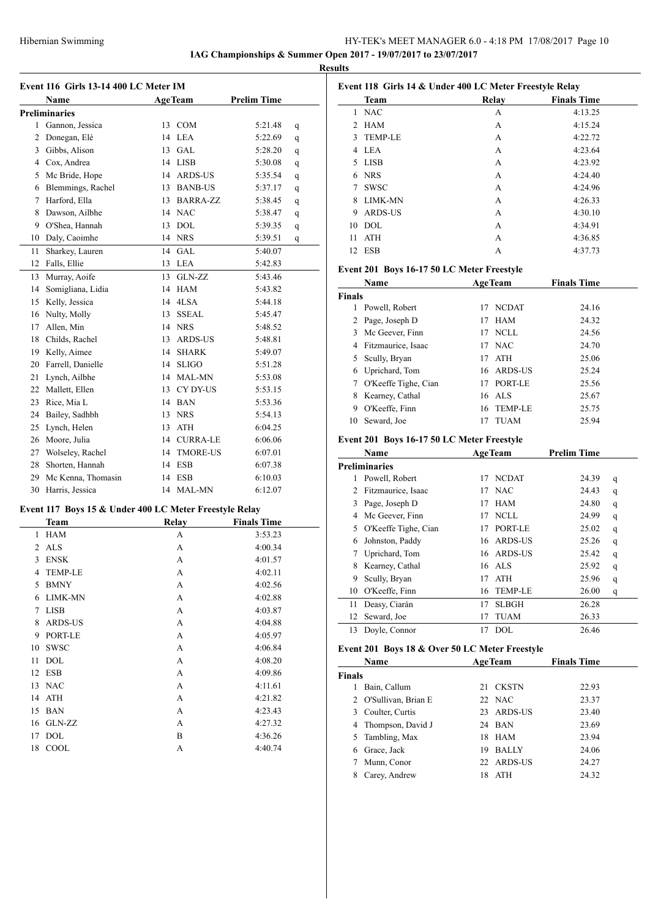# HY-TEK's MEET MANAGER 6.0 - 4:18 PM 17/08/2017 Page 10 **IAG Championships & Summer Open 2017 - 19/07/2017 to 23/07/2017**

**Results**

| Event 116 Girls 13-14 400 LC Meter IM |                                                                       |  |                |                    |   |  |
|---------------------------------------|-----------------------------------------------------------------------|--|----------------|--------------------|---|--|
|                                       | Name                                                                  |  | <b>AgeTeam</b> | <b>Prelim Time</b> |   |  |
|                                       | <b>Preliminaries</b>                                                  |  |                |                    |   |  |
|                                       | 1 Gannon, Jessica                                                     |  | 13 COM         | 5:21.48            | q |  |
|                                       | 2 Donegan, Elé                                                        |  | 14 LEA         | 5:22.69            | q |  |
|                                       | 3 Gibbs, Alison                                                       |  | 13 GAL         | 5:28.20            | q |  |
|                                       | 4 Cox, Andrea                                                         |  | 14 LISB        | 5:30.08            | q |  |
|                                       | 5 Mc Bride, Hope                                                      |  | 14 ARDS-US     | 5:35.54            | q |  |
|                                       | 6 Blemmings, Rachel                                                   |  | 13 BANB-US     | 5:37.17            | q |  |
|                                       | 7 Harford, Ella                                                       |  | 13 BARRA-ZZ    | 5:38.45            | q |  |
|                                       | 8 Dawson, Ailbhe                                                      |  | 14 NAC         | 5:38.47            | q |  |
|                                       | 9 O'Shea, Hannah                                                      |  | 13 DOL         | 5:39.35            | q |  |
|                                       | 10 Daly, Caoimhe                                                      |  | 14 NRS         | 5:39.51            | q |  |
| 11                                    | Sharkey, Lauren                                                       |  | 14 GAL         | 5:40.07            |   |  |
|                                       | 12 Falls, Ellie                                                       |  | 13 LEA         | 5:42.83            |   |  |
| 13                                    | Murray, Aoife                                                         |  | 13 GLN-ZZ      | 5:43.46            |   |  |
|                                       | 14 Somigliana, Lidia                                                  |  | 14 HAM         | 5:43.82            |   |  |
|                                       | 15 Kelly, Jessica                                                     |  | 14 4LSA        | 5:44.18            |   |  |
|                                       | 16 Nulty, Molly                                                       |  | 13 SSEAL       | 5:45.47            |   |  |
|                                       | 17 Allen, Min                                                         |  | 14 NRS         | 5:48.52            |   |  |
|                                       | 18 Childs, Rachel                                                     |  | 13 ARDS-US     | 5:48.81            |   |  |
|                                       | 19 Kelly, Aimee                                                       |  | 14 SHARK       | 5:49.07            |   |  |
|                                       | 20 Farrell, Danielle                                                  |  | 14 SLIGO       | 5:51.28            |   |  |
|                                       | 21 Lynch, Ailbhe                                                      |  | 14 MAL-MN      | 5:53.08            |   |  |
|                                       | 22 Mallett, Ellen                                                     |  | 13 CY DY-US    | 5:53.15            |   |  |
|                                       | 23 Rice, Mia L                                                        |  | 14 BAN         | 5:53.36            |   |  |
|                                       | 24 Bailey, Sadhbh                                                     |  | 13 NRS         | 5:54.13            |   |  |
|                                       | 25 Lynch, Helen                                                       |  | 13 ATH         | 6:04.25            |   |  |
|                                       | 26 Moore, Julia                                                       |  | 14 CURRA-LE    | 6:06.06            |   |  |
|                                       | 27 Wolseley, Rachel                                                   |  | 14 TMORE-US    | 6:07.01            |   |  |
|                                       | 28 Shorten, Hannah                                                    |  | 14 ESB         | 6:07.38            |   |  |
|                                       | 29 Mc Kenna, Thomasin                                                 |  | 14 ESB         | 6:10.03            |   |  |
|                                       | 30 Harris, Jessica                                                    |  | 14 MAL-MN      | 6:12.07            |   |  |
|                                       |                                                                       |  |                |                    |   |  |
|                                       | Event 117 Boys 15 & Under 400 LC Meter Freestyle Relay<br><b>Team</b> |  | Relay          | <b>Finals Time</b> |   |  |
| 1                                     | <b>HAM</b>                                                            |  | А              | 3:53.23            |   |  |
| $\overline{c}$                        | <b>ALS</b>                                                            |  | A              | 4:00.34            |   |  |
| 3                                     | <b>ENSK</b>                                                           |  | A              | 4:01.57            |   |  |
| 4                                     | <b>TEMP-LE</b>                                                        |  | A              | 4:02.11            |   |  |
| 5                                     | <b>BMNY</b>                                                           |  | A              | 4:02.56            |   |  |
| 6                                     | LIMK-MN                                                               |  | A              | 4:02.88            |   |  |
| 7                                     | <b>LISB</b>                                                           |  | A              | 4:03.87            |   |  |
| 8                                     | ARDS-US                                                               |  | A              | 4:04.88            |   |  |
| 9                                     | PORT-LE                                                               |  | A              | 4:05.97            |   |  |
| 10                                    | SWSC                                                                  |  | A              | 4:06.84            |   |  |
| 11                                    | <b>DOL</b>                                                            |  | A              | 4:08.20            |   |  |

12 ESB A 4:09.86 13 NAC A 4:11.61 14 ATH A 4:21.82 15 BAN A 4:23.43 16 GLN-ZZ A 4:27.32 17 DOL B 4:36.26 COOL A 4:40.74

| Event 118 Girls 14 & Under 400 LC Meter Freestyle Relay |                                                                                                                                                                                                                                                                                                                                             |                |                                                                                                                                                                                                                                                                                                                                                         |                                                                                                                                                       |
|---------------------------------------------------------|---------------------------------------------------------------------------------------------------------------------------------------------------------------------------------------------------------------------------------------------------------------------------------------------------------------------------------------------|----------------|---------------------------------------------------------------------------------------------------------------------------------------------------------------------------------------------------------------------------------------------------------------------------------------------------------------------------------------------------------|-------------------------------------------------------------------------------------------------------------------------------------------------------|
|                                                         |                                                                                                                                                                                                                                                                                                                                             |                |                                                                                                                                                                                                                                                                                                                                                         |                                                                                                                                                       |
|                                                         |                                                                                                                                                                                                                                                                                                                                             |                |                                                                                                                                                                                                                                                                                                                                                         |                                                                                                                                                       |
|                                                         |                                                                                                                                                                                                                                                                                                                                             |                |                                                                                                                                                                                                                                                                                                                                                         |                                                                                                                                                       |
|                                                         |                                                                                                                                                                                                                                                                                                                                             |                |                                                                                                                                                                                                                                                                                                                                                         |                                                                                                                                                       |
|                                                         |                                                                                                                                                                                                                                                                                                                                             |                |                                                                                                                                                                                                                                                                                                                                                         |                                                                                                                                                       |
|                                                         |                                                                                                                                                                                                                                                                                                                                             |                |                                                                                                                                                                                                                                                                                                                                                         |                                                                                                                                                       |
| 6 NRS                                                   |                                                                                                                                                                                                                                                                                                                                             | A              | 4:24.40                                                                                                                                                                                                                                                                                                                                                 |                                                                                                                                                       |
| <b>SWSC</b>                                             |                                                                                                                                                                                                                                                                                                                                             | A              | 4:24.96                                                                                                                                                                                                                                                                                                                                                 |                                                                                                                                                       |
| LIMK-MN                                                 |                                                                                                                                                                                                                                                                                                                                             | A              | 4:26.33                                                                                                                                                                                                                                                                                                                                                 |                                                                                                                                                       |
| ARDS-US                                                 |                                                                                                                                                                                                                                                                                                                                             | A              | 4:30.10                                                                                                                                                                                                                                                                                                                                                 |                                                                                                                                                       |
| <b>DOL</b>                                              |                                                                                                                                                                                                                                                                                                                                             | A              | 4:34.91                                                                                                                                                                                                                                                                                                                                                 |                                                                                                                                                       |
| ATH                                                     |                                                                                                                                                                                                                                                                                                                                             | A              | 4:36.85                                                                                                                                                                                                                                                                                                                                                 |                                                                                                                                                       |
| <b>ESB</b>                                              |                                                                                                                                                                                                                                                                                                                                             | А              | 4:37.73                                                                                                                                                                                                                                                                                                                                                 |                                                                                                                                                       |
|                                                         |                                                                                                                                                                                                                                                                                                                                             |                |                                                                                                                                                                                                                                                                                                                                                         |                                                                                                                                                       |
| Name                                                    |                                                                                                                                                                                                                                                                                                                                             |                | <b>Finals Time</b>                                                                                                                                                                                                                                                                                                                                      |                                                                                                                                                       |
| <b>Finals</b>                                           |                                                                                                                                                                                                                                                                                                                                             |                |                                                                                                                                                                                                                                                                                                                                                         |                                                                                                                                                       |
| 1 Powell, Robert                                        | 17                                                                                                                                                                                                                                                                                                                                          | <b>NCDAT</b>   | 24.16                                                                                                                                                                                                                                                                                                                                                   |                                                                                                                                                       |
| 2 Page, Joseph D                                        | 17                                                                                                                                                                                                                                                                                                                                          | HAM            | 24.32                                                                                                                                                                                                                                                                                                                                                   |                                                                                                                                                       |
| 3 Mc Geever, Finn                                       |                                                                                                                                                                                                                                                                                                                                             |                | 24.56                                                                                                                                                                                                                                                                                                                                                   |                                                                                                                                                       |
| 4 Fitzmaurice, Isaac                                    |                                                                                                                                                                                                                                                                                                                                             |                | 24.70                                                                                                                                                                                                                                                                                                                                                   |                                                                                                                                                       |
| 5 Scully, Bryan                                         |                                                                                                                                                                                                                                                                                                                                             |                | 25.06                                                                                                                                                                                                                                                                                                                                                   |                                                                                                                                                       |
|                                                         |                                                                                                                                                                                                                                                                                                                                             |                | 25.24                                                                                                                                                                                                                                                                                                                                                   |                                                                                                                                                       |
|                                                         |                                                                                                                                                                                                                                                                                                                                             |                | 25.56                                                                                                                                                                                                                                                                                                                                                   |                                                                                                                                                       |
|                                                         |                                                                                                                                                                                                                                                                                                                                             |                | 25.67                                                                                                                                                                                                                                                                                                                                                   |                                                                                                                                                       |
| O'Keeffe, Finn                                          |                                                                                                                                                                                                                                                                                                                                             | <b>TEMP-LE</b> | 25.75                                                                                                                                                                                                                                                                                                                                                   |                                                                                                                                                       |
| Seward, Joe                                             | 17                                                                                                                                                                                                                                                                                                                                          | TUAM           | 25.94                                                                                                                                                                                                                                                                                                                                                   |                                                                                                                                                       |
|                                                         |                                                                                                                                                                                                                                                                                                                                             |                |                                                                                                                                                                                                                                                                                                                                                         |                                                                                                                                                       |
| Name                                                    |                                                                                                                                                                                                                                                                                                                                             |                |                                                                                                                                                                                                                                                                                                                                                         |                                                                                                                                                       |
| <b>Preliminaries</b>                                    |                                                                                                                                                                                                                                                                                                                                             |                |                                                                                                                                                                                                                                                                                                                                                         |                                                                                                                                                       |
|                                                         |                                                                                                                                                                                                                                                                                                                                             |                | 24.39                                                                                                                                                                                                                                                                                                                                                   | q                                                                                                                                                     |
|                                                         | 17                                                                                                                                                                                                                                                                                                                                          | <b>NAC</b>     | 24.43                                                                                                                                                                                                                                                                                                                                                   | q                                                                                                                                                     |
|                                                         |                                                                                                                                                                                                                                                                                                                                             |                | 24.80                                                                                                                                                                                                                                                                                                                                                   | q                                                                                                                                                     |
|                                                         |                                                                                                                                                                                                                                                                                                                                             |                |                                                                                                                                                                                                                                                                                                                                                         | q                                                                                                                                                     |
|                                                         |                                                                                                                                                                                                                                                                                                                                             |                |                                                                                                                                                                                                                                                                                                                                                         | q                                                                                                                                                     |
|                                                         |                                                                                                                                                                                                                                                                                                                                             |                | 25.26                                                                                                                                                                                                                                                                                                                                                   | q                                                                                                                                                     |
|                                                         |                                                                                                                                                                                                                                                                                                                                             |                |                                                                                                                                                                                                                                                                                                                                                         | q                                                                                                                                                     |
|                                                         |                                                                                                                                                                                                                                                                                                                                             |                |                                                                                                                                                                                                                                                                                                                                                         | $\bf q$                                                                                                                                               |
|                                                         |                                                                                                                                                                                                                                                                                                                                             |                |                                                                                                                                                                                                                                                                                                                                                         | q                                                                                                                                                     |
|                                                         |                                                                                                                                                                                                                                                                                                                                             |                |                                                                                                                                                                                                                                                                                                                                                         | q                                                                                                                                                     |
| Deasy, Ciarán                                           | 17                                                                                                                                                                                                                                                                                                                                          | <b>SLBGH</b>   | 26.28                                                                                                                                                                                                                                                                                                                                                   |                                                                                                                                                       |
|                                                         | 17                                                                                                                                                                                                                                                                                                                                          | <b>TUAM</b>    | 26.33                                                                                                                                                                                                                                                                                                                                                   |                                                                                                                                                       |
|                                                         |                                                                                                                                                                                                                                                                                                                                             |                |                                                                                                                                                                                                                                                                                                                                                         |                                                                                                                                                       |
| Seward, Joe<br>Doyle, Connor                            | 17                                                                                                                                                                                                                                                                                                                                          | DOL            | 26.46                                                                                                                                                                                                                                                                                                                                                   |                                                                                                                                                       |
|                                                         | Team<br><b>NAC</b><br>HAM<br><b>TEMP-LE</b><br>4 LEA<br>LISB<br>6 Uprichard, Tom<br>7 O'Keeffe Tighe, Cian<br>8 Kearney, Cathal<br>Powell, Robert<br>2 Fitzmaurice, Isaac<br>3 Page, Joseph D<br>4 Mc Geever, Finn<br>5 O'Keeffe Tighe, Cian<br>6 Johnston, Paddy<br>Uprichard, Tom<br>8 Kearney, Cathal<br>Scully, Bryan<br>O'Keeffe, Finn | 17<br>16       | <b>Relay</b><br>А<br>А<br>А<br>A<br>A<br>Event 201 Boys 16-17 50 LC Meter Freestyle<br><b>AgeTeam</b><br>17 NCLL<br>17 NAC<br>17 ATH<br>16 ARDS-US<br>17 PORT-LE<br>16 ALS<br>16<br>Event 201 Boys 16-17 50 LC Meter Freestyle<br><b>AgeTeam</b><br>17 NCDAT<br>17 HAM<br>17 NCLL<br>17 PORT-LE<br>16 ARDS-US<br>16 ARDS-US<br>16 ALS<br>ATH<br>TEMP-LE | <b>Finals Time</b><br>4:13.25<br>4:15.24<br>4:22.72<br>4:23.64<br>4:23.92<br><b>Prelim Time</b><br>24.99<br>25.02<br>25.42<br>25.92<br>25.96<br>26.00 |

| <b>AgeTeam</b><br>Name |    |              | <b>Finals Time</b>                                                 |  |
|------------------------|----|--------------|--------------------------------------------------------------------|--|
| <b>Finals</b>          |    |              |                                                                    |  |
| Bain, Callum           |    |              | 22.93                                                              |  |
| 2 O'Sullivan, Brian E  |    |              | 23.37                                                              |  |
| Coulter, Curtis<br>3   |    |              | 23.40                                                              |  |
| 4 Thompson, David J    |    |              | 23.69                                                              |  |
| 5 Tambling, Max        |    |              | 23.94                                                              |  |
| Grace, Jack            | 19 | <b>BALLY</b> | 24.06                                                              |  |
| Munn, Conor            |    |              | 24.27                                                              |  |
| Carey, Andrew          | 18 | <b>ATH</b>   | 24.32                                                              |  |
|                        |    |              | 21 CKSTN<br>22 NAC<br>23 ARDS-US<br>24 BAN<br>18 HAM<br>22 ARDS-US |  |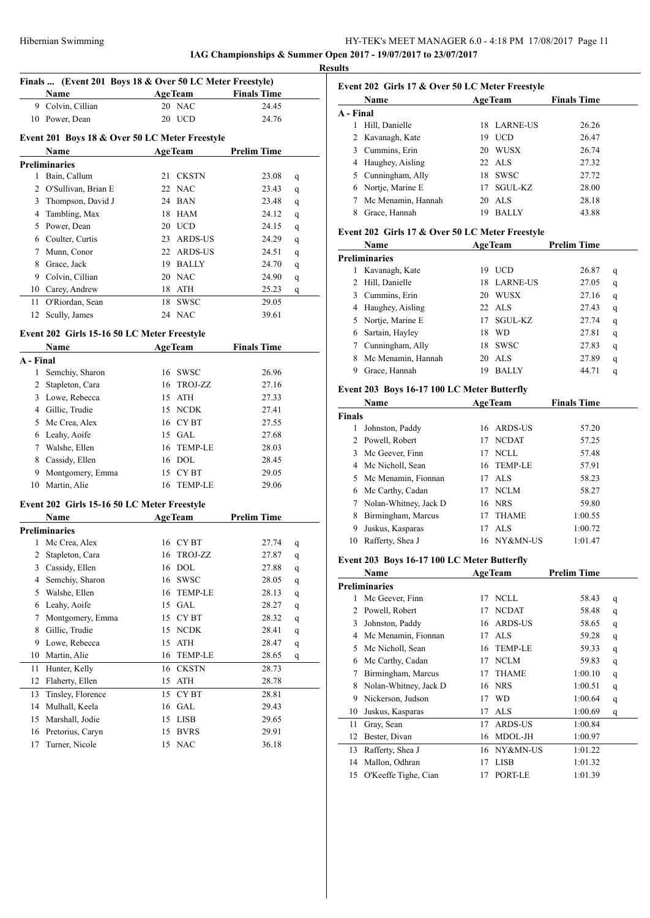# Hibernian Swimming HY-TEK's MEET MANAGER 6.0 - 4:18 PM 17/08/2017 Page 11

**IAG Championships & Summer Open 2017 - 19/07/2017 to 23/07/2017**

**Results Finals ... (Event 201 Boys 18 & Over 50 LC Meter Freestyle) Name Age Team Finals Time**  Colvin, Cillian 20 NAC 24.45 10 Power, Dean 20 UCD 24.76 **Event 201 Boys 18 & Over 50 LC Meter Freestyle Name Age Team Prelim Time Preliminaries** Bain, Callum 21 CKSTN 23.08 q 2 O'Sullivan, Brian E 22 NAC 23.43 q 3 Thompson, David J 24 BAN 23.48 q Tambling, Max 18 HAM 24.12 q Power, Dean 20 UCD 24.15 q Coulter, Curtis 23 ARDS-US 24.29 q Munn, Conor 22 ARDS-US 24.51 q Grace, Jack 19 BALLY 24.70 q Colvin, Cillian 20 NAC 24.90 q Carey, Andrew 18 ATH 25.23 q O'Riordan, Sean 18 SWSC 29.05 12 Scully, James 24 NAC 39.61 **Event 202 Girls 15-16 50 LC Meter Freestyle Name Age Team Finals Time A - Final** 1 Semchiy, Sharon 16 SWSC 26.96 2 Stapleton, Cara 16 TROJ-ZZ 27.16 Lowe, Rebecca 15 ATH 27.33 Gillic, Trudie 15 NCDK 27.41 Mc Crea, Alex 16 CY BT 27.55

# Leahy, Aoife 15 GAL 27.68 Walshe, Ellen 16 TEMP-LE 28.03 Cassidy, Ellen 16 DOL 28.45 9 Montgomery, Emma 15 CY BT 29.05 Martin, Alie 16 TEMP-LE 29.06

### **Event 202 Girls 15-16 50 LC Meter Freestyle**

|    | Name              | <b>AgeTeam</b>     |                | <b>Prelim Time</b> |   |
|----|-------------------|--------------------|----------------|--------------------|---|
|    | Preliminaries     |                    |                |                    |   |
| 1  | Mc Crea, Alex     | 16 CY BT           |                | 27.74              | q |
| 2  | Stapleton, Cara   | 16                 | TROJ-ZZ        | 27.87              | q |
| 3  | Cassidy, Ellen    | DOL<br>16          |                | 27.88              | q |
| 4  | Semchiy, Sharon   | <b>SWSC</b><br>16  |                | 28.05              | q |
| 5  | Walshe, Ellen     | 16                 | <b>TEMP-LE</b> | 28.13              | q |
| 6  | Leahy, Aoife      | <b>GAL</b><br>15   |                | 28.27              | q |
| 7  | Montgomery, Emma  | CY BT<br>15        |                | 28.32              | q |
| 8  | Gillic, Trudie    | <b>NCDK</b><br>15  |                | 28.41              | q |
| 9  | Lowe, Rebecca     | ATH<br>15          |                | 28.47              | q |
| 10 | Martin, Alie      | 16                 | <b>TEMP-LE</b> | 28.65              | q |
| 11 | Hunter, Kelly     | <b>CKSTN</b><br>16 |                | 28.73              |   |
| 12 | Flaherty, Ellen   | ATH<br>15          |                | 28.78              |   |
| 13 | Tinsley, Florence | CY BT<br>15        |                | 28.81              |   |
| 14 | Mulhall, Keela    | GAL<br>16          |                | 29.43              |   |
| 15 | Marshall, Jodie   | <b>LISB</b><br>15  |                | 29.65              |   |
| 16 | Pretorius, Caryn  | <b>BVRS</b><br>15  |                | 29.91              |   |
| 17 | Turner, Nicole    | 15 NAC             |                | 36.18              |   |

### **Event 202 Girls 17 & Over 50 LC Meter Freestyle**

|           | <b>Name</b>        | <b>AgeTeam</b> |                  | <b>Finals Time</b> |  |
|-----------|--------------------|----------------|------------------|--------------------|--|
| A - Final |                    |                |                  |                    |  |
| 1         | Hill, Danielle     |                | 18 LARNE-US      | 26.26              |  |
|           | 2 Kavanagh, Kate   | 19             | <b>UCD</b>       | 26.47              |  |
|           | 3 Cummins, Erin    | 20             | <b>WUSX</b>      | 26.74              |  |
|           | 4 Haughey, Aisling |                | $22 \text{ ALS}$ | 27.32              |  |
|           | 5 Cunningham, Ally | 18             | <b>SWSC</b>      | 27.72              |  |
|           | 6 Nortje, Marine E | 17             | SGUL-KZ          | 28.00              |  |
|           | Mc Menamin, Hannah | 20             | ALS              | 28.18              |  |
|           | Grace, Hannah      | 19             | <b>BALLY</b>     | 43.88              |  |

### **Event 202 Girls 17 & Over 50 LC Meter Freestyle**

|                | Name               | <b>AgeTeam</b> |                  | <b>Prelim Time</b> |   |
|----------------|--------------------|----------------|------------------|--------------------|---|
|                | Preliminaries      |                |                  |                    |   |
|                | Kavanagh, Kate     | 19             | <b>UCD</b>       | 26.87              | q |
| $\mathfrak{D}$ | Hill, Danielle     | 18             | LARNE-US         | 27.05              | q |
| 3              | Cummins, Erin      | 20             | WUSX             | 27.16              | q |
| 4              | Haughey, Aisling   |                | $22 \text{ ALS}$ | 27.43              | q |
| 5.             | Nortje, Marine E   | 17             | SGUL-KZ          | 27.74              | q |
| 6              | Sartain, Hayley    | 18             | <b>WD</b>        | 27.81              | q |
|                | Cunningham, Ally   | 18             | <b>SWSC</b>      | 27.83              | q |
| 8              | Mc Menamin, Hannah | 20             | ALS              | 27.89              | q |
| 9              | Grace, Hannah      | 19             | <b>BALLY</b>     | 44.71              | q |
|                |                    |                |                  |                    |   |

### **Event 203 Boys 16-17 100 LC Meter Butterfly**

| Name          |                       |    | <b>AgeTeam</b> | <b>Finals Time</b> |  |
|---------------|-----------------------|----|----------------|--------------------|--|
| <b>Finals</b> |                       |    |                |                    |  |
|               | Johnston, Paddy       |    | 16 ARDS-US     | 57.20              |  |
| 2             | Powell, Robert        | 17 | <b>NCDAT</b>   | 57.25              |  |
|               | 3 Mc Geever, Finn     | 17 | NCLL           | 57.48              |  |
|               | 4 Mc Nicholl, Sean    |    | 16 TEMP-LE     | 57.91              |  |
|               | 5 Mc Menamin, Fionnan |    | 17 ALS         | 58.23              |  |
|               | 6 Mc Carthy, Cadan    | 17 | NCLM           | 58.27              |  |
|               | Nolan-Whitney, Jack D |    | 16 NRS         | 59.80              |  |
| 8             | Birmingham, Marcus    | 17 | <b>THAME</b>   | 1:00.55            |  |
| 9             | Juskus, Kasparas      | 17 | ALS            | 1:00.72            |  |
| 10            | Rafferty, Shea J      |    | 16 NY&MN-US    | 1:01.47            |  |

### **Event 203 Boys 16-17 100 LC Meter Butterfly**

|    | Name                  | <b>AgeTeam</b> |                | <b>Prelim Time</b> |   |
|----|-----------------------|----------------|----------------|--------------------|---|
|    | Preliminaries         |                |                |                    |   |
| 1  | Mc Geever, Finn       | 17             | <b>NCLL</b>    | 58.43              | q |
| 2  | Powell, Robert        | 17             | <b>NCDAT</b>   | 58.48              | q |
| 3  | Johnston, Paddy       | 16             | ARDS-US        | 58.65              | q |
| 4  | Mc Menamin, Fionnan   | 17             | <b>ALS</b>     | 59.28              | q |
| 5  | Mc Nicholl, Sean      | 16             | <b>TEMP-LE</b> | 59.33              | q |
| 6  | Mc Carthy, Cadan      | 17             | <b>NCLM</b>    | 59.83              | q |
| 7  | Birmingham, Marcus    | 17             | <b>THAME</b>   | 1:00.10            | q |
| 8  | Nolan-Whitney, Jack D | 16             | <b>NRS</b>     | 1:00.51            | q |
| 9  | Nickerson, Judson     | 17             | WD             | 1:00.64            | q |
| 10 | Juskus, Kasparas      | 17             | <b>ALS</b>     | 1:00.69            | q |
| 11 | Gray, Sean            | 17             | <b>ARDS-US</b> | 1:00.84            |   |
| 12 | Bester, Divan         | 16             | MDOL-JH        | 1:00.97            |   |
| 13 | Rafferty, Shea J      | 16             | NY&MN-US       | 1:01.22            |   |
| 14 | Mallon, Odhran        | 17             | <b>LISB</b>    | 1:01.32            |   |
| 15 | O'Keeffe Tighe, Cian  | 17             | PORT-LE        | 1:01.39            |   |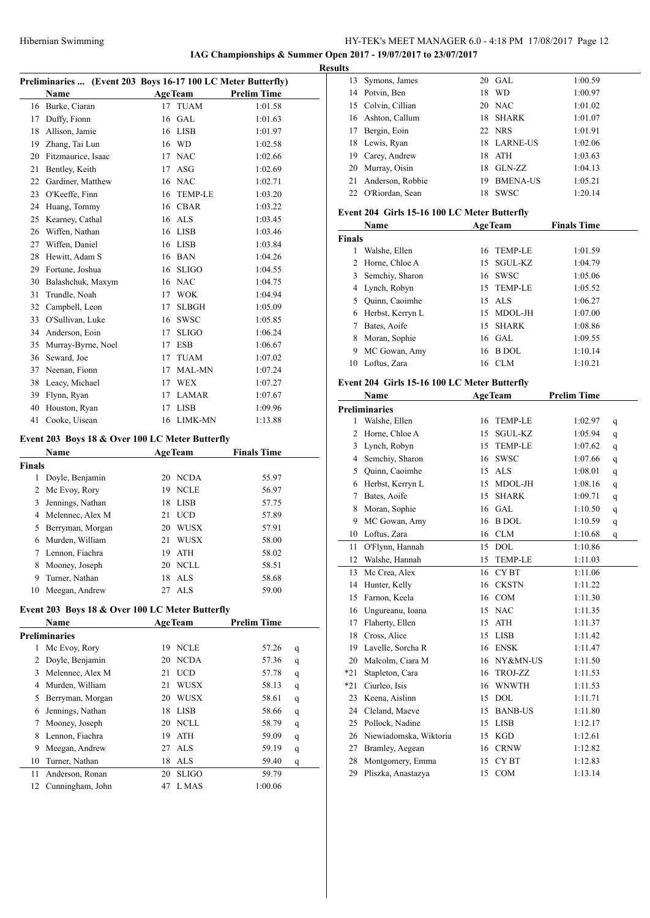**IAG Championships & Summer Open 2017 - 19/07/2017 to 23/07/2017**

|        | Preliminaries  (Event 203 Boys 16-17 100 LC Meter Butterfly) |    |                |                    |   |
|--------|--------------------------------------------------------------|----|----------------|--------------------|---|
|        | Name                                                         |    | <b>AgeTeam</b> | <b>Prelim Time</b> |   |
| 16     | Burke, Ciaran                                                | 17 | TUAM           | 1:01.58            |   |
| 17     | Duffy, Fionn                                                 | 16 | GAL            | 1:01.63            |   |
| 18     | Allison, Jamie                                               |    | 16 LISB        | 1:01.97            |   |
|        | 19 Zhang, Tai Lun                                            |    | 16 WD          | 1:02.58            |   |
| 20     | Fitzmaurice, Isaac                                           |    | 17 NAC         | 1:02.66            |   |
| 21     | Bentley, Keith                                               |    | 17 ASG         | 1:02.69            |   |
| 22     | Gardiner, Matthew                                            |    | 16 NAC         | 1:02.71            |   |
| 23     | O'Keeffe, Finn                                               |    | 16 TEMP-LE     | 1:03.20            |   |
| 24     | Huang, Tommy                                                 |    | 16 CBAR        | 1:03.22            |   |
| 25     | Kearney, Cathal                                              |    | 16 ALS         | 1:03.45            |   |
| 26     | Wiffen, Nathan                                               |    | 16 LISB        | 1:03.46            |   |
| 27     | Wiffen, Daniel                                               |    | 16 LISB        | 1:03.84            |   |
| 28     | Hewitt, Adam S                                               |    | 16 BAN         | 1:04.26            |   |
| 29     | Fortune, Joshua                                              |    | 16 SLIGO       | 1:04.55            |   |
| 30     | Balashchuk, Maxym                                            |    | 16 NAC         | 1:04.75            |   |
| 31     | Trundle, Noah                                                |    | 17 WOK         | 1:04.94            |   |
| 32     | Campbell, Leon                                               |    | 17 SLBGH       | 1:05.09            |   |
| 33     | O'Sullivan, Luke                                             |    | 16 SWSC        | 1:05.85            |   |
| 34     | Anderson, Eoin                                               | 17 | <b>SLIGO</b>   | 1:06.24            |   |
| 35     | Murray-Byrne, Noel                                           |    | 17 ESB         | 1:06.67            |   |
| 36     | Seward, Joe                                                  |    | 17 TUAM        | 1:07.02            |   |
| 37     | Neenan, Fionn                                                |    | 17 MAL-MN      | 1:07.24            |   |
| 38     | Leacy, Michael                                               |    | 17 WEX         | 1:07.27            |   |
| 39     | Flynn, Ryan                                                  |    | 17 LAMAR       | 1:07.67            |   |
| 40     | Houston, Ryan                                                | 17 | LISB           | 1:09.96            |   |
| 41     | Cooke, Uisean                                                | 16 | LIMK-MN        | 1:13.88            |   |
|        |                                                              |    |                |                    |   |
|        | Event 203 Boys 18 & Over 100 LC Meter Butterfly              |    |                |                    |   |
|        | Name                                                         |    | <b>AgeTeam</b> | <b>Finals Time</b> |   |
| Finals |                                                              |    |                |                    |   |
| 1      | Doyle, Benjamin                                              |    | 20 NCDA        | 55.97              |   |
| 2      | Mc Evoy, Rory                                                |    | 19 NCLE        | 56.97              |   |
| 3      | Jennings, Nathan                                             |    | 18 LISB        | 57.75              |   |
|        | 4 Melennec, Alex M                                           |    | 21 UCD         | 57.89              |   |
| 5      | Berryman, Morgan                                             |    | 20 WUSX        | 57.91              |   |
| 6      | Murden, William                                              | 21 | <b>WUSX</b>    | 58.00              |   |
| 7      | Lennon, Fiachra                                              | 19 | ATH            | 58.02              |   |
| 8      | Mooney, Joseph                                               | 20 | NCLL           | 58.51              |   |
| 9      | Turner, Nathan                                               | 18 | <b>ALS</b>     | 58.68              |   |
| 10     | Meegan, Andrew                                               | 27 | <b>ALS</b>     | 59.00              |   |
|        | Event 203 Boys 18 & Over 100 LC Meter Butterfly              |    |                |                    |   |
|        | Name                                                         |    | <b>AgeTeam</b> | <b>Prelim Time</b> |   |
|        |                                                              |    |                |                    |   |
| 1      | Preliminaries                                                |    |                |                    |   |
|        | Mc Evoy, Rory                                                | 19 | <b>NCLE</b>    | 57.26              | q |
| 2      | Doyle, Benjamin                                              | 20 | <b>NCDA</b>    | 57.36              | q |
| 3      | Melennec, Alex M                                             | 21 | <b>UCD</b>     | 57.78              | q |
| 4      | Murden, William                                              | 21 | <b>WUSX</b>    | 58.13              | q |
| 5      | Berryman, Morgan                                             |    | 20 WUSX        | 58.61              | q |
| 6      | Jennings, Nathan                                             | 18 | <b>LISB</b>    | 58.66              | q |
| 7      | Mooney, Joseph                                               | 20 | NCLL           | 58.79              | q |
| 8      | Lennon, Fiachra                                              | 19 | <b>ATH</b>     | 59.09              | q |
| 9      | Meegan, Andrew                                               | 27 | <b>ALS</b>     | 59.19              | q |
| 10     | Turner, Nathan                                               | 18 | ALS            | 59.40              | q |
| 11     | Anderson, Ronan                                              | 20 | <b>SLIGO</b>   | 59.79              |   |
| 12     | Cunningham, John                                             | 47 | L MAS          | 1:00.06            |   |
|        |                                                              |    |                |                    |   |

| <b>Results</b> |                                              |    |                |                    |   |
|----------------|----------------------------------------------|----|----------------|--------------------|---|
|                | 13 Symons, James                             |    | 20 GAL         | 1:00.59            |   |
|                | 14 Potvin, Ben                               |    | 18 WD          | 1:00.97            |   |
|                | 15 Colvin, Cillian                           |    | 20 NAC         | 1:01.02            |   |
|                | 16 Ashton, Callum                            |    | 18 SHARK       | 1:01.07            |   |
|                | 17 Bergin, Eoin                              |    | 22 NRS         | 1:01.91            |   |
|                | 18 Lewis, Ryan                               |    | 18 LARNE-US    | 1:02.06            |   |
|                | 19 Carey, Andrew                             |    | 18 ATH         | 1:03.63            |   |
|                | 20 Murray, Oisin                             |    | 18 GLN-ZZ      | 1:04.13            |   |
|                | 21 Anderson, Robbie                          |    | 19 BMENA-US    | 1:05.21            |   |
|                | 22 O'Riordan, Sean                           |    | 18 SWSC        | 1:20.14            |   |
|                |                                              |    |                |                    |   |
|                | Event 204 Girls 15-16 100 LC Meter Butterfly |    |                |                    |   |
|                | Name                                         |    | <b>AgeTeam</b> | <b>Finals Time</b> |   |
| <b>Finals</b>  |                                              |    |                |                    |   |
|                | 1 Walshe, Ellen                              |    | 16 TEMP-LE     | 1:01.59            |   |
|                | 2 Horne, Chloe A                             |    | 15 SGUL-KZ     | 1:04.79            |   |
|                | 3 Semchiy, Sharon                            |    | 16 SWSC        | 1:05.06            |   |
|                | 4 Lynch, Robyn                               |    | 15 TEMP-LE     | 1:05.52            |   |
|                | 5 Ouinn, Caoimhe                             |    | 15 ALS         | 1:06.27            |   |
|                | 6 Herbst, Kerryn L                           |    | 15 MDOL-JH     | 1:07.00            |   |
|                | 7 Bates, Aoife                               |    | 15 SHARK       | 1:08.86            |   |
|                | 8 Moran, Sophie                              |    | 16 GAL         | 1:09.55            |   |
|                | 9 MC Gowan, Amy                              |    | 16 B DOL       | 1:10.14            |   |
| 10             | Loftus, Zara                                 |    | 16 CLM         | 1:10.21            |   |
|                | Event 204 Girls 15-16 100 LC Meter Butterfly |    |                |                    |   |
|                | Name                                         |    | <b>AgeTeam</b> | <b>Prelim Time</b> |   |
|                | <b>Preliminaries</b>                         |    |                |                    |   |
|                | 1 Walshe, Ellen                              |    | 16 TEMP-LE     | 1:02.97            | q |
|                | 2 Horne, Chloe A                             |    | 15 SGUL-KZ     | 1:05.94            | q |
|                | 3 Lynch, Robyn                               |    | 15 TEMP-LE     | 1:07.62            | q |
|                | 4 Semchiy, Sharon                            |    | 16 SWSC        | 1:07.66            | q |
|                | 5 Quinn, Caoimhe                             |    | 15 ALS         | 1:08.01            | q |
|                | 6 Herbst, Kerryn L                           |    | 15 MDOL-JH     | 1:08.16            | q |
|                | 7 Bates, Aoife                               |    | 15 SHARK       | 1:09.71            | q |
|                | 8 Moran, Sophie                              |    | 16 GAL         | 1:10.50            | q |
|                | 9 MC Gowan, Amy                              |    | 16 B DOL       | 1:10.59            | q |
|                | 10 Loftus, Zara                              |    | 16 CLM         | 1:10.68            | q |
| 11             | O'Flynn, Hannah                              |    | 15 DOL         | 1:10.86            |   |
| 12             | Walshe, Hannah                               | 15 | TEMP-LE        | 1:11.03            |   |
| 13             | Mc Crea, Alex                                | 16 | CY BT          | 1:11.06            |   |
| 14             | Hunter, Kelly                                |    | 16 CKSTN       | 1:11.22            |   |
| 15             | Farnon, Keela                                |    | 16 COM         | 1:11.30            |   |
|                | 16 Ungureanu, Ioana                          |    | 15 NAC         | 1:11.35            |   |
| 17             | Flaherty, Ellen                              |    | 15 ATH         | 1:11.37            |   |
| 18             | Cross, Alice                                 |    | 15 LISB        | 1:11.42            |   |
| 19             | Lavelle, Sorcha R                            |    | 16 ENSK        | 1:11.47            |   |
| 20             | Malcolm, Ciara M                             |    | 16 NY&MN-US    | 1:11.50            |   |
| *21            | Stapleton, Cara                              | 16 | TROJ-ZZ        | 1:11.53            |   |
| $*21$          | Ciurleo, Isis                                |    | 16 WNWTH       | 1:11.53            |   |
| 23             | Keena, Aislinn                               |    | 15 DOL         | 1:11.71            |   |
|                | 24 Cleland, Maeve                            |    | 15 BANB-US     | 1:11.80            |   |
| 25             | Pollock, Nadine                              |    | 15 LISB        | 1:12.17            |   |
|                | 26 Niewiadomska, Wiktoria                    |    | 15 KGD         | 1:12.61            |   |
| 27             | Bramley, Aegean                              |    | 16 CRNW        | 1:12.82            |   |
| 28             | Montgomery, Emma                             |    | 15 CYBT        | 1:12.83            |   |
| 29             | Pliszka, Anastazya                           |    | 15 COM         | 1:13.14            |   |
|                |                                              |    |                |                    |   |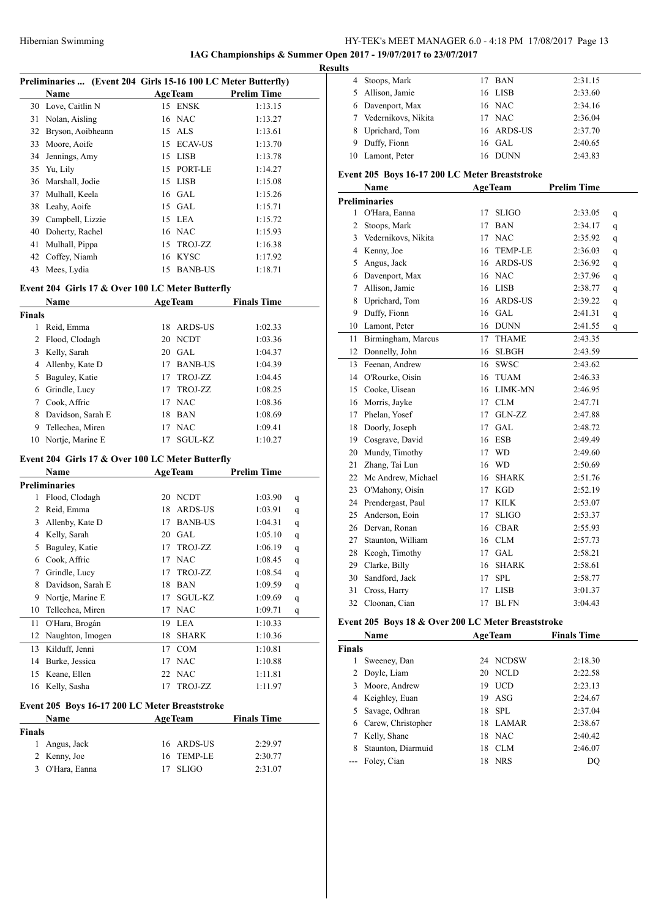**IAG Championships & Summer Open 2017 - 19/07/2017 to 23/07/2017**

|        | Preliminaries  (Event 204 Girls 15-16 100 LC Meter Butterfly) |    |                |                    |   |
|--------|---------------------------------------------------------------|----|----------------|--------------------|---|
|        | Name                                                          |    | <b>AgeTeam</b> | <b>Prelim Time</b> |   |
| 30     | Love, Caitlin N                                               |    | 15 ENSK        | 1:13.15            |   |
| 31     | Nolan, Aisling                                                |    | 16 NAC         | 1:13.27            |   |
|        | 32 Bryson, Aoibheann                                          |    | 15 ALS         | 1:13.61            |   |
|        | 33 Moore, Aoife                                               |    | 15 ECAV-US     | 1:13.70            |   |
| 34     | Jennings, Amy                                                 |    | 15 LISB        | 1:13.78            |   |
| 35     | Yu, Lily                                                      |    | 15 PORT-LE     | 1:14.27            |   |
| 36     | Marshall, Jodie                                               |    | 15 LISB        | 1:15.08            |   |
| 37     | Mulhall, Keela                                                |    | 16 GAL         | 1:15.26            |   |
| 38     | Leahy, Aoife                                                  |    | 15 GAL         | 1:15.71            |   |
| 39     | Campbell, Lizzie                                              |    | 15 LEA         | 1:15.72            |   |
| 40     | Doherty, Rachel                                               |    | 16 NAC         | 1:15.93            |   |
| 41     | Mulhall, Pippa                                                |    | 15 TROJ-ZZ     | 1:16.38            |   |
| 42     | Coffey, Niamh                                                 | 16 | KYSC           | 1:17.92            |   |
| 43     | Mees, Lydia                                                   | 15 | <b>BANB-US</b> | 1:18.71            |   |
|        |                                                               |    |                |                    |   |
|        | Event 204 Girls 17 & Over 100 LC Meter Butterfly              |    |                |                    |   |
|        | Name                                                          |    | <b>AgeTeam</b> | <b>Finals Time</b> |   |
| Finals |                                                               |    |                |                    |   |
| 1      | Reid, Emma                                                    |    | 18 ARDS-US     | 1:02.33            |   |
| 2      | Flood, Clodagh                                                |    | 20 NCDT        | 1:03.36            |   |
| 3      | Kelly, Sarah                                                  |    | 20 GAL         | 1:04.37            |   |
| 4      | Allenby, Kate D                                               |    | 17 BANB-US     | 1:04.39            |   |
| 5      | Baguley, Katie                                                |    | 17 TROJ-ZZ     | 1:04.45            |   |
| 6      | Grindle, Lucy                                                 |    | 17 TROJ-ZZ     | 1:08.25            |   |
|        | 7 Cook, Affric                                                |    | 17 NAC         | 1:08.36            |   |
| 8      | Davidson, Sarah E                                             |    | 18 BAN         | 1:08.69            |   |
| 9      | Tellechea, Miren                                              | 17 | <b>NAC</b>     | 1:09.41            |   |
| 10     | Nortje, Marine E                                              | 17 | SGUL-KZ        | 1:10.27            |   |
|        |                                                               |    |                |                    |   |
|        | Event 204 Girls 17 & Over 100 LC Meter Butterfly              |    |                |                    |   |
|        | Name                                                          |    | <b>AgeTeam</b> | <b>Prelim Time</b> |   |
|        | Preliminaries                                                 |    |                |                    |   |
| 1      | Flood, Clodagh                                                |    | 20 NCDT        | 1:03.90            | q |
|        | 2 Reid, Emma                                                  |    | 18 ARDS-US     | 1:03.91            | q |
| 3      | Allenby, Kate D                                               |    | 17 BANB-US     | 1:04.31            | q |
| 4      | Kelly, Sarah                                                  | 20 | <b>GAL</b>     | 1:05.10            | q |
| 5      | Baguley, Katie                                                | 17 | TROJ-ZZ        | 1:06.19            | q |
| 6      | Cook, Affric                                                  | 17 | <b>NAC</b>     | 1:08.45            | q |
| 7      | Grindle, Lucy                                                 | 17 | TROJ-ZZ        | 1:08.54            | q |
| 8      | Davidson, Sarah E                                             | 18 | BAN            | 1:09.59            | q |
| 9      | Nortje, Marine E                                              | 17 | SGUL-KZ        | 1:09.69            | q |
| 10     | Tellechea, Miren                                              | 17 | <b>NAC</b>     | 1:09.71            | q |
| 11     | O'Hara, Brogán                                                | 19 | LEA            | 1:10.33            |   |
| 12     | Naughton, Imogen                                              | 18 | <b>SHARK</b>   | 1:10.36            |   |
| 13     | Kilduff, Jenni                                                | 17 | <b>COM</b>     | 1:10.81            |   |
| 14     | Burke, Jessica                                                | 17 | <b>NAC</b>     | 1:10.88            |   |
| 15     | Keane, Ellen                                                  | 22 | <b>NAC</b>     | 1:11.81            |   |
|        | 16 Kelly, Sasha                                               | 17 | TROJ-ZZ        | 1:11.97            |   |
|        | Event 205 Boys 16-17 200 LC Meter Breaststroke                |    |                |                    |   |
|        | Name                                                          |    | <b>AgeTeam</b> | <b>Finals Time</b> |   |
| Finals |                                                               |    |                |                    |   |
| 1      | Angus, Jack                                                   | 16 | ARDS-US        | 2:29.97            |   |
| 2      | Kenny, Joe                                                    | 16 | <b>TEMP-LE</b> |                    |   |
| 3      | O'Hara, Eanna                                                 |    |                | 2:30.77            |   |
|        |                                                               | 17 | SLIGO          | 2:31.07            |   |
|        |                                                               |    |                |                    |   |

| <b>Results</b> |                       |                              |  |
|----------------|-----------------------|------------------------------|--|
|                | 4 Stoops, Mark        | 2:31.15<br>BAN<br>17         |  |
|                | 5 Allison, Jamie      | 16 LISB<br>2:33.60           |  |
|                | 6 Davenport, Max      | 16 NAC<br>2:34.16            |  |
|                | 7 Vedernikovs, Nikita | 17 NAC<br>2:36.04            |  |
|                | 8 Uprichard, Tom      | 2:37.70<br>16 ARDS-US        |  |
|                | 9 Duffy, Fionn        | 2:40.65<br>16 GAL            |  |
|                | Lamont, Peter         | 2:43.83<br><b>DUNN</b><br>16 |  |

### **Event 205 Boys 16-17 200 LC Meter Breaststroke**

| EVERY DOYS TO 17 200 LC MERT DI CASISII UNC<br><b>AgeTeam</b><br><b>Name</b> |                       |    |                | <b>Prelim Time</b> |   |
|------------------------------------------------------------------------------|-----------------------|----|----------------|--------------------|---|
|                                                                              | <b>Preliminaries</b>  |    |                |                    |   |
| 1                                                                            | O'Hara, Eanna         | 17 | <b>SLIGO</b>   | 2:33.05            | q |
| $\mathbf{2}$                                                                 | Stoops, Mark          | 17 | <b>BAN</b>     | 2:34.17            | q |
|                                                                              | 3 Vedernikovs, Nikita | 17 | <b>NAC</b>     | 2:35.92            | q |
|                                                                              | 4 Kenny, Joe          | 16 | <b>TEMP-LE</b> | 2:36.03            | q |
| 5                                                                            | Angus, Jack           | 16 | <b>ARDS-US</b> | 2:36.92            | q |
| 6                                                                            | Davenport, Max        | 16 | <b>NAC</b>     | 2:37.96            | q |
| 7                                                                            | Allison, Jamie        | 16 | <b>LISB</b>    | 2:38.77            | q |
| 8                                                                            | Uprichard, Tom        | 16 | <b>ARDS-US</b> | 2:39.22            | q |
| 9                                                                            | Duffy, Fionn          |    | 16 GAL         | 2:41.31            | q |
| 10                                                                           | Lamont, Peter         | 16 | <b>DUNN</b>    | 2:41.55            | q |
| 11                                                                           | Birmingham, Marcus    | 17 | <b>THAME</b>   | 2:43.35            |   |
| 12                                                                           | Donnelly, John        | 16 | <b>SLBGH</b>   | 2:43.59            |   |
|                                                                              | 13 Feenan, Andrew     | 16 | <b>SWSC</b>    | 2:43.62            |   |
|                                                                              | 14 O'Rourke, Oisín    | 16 | <b>TUAM</b>    | 2:46.33            |   |
|                                                                              | 15 Cooke, Uisean      | 16 | LIMK-MN        | 2:46.95            |   |
|                                                                              | 16 Morris, Jayke      | 17 | <b>CLM</b>     | 2:47.71            |   |
| 17                                                                           | Phelan, Yosef         | 17 | GLN-ZZ         | 2:47.88            |   |
| 18                                                                           | Doorly, Joseph        | 17 | <b>GAL</b>     | 2:48.72            |   |
|                                                                              | 19 Cosgrave, David    | 16 | <b>ESB</b>     | 2:49.49            |   |
|                                                                              | 20 Mundy, Timothy     | 17 | <b>WD</b>      | 2:49.60            |   |
| 21                                                                           | Zhang, Tai Lun        | 16 | <b>WD</b>      | 2:50.69            |   |
| 22                                                                           | Mc Andrew, Michael    | 16 | <b>SHARK</b>   | 2:51.76            |   |
| 23                                                                           | O'Mahony, Oisín       | 17 | <b>KGD</b>     | 2:52.19            |   |
| 24                                                                           | Prendergast, Paul     | 17 | <b>KILK</b>    | 2:53.07            |   |
| 25                                                                           | Anderson, Eoin        | 17 | <b>SLIGO</b>   | 2:53.37            |   |
|                                                                              | 26 Dervan, Ronan      | 16 | <b>CBAR</b>    | 2:55.93            |   |
| 27                                                                           | Staunton, William     | 16 | <b>CLM</b>     | 2:57.73            |   |
| 28                                                                           | Keogh, Timothy        | 17 | <b>GAL</b>     | 2:58.21            |   |
| 29                                                                           | Clarke, Billy         | 16 | <b>SHARK</b>   | 2:58.61            |   |
|                                                                              | 30 Sandford, Jack     | 17 | <b>SPL</b>     | 2:58.77            |   |
| 31                                                                           | Cross, Harry          | 17 | <b>LISB</b>    | 3:01.37            |   |
| 32                                                                           | Cloonan, Cian         | 17 | <b>BLFN</b>    | 3:04.43            |   |

### **Event 205 Boys 18 & Over 200 LC Meter Breaststroke**

|        | Name               |    | <b>AgeTeam</b> | <b>Finals Time</b> |  |
|--------|--------------------|----|----------------|--------------------|--|
| Finals |                    |    |                |                    |  |
|        | Sweeney, Dan       |    | 24 NCDSW       | 2:18.30            |  |
|        | 2 Doyle, Liam      |    | 20 NCLD        | 2:22.58            |  |
| 3      | Moore, Andrew      | 19 | <b>UCD</b>     | 2:23.13            |  |
| 4      | Keighley, Euan     | 19 | ASG            | 2:24.67            |  |
| 5      | Savage, Odhran     |    | 18 SPL         | 2:37.04            |  |
| 6      | Carew, Christopher |    | 18 LAMAR       | 2:38.67            |  |
|        | Kelly, Shane       |    | 18 NAC         | 2:40.42            |  |
| 8      | Staunton, Diarmuid | 18 | <b>CLM</b>     | 2:46.07            |  |
|        | Foley, Cian        | 18 | <b>NRS</b>     | DO                 |  |
|        |                    |    |                |                    |  |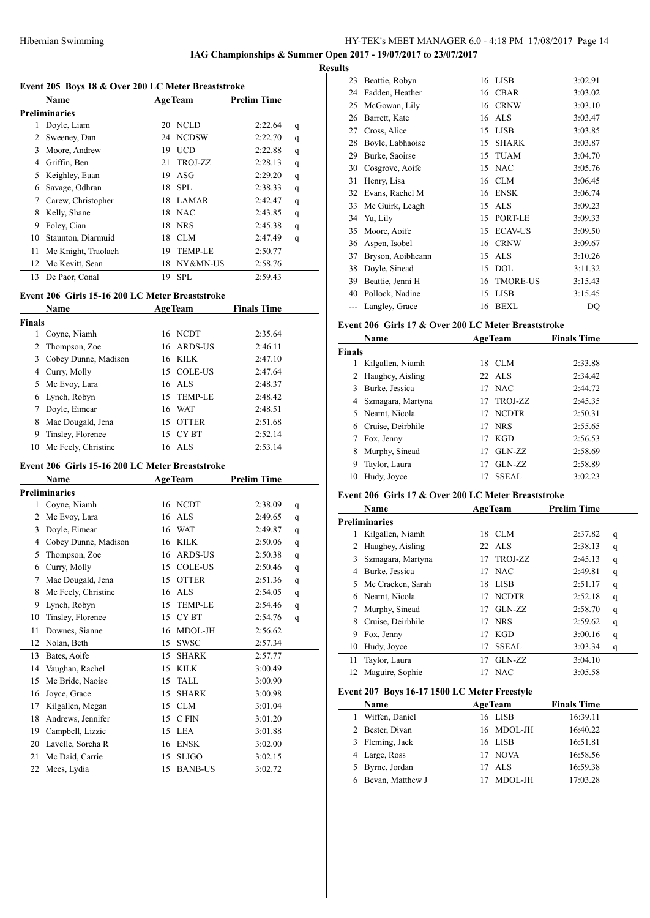# Hibernian Swimming HY-TEK's MEET MANAGER 6.0 - 4:18 PM 17/08/2017 Page 14

**IAG Championships & Summer Open 2017 - 19/07/2017 to 23/07/2017 Results**

| Event 205 Boys 18 & Over 200 LC Meter Breaststroke |                      |    |                |                    |   |  |  |
|----------------------------------------------------|----------------------|----|----------------|--------------------|---|--|--|
|                                                    | <b>Name</b>          |    | <b>AgeTeam</b> | <b>Prelim Time</b> |   |  |  |
|                                                    | <b>Preliminaries</b> |    |                |                    |   |  |  |
| 1                                                  | Doyle, Liam          | 20 | <b>NCLD</b>    | 2:22.64            | q |  |  |
| 2                                                  | Sweeney, Dan         | 24 | <b>NCDSW</b>   | 2:22.70            | q |  |  |
| 3                                                  | Moore, Andrew        | 19 | <b>UCD</b>     | 2:22.88            | q |  |  |
| 4                                                  | Griffin, Ben         | 21 | TROJ-ZZ        | 2:28.13            | q |  |  |
| 5                                                  | Keighley, Euan       | 19 | ASG            | 2:29.20            | q |  |  |
| 6                                                  | Savage, Odhran       | 18 | SPL            | 2:38.33            | q |  |  |
| 7                                                  | Carew, Christopher   | 18 | LAMAR          | 2:42.47            | q |  |  |
| 8                                                  | Kelly, Shane         | 18 | <b>NAC</b>     | 2:43.85            | q |  |  |
| 9                                                  | Foley, Cian          | 18 | <b>NRS</b>     | 2:45.38            | q |  |  |
| 10                                                 | Staunton, Diarmuid   | 18 | <b>CLM</b>     | 2:47.49            | q |  |  |
| 11                                                 | Mc Knight, Traolach  | 19 | <b>TEMP-LE</b> | 2:50.77            |   |  |  |
| 12                                                 | Mc Kevitt, Sean      | 18 | NY&MN-US       | 2:58.76            |   |  |  |
| 13                                                 | De Paor, Conal       | 19 | <b>SPL</b>     | 2:59.43            |   |  |  |

### **Event 206 Girls 15-16 200 LC Meter Breaststroke**

|        | <b>Name</b>            | <b>AgeTeam</b> | <b>Finals Time</b> |  |
|--------|------------------------|----------------|--------------------|--|
| Finals |                        |                |                    |  |
| 1      | Coyne, Niamh           | 16 NCDT        | 2:35.64            |  |
| 2      | Thompson, Zoe          | 16 ARDS-US     | 2:46.11            |  |
| 3      | Cobey Dunne, Madison   | 16 KILK        | 2:47.10            |  |
| 4      | Curry, Molly           | 15 COLE-US     | 2:47.64            |  |
| 5      | Mc Evoy, Lara          | 16 ALS         | 2:48.37            |  |
|        | 6 Lynch, Robyn         | 15 TEMP-LE     | 2:48.42            |  |
|        | Doyle, Eimear          | 16 WAT         | 2:48.51            |  |
| 8      | Mac Dougald, Jena      | 15 OTTER       | 2:51.68            |  |
| 9      | Tinsley, Florence      | 15 CYBT        | 2:52.14            |  |
|        | 10 Mc Feely, Christine | 16 ALS         | 2:53.14            |  |

# **Event 206 Girls 15-16 200 LC Meter Breaststroke**

|    | Name                 | <b>AgeTeam</b>         | <b>Prelim Time</b> |              |
|----|----------------------|------------------------|--------------------|--------------|
|    | <b>Preliminaries</b> |                        |                    |              |
| 1  | Coyne, Niamh         | 16 NCDT                | 2:38.09            | q            |
| 2  | Mc Evoy, Lara        | <b>ALS</b><br>16       | 2:49.65            | q            |
| 3  | Doyle, Eimear        | <b>WAT</b><br>16       | 2:49.87            | q            |
| 4  | Cobey Dunne, Madison | <b>KILK</b><br>16      | 2:50.06            | $\mathsf{q}$ |
| 5  | Thompson, Zoe        | <b>ARDS-US</b><br>16   | 2:50.38            | q            |
| 6  | Curry, Molly         | <b>COLE-US</b><br>15   | 2:50.46            | q            |
| 7  | Mac Dougald, Jena    | <b>OTTER</b><br>15     | 2:51.36            | q            |
| 8  | Mc Feely, Christine  | <b>ALS</b><br>16       | 2:54.05            | q            |
| 9  | Lynch, Robyn         | <b>TEMP-LE</b><br>15   | 2:54.46            | q            |
| 10 | Tinsley, Florence    | CY <sub>BT</sub><br>15 | 2:54.76            | q            |
| 11 | Downes, Sianne       | MDOL-JH<br>16          | 2:56.62            |              |
| 12 | Nolan, Beth          | <b>SWSC</b><br>15      | 2:57.34            |              |
| 13 | Bates, Aoife         | <b>SHARK</b><br>15     | 2:57.77            |              |
| 14 | Vaughan, Rachel      | <b>KILK</b><br>15      | 3:00.49            |              |
| 15 | Mc Bride, Naoíse     | <b>TALL</b><br>15      | 3:00.90            |              |
| 16 | Joyce, Grace         | <b>SHARK</b><br>15     | 3:00.98            |              |
| 17 | Kilgallen, Megan     | <b>CLM</b><br>15       | 3:01.04            |              |
| 18 | Andrews, Jennifer    | C FIN<br>15            | 3:01.20            |              |
| 19 | Campbell, Lizzie     | <b>LEA</b><br>15       | 3:01.88            |              |
| 20 | Lavelle, Sorcha R    | <b>ENSK</b><br>16      | 3:02.00            |              |
| 21 | Mc Daid, Carrie      | <b>SLIGO</b><br>15     | 3:02.15            |              |
| 22 | Mees, Lydia          | <b>BANB-US</b><br>15   | 3:02.72            |              |

| 23 | Beattie, Robyn    | 16 | <b>LISB</b>     | 3:02.91 |
|----|-------------------|----|-----------------|---------|
| 24 | Fadden, Heather   | 16 | <b>CBAR</b>     | 3:03.02 |
| 25 | McGowan, Lily     | 16 | <b>CRNW</b>     | 3:03.10 |
| 26 | Barrett, Kate     | 16 | <b>ALS</b>      | 3:03.47 |
| 27 | Cross, Alice      | 15 | <b>LISB</b>     | 3:03.85 |
| 28 | Boyle, Labhaoise  | 15 | <b>SHARK</b>    | 3:03.87 |
| 29 | Burke, Saoirse    | 15 | <b>TUAM</b>     | 3:04.70 |
| 30 | Cosgrove, Aoife   | 15 | <b>NAC</b>      | 3:05.76 |
| 31 | Henry, Lisa       | 16 | <b>CLM</b>      | 3:06.45 |
| 32 | Evans, Rachel M   | 16 | <b>ENSK</b>     | 3:06.74 |
| 33 | Mc Guirk, Leagh   | 15 | <b>ALS</b>      | 3:09.23 |
| 34 | Yu, Lily          | 15 | PORT-LE         | 3:09.33 |
| 35 | Moore, Aoife      | 15 | <b>ECAV-US</b>  | 3:09.50 |
| 36 | Aspen, Isobel     | 16 | <b>CRNW</b>     | 3:09.67 |
| 37 | Bryson, Aoibheann | 15 | <b>ALS</b>      | 3:10.26 |
| 38 | Doyle, Sinead     | 15 | <b>DOL</b>      | 3:11.32 |
| 39 | Beattie, Jenni H  | 16 | <b>TMORE-US</b> | 3:15.43 |
| 40 | Pollock, Nadine   | 15 | <b>LISB</b>     | 3:15.45 |
|    | Langley, Grace    | 16 | <b>BEXL</b>     | DQ      |

# **Event 206 Girls 17 & Over 200 LC Meter Breaststroke**

|               | Name                |    | <b>AgeTeam</b> | <b>Finals Time</b> |         |
|---------------|---------------------|----|----------------|--------------------|---------|
| <b>Finals</b> |                     |    |                |                    |         |
|               | Kilgallen, Niamh    | 18 | CLM            |                    | 2:33.88 |
| 2             | Haughey, Aisling    |    | 22 ALS         |                    | 2:34.42 |
| 3             | Burke, Jessica      | 17 | <b>NAC</b>     |                    | 2:44.72 |
|               | 4 Szmagara, Martyna | 17 | TROJ-ZZ        |                    | 2:45.35 |
|               | 5 Neamt, Nicola     | 17 | <b>NCDTR</b>   |                    | 2:50.31 |
| 6             | Cruise, Deirbhile   | 17 | <b>NRS</b>     |                    | 2:55.65 |
|               | Fox, Jenny          | 17 | <b>KGD</b>     |                    | 2:56.53 |
| 8             | Murphy, Sinead      | 17 | GLN-ZZ         |                    | 2:58.69 |
| 9             | Taylor, Laura       | 17 | GLN-ZZ         |                    | 2:58.89 |
| 10            | Hudy, Joyce         |    | <b>SSEAL</b>   |                    | 3:02.23 |

### **Event 206 Girls 17 & Over 200 LC Meter Breaststroke**

|    | Name                 |    | <b>AgeTeam</b> | <b>Prelim Time</b> |   |
|----|----------------------|----|----------------|--------------------|---|
|    | <b>Preliminaries</b> |    |                |                    |   |
|    | Kilgallen, Niamh     | 18 | CLM            | 2:37.82            | q |
|    | Haughey, Aisling     |    | $22$ ALS       | 2:38.13            | q |
| 3  | Szmagara, Martyna    | 17 | TROJ-ZZ        | 2:45.13            | q |
| 4  | Burke, Jessica       | 17 | <b>NAC</b>     | 2:49.81            | q |
| 5. | Mc Cracken, Sarah    | 18 | <b>LISB</b>    | 2:51.17            | q |
| 6. | Neamt, Nicola        | 17 | <b>NCDTR</b>   | 2:52.18            | q |
|    | Murphy, Sinead       | 17 | GLN-ZZ         | 2:58.70            | q |
| 8  | Cruise, Deirbhile    | 17 | <b>NRS</b>     | 2:59.62            | q |
| 9  | Fox, Jenny           | 17 | KGD            | 3:00.16            | q |
| 10 | Hudy, Joyce          | 17 | <b>SSEAL</b>   | 3:03.34            | q |
| 11 | Taylor, Laura        | 17 | GLN-ZZ         | 3:04.10            |   |
| 12 | Maguire, Sophie      | 17 | <b>NAC</b>     | 3:05.58            |   |

### **Event 207 Boys 16-17 1500 LC Meter Freestyle**

|   | <b>Name</b>        | <b>AgeTeam</b> | <b>Finals Time</b> |
|---|--------------------|----------------|--------------------|
| 1 | Wiffen, Daniel     | 16 LISB        | 16:39.11           |
|   | 2 Bester, Divan    | 16 MDOL-JH     | 16:40.22           |
|   | 3 Fleming, Jack    | 16 LISB        | 16:51.81           |
|   | 4 Large, Ross      | 17 NOVA        | 16:58.56           |
|   | 5 Byrne, Jordan    | 17 ALS         | 16:59.38           |
|   | 6 Bevan, Matthew J | MDOL-JH        | 17:03.28           |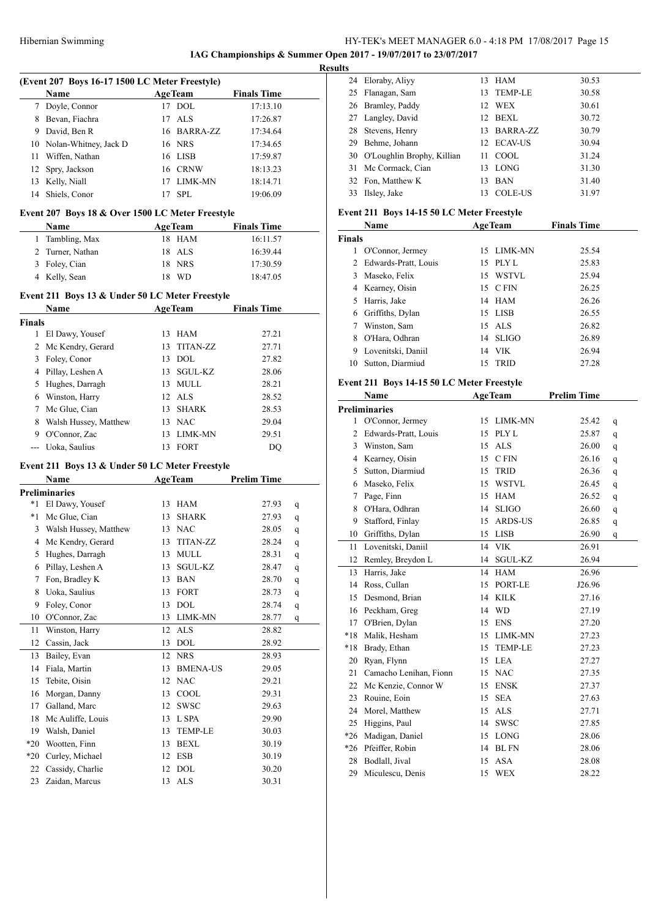# HY-TEK's MEET MANAGER 6.0 - 4:18 PM 17/08/2017 Page 15 **IAG Championships & Summer Open 2017 - 19/07/2017 to 23/07/2017**

**Results**

|                | (Event 207 Boys 16-17 1500 LC Meter Freestyle)   |    |                       |                    |             |
|----------------|--------------------------------------------------|----|-----------------------|--------------------|-------------|
|                | Name                                             |    | <b>AgeTeam</b>        | <b>Finals Time</b> |             |
|                | 7 Doyle, Connor                                  |    | 17 DOL                | 17:13.10           |             |
|                | 8 Bevan, Fiachra                                 | 17 | ALS                   | 17:26.87           |             |
| 9              | David, Ben R                                     |    | 16 BARRA-ZZ           | 17:34.64           |             |
|                | 10 Nolan-Whitney, Jack D                         |    | 16 NRS                | 17:34.65           |             |
| 11             | Wiffen, Nathan                                   |    | 16 LISB               | 17:59.87           |             |
| 12             | Spry, Jackson                                    |    | 16 CRNW               | 18:13.23           |             |
| 13             | Kelly, Niall                                     |    | 17 LIMK-MN            | 18:14.71           |             |
| 14             | Shiels, Conor                                    | 17 | <b>SPL</b>            | 19:06.09           |             |
|                |                                                  |    |                       |                    |             |
|                | Event 207 Boys 18 & Over 1500 LC Meter Freestyle |    |                       |                    |             |
|                | Name                                             |    | <b>AgeTeam</b>        | <b>Finals Time</b> |             |
| 1              | Tambling, Max                                    |    | 18 HAM                | 16:11.57           |             |
| $\overline{2}$ | Turner, Nathan                                   |    | 18 ALS                | 16:39.44           |             |
| 3              | Foley, Cian                                      |    | 18 NRS                | 17:30.59           |             |
|                | 4 Kelly, Sean                                    |    | 18 WD                 | 18:47.05           |             |
|                | Event 211 Boys 13 & Under 50 LC Meter Freestyle  |    |                       |                    |             |
|                | Name                                             |    | <b>AgeTeam</b>        | <b>Finals Time</b> |             |
| <b>Finals</b>  |                                                  |    |                       |                    |             |
| 1              | El Dawy, Yousef                                  |    | 13 HAM                | 27.21              |             |
| 2              | Mc Kendry, Gerard                                |    | 13 TITAN-ZZ           | 27.71              |             |
| 3              | Foley, Conor                                     |    | 13 DOL                | 27.82              |             |
|                | 4 Pillay, Leshen A                               |    | 13 SGUL-KZ            | 28.06              |             |
| 5              | Hughes, Darragh                                  |    | 13 MULL               | 28.21              |             |
|                | 6 Winston, Harry                                 |    | 12 ALS                | 28.52              |             |
|                | 7 Mc Glue, Cian                                  |    | 13 SHARK              | 28.53              |             |
| 8              | Walsh Hussey, Matthew                            |    | 13 NAC                | 29.04              |             |
|                | 9 O'Connor, Zac                                  |    | 13 LIMK-MN            | 29.51              |             |
|                | --- Uoka, Saulius                                |    | 13 FORT               | DQ                 |             |
|                |                                                  |    |                       |                    |             |
|                | Event 211 Boys 13 & Under 50 LC Meter Freestyle  |    |                       |                    |             |
|                | Name                                             |    | <b>AgeTeam</b>        | <b>Prelim Time</b> |             |
|                | <b>Preliminaries</b>                             |    |                       |                    |             |
| *1             | El Dawy, Yousef                                  |    | 13 HAM                | 27.93              | q           |
| $*_{1}$        | Mc Glue, Cian                                    |    | 13 SHARK              | 27.93              | q           |
| 3              | Walsh Hussey, Matthew                            |    | 13 NAC                | 28.05              | q           |
| 4              | Mc Kendry, Gerard                                |    | 13 TITAN-ZZ           | 28.24              | q           |
| 5              | Hughes, Darragh                                  | 13 | MULL                  | 28.31              | q           |
| 6              | Pillay, Leshen A                                 | 13 | SGUL-KZ               | 28.47              | q           |
| 7              | Fon, Bradley K                                   | 13 | <b>BAN</b>            | 28.70              | q           |
| 8              | Uoka, Saulius                                    | 13 | FORT                  | 28.73              | $\mathbf q$ |
| 9              | Foley, Conor                                     | 13 | <b>DOL</b>            | 28.74              | $\mathbf q$ |
| 10             | O'Connor, Zac                                    | 13 | LIMK-MN               | 28.77              | q           |
| 11             | Winston, Harry                                   | 12 | <b>ALS</b>            | 28.82              |             |
| 12             | Cassin, Jack                                     | 13 | DOL                   | 28.92              |             |
| 13             | Bailey, Evan                                     | 12 | <b>NRS</b>            | 28.93              |             |
| 14             | Fiala, Martin                                    | 13 | <b>BMENA-US</b>       | 29.05              |             |
| 15             | Tebite, Oisin                                    | 12 | <b>NAC</b>            | 29.21              |             |
| 16             | Morgan, Danny                                    | 13 | COOL                  | 29.31              |             |
| 17             | Galland, Marc                                    | 12 | SWSC                  | 29.63              |             |
| 18             | Mc Auliffe, Louis                                | 13 | L SPA                 | 29.90              |             |
| 19             | Walsh, Daniel                                    | 13 | TEMP-LE               | 30.03              |             |
| $*20$          | Wootten, Finn                                    | 13 | BEXL                  | 30.19              |             |
| $*20$          | Curley, Michael                                  | 12 | ESB                   | 30.19              |             |
| 22             | Cassidy, Charlie                                 | 12 | DOL                   | 30.20              |             |
| 23             | Zaidan, Marcus                                   | 13 | $\mathbf{ALS}\xspace$ | 30.31              |             |

|    | 24 Eloraby, Aliyy             | 13 | HAM             | 30.53 |
|----|-------------------------------|----|-----------------|-------|
|    | 25 Flanagan, Sam              | 13 | TEMP-LE         | 30.58 |
|    | 26 Bramley, Paddy             | 12 | WEX             | 30.61 |
|    | 27 Langley, David             | 12 | BEXL            | 30.72 |
|    | 28 Stevens, Henry             | 13 | <b>BARRA-ZZ</b> | 30.79 |
| 29 | Behme, Johann                 |    | 12 ECAV-US      | 30.94 |
|    | 30 O'Loughlin Brophy, Killian | 11 | COOL.           | 31.24 |
|    | 31 Mc Cormack, Cian           | 13 | LONG            | 31.30 |
|    | 32 Fon, Matthew K             | 13 | <b>BAN</b>      | 31.40 |
| 33 | Ilsley, Jake                  | 13 | <b>COLE-US</b>  | 31.97 |
|    |                               |    |                 |       |

# **Event 211 Boys 14-15 50 LC Meter Freestyle**

|               | Name                   |     | <b>AgeTeam</b> | <b>Finals Time</b> |  |
|---------------|------------------------|-----|----------------|--------------------|--|
| <b>Finals</b> |                        |     |                |                    |  |
|               | O'Connor, Jermey       |     | 15 LIMK-MN     | 25.54              |  |
|               | 2 Edwards-Pratt, Louis | 15  | PLY L          | 25.83              |  |
| 3             | Maseko, Felix          |     | 15 WSTVL       | 25.94              |  |
|               | 4 Kearney, Oisin       |     | 15 C FIN       | 26.25              |  |
| 5.            | Harris, Jake           |     | 14 HAM         | 26.26              |  |
|               | 6 Griffiths, Dylan     |     | 15 LISB        | 26.55              |  |
|               | Winston, Sam           |     | $15$ ALS       | 26.82              |  |
| 8             | O'Hara, Odhran         |     | 14 SLIGO       | 26.89              |  |
| 9             | Lovenitski, Daniil     |     | 14 VIK         | 26.94              |  |
| 10            | Sutton, Diarmiud       | 15. | <b>TRID</b>    | 27.28              |  |

# **Event 211 Boys 14-15 50 LC Meter Freestyle**

|       | Name                   | <b>AgeTeam</b>         |                | <b>Prelim Time</b> |   |  |
|-------|------------------------|------------------------|----------------|--------------------|---|--|
|       | <b>Preliminaries</b>   |                        |                |                    |   |  |
|       | 1 O'Connor, Jermey     | 15                     | <b>LIMK-MN</b> | 25.42              | q |  |
| 2     | Edwards-Pratt, Louis   | PLY <sub>L</sub><br>15 |                | 25.87              | q |  |
| 3     | Winston, Sam           | <b>ALS</b><br>15       |                | 26.00              | q |  |
| 4     | Kearney, Oisin         | C FIN<br>15            |                | 26.16              | q |  |
| 5     | Sutton, Diarmiud       | 15<br><b>TRID</b>      |                | 26.36              | q |  |
| 6     | Maseko, Felix          | 15                     | <b>WSTVL</b>   | 26.45              | q |  |
| 7     | Page, Finn             | <b>HAM</b><br>15       |                | 26.52              | q |  |
| 8     | O'Hara, Odhran         | <b>SLIGO</b><br>14     |                | 26.60              | q |  |
| 9     | Stafford, Finlay       | 15                     | <b>ARDS-US</b> | 26.85              | q |  |
| 10    | Griffiths, Dylan       | <b>LISB</b><br>15      |                | 26.90              | q |  |
| 11    | Lovenitski, Daniil     | <b>VIK</b><br>14       |                | 26.91              |   |  |
| 12    | Remley, Breydon L      | 14                     | SGUL-KZ        | 26.94              |   |  |
| 13    | Harris, Jake           | <b>HAM</b><br>14       |                | 26.96              |   |  |
| 14    | Ross, Cullan           | 15                     | PORT-LE        | J26.96             |   |  |
| 15    | Desmond, Brian         | <b>KILK</b><br>14      |                | 27.16              |   |  |
| 16    | Peckham, Greg          | <b>WD</b><br>14        |                | 27.19              |   |  |
| 17    | O'Brien, Dylan         | <b>ENS</b><br>15       |                | 27.20              |   |  |
| $*18$ | Malik, Hesham          | 15                     | LIMK-MN        | 27.23              |   |  |
| $*18$ | Brady, Ethan           | 15                     | <b>TEMP-LE</b> | 27.23              |   |  |
| 20    | Ryan, Flynn            | <b>LEA</b><br>15       |                | 27.27              |   |  |
| 21    | Camacho Lenihan, Fionn | <b>NAC</b><br>15       |                | 27.35              |   |  |
| 22    | Mc Kenzie, Connor W    | <b>ENSK</b><br>15      |                | 27.37              |   |  |
| 23    | Rouine, Eoin           | <b>SEA</b><br>15       |                | 27.63              |   |  |
| 24    | Morel, Matthew         | <b>ALS</b><br>15       |                | 27.71              |   |  |
| 25    | Higgins, Paul          | <b>SWSC</b><br>14      |                | 27.85              |   |  |
| $*26$ | Madigan, Daniel        | <b>LONG</b><br>15      |                | 28.06              |   |  |
| $*26$ | Pfeiffer, Robin        | <b>BLFN</b><br>14      |                | 28.06              |   |  |
| 28    | Bodlall, Jival         | <b>ASA</b><br>15       |                | 28.08              |   |  |
| 29    | Miculescu, Denis       | <b>WEX</b><br>15       |                | 28.22              |   |  |
|       |                        |                        |                |                    |   |  |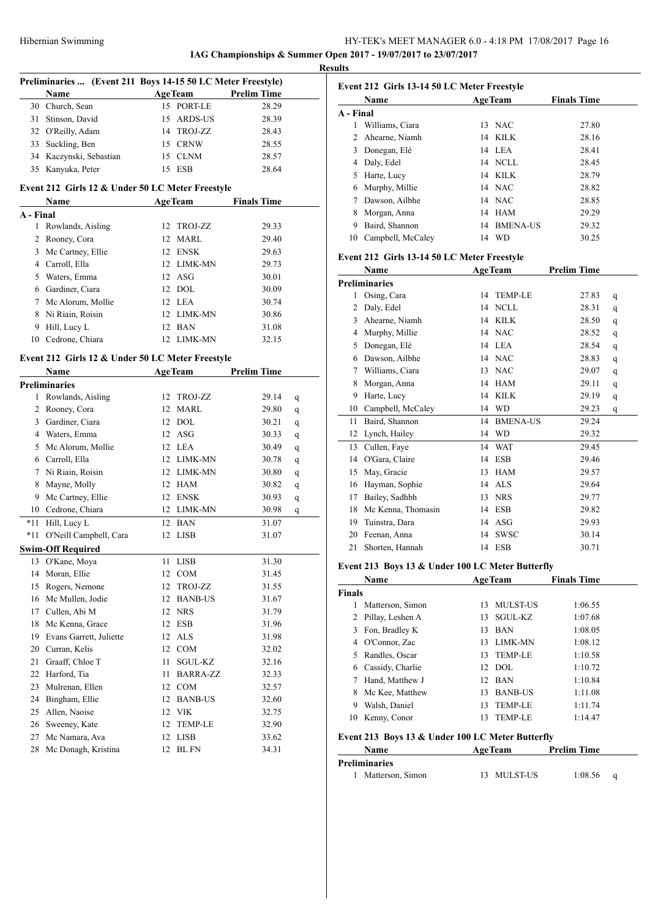### HY-TEK's MEET MANAGER 6.0 - 4:18 PM 17/08/2017 Page 16 **IAG Championships & Summer Open 2017 - 19/07/2017 to 23/07/2017**

**Results**

|                | Preliminaries  (Event 211 Boys 14-15 50 LC Meter Freestyle) |    |                 |                     |   |
|----------------|-------------------------------------------------------------|----|-----------------|---------------------|---|
|                | Name                                                        |    |                 | AgeTeam Prelim Time |   |
|                | 30 Church, Sean                                             |    | 15 PORT-LE      | 28.29               |   |
|                | 31 Stinson, David                                           |    | 15 ARDS-US      | 28.39               |   |
|                | 32 O'Reilly, Adam                                           |    | 14 TROJ-ZZ      | 28.43               |   |
|                | 33 Suckling, Ben                                            |    | 15 CRNW         | 28.55               |   |
|                | 34 Kaczynski, Sebastian                                     |    | 15 CLNM         | 28.57               |   |
| 35             | Kanyuka, Peter                                              |    | 15 ESB          | 28.64               |   |
|                | Event 212 Girls 12 & Under 50 LC Meter Freestyle            |    |                 |                     |   |
|                | Name $\qquad \qquad$                                        |    | <b>AgeTeam</b>  | <b>Finals Time</b>  |   |
| A - Final      |                                                             |    |                 |                     |   |
| 1              | Rowlands, Aisling                                           |    | 12 TROJ-ZZ      | 29.33               |   |
| $\overline{2}$ | Rooney, Cora                                                |    | 12 MARL         | 29.40               |   |
| 3              | Mc Cartney, Ellie                                           |    | 12 ENSK         | 29.63               |   |
|                | 4 Carroll, Ella                                             |    | 12 LIMK-MN      | 29.73               |   |
|                | 5 Waters, Emma                                              |    | 12 ASG          | 30.01               |   |
|                | 6 Gardiner, Ciara                                           |    | 12 DOL          | 30.09               |   |
|                | 7 Mc Alorum, Mollie                                         |    | 12 LEA          | 30.74               |   |
|                | 8 Ni Riain, Roisin                                          |    | 12 LIMK-MN      | 30.86               |   |
| 9              | Hill, Lucy L                                                |    | 12 BAN          | 31.08               |   |
|                | 10 Cedrone, Chiara                                          |    | 12 LIMK-MN      | 32.15               |   |
|                |                                                             |    |                 |                     |   |
|                | Event 212 Girls 12 & Under 50 LC Meter Freestyle            |    |                 |                     |   |
|                | <b>Name</b>                                                 |    | <b>AgeTeam</b>  | <b>Prelim Time</b>  |   |
|                | <b>Preliminaries</b>                                        |    |                 |                     |   |
| 1              | Rowlands, Aisling                                           |    | 12 TROJ-ZZ      | 29.14               | q |
|                | 2 Rooney, Cora                                              |    | 12 MARL         | 29.80               | q |
|                | 3 Gardiner, Ciara                                           |    | 12 DOL          | 30.21               | q |
|                | 4 Waters, Emma                                              |    | 12 ASG          | 30.33               | q |
|                | 5 Mc Alorum, Mollie                                         |    | 12 LEA          | 30.49               | q |
|                | 6 Carroll, Ella                                             |    | 12 LIMK-MN      | 30.78               | q |
|                | 7 Ni Riain, Roisin                                          |    | 12 LIMK-MN      | 30.80               | q |
| 8              | Mayne, Molly                                                |    | 12 HAM          | 30.82               | q |
| 9              | Mc Cartney, Ellie                                           |    | 12 ENSK         | 30.93               | q |
|                | 10 Cedrone, Chiara                                          |    | 12 LIMK-MN      | 30.98               | q |
| *11            | Hill, Lucy L                                                |    | 12 BAN          | 31.07               |   |
| *11            | O'Neill Campbell, Cara                                      |    | 12 LISB         | 31.07               |   |
|                | <b>Swim-Off Required</b>                                    |    |                 |                     |   |
|                | 13 O'Kane, Moya                                             |    | 11 LISB         | 31.30               |   |
| 14             | Moran, Ellie                                                | 12 | <b>COM</b>      | 31.45               |   |
| 15             | Rogers, Nemone                                              | 12 | TROJ-ZZ         | 31.55               |   |
| 16             | Mc Mullen, Jodie                                            | 12 | <b>BANB-US</b>  | 31.67               |   |
| 17             | Cullen, Abi M                                               | 12 | <b>NRS</b>      | 31.79               |   |
| 18             | Mc Kenna, Grace                                             | 12 | ESB             | 31.96               |   |
| 19             | Evans Garrett, Juliette                                     | 12 | <b>ALS</b>      | 31.98               |   |
|                | 20 Curran, Kelis                                            | 12 | COM             | 32.02               |   |
| 21             | Graaff, Chloe T                                             | 11 | SGUL-KZ         | 32.16               |   |
| 22             | Harford, Tia                                                | 11 | <b>BARRA-ZZ</b> | 32.33               |   |
| 23             | Mulrenan, Ellen                                             | 12 | COM             | 32.57               |   |
| 24             | Bingham, Ellie                                              | 12 | <b>BANB-US</b>  | 32.60               |   |
| 25             | Allen, Naoise                                               |    | 12 VIK          | 32.75               |   |
| 26             | Sweeney, Kate                                               | 12 | TEMP-LE         | 32.90               |   |
| 27             | Mc Namara, Ava                                              | 12 | LISB            | 33.62               |   |
| 28             | Mc Donagh, Kristina                                         | 12 | <b>BLFN</b>     | 34.31               |   |

# **Event 212 Girls 13-14 50 LC Meter Freestyle Name Age Team Finals Time A - Final** 1 Williams, Ciara 13 NAC 27.80 2 Ahearne, Niamh 14 KILK 28.16<br>
3 Donegan, Elé 14 LEA 28.41<br>
4 Daly, Edel 14 NCLL 28.45<br>
5 Harte, Lucy 14 KILK 28.79 Donegan, Elé 14 LEA 28.41 Daly, Edel 14 NCLL 28.45 Harte, Lucy 14 KILK 28.79 Murphy, Millie 14 NAC 28.82 Dawson, Ailbhe 14 NAC 28.85 Morgan, Anna 14 HAM 29.29 Baird, Shannon 14 BMENA-US 29.32 Campbell, McCaley 14 WD 30.25

### **Event 212 Girls 13-14 50 LC Meter Freestyle**

|    | Name                 | <b>AgeTeam</b> |                 | <b>Prelim Time</b> |   |
|----|----------------------|----------------|-----------------|--------------------|---|
|    | <b>Preliminaries</b> |                |                 |                    |   |
| 1  | Osing, Cara          | 14             | <b>TEMP-LE</b>  | 27.83              | q |
| 2  | Daly, Edel           | 14             | <b>NCLL</b>     | 28.31              | q |
| 3  | Ahearne, Niamh       | 14             | <b>KILK</b>     | 28.50              | q |
| 4  | Murphy, Millie       | 14             | <b>NAC</b>      | 28.52              | q |
| 5  | Donegan, Elé         | 14             | LEA             | 28.54              | q |
| 6  | Dawson, Ailbhe       | 14             | <b>NAC</b>      | 28.83              | q |
| 7  | Williams, Ciara      | 13             | <b>NAC</b>      | 29.07              | q |
| 8  | Morgan, Anna         | 14             | <b>HAM</b>      | 29.11              | q |
| 9  | Harte, Lucy          | 14             | <b>KILK</b>     | 29.19              | q |
| 10 | Campbell, McCaley    | 14             | <b>WD</b>       | 29.23              | q |
| 11 | Baird, Shannon       | 14             | <b>BMENA-US</b> | 29.24              |   |
| 12 | Lynch, Hailey        | 14             | <b>WD</b>       | 29.32              |   |
| 13 | Cullen, Faye         | 14             | <b>WAT</b>      | 29.45              |   |
| 14 | O'Gara, Claire       | 14             | <b>ESB</b>      | 29.46              |   |
| 15 | May, Gracie          | 13             | <b>HAM</b>      | 29.57              |   |
| 16 | Hayman, Sophie       | 14             | <b>ALS</b>      | 29.64              |   |
| 17 | Bailey, Sadhbh       | 13             | <b>NRS</b>      | 29.77              |   |
| 18 | Mc Kenna, Thomasin   | 14             | <b>ESB</b>      | 29.82              |   |
| 19 | Tuinstra, Dara       | 14             | <b>ASG</b>      | 29.93              |   |
| 20 | Feenan, Anna         | 14             | <b>SWSC</b>     | 30.14              |   |
| 21 | Shorten, Hannah      | 14             | <b>ESB</b>      | 30.71              |   |

### **Event 213 Boys 13 & Under 100 LC Meter Butterfly**

|               | Name             |     | <b>AgeTeam</b>  | <b>Finals Time</b> |
|---------------|------------------|-----|-----------------|--------------------|
| <b>Finals</b> |                  |     |                 |                    |
| 1             | Matterson, Simon | 13  | <b>MULST-US</b> | 1:06.55            |
| 2             | Pillay, Leshen A |     | 13 SGUL-KZ      | 1:07.68            |
| 3             | Fon, Bradley K   | 13  | <b>BAN</b>      | 1:08.05            |
| 4             | O'Connor, Zac    | 13. | LIMK-MN         | 1:08.12            |
| 5             | Randles, Oscar   |     | 13 TEMP-LE      | 1:10.58            |
| 6             | Cassidy, Charlie |     | $12$ DOL        | 1:10.72            |
|               | Hand, Matthew J  |     | 12 BAN          | 1:10.84            |
| 8             | Mc Kee, Matthew  | 13  | <b>BANB-US</b>  | 1:11.08            |
| 9             | Walsh, Daniel    | 13  | <b>TEMP-LE</b>  | 1:11.74            |
| 10            | Kenny, Conor     | 13  | TEMP-LE         | 1:14.47            |

### **Event 213 Boys 13 & Under 100 LC Meter Butterfly**

| Name                 | <b>AgeTeam</b> | <b>Prelim Time</b> |  |
|----------------------|----------------|--------------------|--|
| <b>Preliminaries</b> |                |                    |  |
| Matterson, Simon     | 13 MULST-US    | 1:08.56            |  |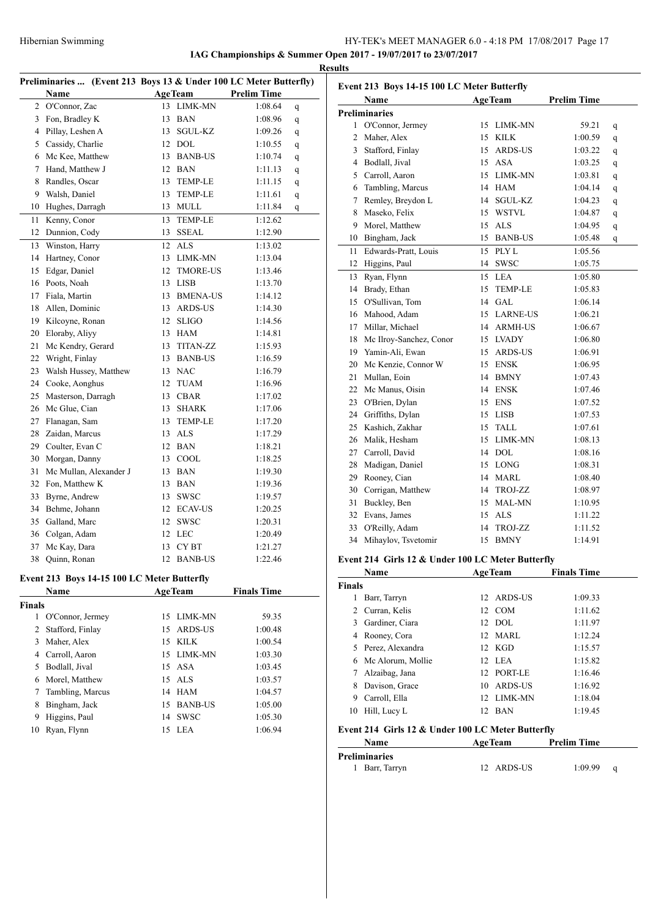# Hibernian Swimming HY-TEK's MEET MANAGER 6.0 - 4:18 PM 17/08/2017 Page 17

**IAG Championships & Summer Open 2017 - 19/07/2017 to 23/07/2017 Results**

|                | Preliminaries  (Event 213 Boys 13 & Under 100 LC Meter Butterfly) |    |                  |                    |   |
|----------------|-------------------------------------------------------------------|----|------------------|--------------------|---|
|                | Name                                                              |    | <b>AgeTeam</b>   | <b>Prelim Time</b> |   |
| $\overline{c}$ | O'Connor, Zac                                                     | 13 | LIMK-MN          | 1:08.64            | q |
| 3              | Fon, Bradley K                                                    | 13 | <b>BAN</b>       | 1:08.96            | q |
|                | 4 Pillay, Leshen A                                                | 13 | SGUL-KZ          | 1:09.26            | q |
|                | 5 Cassidy, Charlie                                                |    | 12 DOL           | 1:10.55            | q |
|                | 6 Mc Kee, Matthew                                                 |    | 13 BANB-US       | 1:10.74            | q |
| $\tau$         | Hand, Matthew J                                                   |    | 12 BAN           | 1:11.13            | q |
| 8              | Randles, Oscar                                                    | 13 | <b>TEMP-LE</b>   | 1:11.15            | q |
| 9              | Walsh, Daniel                                                     | 13 | <b>TEMP-LE</b>   | 1:11.61            | q |
| 10             | Hughes, Darragh                                                   |    | 13 MULL          | 1:11.84            | q |
| 11             | Kenny, Conor                                                      | 13 | <b>TEMP-LE</b>   | 1:12.62            |   |
| 12             | Dunnion, Cody                                                     | 13 | <b>SSEAL</b>     | 1:12.90            |   |
| 13             | Winston, Harry                                                    | 12 | ALS              | 1:13.02            |   |
| 14             | Hartney, Conor                                                    | 13 | LIMK-MN          | 1:13.04            |   |
| 15             | Edgar, Daniel                                                     | 12 | <b>TMORE-US</b>  | 1:13.46            |   |
|                | 16 Poots, Noah                                                    | 13 | LISB             | 1:13.70            |   |
| 17             | Fiala, Martin                                                     | 13 | <b>BMENA-US</b>  | 1:14.12            |   |
| 18             | Allen, Dominic                                                    | 13 | ARDS-US          | 1:14.30            |   |
| 19             | Kilcoyne, Ronan                                                   | 12 | <b>SLIGO</b>     | 1:14.56            |   |
| 20             | Eloraby, Aliyy                                                    |    | 13 HAM           | 1:14.81            |   |
| 21             | Mc Kendry, Gerard                                                 |    | 13 TITAN-ZZ      | 1:15.93            |   |
| 22             | Wright, Finlay                                                    |    | 13 BANB-US       | 1:16.59            |   |
| 23             | Walsh Hussey, Matthew                                             |    | 13 NAC           | 1:16.79            |   |
| 24             | Cooke, Aonghus                                                    |    | 12 TUAM          | 1:16.96            |   |
| 25             | Masterson, Darragh                                                |    | 13 CBAR          | 1:17.02            |   |
| 26             | Mc Glue, Cian                                                     | 13 | <b>SHARK</b>     | 1:17.06            |   |
| 27             | Flanagan, Sam                                                     | 13 | <b>TEMP-LE</b>   | 1:17.20            |   |
| 28             | Zaidan, Marcus                                                    |    | 13 ALS           | 1:17.29            |   |
|                | 29 Coulter, Evan C                                                |    | 12 BAN           | 1:18.21            |   |
| 30             | Morgan, Danny                                                     |    | 13 COOL          | 1:18.25            |   |
| 31             | Mc Mullan, Alexander J                                            |    | 13 BAN           | 1:19.30            |   |
| 32             | Fon, Matthew K                                                    |    | 13 BAN           | 1:19.36            |   |
| 33             | Byrne, Andrew                                                     | 13 | <b>SWSC</b>      | 1:19.57            |   |
| 34             | Behme, Johann                                                     |    | 12 ECAV-US       | 1:20.25            |   |
| 35             | Galland, Marc                                                     | 12 | <b>SWSC</b>      | 1:20.31            |   |
| 36             | Colgan, Adam                                                      | 12 | LEC              | 1:20.49            |   |
| 37             | Mc Kay, Dara                                                      | 13 | CY <sub>BT</sub> | 1:21.27            |   |
| 38             | Quinn, Ronan                                                      | 12 | <b>BANB-US</b>   | 1:22.46            |   |
|                |                                                                   |    |                  |                    |   |

# **Event 213 Boys 14-15 100 LC Meter Butterfly**

|               | <b>Name</b>      |    | <b>AgeTeam</b> | <b>Finals Time</b> |
|---------------|------------------|----|----------------|--------------------|
| <b>Finals</b> |                  |    |                |                    |
|               | O'Connor, Jermey |    | 15 LIMK-MN     | 59.35              |
| 2             | Stafford, Finlay | 15 | ARDS-US        | 1:00.48            |
| 3             | Maher, Alex      | 15 | KILK           | 1:00.54            |
| 4             | Carroll, Aaron   |    | 15 LIMK-MN     | 1:03.30            |
| 5.            | Bodlall, Jival   |    | 15A            | 1:03.45            |
|               | 6 Morel, Matthew |    | $15$ ALS       | 1:03.57            |
|               | Tambling, Marcus | 14 | HAM            | 1:04.57            |
| 8             | Bingham, Jack    | 15 | <b>BANB-US</b> | 1:05.00            |
| 9             | Higgins, Paul    | 14 | <b>SWSC</b>    | 1:05.30            |
| 10            | Ryan, Flynn      | 15 | <b>LEA</b>     | 1:06.94            |

|    | Event 213 Boys 14-15 100 LC Meter Butterfly |    |                |                    |   |
|----|---------------------------------------------|----|----------------|--------------------|---|
|    | Name                                        |    | <b>AgeTeam</b> | <b>Prelim Time</b> |   |
|    | <b>Preliminaries</b>                        |    |                |                    |   |
|    | 1 O'Connor, Jermey                          | 15 | LIMK-MN        | 59.21              | q |
| 2  | Maher, Alex                                 | 15 | <b>KILK</b>    | 1:00.59            | q |
| 3  | Stafford, Finlay                            |    | 15 ARDS-US     | 1:03.22            | q |
|    | 4 Bodlall, Jival                            |    | 15 ASA         | 1:03.25            | q |
| 5  | Carroll, Aaron                              |    | 15 LIMK-MN     | 1:03.81            | q |
| 6  | Tambling, Marcus                            |    | 14 HAM         | 1:04.14            | q |
| 7  | Remley, Breydon L                           | 14 | SGUL-KZ        | 1:04.23            | q |
| 8  | Maseko, Felix                               |    | 15 WSTVL       | 1:04.87            | q |
| 9  | Morel, Matthew                              | 15 | ALS            | 1:04.95            | q |
|    | 10 Bingham, Jack                            |    | 15 BANB-US     | 1:05.48            | q |
| 11 | Edwards-Pratt, Louis                        |    | 15 PLY L       | 1:05.56            |   |
| 12 | Higgins, Paul                               | 14 | <b>SWSC</b>    | 1:05.75            |   |
| 13 | Ryan, Flynn                                 | 15 | LEA            | 1:05.80            |   |
|    | 14 Brady, Ethan                             | 15 | <b>TEMP-LE</b> | 1:05.83            |   |
|    | 15 O'Sullivan, Tom                          |    | 14 GAL         | 1:06.14            |   |
|    | 16 Mahood, Adam                             |    | 15 LARNE-US    | 1:06.21            |   |
|    | 17 Millar, Michael                          |    | 14 ARMH-US     | 1:06.67            |   |
|    | 18 Mc Ilroy-Sanchez, Conor                  |    | 15 LVADY       | 1:06.80            |   |
|    | 19 Yamin-Ali, Ewan                          |    | 15 ARDS-US     | 1:06.91            |   |
|    | 20 Mc Kenzie, Connor W                      |    | 15 ENSK        | 1:06.95            |   |
|    | 21 Mullan, Eoin                             |    | 14 BMNY        | 1:07.43            |   |
|    | 22 Mc Manus, Oisin                          |    | 14 ENSK        | 1:07.46            |   |
|    | 23 O'Brien, Dylan                           | 15 | ENS            | 1:07.52            |   |
|    | 24 Griffiths, Dylan                         |    | 15 LISB        | 1:07.53            |   |
|    | 25 Kashich, Zakhar                          |    | 15 TALL        | 1:07.61            |   |
|    | 26 Malik, Hesham                            |    | 15 LIMK-MN     | 1:08.13            |   |
|    | 27 Carroll, David                           |    | 14 DOL         | 1:08.16            |   |
| 28 | Madigan, Daniel                             |    | 15 LONG        | 1:08.31            |   |
|    | 29 Rooney, Cian                             |    | 14 MARL        | 1:08.40            |   |
|    | 30 Corrigan, Matthew                        |    | 14 TROJ-ZZ     | 1:08.97            |   |
| 31 | Buckley, Ben                                |    | 15 MAL-MN      | 1:10.95            |   |
|    | 32 Evans, James                             |    | 15 ALS         | 1:11.22            |   |
| 33 | O'Reilly, Adam                              | 14 | TROJ-ZZ        | 1:11.52            |   |
| 34 | Mihaylov, Tsvetomir                         | 15 | <b>BMNY</b>    | 1:14.91            |   |

### **Event 214 Girls 12 & Under 100 LC Meter Butterfly**

|               | Name                | <b>AgeTeam</b>   | <b>Finals Time</b> |
|---------------|---------------------|------------------|--------------------|
| <b>Finals</b> |                     |                  |                    |
|               | Barr, Tarryn        | 12 ARDS-US       | 1:09.33            |
| 2             | Curran, Kelis       | 12 COM           | 1:11.62            |
| 3.            | Gardiner, Ciara     | 12 DOL           | 1:11.97            |
|               | 4 Rooney, Cora      | 12 MARL          | 1:12.24            |
|               | 5 Perez, Alexandra  | 12 KGD           | 1:15.57            |
|               | 6 Mc Alorum, Mollie | 12 LEA           | 1:15.82            |
| 7             | Alzaibag, Jana      | 12 PORT-LE       | 1:16.46            |
| 8             | Davison, Grace      | ARDS-US<br>10    | 1:16.92            |
| 9             | Carroll, Ella       | 12 LIMK-MN       | 1:18.04            |
| 10            | Hill, Lucy L        | <b>BAN</b><br>12 | 1:19.45            |

# **Event 214 Girls 12 & Under 100 LC Meter Butterfly**

| <b>Name</b>          | AgeTeam    | <b>Prelim Time</b> |
|----------------------|------------|--------------------|
| <b>Preliminaries</b> |            |                    |
| 1 Barr, Tarryn       | 12 ARDS-US | 1:09.99            |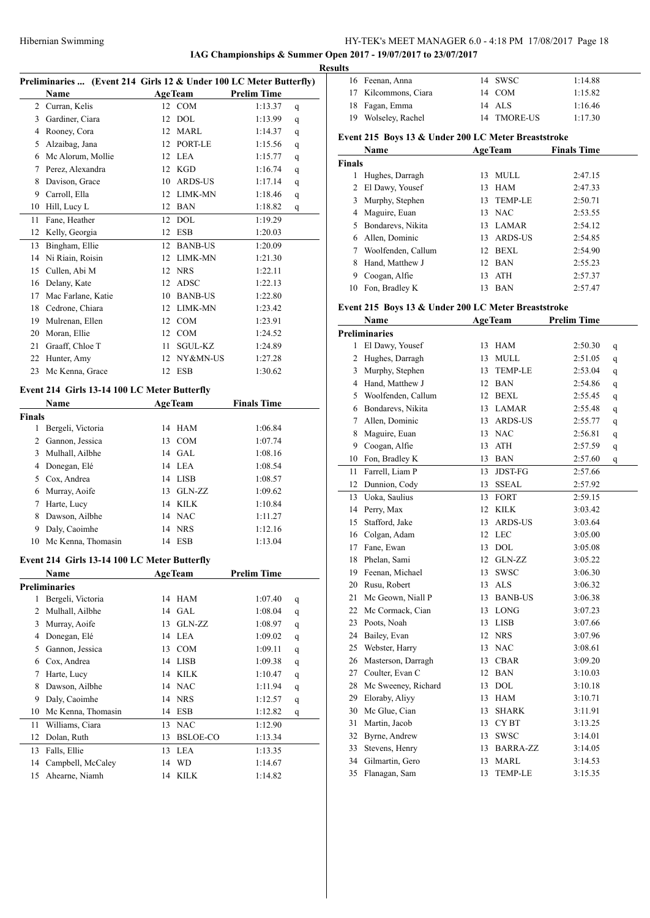# **IAG Championships & Summer Open 2017 - 19/07/2017 to 23/07/2017**

l.

 $\overline{a}$ 

|               | Preliminaries  (Event 214 Girls 12 & Under 100 LC Meter Butterfly) |    |                |                    |   |
|---------------|--------------------------------------------------------------------|----|----------------|--------------------|---|
|               | Name                                                               |    | AgeTeam        | <b>Prelim Time</b> |   |
|               | 2 Curran, Kelis                                                    |    | 12 COM         | 1:13.37            | q |
|               | 3 Gardiner, Ciara                                                  |    | 12 DOL         | 1:13.99            | q |
|               | 4 Rooney, Cora                                                     |    | 12 MARL        | 1:14.37            | q |
|               | 5 Alzaibag, Jana                                                   |    | 12 PORT-LE     | 1:15.56            | q |
|               | 6 Mc Alorum, Mollie                                                |    | 12 LEA         | 1:15.77            | q |
|               | 7 Perez, Alexandra                                                 |    | 12 KGD         | 1:16.74            | q |
|               | 8 Davison, Grace                                                   |    | 10 ARDS-US     | 1:17.14            | q |
|               | 9 Carroll, Ella                                                    |    | 12 LIMK-MN     | 1:18.46            | q |
|               | 10 Hill, Lucy L                                                    |    | 12 BAN         | 1:18.82            | q |
|               | 11 Fane, Heather                                                   |    | 12 DOL         | 1:19.29            |   |
|               | 12 Kelly, Georgia                                                  |    | 12 ESB         | 1:20.03            |   |
|               | 13 Bingham, Ellie                                                  |    | 12 BANB-US     | 1:20.09            |   |
|               | 14 Ni Riain, Roisin                                                |    | 12 LIMK-MN     | 1:21.30            |   |
|               | 15 Cullen, Abi M                                                   |    | 12 NRS         | 1:22.11            |   |
|               | 16 Delany, Kate                                                    |    | 12 ADSC        | 1:22.13            |   |
|               | 17 Mac Farlane, Katie                                              |    | 10 BANB-US     | 1:22.80            |   |
|               | 18 Cedrone, Chiara                                                 |    | 12 LIMK-MN     | 1:23.42            |   |
|               | 19 Mulrenan, Ellen                                                 |    | 12 COM         | 1:23.91            |   |
|               | 20 Moran, Ellie                                                    |    | 12 COM         | 1:24.52            |   |
|               | 21 Graaff, Chloe T                                                 |    | 11 SGUL-KZ     | 1:24.89            |   |
|               | 22 Hunter, Amy                                                     |    | 12 NY&MN-US    | 1:27.28            |   |
|               | 23 Mc Kenna, Grace                                                 |    | 12 ESB         | 1:30.62            |   |
|               |                                                                    |    |                |                    |   |
|               | Event 214 Girls 13-14 100 LC Meter Butterfly                       |    |                |                    |   |
|               | Name                                                               |    | <b>AgeTeam</b> | <b>Finals Time</b> |   |
| <b>Finals</b> |                                                                    |    |                |                    |   |
|               | 1 Bergeli, Victoria                                                |    | 14 HAM         | 1:06.84            |   |
|               | 2 Gannon, Jessica                                                  |    | 13 COM         | 1:07.74            |   |
|               | 3 Mulhall, Ailbhe                                                  |    | 14 GAL         | 1:08.16            |   |
|               | 4 Donegan, Elé                                                     |    | 14 LEA         | 1:08.54            |   |
|               | 5 Cox, Andrea                                                      |    | 14 LISB        | 1:08.57            |   |
|               | 6 Murray, Aoife                                                    |    | 13 GLN-ZZ      | 1:09.62            |   |
|               | 7 Harte, Lucy                                                      |    | 14 KILK        | 1:10.84            |   |
|               | 8 Dawson, Ailbhe                                                   |    | 14 NAC         | 1:11.27            |   |
|               | 9 Daly, Caoimhe                                                    |    | 14 NRS         | 1:12.16            |   |
|               | 10 Mc Kenna, Thomasin                                              |    | 14 ESB         | 1:13.04            |   |
|               |                                                                    |    |                |                    |   |
|               | Event 214 Girls 13-14 100 LC Meter Butterfly                       |    |                |                    |   |
|               | Name                                                               |    | <b>AgeTeam</b> | <b>Prelim Time</b> |   |
|               | <b>Preliminaries</b>                                               |    |                |                    |   |
| 1             | Bergeli, Victoria                                                  | 14 | HAM            | 1:07.40            | q |
| 2             | Mulhall, Ailbhe                                                    | 14 | GAL            | 1:08.04            | q |
| 3             | Murray, Aoife                                                      | 13 | GLN-ZZ         | 1:08.97            | q |
|               | 4 Donegan, Elé                                                     |    | 14 LEA         | 1:09.02            | q |
| 5             | Gannon, Jessica                                                    |    | 13 COM         | 1:09.11            | q |
|               | 6 Cox, Andrea                                                      |    | 14 LISB        | 1:09.38            | q |
| 7             | Harte, Lucy                                                        |    | 14 KILK        | 1:10.47            | q |
| 8             | Dawson, Ailbhe                                                     |    | 14 NAC         | 1:11.94            | q |
| 9             | Daly, Caoimhe                                                      |    | 14 NRS         | 1:12.57            | q |
| 10            | Mc Kenna, Thomasin                                                 |    | 14 ESB         | 1:12.82            | q |
| 11            | Williams, Ciara                                                    | 13 | <b>NAC</b>     | 1:12.90            |   |
| 12            | Dolan, Ruth                                                        |    | 13 BSLOE-CO    | 1:13.34            |   |
| 13            | Falls, Ellie                                                       | 13 | <b>LEA</b>     | 1:13.35            |   |
| 14            | Campbell, McCaley                                                  | 14 | <b>WD</b>      | 1:14.67            |   |
| 15            | Ahearne, Niamh                                                     | 14 | <b>KILK</b>    | 1:14.82            |   |
|               |                                                                    |    |                |                    |   |

| <b>Results</b> |                      |             |         |
|----------------|----------------------|-------------|---------|
|                | 16 Feenan, Anna      | 14 SWSC     | 1:14.88 |
|                | 17 Kilcommons, Ciara | 14 COM      | 1:15.82 |
|                | 18 Fagan, Emma       | 14 ALS      | 1:16.46 |
|                | 19 Wolseley, Rachel  | 14 TMORE-US | 1:17.30 |
|                |                      |             |         |

# **Event 215 Boys 13 & Under 200 LC Meter Breaststroke**

|               | Name               |     | <b>AgeTeam</b> | <b>Finals Time</b> |  |
|---------------|--------------------|-----|----------------|--------------------|--|
| <b>Finals</b> |                    |     |                |                    |  |
|               | Hughes, Darragh    | 13  | MULL           | 2:47.15            |  |
| 2             | El Dawy, Yousef    | 13. | HAM            | 2:47.33            |  |
| 3.            | Murphy, Stephen    | 13  | <b>TEMP-LE</b> | 2:50.71            |  |
|               | 4 Maguire, Euan    |     | 13 NAC         | 2:53.55            |  |
| 5.            | Bondarevs, Nikita  | 13. | <b>LAMAR</b>   | 2:54.12            |  |
| 6             | Allen, Dominic     | 13  | ARDS-US        | 2:54.85            |  |
|               | Woolfenden, Callum | 12  | <b>BEXL</b>    | 2:54.90            |  |
| 8             | Hand, Matthew J    | 12  | <b>BAN</b>     | 2:55.23            |  |
| 9             | Coogan, Alfie      | 13  | <b>ATH</b>     | 2:57.37            |  |
| 10            | Fon, Bradley K     | 13  | <b>BAN</b>     | 2:57.47            |  |

### **Event 215 Boys 13 & Under 200 LC Meter Breaststroke**

|                | Name                |    | <b>AgeTeam</b> | <b>Prelim Time</b> |   |
|----------------|---------------------|----|----------------|--------------------|---|
|                | Preliminaries       |    |                |                    |   |
| 1              | El Dawy, Yousef     | 13 | HAM            | 2:50.30            | q |
| 2              | Hughes, Darragh     | 13 | <b>MULL</b>    | 2:51.05            | q |
| 3              | Murphy, Stephen     | 13 | TEMP-LE        | 2:53.04            | q |
| $\overline{4}$ | Hand, Matthew J     |    | 12 BAN         | 2:54.86            | q |
| 5              | Woolfenden, Callum  |    | 12 BEXL        | 2:55.45            | q |
| 6              | Bondarevs, Nikita   |    | 13 LAMAR       | 2:55.48            | q |
| 7              | Allen, Dominic      |    | 13 ARDS-US     | 2:55.77            | q |
| 8              | Maguire, Euan       |    | 13 NAC         | 2:56.81            | q |
| 9              | Coogan, Alfie       |    | 13 ATH         | 2:57.59            | q |
| 10             | Fon, Bradley K      |    | 13 BAN         | 2:57.60            | q |
| 11             | Farrell, Liam P     | 13 | <b>JDST-FG</b> | 2:57.66            |   |
| 12             | Dunnion, Cody       | 13 | <b>SSEAL</b>   | 2:57.92            |   |
| 13             | Uoka, Saulius       | 13 | <b>FORT</b>    | 2:59.15            |   |
| 14             | Perry, Max          | 12 | KILK           | 3:03.42            |   |
| 15             | Stafford, Jake      |    | 13 ARDS-US     | 3:03.64            |   |
| 16             | Colgan, Adam        |    | 12 LEC         | 3:05.00            |   |
| 17             | Fane, Ewan          | 13 | <b>DOL</b>     | 3:05.08            |   |
| 18             | Phelan, Sami        |    | 12 GLN-ZZ      | 3:05.22            |   |
| 19             | Feenan, Michael     | 13 | <b>SWSC</b>    | 3:06.30            |   |
| 20             | Rusu, Robert        |    | 13 ALS         | 3:06.32            |   |
| 21             | Mc Geown, Niall P   |    | 13 BANB-US     | 3:06.38            |   |
| 22             | Mc Cormack, Cian    |    | 13 LONG        | 3:07.23            |   |
| 23             | Poots, Noah         |    | 13 LISB        | 3:07.66            |   |
| 24             | Bailey, Evan        |    | 12 NRS         | 3:07.96            |   |
| 25             | Webster, Harry      |    | 13 NAC         | 3:08.61            |   |
| 26             | Masterson, Darragh  |    | 13 CBAR        | 3:09.20            |   |
| 27             | Coulter, Evan C     | 12 | <b>BAN</b>     | 3:10.03            |   |
| 28             | Mc Sweeney, Richard | 13 | <b>DOL</b>     | 3:10.18            |   |
| 29             | Eloraby, Aliyy      | 13 | HAM            | 3:10.71            |   |
| 30             | Mc Glue, Cian       | 13 | <b>SHARK</b>   | 3:11.91            |   |
| 31             | Martin, Jacob       | 13 | CY BT          | 3:13.25            |   |
| 32             | Byrne, Andrew       | 13 | SWSC           | 3:14.01            |   |
| 33             | Stevens, Henry      |    | 13 BARRA-ZZ    | 3:14.05            |   |
| 34             | Gilmartin, Gero     | 13 | <b>MARL</b>    | 3:14.53            |   |
| 35             | Flanagan, Sam       | 13 | <b>TEMP-LE</b> | 3:15.35            |   |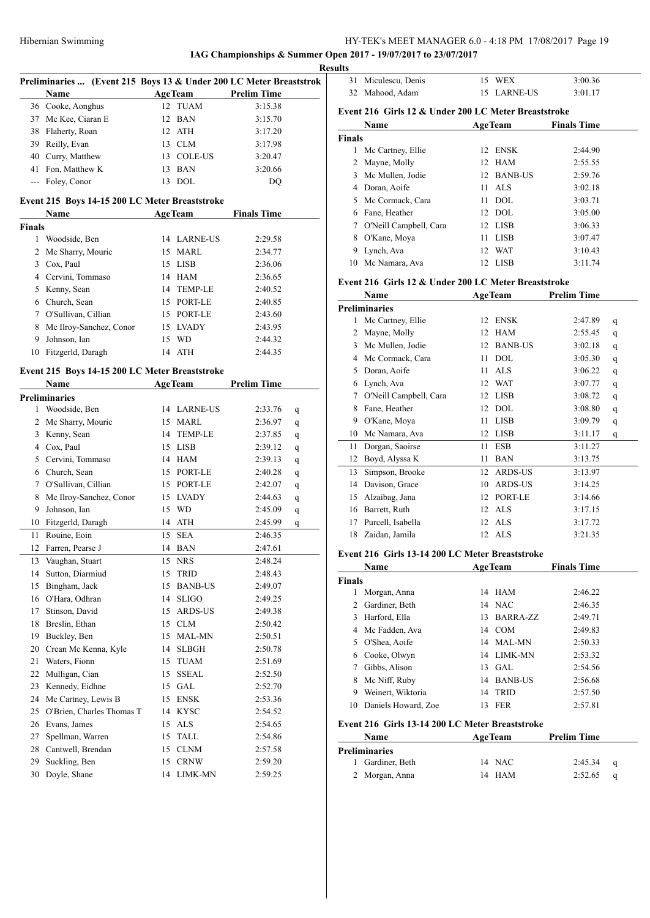**IAG Championships & Summer Open 2017 - 19/07/2017 to 23/07/2017**

|               | Preliminaries  (Event 215 Boys 13 & Under 200 LC Meter Breaststrok |          |                                |                    |   |
|---------------|--------------------------------------------------------------------|----------|--------------------------------|--------------------|---|
|               | <b>Name</b>                                                        |          | <b>AgeTeam</b>                 | <b>Prelim Time</b> |   |
|               | 36 Cooke, Aonghus                                                  | 12       | <b>TUAM</b>                    | 3:15.38            |   |
| 37            | Mc Kee, Ciaran E                                                   | 12       | BAN                            | 3:15.70            |   |
|               | 38 Flaherty, Roan                                                  |          | 12 ATH                         | 3:17.20            |   |
| 39            | Reilly, Evan                                                       |          | 13 CLM                         | 3:17.98            |   |
| 40            | Curry, Matthew                                                     |          | 13 COLE-US                     | 3:20.47            |   |
| 41            | Fon, Matthew K                                                     |          | 13 BAN                         | 3:20.66            |   |
| $---$         | Foley, Conor                                                       |          | 13 DOL                         | DQ                 |   |
|               |                                                                    |          |                                |                    |   |
|               | Event 215 Boys 14-15 200 LC Meter Breaststroke                     |          |                                |                    |   |
|               | <b>Name</b>                                                        |          | <b>AgeTeam</b>                 | <b>Finals Time</b> |   |
| <b>Finals</b> |                                                                    |          |                                |                    |   |
|               | 1 Woodside, Ben                                                    |          | 14 LARNE-US                    | 2:29.58            |   |
| 2             | Mc Sharry, Mouric                                                  | 15       | MARL                           | 2:34.77            |   |
| 3             | Cox, Paul                                                          |          | 15 LISB                        | 2:36.06            |   |
|               | 4 Cervini, Tommaso                                                 |          | 14 HAM                         | 2:36.65            |   |
|               | 5 Kenny, Sean                                                      | 14       | TEMP-LE                        | 2:40.52            |   |
|               | 6 Church, Sean                                                     |          | 15 PORT-LE                     | 2:40.85            |   |
|               | 7 O'Sullivan, Cillian                                              |          | 15 PORT-LE                     | 2:43.60            |   |
| 8             | Mc Ilroy-Sanchez, Conor                                            |          | 15 LVADY                       | 2:43.95            |   |
| 9             | Johnson, Ian                                                       | 15       | <b>WD</b>                      | 2:44.32            |   |
|               | 10 Fitzgerld, Daragh                                               |          | 14 ATH                         | 2:44.35            |   |
|               | Event 215 Boys 14-15 200 LC Meter Breaststroke                     |          |                                |                    |   |
|               | Name                                                               |          | <b>AgeTeam</b>                 | <b>Prelim Time</b> |   |
|               | <b>Preliminaries</b>                                               |          |                                |                    |   |
|               | 1 Woodside, Ben                                                    |          | 14 LARNE-US                    | 2:33.76            | q |
| 2             | Mc Sharry, Mouric                                                  | 15       | MARL                           | 2:36.97            | q |
| 3             | Kenny, Sean                                                        | 14       | TEMP-LE                        | 2:37.85            | q |
|               | 4 Cox, Paul                                                        | 15       | LISB                           | 2:39.12            | q |
|               | 5 Cervini, Tommaso                                                 |          | 14 HAM                         | 2:39.13            | q |
|               | 6 Church, Sean                                                     |          | 15 PORT-LE                     | 2:40.28            | q |
| 7             | O'Sullivan, Cillian                                                |          | 15 PORT-LE                     | 2:42.07            | q |
| 8             | Mc Ilroy-Sanchez, Conor                                            |          | 15 LVADY                       | 2:44.63            | q |
| 9             | Johnson, Ian                                                       | 15       | <b>WD</b>                      | 2:45.09            | q |
| 10            | Fitzgerld, Daragh                                                  | 14       | ATH                            | 2:45.99            |   |
| 11            | Rouine, Eoin                                                       | 15       | <b>SEA</b>                     | 2:46.35            | q |
| 12            | Farren, Pearse J                                                   |          | 14 BAN                         | 2:47.61            |   |
| 13            |                                                                    |          | 15 NRS                         | 2:48.24            |   |
| 14            | Vaughan, Stuart<br>Sutton, Diarmiud                                |          | <b>TRID</b>                    | 2:48.43            |   |
| 15            | Bingham, Jack                                                      | 15<br>15 |                                |                    |   |
|               | O'Hara, Odhran                                                     | 14       | <b>BANB-US</b><br><b>SLIGO</b> | 2:49.07            |   |
| 16            | Stinson, David                                                     |          |                                | 2:49.25            |   |
| 17            |                                                                    | 15       | ARDS-US                        | 2:49.38            |   |
| 18            | Breslin, Ethan                                                     | 15<br>15 | <b>CLM</b><br>MAL-MN           | 2:50.42            |   |
| 19            | Buckley, Ben<br>Crean Mc Kenna, Kyle                               |          |                                | 2:50.51            |   |
| 20            |                                                                    | 14       | SLBGH                          | 2:50.78            |   |
| 21            | Waters, Fionn                                                      | 15       | TUAM                           | 2:51.69            |   |
| 22            | Mulligan, Cian                                                     | 15       | <b>SSEAL</b>                   | 2:52.50            |   |
| 23            | Kennedy, Eidhne                                                    | 15       | GAL                            | 2:52.70            |   |
| 24            | Mc Cartney, Lewis B                                                | 15       | <b>ENSK</b>                    | 2:53.36            |   |
| 25            | O'Brien, Charles Thomas T                                          | 14       | KYSC                           | 2:54.52            |   |
| 26            | Evans, James                                                       | 15       | $\ensuremath{\mathbf{ALS}}$    | 2:54.65            |   |
| 27            | Spellman, Warren                                                   | 15       | TALL                           | 2:54.86            |   |
| 28            | Cantwell, Brendan                                                  | 15       | CLNM                           | 2:57.58            |   |
| 29            | Suckling, Ben                                                      | 15       | <b>CRNW</b>                    | 2:59.20            |   |
| 30            | Doyle, Shane                                                       | 14       | LIMK-MN                        | 2:59.25            |   |

|   | <b>Results</b> |                     |             |         |  |
|---|----------------|---------------------|-------------|---------|--|
| k |                | 31 Miculescu, Denis | <b>WEX</b>  | 3:00.36 |  |
|   |                | 32 Mahood, Adam     | 15 LARNE-US | 3:01.17 |  |

# **Event 216 Girls 12 & Under 200 LC Meter Breaststroke**

|               | Name                   | <b>AgeTeam</b>        | <b>Finals Time</b> |
|---------------|------------------------|-----------------------|--------------------|
| <b>Finals</b> |                        |                       |                    |
| 1             | Mc Cartney, Ellie      | ENSK<br>12            | 2:44.90            |
|               | 2 Mayne, Molly         | 12 HAM                | 2:55.55            |
| 3             | Mc Mullen, Jodie       | <b>BANB-US</b><br>12. | 2:59.76            |
| 4             | Doran, Aoife           | ALS<br>11             | 3:02.18            |
|               | 5 Mc Cormack, Cara     | DOL.<br>11            | 3:03.71            |
| 6.            | Fane, Heather          | $12$ DOL              | 3:05.00            |
| 7             | O'Neill Campbell, Cara | 12 LISB               | 3:06.33            |
| 8             | O'Kane, Moya           | <b>LISB</b><br>11     | 3:07.47            |
| 9             | Lynch, Ava             | <b>WAT</b><br>12.     | 3:10.43            |
| 10            | Mc Namara, Ava         | LISB<br>12            | 3:11.74            |

### **Event 216 Girls 12 & Under 200 LC Meter Breaststroke**

|                | Name                                            |                 | <b>AgeTeam</b>  | <b>Prelim Time</b> |   |
|----------------|-------------------------------------------------|-----------------|-----------------|--------------------|---|
|                | <b>Preliminaries</b>                            |                 |                 |                    |   |
| 1              | Mc Cartney, Ellie                               | 12              | <b>ENSK</b>     | 2:47.89            | q |
| 2              | Mayne, Molly                                    | 12              | <b>HAM</b>      | 2:55.45            | q |
|                | 3 Mc Mullen, Jodie                              | 12 <sup>2</sup> | <b>BANB-US</b>  | 3:02.18            | q |
|                | 4 Mc Cormack, Cara                              | 11              | <b>DOL</b>      | 3:05.30            | q |
|                | 5 Doran, Aoife                                  | 11              | <b>ALS</b>      | 3:06.22            | q |
| 6              | Lynch, Ava                                      | 12              | <b>WAT</b>      | 3:07.77            | q |
| 7              | O'Neill Campbell, Cara                          | 12              | <b>LISB</b>     | 3:08.72            | q |
| 8              | Fane, Heather                                   | 12              | <b>DOL</b>      | 3:08.80            | q |
| 9              | O'Kane, Moya                                    | 11              | <b>LISB</b>     | 3:09.79            | q |
|                | 10 Mc Namara, Ava                               |                 | 12 LISB         | 3:11.17            | q |
| 11             | Dorgan, Saoirse                                 | 11              | <b>ESB</b>      | 3:11.27            |   |
|                | 12 Boyd, Alyssa K                               | 11              | <b>BAN</b>      | 3:13.75            |   |
|                | 13 Simpson, Brooke                              | 12              | ARDS-US         | 3:13.97            |   |
|                | 14 Davison, Grace                               | 10              | <b>ARDS-US</b>  | 3:14.25            |   |
|                | 15 Alzaibag, Jana                               |                 | 12 PORT-LE      | 3:14.66            |   |
|                | 16 Barrett, Ruth                                | 12              | <b>ALS</b>      | 3:17.15            |   |
| 17             | Purcell, Isabella                               | 12              | <b>ALS</b>      | 3:17.72            |   |
|                | 18 Zaidan, Jamila                               | 12 <sup>2</sup> | <b>ALS</b>      | 3:21.35            |   |
|                | Event 216 Girls 13-14 200 LC Meter Breaststroke |                 |                 |                    |   |
|                | <b>Name</b>                                     |                 | <b>AgeTeam</b>  | <b>Finals Time</b> |   |
| <b>Finals</b>  |                                                 |                 |                 |                    |   |
| 1              | Morgan, Anna                                    | 14              | <b>HAM</b>      | 2:46.22            |   |
| $\mathfrak{D}$ | Gardiner, Beth                                  |                 | 14 NAC          | 2:46.35            |   |
|                | 3 Harford, Ella                                 | 13              | <b>BARRA-ZZ</b> | 2:49.71            |   |
|                | 4 Mc Fadden, Ava                                | 14              | COM             | 2:49.83            |   |
| 5              | O'Shea, Aoife                                   | 14              | MAL-MN          | 2:50.33            |   |
|                | 6 Cooke, Olwyn                                  |                 | 14 LIMK-MN      | 2:53.32            |   |
| 7              | Gibbs, Alison                                   |                 | 13 GAL          | 2:54.56            |   |
| 8              | Mc Niff, Ruby                                   |                 | 14 BANB-US      | 2:56.68            |   |
| 9              | Weinert, Wiktoria                               | 14              | <b>TRID</b>     | 2:57.50            |   |
| 10             | Daniels Howard, Zoe                             | 13              | <b>FER</b>      | 2:57.81            |   |
|                |                                                 |                 |                 |                    |   |

# **Event 216 Girls 13-14 200 LC Meter Breaststroke**

| Name                 | <b>AgeTeam</b> | <b>Prelim Time</b> |  |
|----------------------|----------------|--------------------|--|
| <b>Preliminaries</b> |                |                    |  |
| 1 Gardiner, Beth     | 14 NAC         | 2:45.34            |  |
| 2 Morgan, Anna       | 14 HAM         | 2:52.65            |  |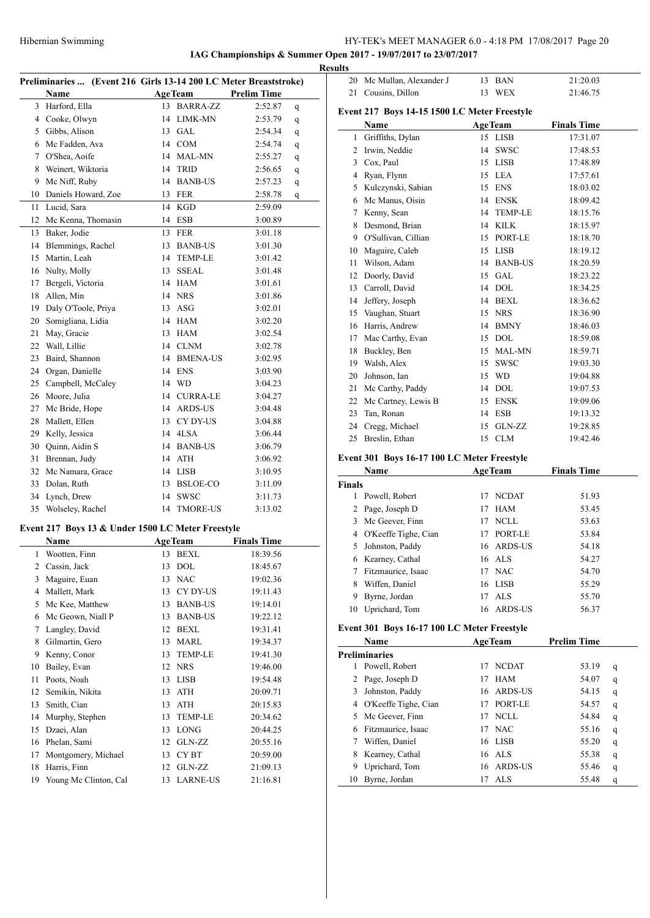20 Mc Mullan, Alexander J 13 BAN 21:20.03 Cousins, Dillon 13 WEX 21:46.75

**IAG Championships & Summer Open 2017 - 19/07/2017 to 23/07/2017**

|    | Preliminaries  (Event 216 Girls 13-14 200 LC Meter Breaststroke)                                                                                                                                      |    |                |                     |   |
|----|-------------------------------------------------------------------------------------------------------------------------------------------------------------------------------------------------------|----|----------------|---------------------|---|
|    | Name<br>$\mathcal{L}^{\mathcal{L}}(\mathcal{L}^{\mathcal{L}})$ , where $\mathcal{L}^{\mathcal{L}}(\mathcal{L}^{\mathcal{L}})$ , and the set of $\mathcal{L}^{\mathcal{L}}(\mathcal{L}^{\mathcal{L}})$ |    |                | AgeTeam Prelim Time |   |
|    | 3 Harford, Ella                                                                                                                                                                                       |    | 13 BARRA-ZZ    | 2:52.87             | q |
|    | 4 Cooke, Olwyn                                                                                                                                                                                        |    | 14 LIMK-MN     | 2:53.79             | q |
|    | 5 Gibbs, Alison                                                                                                                                                                                       |    | 13 GAL         | 2:54.34             | q |
|    | 6 Mc Fadden, Ava                                                                                                                                                                                      |    | 14 COM         | 2:54.74             | q |
|    | 7 O'Shea, Aoife                                                                                                                                                                                       |    | 14 MAL-MN      | 2:55.27             | q |
| 8  | Weinert, Wiktoria                                                                                                                                                                                     |    | 14 TRID        | 2:56.65             | q |
|    | 9 Mc Niff, Ruby                                                                                                                                                                                       |    | 14 BANB-US     | 2:57.23             | q |
|    | 10 Daniels Howard, Zoe                                                                                                                                                                                |    | 13 FER         | 2:58.78             | q |
|    | 11 Lucid, Sara                                                                                                                                                                                        |    | 14 KGD         | 2:59.09             |   |
|    | 12 Mc Kenna, Thomasin                                                                                                                                                                                 |    | 14 ESB         | 3:00.89             |   |
|    | 13 Baker, Jodie                                                                                                                                                                                       |    | 13 FER         | 3:01.18             |   |
|    | 14 Blemmings, Rachel                                                                                                                                                                                  |    | 13 BANB-US     | 3:01.30             |   |
|    | 15 Martin, Leah                                                                                                                                                                                       |    | 14 TEMP-LE     | 3:01.42             |   |
|    | 16 Nulty, Molly                                                                                                                                                                                       |    | 13 SSEAL       | 3:01.48             |   |
|    | 17 Bergeli, Victoria                                                                                                                                                                                  |    | 14 HAM         | 3:01.61             |   |
| 18 | Allen, Min                                                                                                                                                                                            |    | 14 NRS         | 3:01.86             |   |
| 19 | Daly O'Toole, Priya                                                                                                                                                                                   |    | $13$ ASG       | 3:02.01             |   |
| 20 | Somigliana, Lidia                                                                                                                                                                                     |    | 14 HAM         | 3:02.20             |   |
| 21 | May, Gracie                                                                                                                                                                                           |    | 13 HAM         | 3:02.54             |   |
|    | 22 Wall, Lillie                                                                                                                                                                                       |    | 14 CLNM        | 3:02.78             |   |
|    | 23 Baird, Shannon                                                                                                                                                                                     |    | 14 BMENA-US    | 3:02.95             |   |
|    | 24 Organ, Danielle                                                                                                                                                                                    |    | 14 ENS         | 3:03.90             |   |
|    | 25 Campbell, McCaley                                                                                                                                                                                  |    | 14 WD          | 3:04.23             |   |
|    | 26 Moore, Julia                                                                                                                                                                                       |    | 14 CURRA-LE    | 3:04.27             |   |
|    | 27 Mc Bride, Hope                                                                                                                                                                                     |    | 14 ARDS-US     | 3:04.48             |   |
|    | 28 Mallett, Ellen                                                                                                                                                                                     |    | 13 CY DY-US    | 3:04.88             |   |
|    | 29 Kelly, Jessica                                                                                                                                                                                     |    | 14 4LSA        | 3:06.44             |   |
|    | 30 Quinn, Aidin S                                                                                                                                                                                     |    | 14 BANB-US     | 3:06.79             |   |
|    | 31 Brennan, Judy                                                                                                                                                                                      |    | 14 ATH         | 3:06.92             |   |
|    | 32 Mc Namara, Grace                                                                                                                                                                                   |    | 14 LISB        | 3:10.95             |   |
|    | 33 Dolan, Ruth                                                                                                                                                                                        |    | 13 BSLOE-CO    | 3:11.09             |   |
|    | 34 Lynch, Drew                                                                                                                                                                                        |    | 14 SWSC        | 3:11.73             |   |
|    | 35 Wolseley, Rachel                                                                                                                                                                                   |    | 14 TMORE-US    | 3:13.02             |   |
|    |                                                                                                                                                                                                       |    |                |                     |   |
|    | Event 217 Boys 13 & Under 1500 LC Meter Freestyle<br>Name                                                                                                                                             |    | Age Team       | <b>Finals Time</b>  |   |
| 1  | Wootten, Finn                                                                                                                                                                                         |    | 13 BEXL        | 18:39.56            |   |
| 2  | Cassin, Jack                                                                                                                                                                                          | 13 | <b>DOL</b>     | 18:45.67            |   |
| 3  | Maguire, Euan                                                                                                                                                                                         |    | 13 NAC         | 19:02.36            |   |
| 4  | Mallett, Mark                                                                                                                                                                                         |    | 13 CY DY-US    | 19:11.43            |   |
| 5  | Mc Kee, Matthew                                                                                                                                                                                       |    | 13 BANB-US     | 19:14.01            |   |
| 6  | Mc Geown, Niall P                                                                                                                                                                                     |    | 13 BANB-US     | 19:22.12            |   |
| 7  | Langley, David                                                                                                                                                                                        |    | 12 BEXL        | 19:31.41            |   |
| 8  | Gilmartin, Gero                                                                                                                                                                                       | 13 | <b>MARL</b>    | 19:34.37            |   |
| 9  | Kenny, Conor                                                                                                                                                                                          | 13 | <b>TEMP-LE</b> | 19:41.30            |   |
| 10 | Bailey, Evan                                                                                                                                                                                          |    | 12 NRS         | 19:46.00            |   |
| 11 | Poots, Noah                                                                                                                                                                                           | 13 | <b>LISB</b>    | 19:54.48            |   |
| 12 | Semikin, Nikita                                                                                                                                                                                       | 13 | ATH            | 20:09.71            |   |
| 13 | Smith, Cian                                                                                                                                                                                           | 13 | ATH            | 20:15.83            |   |
| 14 | Murphy, Stephen                                                                                                                                                                                       | 13 | TEMP-LE        | 20:34.62            |   |
| 15 | Dzaei, Alan                                                                                                                                                                                           | 13 | LONG           | 20:44.25            |   |
|    |                                                                                                                                                                                                       |    |                |                     |   |

 Phelan, Sami 12 GLN-ZZ 20:55.16 Montgomery, Michael 13 CY BT 20:59.00 Harris, Finn 12 GLN-ZZ 21:09.13 19 Young Mc Clinton, Cal 13 LARNE-US 21:16.81

|               | Event 217 Boys 14-15 1500 LC Meter Freestyle        |                |                |                    |                  |
|---------------|-----------------------------------------------------|----------------|----------------|--------------------|------------------|
|               | Name                                                | <b>AgeTeam</b> |                | <b>Finals Time</b> |                  |
| $\mathbf{1}$  | Griffiths, Dylan                                    |                | 15 LISB        | 17:31.07           |                  |
|               | 2 Irwin, Neddie                                     |                | 14 SWSC        | 17:48.53           |                  |
|               | 3 Cox, Paul                                         |                | 15 LISB        | 17:48.89           |                  |
|               | 4 Ryan, Flynn                                       |                | 15 LEA         | 17:57.61           |                  |
|               | 5 Kulczynski, Sabian                                |                | 15 ENS         | 18:03.02           |                  |
|               | 6 Mc Manus, Oisin                                   |                | 14 ENSK        | 18:09.42           |                  |
|               | 7 Kenny, Sean                                       |                | 14 TEMP-LE     | 18:15.76           |                  |
|               | 8 Desmond, Brian                                    |                | 14 KILK        | 18:15.97           |                  |
|               | 9 O'Sullivan, Cillian                               |                | 15 PORT-LE     | 18:18.70           |                  |
|               | 10 Maguire, Caleb                                   |                | 15 LISB        | 18:19.12           |                  |
|               | 11 Wilson, Adam                                     |                | 14 BANB-US     | 18:20.59           |                  |
|               | 12 Doorly, David                                    |                | 15 GAL         | 18:23.22           |                  |
|               | 13 Carroll, David                                   |                | 14 DOL         | 18:34.25           |                  |
|               | 14 Jeffery, Joseph                                  |                | 14 BEXL        | 18:36.62           |                  |
|               | 15 Vaughan, Stuart                                  |                | 15 NRS         | 18:36.90           |                  |
|               | 16 Harris, Andrew                                   |                | 14 BMNY        | 18:46.03           |                  |
|               | 17 Mac Carthy, Evan                                 |                | 15 DOL         | 18:59.08           |                  |
|               | 18 Buckley, Ben                                     |                | 15 MAL-MN      | 18:59.71           |                  |
|               | 19 Walsh, Alex                                      |                | 15 SWSC        | 19:03.30           |                  |
|               | 20 Johnson, Ian                                     |                | 15 WD          | 19:04.88           |                  |
|               | 21 Mc Carthy, Paddy                                 |                | 14 DOL         | 19:07.53           |                  |
|               | 22 Mc Cartney, Lewis B                              |                | 15 ENSK        | 19:09.06           |                  |
|               | 23 Tan, Ronan                                       |                | 14 ESB         | 19:13.32           |                  |
|               | 24 Cregg, Michael                                   | 15             | GLN-ZZ         | 19:28.85           |                  |
| 25            | Breslin, Ethan                                      |                | 15 CLM         | 19:42.46           |                  |
|               |                                                     |                |                |                    |                  |
|               | Event 301 Boys 16-17 100 LC Meter Freestyle<br>Name |                | <b>AgeTeam</b> | <b>Finals Time</b> |                  |
| <b>Finals</b> |                                                     |                |                |                    |                  |
|               | 1 Powell, Robert                                    | 17             | <b>NCDAT</b>   | 51.93              |                  |
|               | 2 Page, Joseph D                                    |                | 17 HAM         | 53.45              |                  |
|               | 3 Mc Geever, Finn                                   |                | 17 NCLL        | 53.63              |                  |
|               | 4 O'Keeffe Tighe, Cian                              |                | 17 PORT-LE     | 53.84              |                  |
|               | 5 Johnston, Paddy                                   |                | 16 ARDS-US     | 54.18              |                  |
|               | 6 Kearney, Cathal                                   |                | 16 ALS         | 54.27              |                  |
| 7             | Fitzmaurice, Isaac                                  |                | 17 NAC         | 54.70              |                  |
| 8             | Wiffen, Daniel                                      |                | 16 LISB        | 55.29              |                  |
| 9             | Byrne, Jordan                                       | 17             | <b>ALS</b>     | 55.70              |                  |
| 10            | Uprichard, Tom                                      | 16             | <b>ARDS-US</b> | 56.37              |                  |
|               |                                                     |                |                |                    |                  |
|               | Event 301 Boys 16-17 100 LC Meter Freestyle<br>Name |                |                |                    |                  |
|               | <b>Preliminaries</b>                                |                | <b>AgeTeam</b> | <b>Prelim Time</b> |                  |
| 1             |                                                     | 17             | <b>NCDAT</b>   |                    |                  |
| 2             | Powell, Robert                                      | 17             |                | 53.19              | q                |
|               | Page, Joseph D                                      |                | HAM            | 54.07              | q                |
| 3             | Johnston, Paddy                                     | 16             | ARDS-US        | 54.15              | q                |
|               | 4 O'Keeffe Tighe, Cian                              | 17             | PORT-LE        | 54.57              | q                |
|               | Mc Geever, Finn                                     | 17             | NCLL           | 54.84              | q                |
| 5             |                                                     |                | <b>NAC</b>     | 55.16              | q                |
|               | 6 Fitzmaurice, Isaac                                | 17             |                |                    |                  |
| 7             | Wiffen, Daniel                                      | 16             | <b>LISB</b>    | 55.20              | q                |
| 8             | Kearney, Cathal                                     |                | 16 ALS         | 55.38              | q                |
| 9<br>10       | Uprichard, Tom<br>Byrne, Jordan                     | 16<br>17       | ARDS-US<br>ALS | 55.46<br>55.48     | q<br>$\mathbf q$ |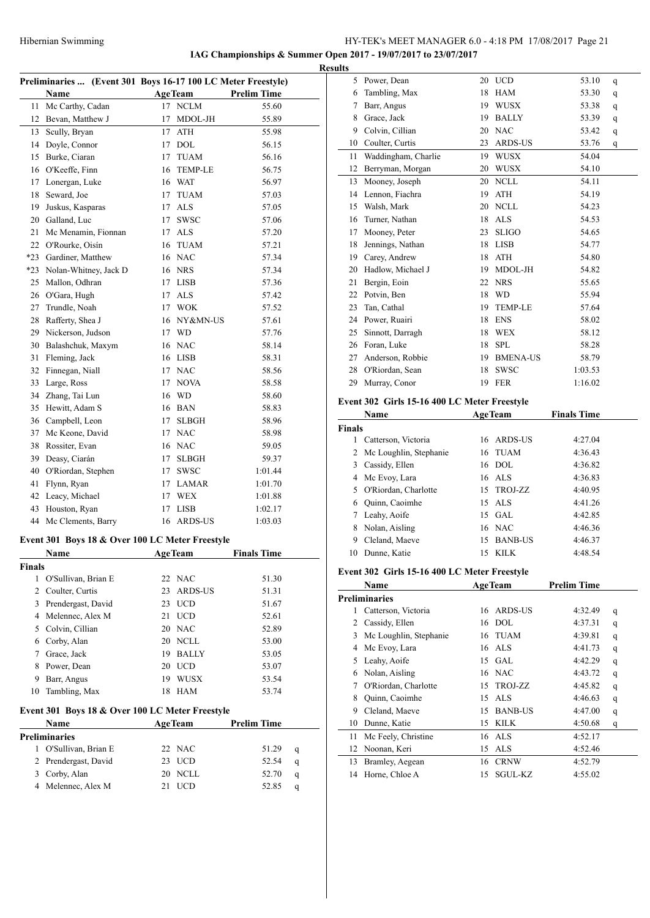**IAG Championships & Summer Open 2017 - 19/07/2017 to 23/07/2017**

|        |                                                              |                    |             |                    | <b>Results</b> |
|--------|--------------------------------------------------------------|--------------------|-------------|--------------------|----------------|
|        | Preliminaries  (Event 301 Boys 16-17 100 LC Meter Freestyle) |                    |             |                    |                |
|        | Name                                                         | <b>AgeTeam</b>     |             | <b>Prelim Time</b> |                |
| 11     | Mc Carthy, Cadan                                             | 17 NCLM            |             | 55.60              |                |
| 12     | Bevan, Matthew J                                             | 17                 | MDOL-JH     | 55.89              |                |
|        | 13 Scully, Bryan                                             | 17 ATH             |             | 55.98              |                |
|        | 14 Doyle, Connor                                             | 17 DOL             |             | 56.15              |                |
|        | 15 Burke, Ciaran                                             | 17 TUAM            |             | 56.16              |                |
|        | 16 O'Keeffe, Finn                                            | 16 TEMP-LE         |             | 56.75              |                |
|        | 17 Lonergan, Luke                                            | 16 WAT             |             | 56.97              |                |
|        | 18 Seward, Joe                                               | 17 TUAM            |             | 57.03              |                |
| 19     | Juskus, Kasparas                                             | 17 ALS             |             | 57.05              |                |
|        | 20 Galland, Luc                                              | 17<br><b>SWSC</b>  |             | 57.06              |                |
| 21     | Mc Menamin, Fionnan                                          | 17 ALS             |             | 57.20              |                |
|        | 22 O'Rourke, Oisín                                           | TUAM<br>16         |             | 57.21              |                |
|        | *23 Gardiner, Matthew                                        | 16 NAC             |             | 57.34              |                |
|        | *23 Nolan-Whitney, Jack D                                    | 16 NRS             |             | 57.34              |                |
|        | 25 Mallon, Odhran                                            | 17 LISB            |             | 57.36              |                |
|        | 26 O'Gara, Hugh                                              | 17 ALS             |             | 57.42              |                |
| 27     | Trundle, Noah                                                | 17 WOK             |             | 57.52              |                |
| 28     | Rafferty, Shea J                                             |                    | 16 NY&MN-US | 57.61              |                |
| 29     | Nickerson, Judson                                            | 17 WD              |             | 57.76              |                |
|        | 30 Balashchuk, Maxym                                         | 16 NAC             |             | 58.14              |                |
| 31     | Fleming, Jack                                                | 16 LISB            |             | 58.31              |                |
| 32     | Finnegan, Niall                                              | 17 NAC             |             | 58.56              |                |
| 33     | Large, Ross                                                  | <b>NOVA</b><br>17  |             | 58.58              |                |
|        | 34 Zhang, Tai Lun                                            | 16 WD              |             | 58.60              |                |
|        | 35 Hewitt, Adam S                                            | 16 BAN             |             | 58.83              |                |
|        | 36 Campbell, Leon                                            | <b>SLBGH</b><br>17 |             | 58.96              |                |
|        | 37 Mc Keone, David                                           | 17 NAC             |             | 58.98              |                |
|        | 38 Rossiter, Evan                                            | 16 NAC             |             | 59.05              |                |
|        | 39 Deasy, Ciarán                                             | SLBGH<br>17        |             | 59.37              |                |
| 40     | O'Riordan, Stephen                                           | <b>SWSC</b><br>17  |             | 1:01.44            |                |
| 41     | Flynn, Ryan                                                  | 17 LAMAR           |             | 1:01.70            |                |
|        | 42 Leacy, Michael                                            | 17 WEX             |             | 1:01.88            |                |
|        | 43 Houston, Ryan                                             | <b>LISB</b><br>17  |             | 1:02.17            |                |
|        | 44 Mc Clements, Barry                                        | 16 ARDS-US         |             | 1:03.03            |                |
|        |                                                              |                    |             |                    |                |
|        | Event 301 Boys 18 & Over 100 LC Meter Freestyle              |                    |             |                    |                |
|        | Name                                                         | <u>AgeTeam</u>     |             | Finals Time        |                |
| Finals |                                                              |                    |             |                    |                |
| 1      | O'Sullivan, Brian E                                          | 22 NAC             |             | 51.30              |                |
|        | 2 Coulter, Curtis                                            | 23                 | ARDS-US     | 51.31              |                |
|        | 3 Prendergast, David                                         | 23 UCD             |             | 51.67              |                |
|        | 4 Melennec, Alex M                                           | 21 UCD             |             | 52.61              |                |
|        | 5 Colvin, Cillian                                            | 20 NAC             |             | 52.89              |                |
|        | 6 Corby, Alan                                                | 20 NCLL            |             | 53.00              |                |
| $\tau$ | Grace, Jack                                                  | 19 BALLY           |             | 53.05              |                |
|        |                                                              | 20 UCD             |             | 53.07              |                |
| 8      | Power, Dean                                                  |                    |             |                    |                |
| 9      | Barr, Angus                                                  | 19 WUSX            |             | 53.54              |                |
| 10     | Tambling, Max                                                | 18 HAM             |             | 53.74              |                |
|        | Event 301 Boys 18 & Over 100 LC Meter Freestyle              |                    |             |                    |                |
|        | Name                                                         | <b>AgeTeam</b>     |             | <b>Prelim Time</b> |                |
|        | Preliminaries                                                |                    |             |                    |                |
| 1      | O'Sullivan, Brian E                                          | 22 NAC             |             | 51.29              | q              |
|        | 2 Prendergast, David                                         | 23 UCD             |             | 52.54              | q              |
|        | 3 Corby, Alan                                                | 20 NCLL            |             | 52.70              | q              |

|               | 5 Power, Dean                                |    | 20 UCD         | 53.10              | q |
|---------------|----------------------------------------------|----|----------------|--------------------|---|
|               | 6 Tambling, Max                              |    | 18 HAM         | 53.30              | q |
|               | 7 Barr, Angus                                |    | 19 WUSX        | 53.38              | q |
|               | 8 Grace, Jack                                |    | 19 BALLY       | 53.39              | q |
|               | 9 Colvin, Cillian                            |    | 20 NAC         | 53.42              | q |
|               | 10 Coulter, Curtis                           |    | 23 ARDS-US     | 53.76              | q |
|               | 11 Waddingham, Charlie                       |    | 19 WUSX        | 54.04              |   |
|               | 12 Berryman, Morgan                          |    | 20 WUSX        | 54.10              |   |
|               | 13 Mooney, Joseph                            |    | 20 NCLL        | 54.11              |   |
|               | 14 Lennon, Fiachra                           |    | 19 ATH         | 54.19              |   |
|               | 15 Walsh, Mark                               |    | 20 NCLL        | 54.23              |   |
|               | 16 Turner, Nathan                            |    | 18 ALS         | 54.53              |   |
|               | 17 Mooney, Peter                             |    | 23 SLIGO       | 54.65              |   |
|               | 18 Jennings, Nathan                          |    | 18 LISB        | 54.77              |   |
|               | 19 Carey, Andrew                             |    | 18 ATH         | 54.80              |   |
|               | 20 Hadlow, Michael J                         |    | 19 MDOL-JH     | 54.82              |   |
|               | 21 Bergin, Eoin                              |    | 22 NRS         | 55.65              |   |
|               | 22 Potvin, Ben                               |    | 18 WD          | 55.94              |   |
|               | 23 Tan, Cathal                               |    | 19 TEMP-LE     | 57.64              |   |
|               |                                              |    |                |                    |   |
|               | 24 Power, Ruairi                             |    | 18 ENS         | 58.02              |   |
|               | 25 Sinnott, Darragh                          |    | 18 WEX         | 58.12              |   |
|               | 26 Foran, Luke                               |    | 18 SPL         | 58.28              |   |
|               | 27 Anderson, Robbie                          |    | 19 BMENA-US    | 58.79              |   |
|               | 28 O'Riordan, Sean                           |    | 18 SWSC        | 1:03.53            |   |
|               | 29 Murray, Conor                             |    | 19 FER         | 1:16.02            |   |
|               | Event 302 Girls 15-16 400 LC Meter Freestyle |    |                |                    |   |
|               | Name                                         |    | <b>AgeTeam</b> | <b>Finals Time</b> |   |
| <b>Finals</b> |                                              |    |                |                    |   |
|               |                                              |    | 16 ARDS-US     |                    |   |
|               | 1 Catterson, Victoria                        |    |                | 4:27.04            |   |
|               |                                              |    | 16 TUAM        | 4:36.43            |   |
|               | 2 Mc Loughlin, Stephanie                     |    | 16 DOL         | 4:36.82            |   |
|               | 3 Cassidy, Ellen                             |    | 16 ALS         |                    |   |
|               | 4 Mc Evoy, Lara                              |    |                | 4:36.83            |   |
|               | 5 O'Riordan, Charlotte                       |    | 15 TROJ-ZZ     | 4:40.95            |   |
|               | 6 Quinn, Caoimhe                             |    | 15 ALS         | 4:41.26            |   |
|               | 7 Leahy, Aoife                               |    | 15 GAL         | 4:42.85            |   |
|               | 8 Nolan, Aisling                             |    | 16 NAC         | 4:46.36            |   |
|               | 9 Cleland, Maeve                             |    | 15 BANB-US     | 4:46.37            |   |
|               | 10 Dunne, Katie                              |    | 15 KILK        | 4:48.54            |   |
|               | Event 302 Girls 15-16 400 LC Meter Freestyle |    |                |                    |   |
|               | Name                                         |    | <b>AgeTeam</b> | <b>Prelim Time</b> |   |
|               | <b>Preliminaries</b>                         |    |                |                    |   |
|               | 1 Catterson, Victoria                        | 16 | <b>ARDS-US</b> | 4:32.49            | q |
|               | 2 Cassidy, Ellen                             |    | 16 DOL         | 4:37.31            | q |
|               | 3 Mc Loughlin, Stephanie                     | 16 | <b>TUAM</b>    | 4:39.81            | q |
|               | 4 Mc Evoy, Lara                              |    | 16 ALS         | 4:41.73            | q |
| 5             | Leahy, Aoife                                 |    | 15 GAL         | 4:42.29            | q |
|               | 6 Nolan, Aisling                             |    | 16 NAC         | 4:43.72            | q |
| 7             | O'Riordan, Charlotte                         |    | 15 TROJ-ZZ     | 4:45.82            | q |
| 8             | Quinn, Caoimhe                               |    | 15 ALS         | 4:46.63            | q |
| 9             | Cleland, Maeve                               |    | 15 BANB-US     | 4:47.00            | q |
| 10            | Dunne, Katie                                 |    | 15 KILK        | 4:50.68            | q |
| 11            | Mc Feely, Christine                          | 16 | <b>ALS</b>     | 4:52.17            |   |
| 12            | Noonan, Keri                                 |    | 15 ALS         | 4:52.46            |   |
| 13            | Bramley, Aegean                              |    | 16 CRNW        | 4:52.79            |   |
| 14            | Horne, Chloe A                               | 15 | SGUL-KZ        | 4:55.02            |   |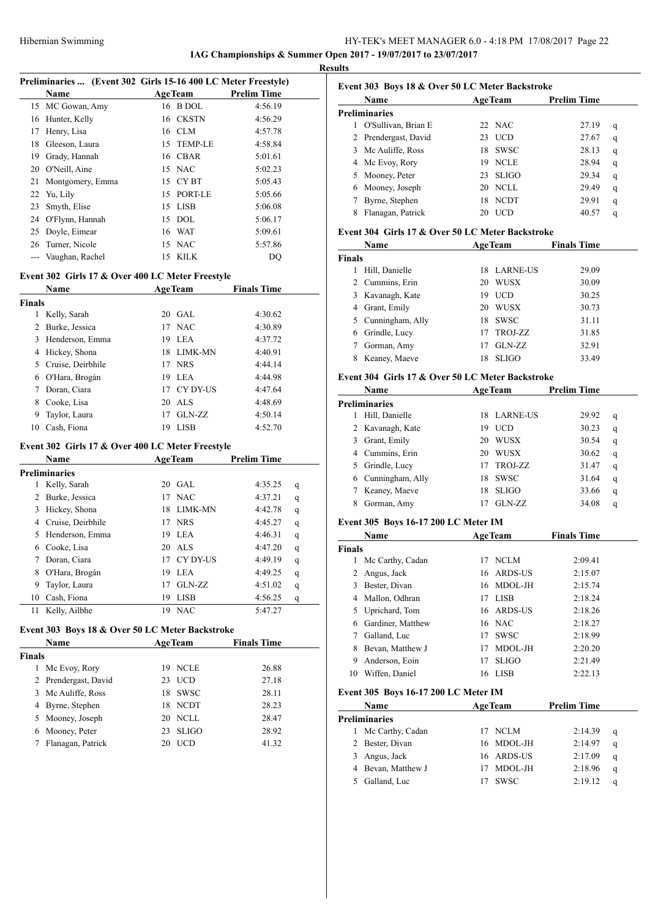### HY-TEK's MEET MANAGER 6.0 - 4:18 PM 17/08/2017 Page 22 **IAG Championships & Summer Open 2017 - 19/07/2017 to 23/07/2017**

**Results**

| Preliminaries  (Event 302 Girls 15-16 400 LC Meter Freestyle) |                  |    |                |                    |  |
|---------------------------------------------------------------|------------------|----|----------------|--------------------|--|
|                                                               | Name             |    | <b>AgeTeam</b> | <b>Prelim Time</b> |  |
|                                                               | 15 MC Gowan, Amy |    | 16 B DOL       | 4:56.19            |  |
|                                                               | 16 Hunter, Kelly |    | 16 CKSTN       | 4:56.29            |  |
| 17                                                            | Henry, Lisa      |    | 16 CLM         | 4:57.78            |  |
| 18                                                            | Gleeson, Laura   |    | 15 TEMP-LE     | 4:58.84            |  |
| 19                                                            | Grady, Hannah    |    | 16 CBAR        | 5:01.61            |  |
| 20                                                            | O'Neill, Aine    |    | 15 NAC         | 5:02.23            |  |
| 21                                                            | Montgomery, Emma |    | 15 CYBT        | 5:05.43            |  |
|                                                               | 22 Yu, Lily      | 15 | PORT-LE        | 5:05.66            |  |
| 23                                                            | Smyth, Elise     |    | 15 LISB        | 5:06.08            |  |
| 24                                                            | O'Flynn, Hannah  | 15 | DOL            | 5:06.17            |  |
| 25                                                            | Doyle, Eimear    |    | 16 WAT         | 5:09.61            |  |
| 26                                                            | Turner, Nicole   | 15 | <b>NAC</b>     | 5:57.86            |  |
|                                                               | Vaughan, Rachel  | 15 | KILK.          | DO                 |  |
|                                                               |                  |    |                |                    |  |

### **Event 302 Girls 17 & Over 400 LC Meter Freestyle**

|        | Name                |     | AgeTeam     | <b>Finals Time</b> |
|--------|---------------------|-----|-------------|--------------------|
| Finals |                     |     |             |                    |
| 1      | Kelly, Sarah        |     | $20$ GAL    | 4:30.62            |
| 2      | Burke, Jessica      |     | 17 NAC      | 4:30.89            |
| 3      | Henderson, Emma     | 19  | <b>LEA</b>  | 4:37.72            |
| 4      | Hickey, Shona       |     | 18 LIMK-MN  | 4:40.91            |
|        | 5 Cruise, Deirbhile |     | 17 NRS      | 4:44.14            |
| 6      | O'Hara, Brogán      | 19. | <b>LEA</b>  | 4:44.98            |
| 7      | Doran, Ciara        |     | 17 CY DY-US | 4:47.64            |
| 8      | Cooke, Lisa         |     | 20 ALS      | 4:48.69            |
| 9      | Taylor, Laura       | 17  | $GLN-ZZ$    | 4:50.14            |
| 10     | Cash, Fiona         | 19  | LISB        | 4:52.70            |

### **Event 302 Girls 17 & Over 400 LC Meter Freestyle**

| Name |                      |     | AgeTeam     | <b>Prelim Time</b> |   |
|------|----------------------|-----|-------------|--------------------|---|
|      | <b>Preliminaries</b> |     |             |                    |   |
| 1    | Kelly, Sarah         | 20  | GAL.        | 4:35.25            | q |
| 2    | Burke, Jessica       | 17  | <b>NAC</b>  | 4:37.21            | q |
| 3    | Hickey, Shona        | 18  | LIMK-MN     | 4:42.78            | q |
| 4    | Cruise, Deirbhile    | 17  | <b>NRS</b>  | 4:45.27            | q |
| 5    | Henderson, Emma      | 19. | <b>LEA</b>  | 4:46.31            | q |
| 6    | Cooke, Lisa          |     | 20 ALS      | 4:47.20            | q |
|      | Doran, Ciara         | 17  | CY DY-US    | 4:49.19            | q |
| 8    | O'Hara, Brogán       | 19  | LEA         | 4:49.25            | q |
| 9    | Taylor, Laura        | 17  | GLN-ZZ      | 4:51.02            | q |
| 10   | Cash, Fiona          | 19  | <b>LISB</b> | 4:56.25            | q |
| 11   | Kelly, Ailbhe        | 19  | <b>NAC</b>  | 5:47.27            |   |

### **Event 303 Boys 18 & Over 50 LC Meter Backstroke**

| Name          |                      | <b>AgeTeam</b>     | <b>Finals Time</b> |
|---------------|----------------------|--------------------|--------------------|
| <b>Finals</b> |                      |                    |                    |
|               | Mc Evoy, Rory        | <b>NCLE</b><br>19  | 26.88              |
|               | 2 Prendergast, David | 23 UCD             | 27.18              |
|               | 3 Mc Auliffe, Ross   | 18 SWSC            | 28.11              |
|               | 4 Byrne, Stephen     | 18 NCDT            | 28.23              |
|               | 5 Mooney, Joseph     | 20 NCLL            | 28.47              |
|               | Mooney, Peter        | <b>SLIGO</b><br>23 | 28.92              |
|               | Flanagan, Patrick    | <b>UCD</b><br>20   | 41.32              |

# **Event 303 Boys 18 & Over 50 LC Meter Backstroke**

|    | <b>Name</b>          | <b>AgeTeam</b> |              | <b>Prelim Time</b> |   |
|----|----------------------|----------------|--------------|--------------------|---|
|    | Preliminaries        |                |              |                    |   |
|    | O'Sullivan, Brian E  |                | 22 NAC       | 27.19              | q |
|    | 2 Prendergast, David | 23             | UCD          | 27.67              | q |
|    | 3 Mc Auliffe, Ross   | 18             | <b>SWSC</b>  | 28.13              | q |
| 4  | Mc Evoy, Rory        | 19             | <b>NCLE</b>  | 28.94              | q |
| 5. | Mooney, Peter        | 23             | <b>SLIGO</b> | 29.34              | q |
| 6  | Mooney, Joseph       | 20             | NCLL         | 29.49              | q |
|    | Byrne, Stephen       | 18             | NCDT         | 29.91              | q |
| 8  | Flanagan, Patrick    | 20             | UCD          | 40.57              | q |

### **Event 304 Girls 17 & Over 50 LC Meter Backstroke**

|               | Name               | <b>AgeTeam</b> |              | <b>Finals Time</b> |  |
|---------------|--------------------|----------------|--------------|--------------------|--|
| <b>Finals</b> |                    |                |              |                    |  |
|               | Hill, Danielle     | 18.            | LARNE-US     | 29.09              |  |
|               | 2 Cummins, Erin    | 20             | WUSX         | 30.09              |  |
|               | 3 Kavanagh, Kate   | 19             | <b>UCD</b>   | 30.25              |  |
| 4             | Grant, Emily       | 20             | <b>WUSX</b>  | 30.73              |  |
|               | 5 Cunningham, Ally | 18             | <b>SWSC</b>  | 31.11              |  |
| 6             | Grindle, Lucy      | 17             | TROJ-ZZ      | 31.85              |  |
|               | Gorman, Amy        |                | GLN-ZZ       | 32.91              |  |
|               | Keaney, Maeve      | 18             | <b>SLIGO</b> | 33.49              |  |

### **Event 304 Girls 17 & Over 50 LC Meter Backstroke**

| Name |                      |     | <b>AgeTeam</b> | <b>Prelim Time</b> |   |  |
|------|----------------------|-----|----------------|--------------------|---|--|
|      | <b>Preliminaries</b> |     |                |                    |   |  |
|      | Hill, Danielle       | 18. | LARNE-US       | 29.92              | q |  |
|      | 2 Kavanagh, Kate     | 19  | <b>UCD</b>     | 30.23              | q |  |
| 3.   | Grant, Emily         | 20  | WUSX           | 30.54              | q |  |
|      | 4 Cummins, Erin      | 20  | WUSX           | 30.62              | q |  |
|      | 5 Grindle, Lucy      |     | TROJ-ZZ        | 31.47              | q |  |
|      | 6 Cunningham, Ally   | 18  | <b>SWSC</b>    | 31.64              | q |  |
|      | Keaney, Maeve        | 18  | <b>SLIGO</b>   | 33.66              | q |  |
|      | Gorman, Amy          |     | GLN-ZZ         | 34.08              | q |  |

### **Event 305 Boys 16-17 200 LC Meter IM**

| Name          |                   |    | <b>AgeTeam</b> | <b>Finals Time</b> |
|---------------|-------------------|----|----------------|--------------------|
| <b>Finals</b> |                   |    |                |                    |
| 1             | Mc Carthy, Cadan  |    | 17 NCLM        | 2:09.41            |
| 2             | Angus, Jack       |    | 16 ARDS-US     | 2:15.07            |
| 3             | Bester, Divan     |    | 16 MDOL-JH     | 2:15.74            |
|               | 4 Mallon, Odhran  | 17 | LISB           | 2:18.24            |
|               | 5 Uprichard, Tom  |    | 16 ARDS-US     | 2:18.26            |
| 6             | Gardiner, Matthew |    | 16 NAC         | 2:18.27            |
|               | Galland, Luc      | 17 | <b>SWSC</b>    | 2:18.99            |
| 8             | Bevan, Matthew J  | 17 | MDOL-JH        | 2:20.20            |
| 9             | Anderson, Eoin    | 17 | <b>SLIGO</b>   | 2:21.49            |
| 10            | Wiffen. Daniel    | 16 | LISB           | 2:22.13            |

### **Event 305 Boys 16-17 200 LC Meter IM**

| Name               | <b>AgeTeam</b> | <b>Prelim Time</b> |   |
|--------------------|----------------|--------------------|---|
| Preliminaries      |                |                    |   |
| Mc Carthy, Cadan   | 17 NCLM        | 2:14.39            | q |
| 2 Bester, Divan    | 16 MDOL-JH     | 2:14.97            | a |
| Angus, Jack<br>3.  | 16 ARDS-US     | 2:17.09            | a |
| 4 Bevan, Matthew J | MDOL-JH        | 2:18.96            | q |
| Galland, Luc       | <b>SWSC</b>    | 2:19.12            | a |
|                    |                |                    |   |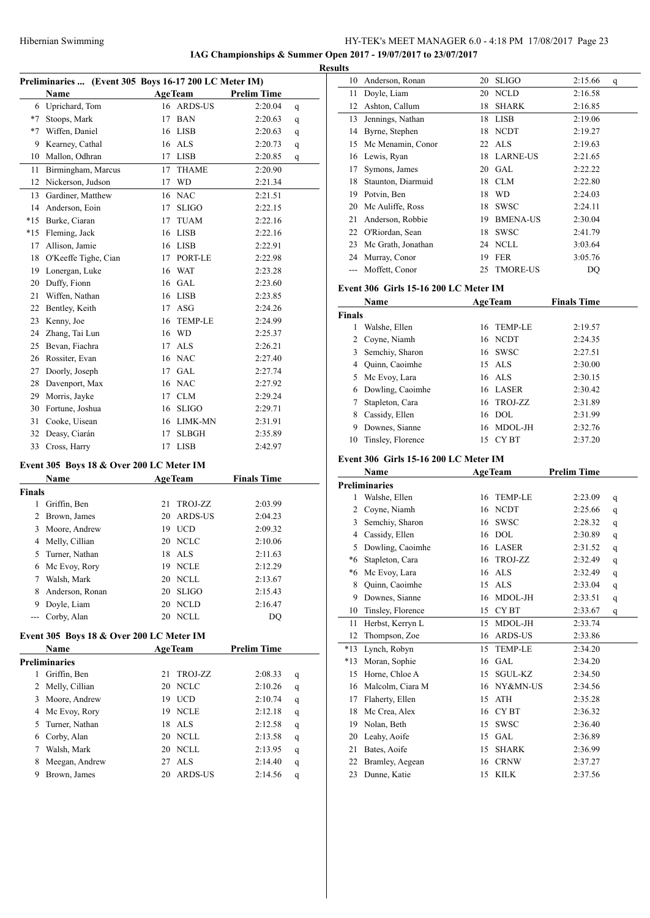**IAG Championships & Summer Open 2017 - 19/07/2017 to 23/07/2017**

|                |                                                       |    |                |                    | <b>Results</b> |
|----------------|-------------------------------------------------------|----|----------------|--------------------|----------------|
|                | Preliminaries  (Event 305 Boys 16-17 200 LC Meter IM) |    |                |                    |                |
|                | Name                                                  |    | <b>AgeTeam</b> | <b>Prelim Time</b> |                |
|                | 6 Uprichard, Tom                                      |    | 16 ARDS-US     | 2:20.04            | q              |
|                | *7 Stoops, Mark                                       | 17 | <b>BAN</b>     | 2:20.63            | q              |
|                | *7 Wiffen, Daniel                                     |    | 16 LISB        | 2:20.63            | q              |
| 9              | Kearney, Cathal                                       |    | 16 ALS         | 2:20.73            | q              |
|                | 10 Mallon, Odhran                                     | 17 | <b>LISB</b>    | 2:20.85            | q              |
| 11             | Birmingham, Marcus                                    | 17 | <b>THAME</b>   | 2:20.90            |                |
|                | 12 Nickerson, Judson                                  | 17 | <b>WD</b>      | 2:21.34            |                |
| 13             | Gardiner, Matthew                                     |    | 16 NAC         | 2:21.51            |                |
| 14             | Anderson, Eoin                                        | 17 | <b>SLIGO</b>   | 2:22.15            |                |
|                | *15 Burke, Ciaran                                     | 17 | <b>TUAM</b>    | 2:22.16            |                |
|                | *15 Fleming, Jack                                     |    | 16 LISB        | 2:22.16            |                |
| 17             | Allison, Jamie                                        |    | 16 LISB        | 2:22.91            |                |
| 18             | O'Keeffe Tighe, Cian                                  | 17 | PORT-LE        | 2:22.98            |                |
| 19             | Lonergan, Luke                                        |    | 16 WAT         | 2:23.28            |                |
|                | 20 Duffy, Fionn                                       |    | 16 GAL         | 2:23.60            | Ev             |
| 21             | Wiffen, Nathan                                        |    | 16 LISB        | 2:23.85            |                |
| 22             | Bentley, Keith                                        |    | $17$ ASG       | 2:24.26            | Fin            |
| 23             | Kenny, Joe                                            | 16 | <b>TEMP-LE</b> | 2:24.99            |                |
|                | 24 Zhang, Tai Lun                                     |    | 16 WD          | 2:25.37            |                |
|                | 25 Bevan, Fiachra                                     | 17 | ALS.           | 2:26.21            |                |
| 26             | Rossiter, Evan                                        |    | 16 NAC         | 2:27.40            |                |
| 27             | Doorly, Joseph                                        | 17 | GAL            | 2:27.74            |                |
|                | 28 Davenport, Max                                     |    | 16 NAC         | 2:27.92            |                |
| 29             | Morris, Jayke                                         | 17 | <b>CLM</b>     | 2:29.24            |                |
|                | 30 Fortune, Joshua                                    | 16 | <b>SLIGO</b>   | 2:29.71            |                |
| 31             | Cooke, Uisean                                         |    | 16 LIMK-MN     | 2:31.91            |                |
|                | 32 Deasy, Ciarán                                      | 17 | <b>SLBGH</b>   | 2:35.89            |                |
| 33             | Cross, Harry                                          |    | 17 LISB        | 2:42.97            |                |
|                | Event 305 Boys 18 & Over 200 LC Meter IM              |    |                |                    | Ev             |
|                | Name                                                  |    | <b>AgeTeam</b> | <b>Finals Time</b> |                |
| <b>Finals</b>  |                                                       |    |                |                    | Pre            |
| 1              | Griffin, Ben                                          | 21 | TROJ-ZZ        | 2:03.99            |                |
| $\overline{2}$ | Brown, James                                          | 20 | <b>ARDS-US</b> | 2:04.23            |                |
| 3              | Moore, Andrew                                         | 19 | <b>UCD</b>     | 2:09.32            |                |
|                | 4 Melly, Cillian                                      |    | 20 NCLC        | 2:10.06            |                |
| 5              | Turner, Nathan                                        |    | 18 ALS         | 2:11.63            |                |
| 6              | Mc Evoy, Rory                                         |    | 19 NCLE        | 2:12.29            |                |
| 7              | Walsh, Mark                                           | 20 | <b>NCLL</b>    | 2:13.67            |                |
| 8              | Anderson, Ronan                                       | 20 | <b>SLIGO</b>   | 2:15.43            |                |

### **Event 305 Boys 18 & Over 200 LC Meter IM**

 $\overline{a}$ 

|    | <b>Name</b>    | <b>AgeTeam</b> |             | <b>Prelim Time</b> |   |
|----|----------------|----------------|-------------|--------------------|---|
|    | Preliminaries  |                |             |                    |   |
|    | Griffin, Ben   | 21             | TROJ-ZZ     | 2:08.33            | q |
| 2  | Melly, Cillian |                | 20 NCLC     | 2:10.26            | q |
| 3  | Moore, Andrew  | 19             | <b>UCD</b>  | 2:10.74            | q |
| 4  | Mc Evoy, Rory  | 19.            | <b>NCLE</b> | 2:12.18            | q |
| 5. | Turner, Nathan |                | 18 ALS      | 2:12.58            | q |
| 6  | Corby, Alan    |                | 20 NCLL     | 2:13.58            | q |
|    | Walsh, Mark    |                | 20 NCLL     | 2:13.95            | q |
| 8  | Meegan, Andrew |                | 27 ALS      | 2:14.40            | q |
| 9  | Brown, James   | 20             | ARDS-US     | 2:14.56            | q |

 Doyle, Liam 20 NCLD 2:16.47 --- Corby, Alan 20 NCLL DQ

| 10          | Anderson, Ronan                       | 20       | <b>SLIGO</b>                | 2:15.66            | q            |
|-------------|---------------------------------------|----------|-----------------------------|--------------------|--------------|
| 11          | Doyle, Liam                           | 20       | <b>NCLD</b>                 | 2:16.58            |              |
| 12          | Ashton, Callum                        |          | 18 SHARK                    | 2:16.85            |              |
| 13          | Jennings, Nathan                      |          | 18 LISB                     | 2:19.06            |              |
|             | 14 Byrne, Stephen                     |          | 18 NCDT                     | 2:19.27            |              |
|             | 15 Mc Menamin, Conor                  | 22       | <b>ALS</b>                  | 2:19.63            |              |
|             | 16 Lewis, Ryan                        |          | 18 LARNE-US                 | 2:21.65            |              |
|             | 17 Symons, James                      |          | 20 GAL                      | 2:22.22            |              |
| 18          | Staunton, Diarmuid                    |          | 18 CLM                      | 2:22.80            |              |
|             | 19 Potvin, Ben                        |          | 18 WD                       | 2:24.03            |              |
|             | 20 Mc Auliffe, Ross                   |          | 18 SWSC                     | 2:24.11            |              |
|             | 21 Anderson, Robbie                   |          | 19 BMENA-US                 | 2:30.04            |              |
|             | 22 O'Riordan, Sean                    |          | 18 SWSC                     | 2:41.79            |              |
|             | 23 Mc Grath, Jonathan                 |          | 24 NCLL                     | 3:03.64            |              |
|             | 24 Murray, Conor                      |          | 19 FER                      |                    |              |
|             |                                       |          |                             | 3:05.76            |              |
|             | --- Moffett, Conor                    | 25       | <b>TMORE-US</b>             | DQ                 |              |
|             | Event 306 Girls 15-16 200 LC Meter IM |          |                             |                    |              |
|             | <b>Name</b>                           |          | <b>AgeTeam</b>              | <b>Finals Time</b> |              |
| Finals      |                                       |          |                             |                    |              |
| 1           | Walshe, Ellen                         |          | 16 TEMP-LE                  | 2:19.57            |              |
|             | 2 Coyne, Niamh                        |          | 16 NCDT                     | 2:24.35            |              |
| 3           | Semchiy, Sharon                       |          | 16 SWSC                     | 2:27.51            |              |
|             | 4 Ouinn, Caoimhe                      |          | 15 ALS                      | 2:30.00            |              |
|             | 5 Mc Evoy, Lara                       |          | 16 ALS                      | 2:30.15            |              |
|             | 6 Dowling, Caoimhe                    |          | 16 LASER                    | 2:30.42            |              |
| 7           | Stapleton, Cara                       |          | 16 TROJ-ZZ                  | 2:31.89            |              |
|             | 8 Cassidy, Ellen                      |          | 16 DOL                      | 2:31.99            |              |
|             | 9 Downes, Sianne                      |          | 16 MDOL-JH                  | 2:32.76            |              |
|             |                                       |          |                             |                    |              |
|             |                                       |          |                             |                    |              |
| 10          | Tinsley, Florence                     |          | 15 CYBT                     | 2:37.20            |              |
|             | Event 306 Girls 15-16 200 LC Meter IM |          |                             |                    |              |
|             | <b>Name</b>                           |          | <b>AgeTeam</b>              | <b>Prelim Time</b> |              |
|             | <b>Preliminaries</b>                  |          |                             |                    |              |
| 1           | Walshe, Ellen                         |          | 16 TEMP-LE                  | 2:23.09            | q            |
|             | 2 Coyne, Niamh                        |          | 16 NCDT                     | 2:25.66            | q            |
|             | 3 Semchiy, Sharon                     |          | 16 SWSC                     | 2:28.32            | q            |
|             | 4 Cassidy, Ellen                      |          | 16 DOL                      | 2:30.89            | q            |
|             | 5 Dowling, Caoimhe                    |          | 16 LASER                    | 2:31.52            | q            |
| *6          | Stapleton, Cara                       | 16       | TROJ-ZZ                     | 2:32.49            | q            |
| *6          | Mc Evoy, Lara                         | 16       | ALS                         | 2:32.49            | q            |
| 8           | Quinn, Caoimhe                        | 15       | $\ensuremath{\mathbf{ALS}}$ | 2:33.04            | q            |
| 9           | Downes, Sianne                        | 16       | MDOL-JH                     | 2:33.51            | $\mathbf{q}$ |
| 10          | Tinsley, Florence                     | 15       | CY BT                       | 2:33.67            | q            |
| 11          | Herbst, Kerryn L                      | 15       | MDOL-JH                     | 2:33.74            |              |
| 12          | Thompson, Zoe                         | 16       | ARDS-US                     | 2:33.86            |              |
| $*13$       | Lynch, Robyn                          | 15       | TEMP-LE                     | 2:34.20            |              |
|             |                                       |          |                             |                    |              |
| $*13$<br>15 | Moran, Sophie<br>Horne, Chloe A       | 16<br>15 | GAL<br>SGUL-KZ              | 2:34.20<br>2:34.50 |              |
|             |                                       |          |                             |                    |              |
| 16          | Malcolm, Ciara M                      | 16       | NY&MN-US                    | 2:34.56            |              |
| 17          | Flaherty, Ellen                       | 15       | ATH                         | 2:35.28            |              |
| 18          | Mc Crea, Alex                         |          | 16 CYBT                     | 2:36.32            |              |
| 19          | Nolan, Beth                           | 15       | <b>SWSC</b>                 | 2:36.40            |              |
| 20          | Leahy, Aoife                          |          | 15 GAL                      | 2:36.89            |              |
| 21          | Bates, Aoife                          | 15       | <b>SHARK</b>                | 2:36.99            |              |
| 22<br>23    | Bramley, Aegean<br>Dunne, Katie       | 16<br>15 | <b>CRNW</b><br>KILK         | 2:37.27<br>2:37.56 |              |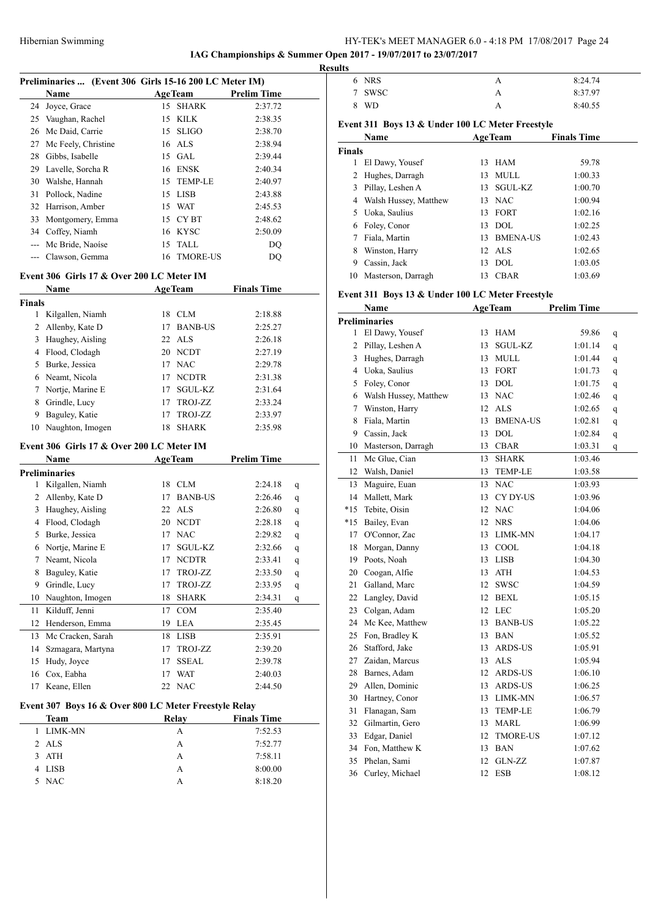# Hibernian Swimming HY-TEK's MEET MANAGER 6.0 - 4:18 PM 17/08/2017 Page 24

**IAG Championships & Summer Open 2017 - 19/07/2017 to 23/07/2017**

| Preliminaries  (Event 306 Girls 15-16 200 LC Meter IM) |                |            |                                                                             |  |  |  |
|--------------------------------------------------------|----------------|------------|-----------------------------------------------------------------------------|--|--|--|
|                                                        | <b>AgeTeam</b> |            | <b>Prelim Time</b>                                                          |  |  |  |
| Joyce, Grace                                           |                | 15 SHARK   | 2:37.72                                                                     |  |  |  |
| Vaughan, Rachel                                        |                | 15 KILK    | 2:38.35                                                                     |  |  |  |
| Mc Daid, Carrie                                        |                | 15 SLIGO   | 2:38.70                                                                     |  |  |  |
| Mc Feely, Christine                                    |                | 16 ALS     | 2:38.94                                                                     |  |  |  |
| Gibbs, Isabelle                                        |                | 15 GAL     | 2:39.44                                                                     |  |  |  |
| Lavelle, Sorcha R                                      |                | 16 ENSK    | 2:40.34                                                                     |  |  |  |
| Walshe, Hannah                                         |                | 15 TEMP-LE | 2:40.97                                                                     |  |  |  |
| Pollock, Nadine                                        |                | 15 LISB    | 2:43.88                                                                     |  |  |  |
| Harrison, Amber                                        |                | 15 WAT     | 2:45.53                                                                     |  |  |  |
| Montgomery, Emma                                       |                | 15 CYBT    | 2:48.62                                                                     |  |  |  |
| Coffey, Niamh                                          | 16             | KYSC       | 2:50.09                                                                     |  |  |  |
| Mc Bride, Naoíse                                       |                |            | DO                                                                          |  |  |  |
| Clawson, Gemma                                         | 16             |            | DQ                                                                          |  |  |  |
|                                                        |                |            | 15 TALL<br>TMORE-US<br><b>Event 306 Girls 17 &amp; Over 200 LC Meter IM</b> |  |  |  |

|               | <b>Name</b>        |    | <b>AgeTeam</b> | <b>Finals Time</b> |
|---------------|--------------------|----|----------------|--------------------|
| <b>Finals</b> |                    |    |                |                    |
|               | Kilgallen, Niamh   | 18 | CLM            | 2:18.88            |
|               | 2 Allenby, Kate D  | 17 | <b>BANB-US</b> | 2:25.27            |
| 3             | Haughey, Aisling   |    | $22$ ALS       | 2:26.18            |
| 4             | Flood, Clodagh     |    | 20 NCDT        | 2:27.19            |
| 5.            | Burke, Jessica     | 17 | <b>NAC</b>     | 2:29.78            |
|               | 6 Neamt, Nicola    | 17 | <b>NCDTR</b>   | 2:31.38            |
|               | 7 Nortje, Marine E | 17 | <b>SGUL-KZ</b> | 2:31.64            |
| 8             | Grindle, Lucy      | 17 | TROJ-ZZ        | 2:33.24            |
| 9             | Baguley, Katie     | 17 | TROJ-ZZ        | 2:33.97            |
| 10            | Naughton, Imogen   | 18 | <b>SHARK</b>   | 2:35.98            |

### **Event 306 Girls 17 & Over 200 LC Meter IM**

|                                                       | Name              |    | <b>AgeTeam</b> | <b>Prelim Time</b> |   |  |  |
|-------------------------------------------------------|-------------------|----|----------------|--------------------|---|--|--|
| <b>Preliminaries</b>                                  |                   |    |                |                    |   |  |  |
| 1                                                     | Kilgallen, Niamh  | 18 | <b>CLM</b>     | 2:24.18            | q |  |  |
| 2                                                     | Allenby, Kate D   | 17 | <b>BANB-US</b> | 2:26.46            | q |  |  |
| 3                                                     | Haughey, Aisling  | 22 | <b>ALS</b>     | 2:26.80            | q |  |  |
| 4                                                     | Flood, Clodagh    | 20 | <b>NCDT</b>    | 2:28.18            | q |  |  |
| 5                                                     | Burke, Jessica    | 17 | <b>NAC</b>     | 2:29.82            | q |  |  |
| 6                                                     | Nortje, Marine E  | 17 | SGUL-KZ        | 2:32.66            | q |  |  |
| 7                                                     | Neamt, Nicola     | 17 | <b>NCDTR</b>   | 2:33.41            | q |  |  |
| 8                                                     | Baguley, Katie    | 17 | TROJ-ZZ        | 2:33.50            | q |  |  |
| 9                                                     | Grindle, Lucy     | 17 | TROJ-ZZ        | 2:33.95            | q |  |  |
| 10                                                    | Naughton, Imogen  | 18 | <b>SHARK</b>   | 2:34.31            | q |  |  |
| 11                                                    | Kilduff, Jenni    | 17 | COM            | 2:35.40            |   |  |  |
| 12                                                    | Henderson, Emma   | 19 | <b>LEA</b>     | 2:35.45            |   |  |  |
| 13                                                    | Mc Cracken, Sarah | 18 | <b>LISB</b>    | 2:35.91            |   |  |  |
| 14                                                    | Szmagara, Martyna | 17 | TROJ-ZZ        | 2:39.20            |   |  |  |
| 15                                                    | Hudy, Joyce       | 17 | <b>SSEAL</b>   | 2:39.78            |   |  |  |
| 16                                                    | Cox, Eabha        | 17 | <b>WAT</b>     | 2:40.03            |   |  |  |
| 17                                                    | Keane, Ellen      | 22 | <b>NAC</b>     | 2:44.50            |   |  |  |
| Event 307 Boys 16 & Over 800 LC Meter Freestyle Relay |                   |    |                |                    |   |  |  |

| Team      | Relay | <b>Finals Time</b> |
|-----------|-------|--------------------|
| 1 LIMK-MN | А     | 7:52.53            |
| 2 ALS     | А     | 7:52.77            |
| 3 ATH     | А     | 7:58.11            |
| 4 LISB    | А     | 8:00.00            |
| 5 NAC     | А     | 8:18.20            |

|   | <b>Results</b> |            |   |         |  |  |
|---|----------------|------------|---|---------|--|--|
|   | 6              | <b>NRS</b> | А | 8:24.74 |  |  |
| - | ⇁              | SWSC       |   | 8:37.97 |  |  |
|   |                | <b>WD</b>  |   | 8:40.55 |  |  |

# **Event 311 Boys 13 & Under 100 LC Meter Freestyle**

|               | Name                    |    | <b>AgeTeam</b>  | <b>Finals Time</b> |  |
|---------------|-------------------------|----|-----------------|--------------------|--|
| <b>Finals</b> |                         |    |                 |                    |  |
| 1             | El Dawy, Yousef         |    | 13 HAM          | 59.78              |  |
| 2             | Hughes, Darragh         | 13 | MULL            | 1:00.33            |  |
| 3             | Pillay, Leshen A        | 13 | <b>SGUL-KZ</b>  | 1:00.70            |  |
|               | 4 Walsh Hussey, Matthew |    | 13 NAC          | 1:00.94            |  |
| 5.            | Uoka, Saulius           | 13 | <b>FORT</b>     | 1:02.16            |  |
|               | 6 Foley, Conor          |    | $13$ DOL        | 1:02.25            |  |
|               | Fiala, Martin           | 13 | <b>BMENA-US</b> | 1:02.43            |  |
| 8             | Winston, Harry          |    | $12$ ALS        | 1:02.65            |  |
| 9             | Cassin, Jack            | 13 | DOL.            | 1:03.05            |  |
| 10            | Masterson, Darragh      | 13 | <b>CBAR</b>     | 1:03.69            |  |

# **Event 311 Boys 13 & Under 100 LC Meter Freestyle**

|                      | Name                  |                 | <b>AgeTeam</b>  | <b>Prelim Time</b> |              |  |  |  |
|----------------------|-----------------------|-----------------|-----------------|--------------------|--------------|--|--|--|
| <b>Preliminaries</b> |                       |                 |                 |                    |              |  |  |  |
| 1                    | El Dawy, Yousef       | 13              | <b>HAM</b>      | 59.86              | q            |  |  |  |
| 2                    | Pillay, Leshen A      | 13              | SGUL-KZ         | 1:01.14            | q            |  |  |  |
| 3                    | Hughes, Darragh       | 13              | <b>MULL</b>     | 1:01.44            | $\mathbf{q}$ |  |  |  |
| 4                    | Uoka, Saulius         | 13              | <b>FORT</b>     | 1:01.73            | q            |  |  |  |
| 5                    | Foley, Conor          | 13              | <b>DOL</b>      | 1:01.75            | q            |  |  |  |
| 6                    | Walsh Hussey, Matthew | 13              | NAC             | 1:02.46            | $\mathbf{q}$ |  |  |  |
| 7                    | Winston, Harry        | 12              | <b>ALS</b>      | 1:02.65            | $\mathbf{q}$ |  |  |  |
| 8                    | Fiala, Martin         | 13              | <b>BMENA-US</b> | 1:02.81            | $\mathbf{q}$ |  |  |  |
| 9                    | Cassin, Jack          | 13              | $\rm DOL$       | 1:02.84            | $\mathbf{q}$ |  |  |  |
| 10                   | Masterson, Darragh    | 13              | <b>CBAR</b>     | 1:03.31            | q            |  |  |  |
| 11                   | Mc Glue, Cian         | 13              | <b>SHARK</b>    | 1:03.46            |              |  |  |  |
| 12                   | Walsh, Daniel         | 13              | <b>TEMP-LE</b>  | 1:03.58            |              |  |  |  |
| 13                   | Maguire, Euan         | 13              | <b>NAC</b>      | 1:03.93            |              |  |  |  |
| 14                   | Mallett, Mark         | 13              | CY DY-US        | 1:03.96            |              |  |  |  |
| $*15$                | Tebite, Oisin         | 12              | <b>NAC</b>      | 1:04.06            |              |  |  |  |
| $*15$                | Bailey, Evan          | 12 <sup>2</sup> | <b>NRS</b>      | 1:04.06            |              |  |  |  |
| 17                   | O'Connor, Zac         | 13              | LIMK-MN         | 1:04.17            |              |  |  |  |
| 18                   | Morgan, Danny         | 13              | COOL            | 1:04.18            |              |  |  |  |
| 19                   | Poots, Noah           | 13              | <b>LISB</b>     | 1:04.30            |              |  |  |  |
|                      | 20 Coogan, Alfie      | 13              | ATH             | 1:04.53            |              |  |  |  |
| 21                   | Galland, Marc         | 12              | SWSC            | 1:04.59            |              |  |  |  |
| 22                   | Langley, David        | 12              | <b>BEXL</b>     | 1:05.15            |              |  |  |  |
|                      | 23 Colgan, Adam       | 12              | <b>LEC</b>      | 1:05.20            |              |  |  |  |
|                      | 24 Mc Kee, Matthew    | 13              | <b>BANB-US</b>  | 1:05.22            |              |  |  |  |
| 25                   | Fon, Bradley K        | 13              | <b>BAN</b>      | 1:05.52            |              |  |  |  |
|                      | 26 Stafford, Jake     | 13              | ARDS-US         | 1:05.91            |              |  |  |  |
|                      | 27 Zaidan, Marcus     | 13              | <b>ALS</b>      | 1:05.94            |              |  |  |  |
| 28                   | Barnes, Adam          | 12              | ARDS-US         | 1:06.10            |              |  |  |  |
|                      | 29 Allen, Dominic     | 13              | ARDS-US         | 1:06.25            |              |  |  |  |
| 30                   | Hartney, Conor        | 13              | LIMK-MN         | 1:06.57            |              |  |  |  |
| 31                   | Flanagan, Sam         | 13              | <b>TEMP-LE</b>  | 1:06.79            |              |  |  |  |
|                      | 32 Gilmartin, Gero    | 13              | MARL            | 1:06.99            |              |  |  |  |
| 33                   | Edgar, Daniel         | 12              | <b>TMORE-US</b> | 1:07.12            |              |  |  |  |
|                      | 34 Fon, Matthew K     | 13              | <b>BAN</b>      | 1:07.62            |              |  |  |  |
| 35                   | Phelan, Sami          | 12              | GLN-ZZ          | 1:07.87            |              |  |  |  |
| 36                   | Curley, Michael       | 12              | <b>ESB</b>      | 1:08.12            |              |  |  |  |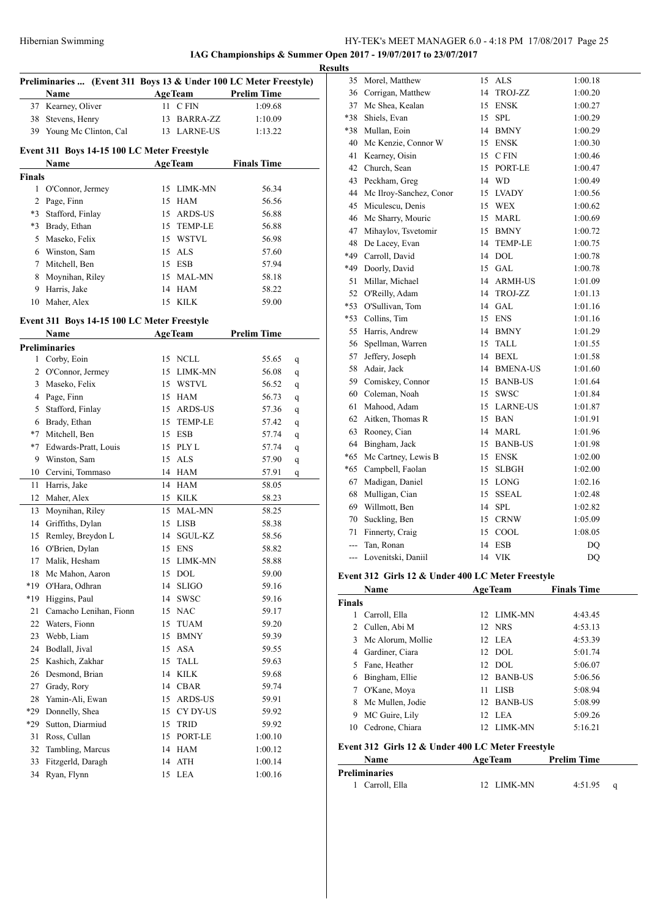**IAG Championships & Summer Open 2017 - 19/07/2017 to 23/07/2017**

|               | Preliminaries  (Event 311 Boys 13 & Under 100 LC Meter Freestyle) |    |                      |                    |   |
|---------------|-------------------------------------------------------------------|----|----------------------|--------------------|---|
|               | Name                                                              |    | <b>AgeTeam</b>       | <b>Prelim Time</b> |   |
|               | 37 Kearney, Oliver                                                |    | 11 CFIN              | 1:09.68            |   |
|               | 38 Stevens, Henry                                                 |    | 13 BARRA-ZZ          | 1:10.09            |   |
|               | 39 Young Mc Clinton, Cal                                          |    | 13 LARNE-US          | 1:13.22            |   |
|               | Event 311 Boys 14-15 100 LC Meter Freestyle                       |    |                      |                    |   |
|               | Name                                                              |    | <b>AgeTeam</b>       | <b>Finals Time</b> |   |
| <b>Finals</b> |                                                                   |    |                      |                    |   |
|               | 1 O'Connor, Jermey                                                |    | 15 LIMK-MN           | 56.34              |   |
|               | 2 Page, Finn                                                      |    | 15 HAM               | 56.56              |   |
|               | *3 Stafford, Finlay                                               |    | 15 ARDS-US           | 56.88              |   |
|               | *3 Brady, Ethan                                                   |    | 15 TEMP-LE           | 56.88              |   |
|               | 5 Maseko, Felix                                                   |    | 15 WSTVL             | 56.98              |   |
|               | 6 Winston, Sam                                                    |    | 15 ALS               | 57.60              |   |
|               | 7 Mitchell, Ben                                                   |    | 15 ESB               | 57.94              |   |
|               | 8 Moynihan, Riley                                                 |    | 15 MAL-MN            | 58.18              |   |
|               | 9 Harris, Jake                                                    |    | 14 HAM               | 58.22              |   |
| 10            | Maher, Alex                                                       |    | 15 KILK              | 59.00              |   |
|               | Event 311 Boys 14-15 100 LC Meter Freestyle                       |    |                      |                    |   |
|               | Name                                                              |    | <b>AgeTeam</b>       | <b>Prelim Time</b> |   |
|               | <b>Preliminaries</b>                                              |    |                      |                    |   |
|               | 1 Corby, Eoin                                                     |    | 15 NCLL              | 55.65              | q |
|               | 2 O'Connor, Jermey                                                |    | 15 LIMK-MN           | 56.08              | q |
|               | 3 Maseko, Felix                                                   |    | 15 WSTVL             | 56.52              | q |
|               | 4 Page, Finn                                                      |    | 15 HAM               | 56.73              | q |
|               | 5 Stafford, Finlay                                                |    | 15 ARDS-US           | 57.36              | q |
|               | 6 Brady, Ethan                                                    |    | 15 TEMP-LE           | 57.42              | q |
|               | *7 Mitchell, Ben                                                  |    | 15 ESB               | 57.74              | q |
|               | *7 Edwards-Pratt, Louis                                           |    | 15 PLY L             | 57.74              | q |
|               | 9 Winston, Sam                                                    |    | 15 ALS               | 57.90              | q |
|               | 10 Cervini, Tommaso                                               |    | 14 HAM               | 57.91              | q |
| 11            | Harris, Jake                                                      |    | 14 HAM               | 58.05              |   |
| 12            | Maher, Alex                                                       |    | 15 KILK              | 58.23              |   |
|               | 13 Moynihan, Riley                                                |    | 15 MAL-MN            | 58.25              |   |
|               | 14 Griffiths, Dylan                                               |    | 15 LISB              | 58.38              |   |
| 15            | Remley, Breydon L                                                 |    | 14 SGUL-KZ           | 58.56              |   |
| 16            | O'Brien, Dylan                                                    |    | 15 ENS               | 58.82              |   |
| 17            | Malik, Hesham                                                     | 15 | LIMK-MN              | 58.88              |   |
| 18            | Mc Mahon, Aaron                                                   | 15 | $\rm DOL$            | 59.00              |   |
| *19           | O'Hara, Odhran                                                    | 14 | <b>SLIGO</b>         | 59.16              |   |
| *19           | Higgins, Paul                                                     | 14 | SWSC                 | 59.16              |   |
| 21            | Camacho Lenihan, Fionn                                            | 15 | <b>NAC</b>           | 59.17              |   |
| 22            | Waters, Fionn                                                     | 15 | TUAM                 | 59.20              |   |
| 23            | Webb, Liam                                                        | 15 | <b>BMNY</b>          | 59.39              |   |
| 24            | Bodlall, Jival                                                    | 15 | ASA                  | 59.55              |   |
| 25            | Kashich, Zakhar                                                   | 15 | TALL                 | 59.63              |   |
| 26            | Desmond, Brian                                                    | 14 | KILK                 | 59.68              |   |
| 27            | Grady, Rory                                                       |    | 14 CBAR              | 59.74              |   |
| 28            | Yamin-Ali, Ewan                                                   | 15 | ARDS-US              | 59.91              |   |
| *29           | Donnelly, Shea                                                    |    | 15 CY DY-US          | 59.92              |   |
| *29           | Sutton, Diarmiud                                                  | 15 | TRID                 | 59.92              |   |
|               | Ross, Cullan                                                      |    |                      |                    |   |
| 31            |                                                                   | 15 | PORT-LE              | 1:00.10            |   |
| 32            | Tambling, Marcus                                                  |    | 14 HAM               | 1:00.12            |   |
| 33            | Fitzgerld, Daragh                                                 | 14 | $\operatorname{ATH}$ | 1:00.14            |   |
| 34            | Ryan, Flynn                                                       | 15 | <b>LEA</b>           | 1:00.16            |   |

| <b>Results</b> |                            |    |                |         |
|----------------|----------------------------|----|----------------|---------|
|                | 35 Morel, Matthew          |    | 15 ALS         | 1:00.18 |
|                | 36 Corrigan, Matthew       |    | 14 TROJ-ZZ     | 1:00.20 |
|                | 37 Mc Shea, Kealan         |    | 15 ENSK        | 1:00.27 |
|                | *38 Shiels, Evan           | 15 | <b>SPL</b>     | 1:00.29 |
|                | *38 Mullan, Eoin           |    | 14 BMNY        | 1:00.29 |
|                | 40 Mc Kenzie, Connor W     |    | 15 ENSK        | 1:00.30 |
|                | 41 Kearney, Oisin          |    | 15 CFIN        | 1:00.46 |
|                | 42 Church, Sean            |    | 15 PORT-LE     | 1:00.47 |
| 43             | Peckham, Greg              |    | 14 WD          | 1:00.49 |
|                | 44 Mc Ilroy-Sanchez, Conor |    | 15 LVADY       | 1:00.56 |
|                | 45 Miculescu, Denis        |    | 15 WEX         | 1:00.62 |
|                | 46 Mc Sharry, Mouric       |    | 15 MARL        | 1:00.69 |
|                | 47 Mihaylov, Tsvetomir     |    | 15 BMNY        | 1:00.72 |
|                | 48 De Lacey, Evan          | 14 | <b>TEMP-LE</b> | 1:00.75 |
|                | *49 Carroll, David         |    | 14 DOL         | 1:00.78 |
|                | *49 Doorly, David          |    | 15 GAL         | 1:00.78 |
|                | 51 Millar, Michael         |    | 14 ARMH-US     | 1:01.09 |
|                | 52 O'Reilly, Adam          | 14 | TROJ-ZZ        | 1:01.13 |
|                | *53 O'Sullivan, Tom        |    | 14 GAL         | 1:01.16 |
|                | *53 Collins, Tim           |    | 15 ENS         | 1:01.16 |
|                | 55 Harris, Andrew          |    | 14 BMNY        | 1:01.29 |
| 56             | Spellman, Warren           | 15 | TALL           | 1:01.55 |
| 57             | Jeffery, Joseph            |    | 14 BEXL        | 1:01.58 |
| 58             | Adair, Jack                |    | 14 BMENA-US    | 1:01.60 |
|                | 59 Comiskey, Connor        |    | 15 BANB-US     | 1:01.64 |
|                | 60 Coleman, Noah           |    | 15 SWSC        | 1:01.84 |
|                | 61 Mahood, Adam            |    | 15 LARNE-US    | 1:01.87 |
|                | 62 Aitken, Thomas R        |    | 15 BAN         | 1:01.91 |
| 63             | Rooney, Cian               | 14 | <b>MARL</b>    | 1:01.96 |
|                | 64 Bingham, Jack           |    | 15 BANB-US     | 1:01.98 |
|                | *65 Mc Cartney, Lewis B    |    | 15 ENSK        | 1:02.00 |
|                | *65 Campbell, Faolan       | 15 | SLBGH          | 1:02.00 |
|                | 67 Madigan, Daniel         |    | 15 LONG        | 1:02.16 |
|                | 68 Mulligan, Cian          | 15 | <b>SSEAL</b>   | 1:02.48 |
| 69             | Willmott, Ben              | 14 | SPL            | 1:02.82 |
| 70             | Suckling, Ben              |    | 15 CRNW        | 1:05.09 |
| 71             | Finnerty, Craig            |    | 15 COOL        | 1:08.05 |
| ---            | Tan, Ronan                 |    | 14 ESB         | DQ      |
|                | --- Lovenitski, Daniil     |    | 14 VIK         | DQ      |

# **Event 312 Girls 12 & Under 400 LC Meter Freestyle**

|               | <b>AgeTeam</b><br>Name                            |                | <b>Finals Time</b> |                    |
|---------------|---------------------------------------------------|----------------|--------------------|--------------------|
| <b>Finals</b> |                                                   |                |                    |                    |
| 1             | Carroll, Ella                                     |                | 12 LIMK-MN         | 4:43.45            |
| 2             | Cullen, Abi M                                     | 12 NRS         |                    | 4:53.13            |
| 3             | Mc Alorum, Mollie                                 | 12 LEA         |                    | 4:53.39            |
| 4             | Gardiner, Ciara                                   | $12$ DOL       |                    | 5:01.74            |
| 5             | Fane, Heather                                     | $12$ DOL       |                    | 5:06.07            |
| 6             | Bingham, Ellie                                    |                | 12 BANB-US         | 5:06.56            |
| 7             | O'Kane, Moya                                      | 11             | LISB               | 5:08.94            |
| 8             | Mc Mullen, Jodie                                  |                | 12 BANB-US         | 5:08.99            |
| 9             | MC Guire, Lily                                    | 12 LEA         |                    | 5:09.26            |
| 10            | Cedrone, Chiara                                   |                | 12 LIMK-MN         | 5:16.21            |
|               | Event 312 Girls 12 & Under 400 LC Meter Freestyle |                |                    |                    |
|               | Name                                              | <b>AgeTeam</b> |                    | <b>Prelim Time</b> |

**Preliminaries**

| 1 Carroll, Ella | 12 LIMK-MN | 4:51.95 |  |
|-----------------|------------|---------|--|
|                 |            |         |  |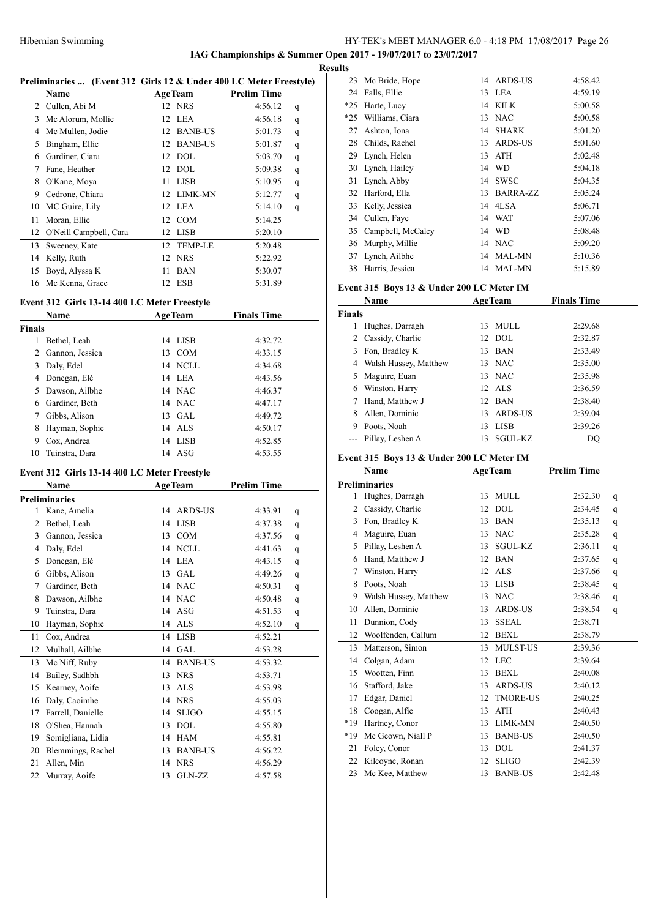# HY-TEK's MEET MANAGER 6.0 - 4:18 PM 17/08/2017 Page 26 **IAG Championships & Summer Open 2017 - 19/07/2017 to 23/07/2017**

**Results**

|    | Preliminaries  (Event 312 Girls 12 & Under 400 LC Meter Freestyle) |    |                |                    |   |
|----|--------------------------------------------------------------------|----|----------------|--------------------|---|
|    | Name                                                               |    | <b>AgeTeam</b> | <b>Prelim Time</b> |   |
| 2  | Cullen, Abi M                                                      |    | 12 NRS         | 4:56.12            | q |
| 3  | Mc Alorum, Mollie                                                  | 12 | LEA            | 4:56.18            | q |
| 4  | Mc Mullen, Jodie                                                   | 12 | <b>BANB-US</b> | 5:01.73            | q |
| 5  | Bingham, Ellie                                                     | 12 | <b>BANB-US</b> | 5:01.87            | q |
| 6  | Gardiner, Ciara                                                    | 12 | DOL            | 5:03.70            | q |
| 7  | Fane, Heather                                                      | 12 | DOL            | 5:09.38            | q |
| 8  | O'Kane, Moya                                                       | 11 | <b>LISB</b>    | 5:10.95            | q |
| 9  | Cedrone, Chiara                                                    | 12 | <b>LIMK-MN</b> | 5:12.77            | q |
| 10 | MC Guire, Lily                                                     | 12 | LEA            | 5:14.10            | q |
| 11 | Moran, Ellie                                                       | 12 | <b>COM</b>     | 5:14.25            |   |
| 12 | O'Neill Campbell, Cara                                             | 12 | <b>LISB</b>    | 5:20.10            |   |
| 13 | Sweeney, Kate                                                      | 12 | <b>TEMP-LE</b> | 5:20.48            |   |
| 14 | Kelly, Ruth                                                        | 12 | <b>NRS</b>     | 5:22.92            |   |
| 15 | Boyd, Alyssa K                                                     | 11 | <b>BAN</b>     | 5:30.07            |   |
| 16 | Mc Kenna, Grace                                                    | 12 | <b>ESB</b>     | 5:31.89            |   |

# **Event 312 Girls 13-14 400 LC Meter Freestyle**

| <b>Name</b>   |                 |    | <b>AgeTeam</b> | <b>Finals Time</b> |  |
|---------------|-----------------|----|----------------|--------------------|--|
| <b>Finals</b> |                 |    |                |                    |  |
|               | Bethel, Leah    |    | 14 LISB        | 4:32.72            |  |
| 2             | Gannon, Jessica | 13 | <b>COM</b>     | 4:33.15            |  |
| 3             | Daly, Edel      |    | 14 NCLL        | 4:34.68            |  |
| 4             | Donegan, Elé    |    | 14 LEA         | 4:43.56            |  |
| 5.            | Dawson, Ailbhe  |    | 14 NAC         | 4:46.37            |  |
| 6             | Gardiner, Beth  |    | 14 NAC         | 4:47.17            |  |
| 7             | Gibbs, Alison   | 13 | GAL            | 4:49.72            |  |
| 8             | Hayman, Sophie  |    | 14 ALS         | 4:50.17            |  |
| 9             | Cox, Andrea     | 14 | LISB           | 4:52.85            |  |
| 10            | Tuinstra, Dara  | 14 | – ASG          | 4:53.55            |  |

# **Event 312 Girls 13-14 400 LC Meter Freestyle**

|    | Name                 | <b>AgeTeam</b> |                | <b>Prelim Time</b> |   |
|----|----------------------|----------------|----------------|--------------------|---|
|    | <b>Preliminaries</b> |                |                |                    |   |
| 1  | Kane, Amelia         | 14             | <b>ARDS-US</b> | 4:33.91            | q |
| 2  | Bethel, Leah         | 14             | <b>LISB</b>    | 4:37.38            | q |
| 3  | Gannon, Jessica      | 13             | <b>COM</b>     | 4:37.56            | q |
| 4  | Daly, Edel           | 14             | <b>NCLL</b>    | 4:41.63            | q |
| 5  | Donegan, Elé         | 14             | <b>LEA</b>     | 4:43.15            | q |
| 6  | Gibbs, Alison        | 13             | <b>GAL</b>     | 4:49.26            | q |
| 7  | Gardiner, Beth       |                | 14 NAC         | 4:50.31            | q |
| 8  | Dawson, Ailbhe       |                | 14 NAC         | 4:50.48            | q |
| 9  | Tuinstra, Dara       | 14             | ASG            | 4:51.53            | q |
| 10 | Hayman, Sophie       | 14             | <b>ALS</b>     | 4:52.10            | q |
| 11 | Cox, Andrea          | 14             | <b>LISB</b>    | 4:52.21            |   |
| 12 | Mulhall, Ailbhe      | 14             | <b>GAL</b>     | 4:53.28            |   |
| 13 | Mc Niff, Ruby        | 14             | <b>BANB-US</b> | 4:53.32            |   |
| 14 | Bailey, Sadhbh       | 13             | <b>NRS</b>     | 4:53.71            |   |
| 15 | Kearney, Aoife       | 13             | <b>ALS</b>     | 4:53.98            |   |
| 16 | Daly, Caoimhe        | 14             | <b>NRS</b>     | 4:55.03            |   |
| 17 | Farrell, Danielle    | 14             | <b>SLIGO</b>   | 4:55.15            |   |
| 18 | O'Shea, Hannah       | 13             | <b>DOL</b>     | 4:55.80            |   |
| 19 | Somigliana, Lidia    | 14             | <b>HAM</b>     | 4:55.81            |   |
| 20 | Blemmings, Rachel    | 13             | <b>BANB-US</b> | 4:56.22            |   |
| 21 | Allen, Min           | 14             | <b>NRS</b>     | 4:56.29            |   |
| 22 | Murray, Aoife        | 13             | GLN-ZZ         | 4:57.58            |   |

| 23    | Mc Bride, Hope    |    | 14 ARDS-US      | 4:58.42 |
|-------|-------------------|----|-----------------|---------|
| 24    | Falls, Ellie      | 13 | LEA             | 4:59.19 |
| $*25$ | Harte, Lucy       |    | 14 KILK         | 5:00.58 |
| $*25$ | Williams, Ciara   | 13 | <b>NAC</b>      | 5:00.58 |
| 27    | Ashton, Iona      | 14 | SHARK           | 5:01.20 |
| 28    | Childs, Rachel    | 13 | <b>ARDS-US</b>  | 5:01.60 |
| 29    | Lynch, Helen      | 13 | <b>ATH</b>      | 5:02.48 |
| 30    | Lynch, Hailey     | 14 | <b>WD</b>       | 5:04.18 |
| 31    | Lynch, Abby       | 14 | <b>SWSC</b>     | 5:04.35 |
| 32    | Harford, Ella     | 13 | <b>BARRA-ZZ</b> | 5:05.24 |
| 33    | Kelly, Jessica    |    | 14 4LSA         | 5:06.71 |
| 34    | Cullen, Faye      |    | 14 WAT          | 5:07.06 |
| 35    | Campbell, McCaley | 14 | - WD            | 5:08.48 |
| 36    | Murphy, Millie    |    | 14 NAC          | 5:09.20 |
| 37    | Lynch, Ailbhe     |    | 14 MAL-MN       | 5:10.36 |
| 38    | Harris, Jessica   | 14 | MAL-MN          | 5:15.89 |

### **Event 315 Boys 13 & Under 200 LC Meter IM**

|                | Name                                      |    | <b>AgeTeam</b>  | <b>Finals Time</b> |   |
|----------------|-------------------------------------------|----|-----------------|--------------------|---|
| <b>Finals</b>  |                                           |    |                 |                    |   |
| $\mathbf{1}$   | Hughes, Darragh                           | 13 | <b>MULL</b>     | 2:29.68            |   |
| 2              | Cassidy, Charlie                          | 12 | <b>DOL</b>      | 2:32.87            |   |
| 3              | Fon, Bradley K                            | 13 | <b>BAN</b>      | 2:33.49            |   |
| 4              | Walsh Hussey, Matthew                     | 13 | <b>NAC</b>      | 2:35.00            |   |
| 5              | Maguire, Euan                             | 13 | <b>NAC</b>      | 2:35.98            |   |
| 6              | Winston, Harry                            | 12 | <b>ALS</b>      | 2:36.59            |   |
| 7              | Hand, Matthew J                           | 12 | <b>BAN</b>      | 2:38.40            |   |
| 8              | Allen, Dominic                            | 13 | ARDS-US         | 2:39.04            |   |
|                | 9 Poots, Noah                             | 13 | <b>LISB</b>     | 2:39.26            |   |
| $\overline{a}$ | Pillay, Leshen A                          | 13 | SGUL-KZ         | DO                 |   |
|                | Event 315 Boys 13 & Under 200 LC Meter IM |    |                 |                    |   |
|                | Name                                      |    | <b>AgeTeam</b>  | <b>Prelim Time</b> |   |
|                | <b>Preliminaries</b>                      |    |                 |                    |   |
| 1              | Hughes, Darragh                           | 13 | <b>MULL</b>     | 2:32.30            | q |
| 2              | Cassidy, Charlie                          | 12 | <b>DOL</b>      | 2:34.45            | q |
| 3              | Fon, Bradley K                            | 13 | <b>BAN</b>      | 2:35.13            | q |
| 4              | Maguire, Euan                             | 13 | <b>NAC</b>      | 2:35.28            | q |
| 5              | Pillay, Leshen A                          | 13 | SGUL-KZ         | 2:36.11            | q |
|                | 6 Hand, Matthew J                         |    | 12 BAN          | 2:37.65            | q |
| 7              | Winston, Harry                            |    | 12 ALS          | 2:37.66            | q |
| 8              | Poots, Noah                               | 13 | <b>LISB</b>     | 2:38.45            | q |
| 9              | Walsh Hussey, Matthew                     | 13 | <b>NAC</b>      | 2:38.46            | q |
| 10             | Allen, Dominic                            |    | 13 ARDS-US      | 2:38.54            | q |
| 11             | Dunnion, Cody                             | 13 | <b>SSEAL</b>    | 2:38.71            |   |
| 12             | Woolfenden, Callum                        | 12 | <b>BEXL</b>     | 2:38.79            |   |
| 13             | Matterson, Simon                          | 13 | MULST-US        | 2:39.36            |   |
| 14             | Colgan, Adam                              | 12 | <b>LEC</b>      | 2:39.64            |   |
| 15             | Wootten, Finn                             | 13 | <b>BEXL</b>     | 2:40.08            |   |
| 16             | Stafford, Jake                            | 13 | <b>ARDS-US</b>  | 2:40.12            |   |
| 17             | Edgar, Daniel                             | 12 | <b>TMORE-US</b> | 2:40.25            |   |
| 18             | Coogan, Alfie                             | 13 | ATH             | 2:40.43            |   |
| *19            | Hartney, Conor                            | 13 | LIMK-MN         | 2:40.50            |   |
| $*19$          | Mc Geown, Niall P                         | 13 | <b>BANB-US</b>  | 2:40.50            |   |
| 21             | Foley, Conor                              | 13 | <b>DOL</b>      | 2:41.37            |   |
| 22             | Kilcoyne, Ronan                           | 12 | <b>SLIGO</b>    | 2:42.39            |   |
| 23             | Mc Kee, Matthew                           | 13 | <b>BANB-US</b>  | 2:42.48            |   |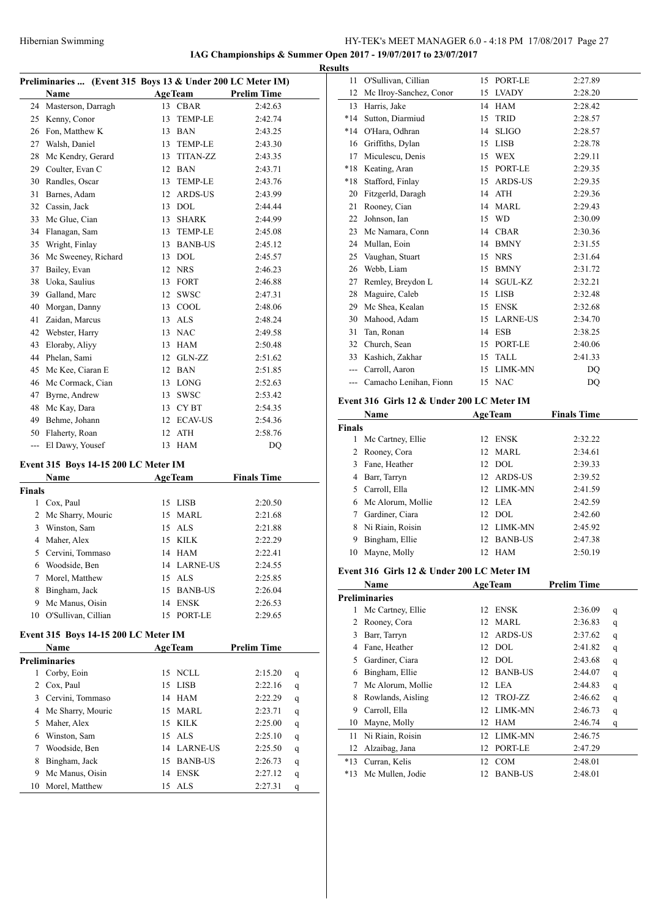# Hibernian Swimming HY-TEK's MEET MANAGER 6.0 - 4:18 PM 17/08/2017 Page 27

**IAG Championships & Summer Open 2017 - 19/07/2017 to 23/07/2017**

|     | Preliminaries  (Event 315 Boys 13 & Under 200 LC Meter IM) |    |                 |                    |  |
|-----|------------------------------------------------------------|----|-----------------|--------------------|--|
|     | Name                                                       |    | AgeTeam         | <b>Prelim Time</b> |  |
| 24  | Masterson, Darragh                                         | 13 | <b>CBAR</b>     | 2:42.63            |  |
| 25  | Kenny, Conor                                               | 13 | <b>TEMP-LE</b>  | 2:42.74            |  |
| 26  | Fon, Matthew K                                             | 13 | <b>BAN</b>      | 2:43.25            |  |
| 27  | Walsh, Daniel                                              | 13 | TEMP-LE         | 2:43.30            |  |
| 28  | Mc Kendry, Gerard                                          | 13 | <b>TITAN-ZZ</b> | 2:43.35            |  |
| 29  | Coulter, Evan C                                            | 12 | <b>BAN</b>      | 2:43.71            |  |
| 30  | Randles, Oscar                                             | 13 | TEMP-LE         | 2:43.76            |  |
| 31  | Barnes, Adam                                               | 12 | ARDS-US         | 2:43.99            |  |
| 32  | Cassin, Jack                                               | 13 | <b>DOL</b>      | 2:44.44            |  |
| 33  | Mc Glue, Cian                                              | 13 | <b>SHARK</b>    | 2:44.99            |  |
| 34  | Flanagan, Sam                                              | 13 | TEMP-LE         | 2:45.08            |  |
| 35  | Wright, Finlay                                             | 13 | <b>BANB-US</b>  | 2:45.12            |  |
| 36  | Mc Sweeney, Richard                                        | 13 | <b>DOL</b>      | 2:45.57            |  |
| 37  | Bailey, Evan                                               | 12 | <b>NRS</b>      | 2:46.23            |  |
| 38  | Uoka, Saulius                                              | 13 | FORT            | 2:46.88            |  |
| 39  | Galland, Marc                                              | 12 | <b>SWSC</b>     | 2:47.31            |  |
| 40  | Morgan, Danny                                              | 13 | COOL            | 2:48.06            |  |
| 41  | Zaidan, Marcus                                             | 13 | <b>ALS</b>      | 2:48.24            |  |
| 42  | Webster, Harry                                             | 13 | <b>NAC</b>      | 2:49.58            |  |
| 43  | Eloraby, Aliyy                                             | 13 | HAM             | 2:50.48            |  |
| 44  | Phelan, Sami                                               | 12 | GLN-ZZ          | 2:51.62            |  |
| 45  | Mc Kee, Ciaran E                                           | 12 | <b>BAN</b>      | 2:51.85            |  |
| 46  | Mc Cormack, Cian                                           | 13 | LONG            | 2:52.63            |  |
| 47  | Byrne, Andrew                                              | 13 | SWSC            | 2:53.42            |  |
| 48  | Mc Kay, Dara                                               | 13 | CY BT           | 2:54.35            |  |
| 49  | Behme, Johann                                              | 12 | <b>ECAV-US</b>  | 2:54.36            |  |
| 50  | Flaherty, Roan                                             | 12 | <b>ATH</b>      | 2:58.76            |  |
| --- | El Dawy, Yousef                                            | 13 | <b>HAM</b>      | DO                 |  |

# **Event 315 Boys 14-15 200 LC Meter IM**

|        | <b>Name</b>         | <b>AgeTeam</b> |                | <b>Finals Time</b> |
|--------|---------------------|----------------|----------------|--------------------|
| Finals |                     |                |                |                    |
|        | Cox, Paul           | 15             | LISB           | 2:20.50            |
|        | 2 Mc Sharry, Mouric |                | 15 MARL        | 2:21.68            |
| 3      | Winston, Sam        |                | 15 ALS         | 2:21.88            |
| 4      | Maher, Alex         |                | 15 KILK        | 2:22.29            |
| 5.     | Cervini, Tommaso    |                | 14 HAM         | 2:22.41            |
| 6      | Woodside, Ben       |                | 14 LARNE-US    | 2:24.55            |
|        | Morel, Matthew      |                | 15 ALS         | 2:25.85            |
| 8      | Bingham, Jack       | 15             | <b>BANB-US</b> | 2:26.04            |
| 9      | Mc Manus, Oisin     | 14             | <b>ENSK</b>    | 2:26.53            |
| 10     | O'Sullivan, Cillian | 15.            | PORT-LE        | 2:29.65            |

# **Event 315 Boys 14-15 200 LC Meter IM**

|    | <b>Name</b>       | <b>AgeTeam</b> |                | <b>Prelim Time</b> |   |
|----|-------------------|----------------|----------------|--------------------|---|
|    | Preliminaries     |                |                |                    |   |
|    | Corby, Eoin       |                | 15 NCLL        | 2:15.20            | q |
|    | Cox, Paul         |                | 15 LISB        | 2:22.16            | q |
| 3  | Cervini, Tommaso  |                | 14 HAM         | 2:22.29            | q |
| 4  | Mc Sharry, Mouric |                | 15 MARL        | 2:23.71            | q |
| 5. | Maher, Alex       |                | 15 KILK        | 2:25.00            | q |
| 6  | Winston, Sam      |                | $15$ ALS       | 2:25.10            | q |
|    | Woodside, Ben     | 14             | LARNE-US       | 2:25.50            | q |
| 8  | Bingham, Jack     | 15.            | <b>BANB-US</b> | 2:26.73            | q |
| 9  | Mc Manus, Oisin   | 14             | <b>ENSK</b>    | 2:27.12            | q |
| 10 | Morel, Matthew    | 15             | – ALS          | 2:27.31            | q |

| <b>Results</b> |                                            |    |                |                    |   |
|----------------|--------------------------------------------|----|----------------|--------------------|---|
|                | 11 O'Sullivan, Cillian                     |    | 15 PORT-LE     | 2:27.89            |   |
| 12             | Mc Ilroy-Sanchez, Conor                    |    | 15 LVADY       | 2:28.20            |   |
|                | 13 Harris, Jake                            |    | 14 HAM         | 2:28.42            |   |
|                | *14 Sutton, Diarmiud                       | 15 | TRID           | 2:28.57            |   |
|                | *14 O'Hara, Odhran                         |    | 14 SLIGO       | 2:28.57            |   |
|                | 16 Griffiths, Dylan                        |    | 15 LISB        | 2:28.78            |   |
|                | 17 Miculescu, Denis                        |    | 15 WEX         | 2:29.11            |   |
|                | *18 Keating, Aran                          |    | 15 PORT-LE     | 2:29.35            |   |
|                | *18 Stafford, Finlay                       |    | 15 ARDS-US     | 2:29.35            |   |
|                | 20 Fitzgerld, Daragh                       |    | 14 ATH         | 2:29.36            |   |
|                | 21 Rooney, Cian                            |    | 14 MARL        | 2:29.43            |   |
|                | 22 Johnson, Ian                            |    | 15 WD          | 2:30.09            |   |
|                | 23 Mc Namara, Conn                         |    | 14 CBAR        | 2:30.36            |   |
|                | 24 Mullan, Eoin                            |    | 14 BMNY        | 2:31.55            |   |
|                | 25 Vaughan, Stuart                         |    | 15 NRS         | 2:31.64            |   |
|                | 26 Webb, Liam                              |    | 15 BMNY        | 2:31.72            |   |
|                | 27 Remley, Breydon L                       |    | 14 SGUL-KZ     | 2:32.21            |   |
|                | 28 Maguire, Caleb                          |    | 15 LISB        | 2:32.48            |   |
|                | 29 Mc Shea, Kealan                         |    | 15 ENSK        | 2:32.68            |   |
|                | 30 Mahood, Adam                            |    | 15 LARNE-US    | 2:34.70            |   |
|                | 31 Tan, Ronan                              |    | 14 ESB         | 2:38.25            |   |
|                | 32 Church, Sean                            |    | 15 PORT-LE     | 2:40.06            |   |
|                | 33 Kashich, Zakhar                         |    | 15 TALL        | 2:41.33            |   |
|                | --- Carroll, Aaron                         |    | 15 LIMK-MN     | DQ                 |   |
|                | --- Camacho Lenihan, Fionn                 |    | 15 NAC         | DQ                 |   |
|                | Event 316 Girls 12 & Under 200 LC Meter IM |    |                |                    |   |
|                | Name                                       |    | <b>AgeTeam</b> | <b>Finals Time</b> |   |
| Finals         |                                            |    |                |                    |   |
|                | 1 Mc Cartney, Ellie                        |    | 12 ENSK        | 2:32.22            |   |
|                |                                            |    |                |                    |   |
|                | 2 Rooney, Cora                             |    | 12 MARL        | 2:34.61            |   |
|                | 3 Fane, Heather                            |    | 12 DOL         | 2:39.33            |   |
|                | 4 Barr, Tarryn                             |    | 12 ARDS-US     | 2:39.52            |   |
|                | 5 Carroll, Ella                            |    | 12 LIMK-MN     | 2:41.59            |   |
|                | 6 Mc Alorum, Mollie                        |    | 12 LEA         | 2:42.59            |   |
|                | 7 Gardiner, Ciara                          |    | 12 DOL         | 2:42.60            |   |
|                | 8 Ni Riain, Roisin                         |    | 12 LIMK-MN     | 2:45.92            |   |
|                | 9 Bingham, Ellie                           |    | 12 BANB-US     | 2:47.38            |   |
|                | 10 Mayne, Molly                            |    | 12 HAM         | 2:50.19            |   |
|                | Event 316 Girls 12 & Under 200 LC Meter IM |    |                |                    |   |
|                | Name                                       |    | <b>AgeTeam</b> | <b>Prelim Time</b> |   |
|                | <b>Preliminaries</b>                       |    |                |                    |   |
| $\mathbf{1}$   | Mc Cartney, Ellie                          |    | 12 ENSK        | 2:36.09            | q |
|                | 2 Rooney, Cora                             |    | 12 MARL        | 2:36.83            | q |
|                | 3 Barr, Tarryn                             |    | 12 ARDS-US     | 2:37.62            | q |
|                | 4 Fane, Heather                            |    | 12 DOL         | 2:41.82            | q |
|                | 5 Gardiner, Ciara                          |    | 12 DOL         | 2:43.68            | q |
|                | 6 Bingham, Ellie                           |    | 12 BANB-US     | 2:44.07            | q |
|                | 7 Mc Alorum, Mollie                        |    | 12 LEA         | 2:44.83            | q |
|                | 8 Rowlands, Aisling                        |    | 12 TROJ-ZZ     | 2:46.62            | q |
|                | 9 Carroll, Ella                            |    | 12 LIMK-MN     | 2:46.73            | q |
|                | 10 Mayne, Molly                            |    | 12 HAM         | 2:46.74            | q |
| 11             | Ni Riain, Roisin                           |    | 12 LIMK-MN     | 2:46.75            |   |
|                | 12 Alzaibag, Jana                          |    | 12 PORT-LE     | 2:47.29            |   |
|                | *13 Curran, Kelis                          |    | 12 COM         | 2:48.01            |   |
| *13            | Mc Mullen, Jodie                           |    | 12 BANB-US     | 2:48.01            |   |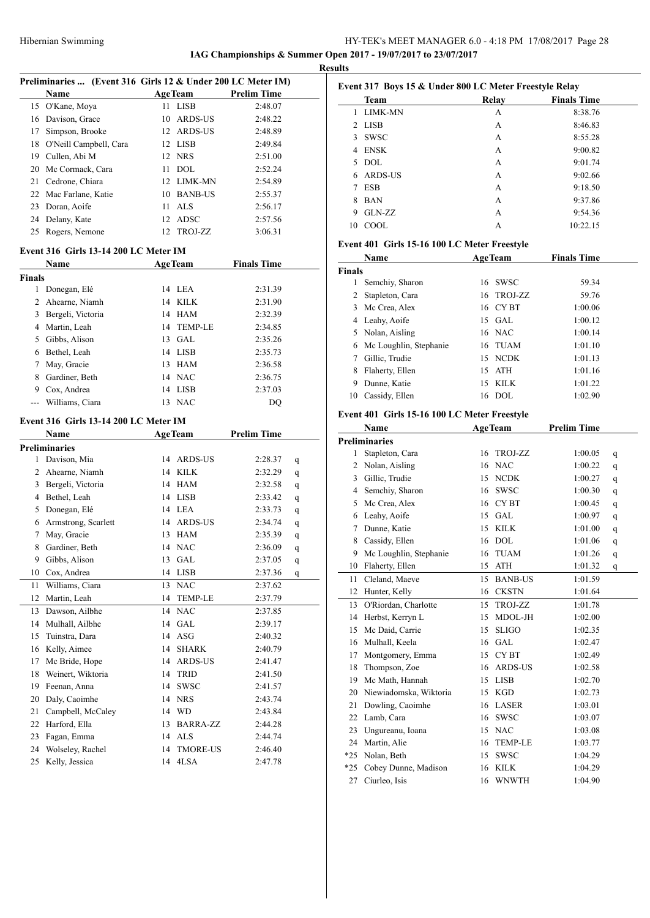# HY-TEK's MEET MANAGER 6.0 - 4:18 PM 17/08/2017 Page 28 **IAG Championships & Summer Open 2017 - 19/07/2017 to 23/07/2017**

**Results**

| Preliminaries  (Event 316 Girls 12 & Under 200 LC Meter IM) |                                       |          |                         |                    |              |  |
|-------------------------------------------------------------|---------------------------------------|----------|-------------------------|--------------------|--------------|--|
|                                                             | Name                                  |          | <b>AgeTeam</b>          | <b>Prelim Time</b> |              |  |
|                                                             | 15 O'Kane, Moya                       | 11       | LISB                    | 2:48.07            |              |  |
|                                                             | 16 Davison, Grace                     |          | 10 ARDS-US              | 2:48.22            |              |  |
| 17                                                          | Simpson, Brooke                       |          | 12 ARDS-US              | 2:48.89            |              |  |
|                                                             | 18 O'Neill Campbell, Cara             |          | 12 LISB                 | 2:49.84            |              |  |
|                                                             | 19 Cullen, Abi M                      |          | 12 NRS                  | 2:51.00            |              |  |
|                                                             | 20 Mc Cormack, Cara                   |          | $11$ DOL                | 2:52.24            |              |  |
|                                                             | 21 Cedrone, Chiara                    |          | 12 LIMK-MN              | 2:54.89            |              |  |
|                                                             | 22 Mac Farlane, Katie                 |          | 10 BANB-US              | 2:55.37            |              |  |
|                                                             | 23 Doran, Aoife                       |          | 11 ALS                  | 2:56.17            |              |  |
|                                                             | 24 Delany, Kate                       |          | 12 ADSC                 | 2:57.56            |              |  |
| 25                                                          | Rogers, Nemone                        | 12       | TROJ-ZZ                 | 3:06.31            |              |  |
|                                                             |                                       |          |                         |                    |              |  |
|                                                             | Event 316 Girls 13-14 200 LC Meter IM |          |                         |                    |              |  |
|                                                             | Name                                  |          | AgeTeam                 | <b>Finals Time</b> |              |  |
| <b>Finals</b>                                               |                                       |          |                         |                    |              |  |
|                                                             | 1 Donegan, Elé                        |          | 14 LEA                  | 2:31.39            |              |  |
|                                                             | 2 Ahearne, Niamh                      |          | 14 KILK                 | 2:31.90            |              |  |
|                                                             | 3 Bergeli, Victoria                   |          | 14 HAM                  | 2:32.39            |              |  |
|                                                             | 4 Martin, Leah                        |          | 14 TEMP-LE              | 2:34.85            |              |  |
|                                                             | 5 Gibbs, Alison                       |          | 13 GAL                  | 2:35.26            |              |  |
|                                                             | 6 Bethel, Leah                        |          | 14 LISB                 | 2:35.73            |              |  |
|                                                             | 7 May, Gracie                         |          | 13 HAM                  | 2:36.58            |              |  |
|                                                             | 8 Gardiner, Beth                      |          | 14 NAC                  | 2:36.75            |              |  |
|                                                             | 9 Cox, Andrea                         |          | 14 LISB                 | 2:37.03            |              |  |
|                                                             | Williams, Ciara                       |          | 13 NAC                  | DQ                 |              |  |
|                                                             | Event 316 Girls 13-14 200 LC Meter IM |          |                         |                    |              |  |
|                                                             | Name                                  |          | AgeTeam                 | <b>Prelim Time</b> |              |  |
|                                                             | <b>Preliminaries</b>                  |          |                         |                    |              |  |
| 1                                                           | Davison, Mia                          |          | 14 ARDS-US              | 2:28.37            | q            |  |
|                                                             | 2 Ahearne, Niamh                      |          | 14 KILK                 | 2:32.29            | q            |  |
|                                                             | 3 Bergeli, Victoria                   |          | 14 HAM                  | 2:32.58            | q            |  |
|                                                             | 4 Bethel, Leah                        |          | 14 LISB                 | 2:33.42            | q            |  |
|                                                             | 5 Donegan, Elé                        |          | 14 LEA                  | 2:33.73            | q            |  |
|                                                             | 6 Armstrong, Scarlett                 |          | 14 ARDS-US              | 2:34.74            | q            |  |
|                                                             | 7 May, Gracie                         |          | 13 HAM                  | 2:35.39            | q            |  |
|                                                             | 8 Gardiner, Beth                      |          | 14 NAC                  | 2:36.09            | $\mathbf{q}$ |  |
|                                                             | 9 Gibbs, Alison                       |          | 13 GAL                  | 2:37.05            | q            |  |
| 10                                                          | Cox, Andrea                           | 14       | LISB                    | 2:37.36            | q            |  |
| 11                                                          | Williams, Ciara                       | 13       | NAC                     | 2:37.62            |              |  |
| 12                                                          | Martin, Leah                          | 14       | TEMP-LE                 | 2:37.79            |              |  |
| 13                                                          | Dawson, Ailbhe                        | 14       | <b>NAC</b>              | 2:37.85            |              |  |
| 14                                                          | Mulhall, Ailbhe                       | 14       | $\operatorname{GAL}$    | 2:39.17            |              |  |
| 15                                                          | Tuinstra, Dara                        | 14       | ASG                     | 2:40.32            |              |  |
| 16                                                          | Kelly, Aimee                          | 14       | <b>SHARK</b>            | 2:40.79            |              |  |
| 17                                                          | Mc Bride, Hope                        | 14       | ARDS-US                 |                    |              |  |
| 18                                                          | Weinert, Wiktoria                     | 14       | <b>TRID</b>             | 2:41.47<br>2:41.50 |              |  |
| 19                                                          | Feenan, Anna                          | 14       | SWSC                    | 2:41.57            |              |  |
|                                                             | Daly, Caoimhe                         |          |                         | 2:43.74            |              |  |
| 20<br>21                                                    |                                       | 14       | <b>NRS</b>              |                    |              |  |
|                                                             |                                       |          |                         |                    |              |  |
|                                                             | Campbell, McCaley                     | 14       | WD                      | 2:43.84            |              |  |
| 22                                                          | Harford, Ella                         | 13       | BARRA-ZZ                | 2:44.28            |              |  |
| 23                                                          | Fagan, Emma                           | 14       | ALS                     | 2:44.74            |              |  |
| 24<br>25                                                    | Wolseley, Rachel<br>Kelly, Jessica    | 14<br>14 | <b>TMORE-US</b><br>4LSA | 2:46.40<br>2:47.78 |              |  |

|    | <b>Team</b>    | Relay | <b>Finals Time</b> |
|----|----------------|-------|--------------------|
| 1  | <b>LIMK-MN</b> | А     | 8:38.76            |
|    | 2 LISB         | А     | 8:46.83            |
| 3  | <b>SWSC</b>    | А     | 8:55.28            |
| 4  | <b>ENSK</b>    | А     | 9:00.82            |
| 5. | DOL.           | А     | 9:01.74            |
| 6  | ARDS-US        | А     | 9:02.66            |
| 7  | <b>ESB</b>     | А     | 9:18.50            |
| 8  | <b>BAN</b>     | А     | 9:37.86            |
| 9  | $GLN-ZZ$       | А     | 9:54.36            |
| 10 | COOL.          | А     | 10:22.15           |

### **Event 401 Girls 15-16 100 LC Meter Freestyle**

|               | Name                     |     | <b>AgeTeam</b> | <b>Finals Time</b> |  |
|---------------|--------------------------|-----|----------------|--------------------|--|
| <b>Finals</b> |                          |     |                |                    |  |
|               | Semchiy, Sharon          |     | 16 SWSC        | 59.34              |  |
| 2             | Stapleton, Cara          |     | 16 TROJ-ZZ     | 59.76              |  |
| 3             | Mc Crea, Alex            |     | 16 CYBT        | 1:00.06            |  |
|               | 4 Leahy, Aoife           |     | $15$ GAL       | 1:00.12            |  |
|               | 5 Nolan, Aisling         |     | 16 NAC         | 1:00.14            |  |
|               | 6 Mc Loughlin, Stephanie |     | 16 TUAM        | 1:01.10            |  |
|               | Gillic, Trudie           |     | 15 NCDK        | 1:01.13            |  |
| 8             | Flaherty, Ellen          | 15  | ATH            | 1:01.16            |  |
| 9             | Dunne, Katie             | 15. | KILK           | 1:01.22            |  |
| 10            | Cassidy, Ellen           | 16  | DOL.           | 1:02.90            |  |

# **Event 401 Girls 15-16 100 LC Meter Freestyle**

|       | Name                   | <b>AgeTeam</b> |                  | <b>Prelim Time</b> |   |
|-------|------------------------|----------------|------------------|--------------------|---|
|       | <b>Preliminaries</b>   |                |                  |                    |   |
| 1     | Stapleton, Cara        | 16             | TROJ-ZZ          | 1:00.05            | q |
| 2     | Nolan, Aisling         | 16             | <b>NAC</b>       | 1:00.22            | q |
| 3     | Gillic, Trudie         | 15             | <b>NCDK</b>      | 1:00.27            | q |
| 4     | Semchiy, Sharon        | 16             | <b>SWSC</b>      | 1:00.30            | q |
| 5     | Mc Crea, Alex          | 16             | <b>CYBT</b>      | 1:00.45            | q |
| 6     | Leahy, Aoife           | 15             | <b>GAL</b>       | 1:00.97            | q |
| 7     | Dunne, Katie           | 15             | <b>KILK</b>      | 1:01.00            | q |
| 8     | Cassidy, Ellen         | 16             | <b>DOL</b>       | 1:01.06            | q |
| 9     | Mc Loughlin, Stephanie | 16             | <b>TUAM</b>      | 1:01.26            | q |
| 10    | Flaherty, Ellen        | 15             | <b>ATH</b>       | 1:01.32            | q |
| 11    | Cleland, Maeve         | 15             | <b>BANB-US</b>   | 1:01.59            |   |
| 12    | Hunter, Kelly          | 16             | <b>CKSTN</b>     | 1:01.64            |   |
| 13    | O'Riordan, Charlotte   | 15             | TROJ-ZZ          | 1:01.78            |   |
| 14    | Herbst, Kerryn L       | 15             | MDOL-JH          | 1:02.00            |   |
| 15    | Mc Daid, Carrie        | 15             | <b>SLIGO</b>     | 1:02.35            |   |
| 16    | Mulhall, Keela         | 16             | GAL              | 1:02.47            |   |
| 17    | Montgomery, Emma       | 15             | CY <sub>BT</sub> | 1:02.49            |   |
| 18    | Thompson, Zoe          | 16             | <b>ARDS-US</b>   | 1:02.58            |   |
| 19    | Mc Math, Hannah        | 15             | <b>LISB</b>      | 1:02.70            |   |
| 20    | Niewiadomska, Wiktoria | 15             | <b>KGD</b>       | 1:02.73            |   |
| 21    | Dowling, Caoimhe       | 16             | <b>LASER</b>     | 1:03.01            |   |
| 22    | Lamb, Cara             | 16             | <b>SWSC</b>      | 1:03.07            |   |
| 23    | Ungureanu, Ioana       | 15             | <b>NAC</b>       | 1:03.08            |   |
| 24    | Martin, Alie           | 16             | <b>TEMP-LE</b>   | 1:03.77            |   |
| $*25$ | Nolan, Beth            | 15             | <b>SWSC</b>      | 1:04.29            |   |
| $*25$ | Cobey Dunne, Madison   | 16             | <b>KILK</b>      | 1:04.29            |   |
| 27    | Ciurleo, Isis          | 16             | <b>WNWTH</b>     | 1:04.90            |   |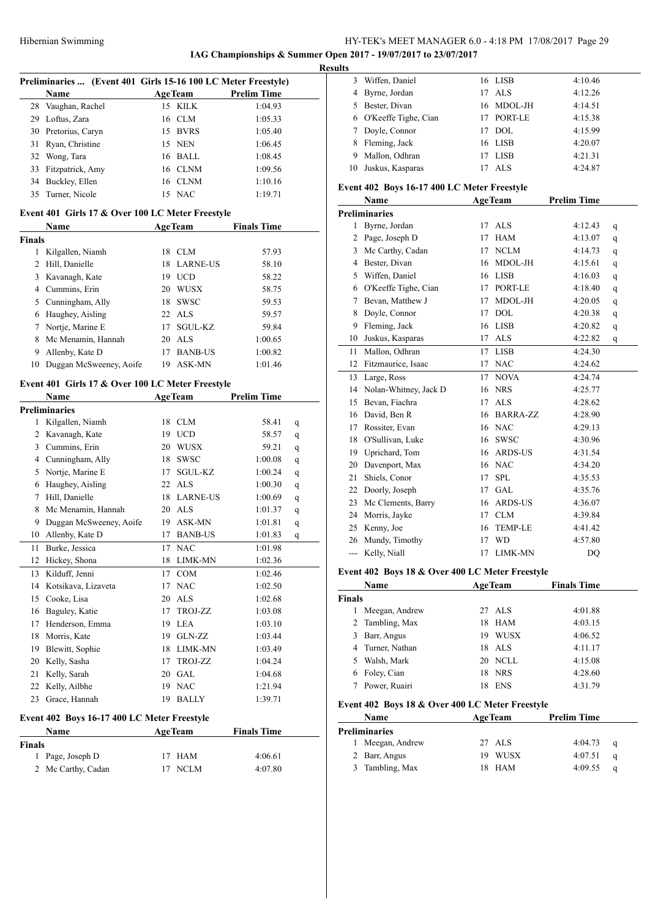**IAG Championships & Summer Open 2017 - 19/07/2017 to 23/07/2017 Results**

| Preliminaries  (Event 401 Girls 15-16 100 LC Meter Freestyle) |                |                    |  |
|---------------------------------------------------------------|----------------|--------------------|--|
| <b>Name</b>                                                   | <b>AgeTeam</b> | <b>Prelim Time</b> |  |
| 28 Vaughan, Rachel                                            | 15 KILK        | 1:04.93            |  |
| 29 Loftus, Zara                                               | 16 CLM         | 1:05.33            |  |
| 30 Pretorius, Caryn                                           | 15 BVRS        | 1:05.40            |  |
| 31 Ryan, Christine                                            | 15 NEN         | 1:06.45            |  |
| 32 Wong, Tara                                                 | 16 BALL        | 1:08.45            |  |
| 33 Fitzpatrick, Amy                                           | 16 CLNM        | 1:09.56            |  |
| 34 Buckley, Ellen                                             | 16 CLNM        | 1:10.16            |  |
| 35 Turner, Nicole                                             | 15 NAC         | 1:19.71            |  |

### **Event 401 Girls 17 & Over 100 LC Meter Freestyle**

|               | <b>Name</b>             | <b>AgeTeam</b> |                 | <b>Finals Time</b> |  |
|---------------|-------------------------|----------------|-----------------|--------------------|--|
| <b>Finals</b> |                         |                |                 |                    |  |
|               | Kilgallen, Niamh        | 18             | CLM             | 57.93              |  |
| 2             | Hill, Danielle          | 18             | <b>LARNE-US</b> | 58.10              |  |
| 3             | Kavanagh, Kate          | 19             | <b>UCD</b>      | 58.22              |  |
| 4             | Cummins, Erin           | 20             | <b>WUSX</b>     | 58.75              |  |
| 5.            | Cunningham, Ally        | 18             | <b>SWSC</b>     | 59.53              |  |
| 6             | Haughey, Aisling        | $22$ ALS       |                 | 59.57              |  |
| 7             | Nortje, Marine E        | 17             | <b>SGUL-KZ</b>  | 59.84              |  |
| 8             | Mc Menamin, Hannah      | 20             | ALS             | 1:00.65            |  |
| 9             | Allenby, Kate D         | 17             | <b>BANB-US</b>  | 1:00.82            |  |
| 10            | Duggan McSweeney, Aoife | 19             | ASK-MN          | 1:01.46            |  |

# **Event 401 Girls 17 & Over 100 LC Meter Freestyle**

|    | Name                                                                     |    | <b>AgeTeam</b>  | <b>Prelim Time</b> |   |
|----|--------------------------------------------------------------------------|----|-----------------|--------------------|---|
|    | <b>Preliminaries</b>                                                     |    |                 |                    |   |
| 1  | Kilgallen, Niamh                                                         | 18 | <b>CLM</b>      | 58.41              | q |
| 2  | Kavanagh, Kate                                                           | 19 | <b>UCD</b>      | 58.57              | q |
| 3  | Cummins, Erin                                                            | 20 | <b>WUSX</b>     | 59.21              | q |
| 4  | Cunningham, Ally                                                         | 18 | <b>SWSC</b>     | 1:00.08            | q |
| 5  | Nortje, Marine E                                                         | 17 | SGUL-KZ         | 1:00.24            | q |
| 6  | Haughey, Aisling                                                         | 22 | ALS             | 1:00.30            | q |
| 7  | Hill, Danielle                                                           | 18 | <b>LARNE-US</b> | 1:00.69            | q |
| 8  | Mc Menamin, Hannah                                                       | 20 | ALS             | 1:01.37            | q |
| 9  | Duggan McSweeney, Aoife                                                  | 19 | ASK-MN          | 1:01.81            | q |
| 10 | Allenby, Kate D                                                          | 17 | <b>BANB-US</b>  | 1:01.83            | q |
| 11 | Burke, Jessica                                                           | 17 | <b>NAC</b>      | 1:01.98            |   |
| 12 | Hickey, Shona                                                            | 18 | LIMK-MN         | 1:02.36            |   |
| 13 | Kilduff, Jenni                                                           | 17 | COM             | 1:02.46            |   |
| 14 | Kotsikava, Lizaveta                                                      | 17 | <b>NAC</b>      | 1:02.50            |   |
| 15 | Cooke, Lisa                                                              | 20 | <b>ALS</b>      | 1:02.68            |   |
| 16 | Baguley, Katie                                                           | 17 | TROJ-ZZ         | 1:03.08            |   |
| 17 | Henderson, Emma                                                          | 19 | <b>LEA</b>      | 1:03.10            |   |
| 18 | Morris, Kate                                                             | 19 | GLN-ZZ          | 1:03.44            |   |
| 19 | Blewitt, Sophie                                                          | 18 | LIMK-MN         | 1:03.49            |   |
| 20 | Kelly, Sasha                                                             | 17 | TROJ-ZZ         | 1:04.24            |   |
| 21 | Kelly, Sarah                                                             | 20 | <b>GAL</b>      | 1:04.68            |   |
| 22 | Kelly, Ailbhe                                                            | 19 | <b>NAC</b>      | 1:21.94            |   |
| 23 | Grace, Hannah                                                            | 19 | <b>BALLY</b>    | 1:39.71            |   |
|    | $\overline{a}$<br>$\epsilon$ $\epsilon$ $\epsilon$ $\epsilon$ $\epsilon$ |    | $\sim$          |                    |   |

### **Event 402 Boys 16-17 400 LC Meter Freestyle**

|        | Name               | <b>AgeTeam</b> | <b>Finals Time</b> |  |
|--------|--------------------|----------------|--------------------|--|
| Finals |                    |                |                    |  |
|        | 1 Page, Joseph D   | 17 HAM         | 4:06.61            |  |
|        | 2 Mc Carthy, Cadan | 17 NCLM        | 4:07.80            |  |

| LS. |                        |    |            |         |
|-----|------------------------|----|------------|---------|
|     | Wiffen, Daniel         |    | 16 LISB    | 4:10.46 |
|     | Byrne, Jordan          |    | 17 ALS     | 4:12.26 |
|     | Bester, Divan          |    | 16 MDOL-JH | 4:14.51 |
|     | 6 O'Keeffe Tighe, Cian |    | 17 PORT-LE | 4:15.38 |
|     | Doyle, Connor          | 17 | DOL.       | 4:15.99 |
| 8   | Fleming, Jack          |    | 16 LISB    | 4:20.07 |
|     | Mallon, Odhran         | 17 | LISB       | 4:21.31 |
| 10  | Juskus, Kasparas       |    | AL S       | 4:24.87 |
|     |                        |    |            |         |

### **Event 402 Boys 16-17 400 LC Meter Freestyle**

|     | Name                  | <b>AgeTeam</b>        | <b>Prelim Time</b> |   |
|-----|-----------------------|-----------------------|--------------------|---|
|     | <b>Preliminaries</b>  |                       |                    |   |
| 1   | Byrne, Jordan         | <b>ALS</b><br>17      | 4:12.43            | q |
| 2   | Page, Joseph D        | <b>HAM</b><br>17      | 4:13.07            | q |
| 3   | Mc Carthy, Cadan      | <b>NCLM</b><br>17     | 4:14.73            | q |
| 4   | Bester, Divan         | MDOL-JH<br>16         | 4:15.61            | q |
| 5   | Wiffen, Daniel        | <b>LISB</b><br>16     | 4:16.03            | q |
| 6   | O'Keeffe Tighe, Cian  | PORT-LE<br>17         | 4:18.40            | q |
| 7   | Bevan, Matthew J      | MDOL-JH<br>17         | 4:20.05            | q |
| 8   | Doyle, Connor         | <b>DOL</b><br>17      | 4:20.38            | q |
| 9   | Fleming, Jack         | <b>LISB</b><br>16     | 4:20.82            | q |
| 10  | Juskus, Kasparas      | <b>ALS</b><br>17      | 4:22.82            | q |
| 11  | Mallon, Odhran        | <b>LISB</b><br>17     | 4:24.30            |   |
| 12  | Fitzmaurice, Isaac    | <b>NAC</b><br>17      | 4:24.62            |   |
| 13  | Large, Ross           | <b>NOVA</b><br>17     | 4:24.74            |   |
| 14  | Nolan-Whitney, Jack D | <b>NRS</b><br>16      | 4:25.77            |   |
| 15  | Bevan, Fiachra        | <b>ALS</b><br>17      | 4:28.62            |   |
| 16  | David, Ben R          | <b>BARRA-ZZ</b><br>16 | 4:28.90            |   |
| 17  | Rossiter, Evan        | <b>NAC</b><br>16      | 4:29.13            |   |
| 18  | O'Sullivan, Luke      | <b>SWSC</b><br>16     | 4:30.96            |   |
| 19  | Uprichard, Tom        | <b>ARDS-US</b><br>16  | 4:31.54            |   |
| 20  | Davenport, Max        | <b>NAC</b><br>16      | 4:34.20            |   |
| 21  | Shiels, Conor         | <b>SPL</b><br>17      | 4:35.53            |   |
| 22  | Doorly, Joseph        | <b>GAL</b><br>17      | 4:35.76            |   |
| 23  | Mc Clements, Barry    | <b>ARDS-US</b><br>16  | 4:36.07            |   |
| 24  | Morris, Jayke         | <b>CLM</b><br>17      | 4:39.84            |   |
| 25  | Kenny, Joe            | <b>TEMP-LE</b><br>16  | 4:41.42            |   |
| 26  | Mundy, Timothy        | <b>WD</b><br>17       | 4:57.80            |   |
| --- | Kelly, Niall          | LIMK-MN<br>17         | DQ                 |   |

### **Event 402 Boys 18 & Over 400 LC Meter Freestyle**

|               | Name             |     | <b>AgeTeam</b> | <b>Finals Time</b> |  |
|---------------|------------------|-----|----------------|--------------------|--|
| <b>Finals</b> |                  |     |                |                    |  |
|               | Meegan, Andrew   |     | 27 ALS         | 4:01.88            |  |
|               | 2 Tambling, Max  | 18. | HAM            | 4:03.15            |  |
| 3.            | Barr, Angus      | 19  | <b>WUSX</b>    | 4:06.52            |  |
|               | 4 Turner, Nathan |     | 18 ALS         | 4:11.17            |  |
| 5.            | Walsh, Mark      |     | 20 NCLL        | 4:15.08            |  |
| 6             | Foley, Cian      | 18  | <b>NRS</b>     | 4:28.60            |  |
|               | Power, Ruairi    | 18  | <b>ENS</b>     | 4:31.79            |  |

### **Event 402 Boys 18 & Over 400 LC Meter Freestyle**

| <b>Name</b>      | <b>AgeTeam</b> | <b>Prelim Time</b> |               |
|------------------|----------------|--------------------|---------------|
| Preliminaries    |                |                    |               |
| 1 Meegan, Andrew | 27 ALS         | 4:04.73            |               |
| 2 Barr, Angus    | WUSX<br>19     | 4:07.51            |               |
| 3 Tambling, Max  | 18 HAM         | 4:09.55            |               |
|                  |                |                    | - a<br>a<br>a |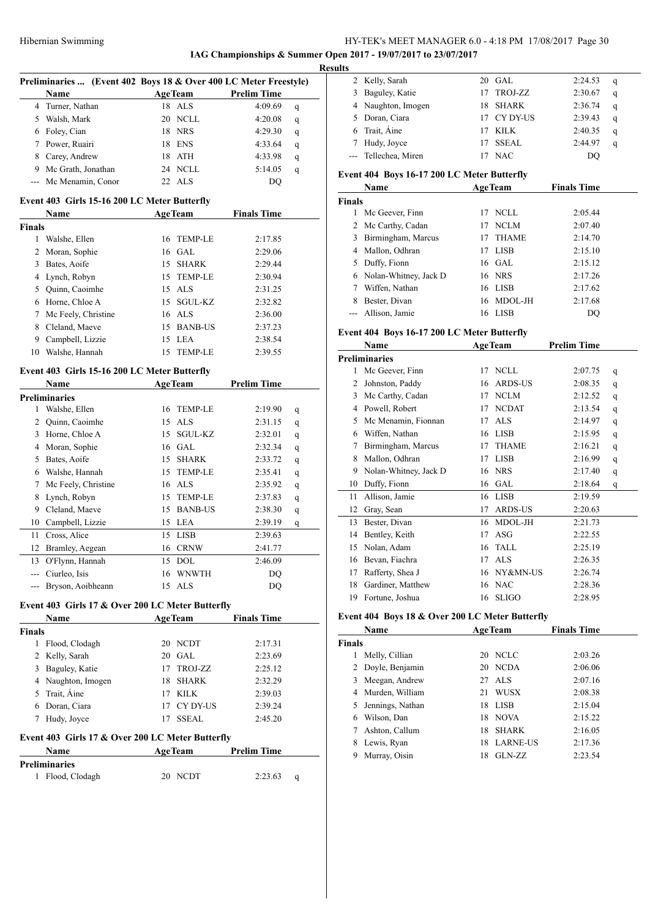**IAG Championships & Summer Open 2017 - 19/07/2017 to 23/07/2017 Result** 

|               | Preliminaries  (Event 402 Boys 18 & Over 400 LC Meter Freestyle) |    |                |                    |   |
|---------------|------------------------------------------------------------------|----|----------------|--------------------|---|
|               | Name                                                             |    | <b>AgeTeam</b> | <b>Prelim Time</b> |   |
|               | 4 Turner, Nathan                                                 |    | 18 ALS         | 4:09.69            | q |
|               | 5 Walsh, Mark                                                    |    | 20 NCLL        | 4:20.08            | q |
|               | 6 Foley, Cian                                                    |    | 18 NRS         | 4:29.30            | q |
|               | 7 Power, Ruairi                                                  |    | 18 ENS         | 4:33.64            | q |
|               | 8 Carey, Andrew                                                  |    | 18 ATH         | 4:33.98            | q |
|               | 9 Mc Grath, Jonathan                                             |    | 24 NCLL        | 5:14.05            | q |
| $---$         | Mc Menamin, Conor                                                |    | 22 ALS         | DQ                 |   |
|               | Event 403 Girls 15-16 200 LC Meter Butterfly                     |    |                |                    |   |
|               | Name                                                             |    | <b>AgeTeam</b> | <b>Finals Time</b> |   |
| <b>Finals</b> |                                                                  |    |                |                    |   |
|               | 1 Walshe, Ellen                                                  | 16 | TEMP-LE        | 2:17.85            |   |
|               | 2 Moran, Sophie                                                  |    | 16 GAL         | 2:29.06            |   |
|               | 3 Bates, Aoife                                                   | 15 | <b>SHARK</b>   | 2:29.44            |   |
|               | 4 Lynch, Robyn                                                   |    | 15 TEMP-LE     | 2:30.94            |   |
|               | 5 Quinn, Caoimhe                                                 |    | 15 ALS         | 2:31.25            |   |
|               | 6 Horne, Chloe A                                                 |    | 15 SGUL-KZ     | 2:32.82            |   |
|               | 7 Mc Feely, Christine                                            |    | 16 ALS         | 2:36.00            |   |
|               | 8 Cleland, Maeve                                                 |    | 15 BANB-US     | 2:37.23            |   |
|               | 9 Campbell, Lizzie                                               |    | 15 LEA         | 2:38.54            |   |
|               | 10 Walshe, Hannah                                                | 15 | <b>TEMP-LE</b> | 2:39.55            |   |
|               |                                                                  |    |                |                    |   |
|               | Event 403 Girls 15-16 200 LC Meter Butterfly                     |    |                |                    |   |
|               | Name                                                             |    | <b>AgeTeam</b> | <b>Prelim Time</b> |   |
|               | <b>Preliminaries</b>                                             |    |                |                    |   |
|               | 1 Walshe, Ellen                                                  |    | 16 TEMP-LE     | 2:19.90            | q |
|               | 2 Quinn, Caoimhe                                                 |    | 15 ALS         | 2:31.15            | q |
|               | 3 Horne, Chloe A                                                 | 15 | SGUL-KZ        | 2:32.01            | q |
|               | 4 Moran, Sophie                                                  |    | 16 GAL         | 2:32.34            | q |
|               | 5 Bates, Aoife                                                   | 15 | <b>SHARK</b>   | 2:33.72            | q |
|               | 6 Walshe, Hannah                                                 |    | 15 TEMP-LE     | 2:35.41            | q |
|               | 7 Mc Feely, Christine                                            |    | 16 ALS         | 2:35.92            | q |
|               | 8 Lynch, Robyn                                                   |    | 15 TEMP-LE     | 2:37.83            | q |
|               | 9 Cleland, Maeve                                                 |    | 15 BANB-US     | 2:38.30            | q |
|               | 10 Campbell, Lizzie                                              |    | 15 LEA         | 2:39.19            | q |
|               | 11 Cross, Alice                                                  |    | 15 LISB        | 2:39.63            |   |
| 12            | Bramley, Aegean                                                  |    | 16 CRNW        | 2:41.77            |   |
|               | 13 O'Flynn, Hannah                                               |    | 15 DOL         | 2:46.09            |   |
|               | --- Ciurleo, Isis                                                | 16 | <b>WNWTH</b>   | DQ                 |   |
|               | --- Bryson, Aoibheann                                            |    | 15 ALS         | DQ                 |   |
|               | Event 403 Girls 17 & Over 200 LC Meter Butterfly                 |    |                |                    |   |
|               | Name                                                             |    | <b>AgeTeam</b> | <b>Finals Time</b> |   |
| <b>Finals</b> |                                                                  |    |                |                    |   |
|               | 1 Flood, Clodagh                                                 |    | 20 NCDT        | 2:17.31            |   |
|               | 2 Kelly, Sarah                                                   | 20 | GAL            | 2:23.69            |   |
|               | 3 Baguley, Katie                                                 | 17 | TROJ-ZZ        | 2:25.12            |   |
|               | 4 Naughton, Imogen                                               | 18 | <b>SHARK</b>   | 2:32.29            |   |
|               | 5 Trait, Aine                                                    | 17 | KILK           | 2:39.03            |   |
|               | 6 Doran, Ciara                                                   | 17 | CY DY-US       | 2:39.24            |   |
|               | 7 Hudy, Joyce                                                    | 17 | SSEAL          | 2:45.20            |   |
|               |                                                                  |    |                |                    |   |
|               | Event 403 Girls 17 & Over 200 LC Meter Butterfly                 |    |                |                    |   |
|               | Name<br><b>Preliminaries</b>                                     |    | <b>AgeTeam</b> | Prelim Time        |   |
| $\mathbf{1}$  | Flood, Clodagh                                                   |    | 20 NCDT        | 2:23.63            | q |
|               |                                                                  |    |                |                    |   |

| ľS |                      |     |              |         |   |
|----|----------------------|-----|--------------|---------|---|
|    | 2 Kelly, Sarah       |     | $20$ GAL     | 2:24.53 | q |
|    | 3 Baguley, Katie     | 17  | TROJ-ZZ      | 2:30.67 | q |
|    | 4 Naughton, Imogen   | 18. | SHARK        | 2:36.74 | q |
|    | 5 Doran, Ciara       |     | 17 CY DY-US  | 2:39.43 | q |
|    | 6 Trait, Aine        | 17  | KILK         | 2:40.35 | q |
|    | Hudy, Joyce          | 17  | <b>SSEAL</b> | 2:44.97 | q |
|    | --- Tellechea, Miren |     | <b>NAC</b>   | DO      |   |

# **Event 404 Boys 16-17 200 LC Meter Butterfly**

| Name          |                         | <b>AgeTeam</b> |              | <b>Finals Time</b> |  |
|---------------|-------------------------|----------------|--------------|--------------------|--|
| <b>Finals</b> |                         |                |              |                    |  |
|               | Mc Geever, Finn         | 17             | NCLL.        | 2:05.44            |  |
|               | 2 Mc Carthy, Cadan      | 17             | NCLM         | 2:07.40            |  |
| 3             | Birmingham, Marcus      | 17             | <b>THAME</b> | 2:14.70            |  |
| 4             | Mallon, Odhran          | 17             | LISB         | 2:15.10            |  |
| 5.            | Duffy, Fionn            |                | 16 GAL       | 2:15.12            |  |
|               | 6 Nolan-Whitney, Jack D |                | 16 NRS       | 2:17.26            |  |
|               | Wiffen, Nathan          | 16             | LISB         | 2:17.62            |  |
| 8             | Bester, Divan           | 16             | MDOL-JH      | 2:17.68            |  |
|               | --- Allison, Jamie      | 16             | <b>LISB</b>  | DO                 |  |

### **Event 404 Boys 16-17 200 LC Meter Butterfly**

|    | Name                  |    | <b>AgeTeam</b> | <b>Prelim Time</b> |   |
|----|-----------------------|----|----------------|--------------------|---|
|    | <b>Preliminaries</b>  |    |                |                    |   |
| 1  | Mc Geever, Finn       | 17 | <b>NCLL</b>    | 2:07.75            | q |
| 2  | Johnston, Paddy       | 16 | <b>ARDS-US</b> | 2:08.35            | q |
| 3  | Mc Carthy, Cadan      | 17 | <b>NCLM</b>    | 2:12.52            | q |
| 4  | Powell, Robert        | 17 | <b>NCDAT</b>   | 2:13.54            | q |
| 5  | Mc Menamin, Fionnan   | 17 | <b>ALS</b>     | 2:14.97            | q |
| 6  | Wiffen, Nathan        | 16 | <b>LISB</b>    | 2:15.95            | q |
| 7  | Birmingham, Marcus    | 17 | <b>THAME</b>   | 2:16.21            | q |
| 8  | Mallon, Odhran        | 17 | <b>LISB</b>    | 2:16.99            | q |
| 9  | Nolan-Whitney, Jack D | 16 | <b>NRS</b>     | 2:17.40            | q |
| 10 | Duffy, Fionn          | 16 | GAL            | 2:18.64            | q |
| 11 | Allison, Jamie        | 16 | <b>LISB</b>    | 2:19.59            |   |
| 12 | Gray, Sean            | 17 | <b>ARDS-US</b> | 2:20.63            |   |
| 13 | Bester, Divan         | 16 | MDOL-JH        | 2:21.73            |   |
| 14 | Bentley, Keith        | 17 | ASG            | 2:22.55            |   |
| 15 | Nolan, Adam           | 16 | <b>TALL</b>    | 2:25.19            |   |
| 16 | Bevan, Fiachra        | 17 | <b>ALS</b>     | 2:26.35            |   |
| 17 | Rafferty, Shea J      | 16 | NY&MN-US       | 2:26.74            |   |
| 18 | Gardiner, Matthew     | 16 | <b>NAC</b>     | 2:28.36            |   |
| 19 | Fortune, Joshua       | 16 | <b>SLIGO</b>   | 2:28.95            |   |

### **Event 404 Boys 18 & Over 200 LC Meter Butterfly**

|               | Name              | <b>AgeTeam</b>     | <b>Finals Time</b>         |
|---------------|-------------------|--------------------|----------------------------|
| <b>Finals</b> |                   |                    |                            |
|               | Melly, Cillian    | NCLC<br>20         | 2:03.26                    |
|               | 2 Doyle, Benjamin | 20 NCDA            | 2:06.06                    |
| 3             | Meegan, Andrew    | 27 ALS             | 2:07.16                    |
| 4             | Murden, William   | <b>WUSX</b><br>21  | 2:08.38                    |
| 5.            | Jennings, Nathan  | LISB<br>18         | 2:15.04                    |
| 6             | Wilson. Dan       | <b>NOVA</b><br>18  | 2:15.22                    |
|               | Ashton, Callum    | <b>SHARK</b><br>18 | 2:16.05                    |
| 8             | Lewis, Ryan       | 18                 | <b>LARNE-US</b><br>2:17.36 |
| 9             | Murray, Oisin     | GLN-ZZ<br>18       | 2:23.54                    |
|               |                   |                    |                            |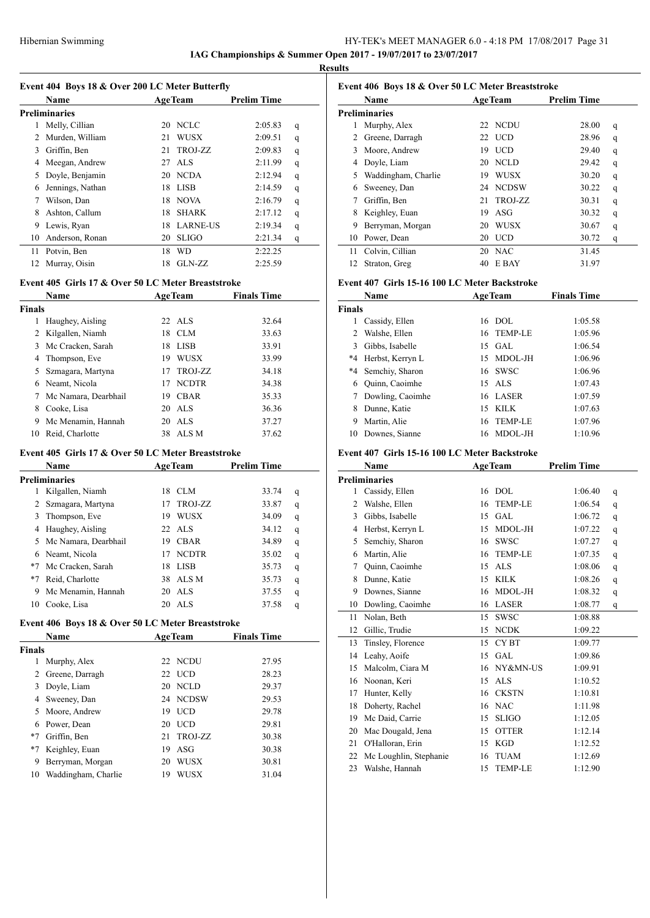**IAG Championships & Summer Open 2017 - 19/07/2017 to 23/07/2017**

**Results**

 $\overline{a}$ 

|  |  |  | Event 404 Boys 18 & Over 200 LC Meter Butterfly |
|--|--|--|-------------------------------------------------|
|--|--|--|-------------------------------------------------|

|    | <b>Name</b>          |    | <b>AgeTeam</b>  | <b>Prelim Time</b> |   |
|----|----------------------|----|-----------------|--------------------|---|
|    | <b>Preliminaries</b> |    |                 |                    |   |
| 1  | Melly, Cillian       | 20 | <b>NCLC</b>     | 2:05.83            | q |
| 2  | Murden, William      | 21 | <b>WUSX</b>     | 2:09.51            | q |
| 3  | Griffin, Ben         | 21 | <b>TROJ-ZZ</b>  | 2:09.83            | q |
| 4  | Meegan, Andrew       | 27 | ALS             | 2:11.99            | q |
| 5  | Doyle, Benjamin      | 20 | <b>NCDA</b>     | 2:12.94            | q |
| 6  | Jennings, Nathan     | 18 | LISB            | 2:14.59            | q |
| 7  | Wilson, Dan          | 18 | <b>NOVA</b>     | 2:16.79            | q |
| 8  | Ashton, Callum       | 18 | <b>SHARK</b>    | 2:17.12            | q |
| 9  | Lewis, Ryan          | 18 | <b>LARNE-US</b> | 2:19.34            | q |
| 10 | Anderson, Ronan      | 20 | <b>SLIGO</b>    | 2:21.34            | q |
| 11 | Potvin, Ben          | 18 | <b>WD</b>       | 2:22.25            |   |
| 12 | Murray, Oisin        | 18 | $GLN-ZZ$        | 2:25.59            |   |
|    |                      |    |                 |                    |   |

### **Event 405 Girls 17 & Over 50 LC Meter Breaststroke**

|        | Name                 |    | <b>AgeTeam</b> | <b>Finals Time</b> |  |
|--------|----------------------|----|----------------|--------------------|--|
| Finals |                      |    |                |                    |  |
| 1      | Haughey, Aisling     |    | $22$ ALS       | 32.64              |  |
| 2      | Kilgallen, Niamh     | 18 | CLM            | 33.63              |  |
| 3      | Mc Cracken, Sarah    | 18 | <b>LISB</b>    | 33.91              |  |
| 4      | Thompson, Eve        | 19 | <b>WUSX</b>    | 33.99              |  |
| 5.     | Szmagara, Martyna    |    | 17 TROJ-ZZ     | 34.18              |  |
| 6      | Neamt, Nicola        | 17 | <b>NCDTR</b>   | 34.38              |  |
| 7      | Mc Namara, Dearbhail | 19 | <b>CBAR</b>    | 35.33              |  |
| 8      | Cooke, Lisa          |    | 20 ALS         | 36.36              |  |
| 9      | Mc Menamin, Hannah   |    | 20 ALS         | 37.27              |  |
| 10     | Reid, Charlotte      |    | 38 ALS M       | 37.62              |  |

# **Event 405 Girls 17 & Over 50 LC Meter Breaststroke**

|      | Name                 |     | <b>AgeTeam</b> | <b>Prelim Time</b> |   |
|------|----------------------|-----|----------------|--------------------|---|
|      | Preliminaries        |     |                |                    |   |
|      | Kilgallen, Niamh     | 18  | CLM            | 33.74              | q |
|      | Szmagara, Martyna    | 17  | TROJ-ZZ        | 33.87              | q |
| 3    | Thompson, Eve        | 19  | <b>WUSX</b>    | 34.09              | q |
| 4    | Haughey, Aisling     |     | 22 ALS         | 34.12              | q |
| 5.   | Mc Namara, Dearbhail | 19  | <b>CBAR</b>    | 34.89              | q |
|      | 6 Neamt, Nicola      | 17  | <b>NCDTR</b>   | 35.02              | q |
| $*7$ | Mc Cracken, Sarah    | 18  | LISB           | 35.73              | q |
| $*7$ | Reid, Charlotte      |     | 38 ALS M       | 35.73              | q |
| 9    | Mc Menamin, Hannah   | 20  | AL S           | 37.55              | q |
| 10   | Cooke, Lisa          | 20. | AL S           | 37.58              | q |

### **Event 406 Boys 18 & Over 50 LC Meter Breaststroke**

|    | Event 406 Boys 18 & Over 50 LC Meter Breaststroke |    |                |                    |   |
|----|---------------------------------------------------|----|----------------|--------------------|---|
|    | Name                                              |    | <b>AgeTeam</b> | <b>Prelim Time</b> |   |
|    | Preliminaries                                     |    |                |                    |   |
| 1  | Murphy, Alex                                      |    | 22 NCDU        | 28.00              | q |
| 2  | Greene, Darragh                                   |    | 22 UCD         | 28.96              | q |
| 3  | Moore, Andrew                                     | 19 | <b>UCD</b>     | 29.40              | q |
| 4  | Doyle, Liam                                       | 20 | <b>NCLD</b>    | 29.42              | q |
| 5  | Waddingham, Charlie                               | 19 | <b>WUSX</b>    | 30.20              | q |
| 6  | Sweeney, Dan                                      | 24 | <b>NCDSW</b>   | 30.22              | q |
| 7  | Griffin, Ben                                      | 21 | TROJ-ZZ        | 30.31              | q |
| 8  | Keighley, Euan                                    | 19 | ASG            | 30.32              | q |
| 9  | Berryman, Morgan                                  | 20 | <b>WUSX</b>    | 30.67              | q |
| 10 | Power, Dean                                       | 20 | <b>UCD</b>     | 30.72              | q |
| 11 | Colvin, Cillian                                   | 20 | <b>NAC</b>     | 31.45              |   |
| 12 | Straton, Greg                                     | 40 | E BAY          | 31.97              |   |

# **Event 407 Girls 15-16 100 LC Meter Backstroke**

|               | Name                |     | <b>AgeTeam</b> | <b>Finals Time</b> |  |
|---------------|---------------------|-----|----------------|--------------------|--|
| <b>Finals</b> |                     |     |                |                    |  |
|               | Cassidy, Ellen      | 16  | DOL.           | 1:05.58            |  |
| 2             | Walshe, Ellen       |     | 16 TEMP-LE     | 1:05.96            |  |
| 3             | Gibbs, Isabelle     |     | $15$ GAL       | 1:06.54            |  |
|               | *4 Herbst, Kerryn L | 15  | MDOL-JH        | 1:06.96            |  |
|               | *4 Semchiy, Sharon  |     | 16 SWSC        | 1:06.96            |  |
| 6             | Quinn, Caoimhe      |     | 15 ALS         | 1:07.43            |  |
| 7             | Dowling, Caoimhe    |     | 16 LASER       | 1:07.59            |  |
| 8             | Dunne, Katie        | 15  | <b>KILK</b>    | 1:07.63            |  |
| 9             | Martin, Alie        | 16. | <b>TEMP-LE</b> | 1:07.96            |  |
| 10            | Downes, Sianne      | 16  | MDOL-JH        | 1:10.96            |  |

# **Event 407 Girls 15-16 100 LC Meter Backstroke**

|                | Name                   | <b>AgeTeam</b> |                | <b>Prelim Time</b> |   |
|----------------|------------------------|----------------|----------------|--------------------|---|
|                | <b>Preliminaries</b>   |                |                |                    |   |
| 1              | Cassidy, Ellen         | 16             | <b>DOL</b>     | 1:06.40            | q |
| $\overline{c}$ | Walshe, Ellen          | 16             | <b>TEMP-LE</b> | 1:06.54            | q |
| 3              | Gibbs, Isabelle        | 15             | GAL            | 1:06.72            | q |
| 4              | Herbst, Kerryn L       | 15             | MDOL-JH        | 1:07.22            | q |
| 5              | Semchiy, Sharon        | 16             | <b>SWSC</b>    | 1:07.27            | q |
| 6              | Martin, Alie           | 16             | <b>TEMP-LE</b> | 1:07.35            | q |
| 7              | Quinn, Caoimhe         | 15             | ALS.           | 1:08.06            | q |
| 8              | Dunne, Katie           | 15             | <b>KILK</b>    | 1:08.26            | q |
| 9              | Downes, Sianne         | 16             | MDOL-JH        | 1:08.32            | q |
| 10             | Dowling, Caoimhe       | 16             | <b>LASER</b>   | 1:08.77            | q |
| 11             | Nolan, Beth            | 15             | <b>SWSC</b>    | 1:08.88            |   |
| 12             | Gillic, Trudie         | 15             | <b>NCDK</b>    | 1:09.22            |   |
| 13             | Tinsley, Florence      | 15             | <b>CYBT</b>    | 1:09.77            |   |
| 14             | Leahy, Aoife           | 15             | GAL            | 1:09.86            |   |
| 15             | Malcolm, Ciara M       | 16             | NY&MN-US       | 1:09.91            |   |
| 16             | Noonan, Keri           | 15             | <b>ALS</b>     | 1:10.52            |   |
| 17             | Hunter, Kelly          | 16             | <b>CKSTN</b>   | 1:10.81            |   |
| 18             | Doherty, Rachel        | 16             | <b>NAC</b>     | 1:11.98            |   |
| 19             | Mc Daid, Carrie        | 15             | <b>SLIGO</b>   | 1:12.05            |   |
| 20             | Mac Dougald, Jena      | 15             | <b>OTTER</b>   | 1:12.14            |   |
| 21             | O'Halloran, Erin       | 15             | <b>KGD</b>     | 1:12.52            |   |
| 22             | Mc Loughlin, Stephanie | 16             | <b>TUAM</b>    | 1:12.69            |   |
| 23             | Walshe, Hannah         | 15             | <b>TEMP-LE</b> | 1:12.90            |   |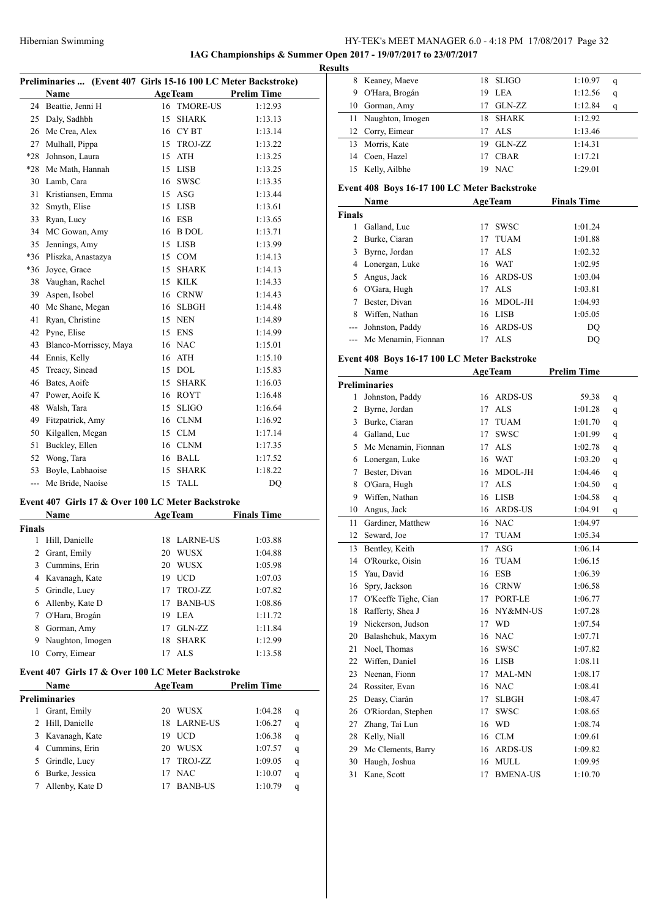**IAG Championships & Summer Open 2017 - 19/07/2017 to 23/07/2017**

|                | Preliminaries  (Event 407 Girls 15-16 100 LC Meter Backstroke) |    |                 |                         |  |
|----------------|----------------------------------------------------------------|----|-----------------|-------------------------|--|
|                | Name                                                           |    | AgeTeam         | <b>Prelim Time</b>      |  |
|                | 24 Beattie, Jenni H                                            |    | 16 TMORE-US     | 1:12.93                 |  |
|                | 25 Daly, Sadhbh                                                |    | 15 SHARK        | 1:13.13                 |  |
|                | 26 Mc Crea, Alex                                               |    | 16 CYBT         | 1:13.14                 |  |
| 27             | Mulhall, Pippa                                                 |    | 15 TROJ-ZZ      | 1:13.22                 |  |
| *28            | Johnson, Laura                                                 |    | 15 ATH          | 1:13.25                 |  |
| $*28$          | Mc Math, Hannah                                                |    | 15 LISB         | 1:13.25                 |  |
| 30             | Lamb, Cara                                                     |    | 16 SWSC         | 1:13.35                 |  |
| 31             | Kristiansen, Emma                                              |    | 15 ASG          | 1:13.44                 |  |
| 32             | Smyth, Elise                                                   |    | 15 LISB         | 1:13.61                 |  |
| 33             | Ryan, Lucy                                                     |    | 16 ESB          | 1:13.65                 |  |
| 34             | MC Gowan, Amy                                                  |    | 16 B DOL        | 1:13.71                 |  |
| 35             | Jennings, Amy                                                  |    | 15 LISB         | 1:13.99                 |  |
| *36            | Pliszka, Anastazya                                             |    | 15 COM          | 1:14.13                 |  |
| *36            | Joyce, Grace                                                   |    | 15 SHARK        | 1:14.13                 |  |
| 38             | Vaughan, Rachel                                                |    | 15 KILK         | 1:14.33                 |  |
| 39             | Aspen, Isobel                                                  |    | 16 CRNW         | 1:14.43                 |  |
| 40             | Mc Shane, Megan                                                |    | 16 SLBGH        | 1:14.48                 |  |
| 41             | Ryan, Christine                                                |    | 15 NEN          | 1:14.89                 |  |
| 42             | Pyne, Elise                                                    |    | 15 ENS          | 1:14.99                 |  |
| 43             | Blanco-Morrissey, Maya                                         |    | 16 NAC          | 1:15.01                 |  |
| 44             |                                                                |    | 16 ATH          |                         |  |
| 45             | Ennis, Kelly<br>Treacy, Sinead                                 |    |                 | 1:15.10                 |  |
|                |                                                                |    | 15 DOL          | 1:15.83                 |  |
| 46             | Bates, Aoife                                                   |    | 15 SHARK        | 1:16.03                 |  |
|                | 47 Power, Aoife K                                              |    | 16 ROYT         | 1:16.48                 |  |
| 48             | Walsh, Tara                                                    |    | 15 SLIGO        | 1:16.64                 |  |
| 49             | Fitzpatrick, Amy                                               |    | 16 CLNM         | 1:16.92                 |  |
| 50             | Kilgallen, Megan                                               |    | 15 CLM          | 1:17.14                 |  |
| 51             | Buckley, Ellen                                                 |    | 16 CLNM         | 1:17.35                 |  |
| 52             | Wong, Tara                                                     |    | 16 BALL         | 1:17.52                 |  |
| 53             | Boyle, Labhaoise                                               | 15 | <b>SHARK</b>    | 1:18.22                 |  |
| $ -$           | Mc Bride, Naoíse                                               | 15 | TALL            | DQ                      |  |
|                | Event 407 Girls 17 & Over 100 LC Meter Backstroke              |    |                 |                         |  |
|                | Name                                                           |    | <b>AgeTeam</b>  | <b>Finals Time</b>      |  |
| Finals         |                                                                |    |                 |                         |  |
| 1              | Hill, Danielle                                                 | 18 | <b>LARNE-US</b> | 1:03.88                 |  |
| $\overline{2}$ | Grant, Emily                                                   | 20 | WUSX            | 1:04.88                 |  |
| 3              | Cummins, Erin                                                  |    | 20 WUSX         | 1:05.98                 |  |
| 4              | Kavanagh, Kate                                                 |    | 19 UCD          | 1:07.03                 |  |
| 5              | Grindle, Lucy                                                  | 17 | TROJ-ZZ         | 1:07.82                 |  |
|                | Allenby, Kate D                                                | 17 | <b>BANB-US</b>  |                         |  |
| 6              |                                                                |    |                 | 1:08.86                 |  |
| 7              | O'Hara, Brogán                                                 |    | 19 LEA          | 1:11.72                 |  |
| 8              | Gorman, Amy                                                    |    | 17 GLN-ZZ       | 1:11.84                 |  |
| 9              | Naughton, Imogen                                               | 18 | <b>SHARK</b>    | 1:12.99                 |  |
| 10             | Corry, Eimear                                                  | 17 | <b>ALS</b>      | 1:13.58                 |  |
|                | Event 407 Girls 17 & Over 100 LC Meter Backstroke              |    |                 |                         |  |
|                | Name                                                           |    | <b>AgeTeam</b>  | <b>Prelim Time</b>      |  |
|                | <b>Preliminaries</b>                                           |    |                 |                         |  |
| 1              | Grant, Emily                                                   |    | 20 WUSX         | 1:04.28<br>q            |  |
| 2              | Hill, Danielle                                                 | 18 | <b>LARNE-US</b> | 1:06.27<br>q            |  |
| 3              | Kavanagh, Kate                                                 | 19 | <b>UCD</b>      | 1:06.38<br>q            |  |
|                | 4 Cummins, Erin                                                |    | 20 WUSX         | 1:07.57<br>q            |  |
| 5              | Grindle, Lucy                                                  | 17 | TROJ-ZZ         | 1:09.05<br>q            |  |
| 6              | Burke, Jessica                                                 | 17 | <b>NAC</b>      | 1:10.07<br>$\mathbf{q}$ |  |
| 7              | Allenby, Kate D                                                | 17 | <b>BANB-US</b>  | 1:10.79<br>q            |  |
|                |                                                                |    |                 |                         |  |

| <b>Results</b> |                     |     |             |         |   |
|----------------|---------------------|-----|-------------|---------|---|
| 8              | Keaney, Maeve       |     | 18 SLIGO    | 1:10.97 | q |
| 9              | O'Hara, Brogán      | 19. | LEA         | 1:12.56 | q |
|                | 10 Gorman, Amy      | 17  | GLN-ZZ      | 1:12.84 | q |
|                | 11 Naughton, Imogen | 18. | SHARK       | 1:12.92 |   |
|                | 12 Corry, Eimear    | 17  | ALS         | 1:13.46 |   |
|                | 13 Morris, Kate     | 19  | GLN-ZZ      | 1:14.31 |   |
| 14             | Coen, Hazel         | 17  | <b>CBAR</b> | 1:17.21 |   |
| 15             | Kelly, Ailbhe       | 19  | <b>NAC</b>  | 1:29.01 |   |

# **Event 408 Boys 16-17 100 LC Meter Backstroke**

| <b>Name</b>   |                         | <b>AgeTeam</b> |             | <b>Finals Time</b> |  |
|---------------|-------------------------|----------------|-------------|--------------------|--|
| <b>Finals</b> |                         |                |             |                    |  |
|               | Galland, Luc            | 17             | <b>SWSC</b> | 1:01.24            |  |
| 2             | Burke, Ciaran           | 17             | <b>TUAM</b> | 1:01.88            |  |
| 3             | Byrne, Jordan           |                | 17 ALS      | 1:02.32            |  |
|               | 4 Lonergan, Luke        |                | 16 WAT      | 1:02.95            |  |
| 5.            | Angus, Jack             |                | 16 ARDS-US  | 1:03.04            |  |
|               | 6 O'Gara, Hugh          |                | 17 ALS      | 1:03.81            |  |
|               | Bester, Divan           |                | 16 MDOL-JH  | 1:04.93            |  |
| 8             | Wiffen, Nathan          | 16             | LISB        | 1:05.05            |  |
| $---$         | Johnston, Paddy         |                | 16 ARDS-US  | DO                 |  |
|               | --- Mc Menamin, Fionnan | 17             | AL S        | DO                 |  |

### **Event 408 Boys 16-17 100 LC Meter Backstroke**

|    | Name                    | <b>AgeTeam</b> |                 | <b>Prelim Time</b> |   |
|----|-------------------------|----------------|-----------------|--------------------|---|
|    | <b>Preliminaries</b>    |                |                 |                    |   |
| 1  | Johnston, Paddy         | 16             | <b>ARDS-US</b>  | 59.38              | q |
| 2  | Byrne, Jordan           | 17             | <b>ALS</b>      | 1:01.28            | q |
|    | 3 Burke, Ciaran         | 17             | <b>TUAM</b>     | 1:01.70            | q |
|    | 4 Galland, Luc          | 17             | <b>SWSC</b>     | 1:01.99            | q |
| 5  | Mc Menamin, Fionnan     | 17             | <b>ALS</b>      | 1:02.78            | q |
|    | 6 Lonergan, Luke        | 16             | <b>WAT</b>      | 1:03.20            | q |
| 7  | Bester, Divan           | 16             | MDOL-JH         | 1:04.46            | q |
| 8  | O'Gara, Hugh            | 17             | <b>ALS</b>      | 1:04.50            | q |
|    | 9 Wiffen, Nathan        | 16             | LISB            | 1:04.58            | q |
| 10 | Angus, Jack             | 16             | <b>ARDS-US</b>  | 1:04.91            | q |
| 11 | Gardiner, Matthew       |                | 16 NAC          | 1:04.97            |   |
| 12 | Seward, Joe             | 17             | <b>TUAM</b>     | 1:05.34            |   |
|    | 13 Bentley, Keith       | 17             | <b>ASG</b>      | 1:06.14            |   |
| 14 | O'Rourke, Oisín         | 16             | <b>TUAM</b>     | 1:06.15            |   |
|    | 15 Yau, David           | 16             | <b>ESB</b>      | 1:06.39            |   |
| 16 | Spry, Jackson           |                | 16 CRNW         | 1:06.58            |   |
|    | 17 O'Keeffe Tighe, Cian | 17             | PORT-LE         | 1:06.77            |   |
| 18 | Rafferty, Shea J        | 16             | NY&MN-US        | 1:07.28            |   |
|    | 19 Nickerson, Judson    | 17             | <b>WD</b>       | 1:07.54            |   |
|    | 20 Balashchuk, Maxym    | 16             | <b>NAC</b>      | 1:07.71            |   |
| 21 | Noel, Thomas            | 16             | <b>SWSC</b>     | 1:07.82            |   |
|    | 22 Wiffen, Daniel       | 16             | <b>LISB</b>     | 1:08.11            |   |
|    | 23 Neenan, Fionn        | 17             | MAL-MN          | 1:08.17            |   |
|    | 24 Rossiter, Evan       | 16             | <b>NAC</b>      | 1:08.41            |   |
|    | 25 Deasy, Ciarán        | 17             | <b>SLBGH</b>    | 1:08.47            |   |
| 26 | O'Riordan, Stephen      | 17             | <b>SWSC</b>     | 1:08.65            |   |
| 27 | Zhang, Tai Lun          | 16             | <b>WD</b>       | 1:08.74            |   |
|    | 28 Kelly, Niall         | 16             | <b>CLM</b>      | 1:09.61            |   |
|    | 29 Mc Clements, Barry   | 16             | <b>ARDS-US</b>  | 1:09.82            |   |
| 30 | Haugh, Joshua           | 16             | <b>MULL</b>     | 1:09.95            |   |
| 31 | Kane, Scott             | 17             | <b>BMENA-US</b> | 1:10.70            |   |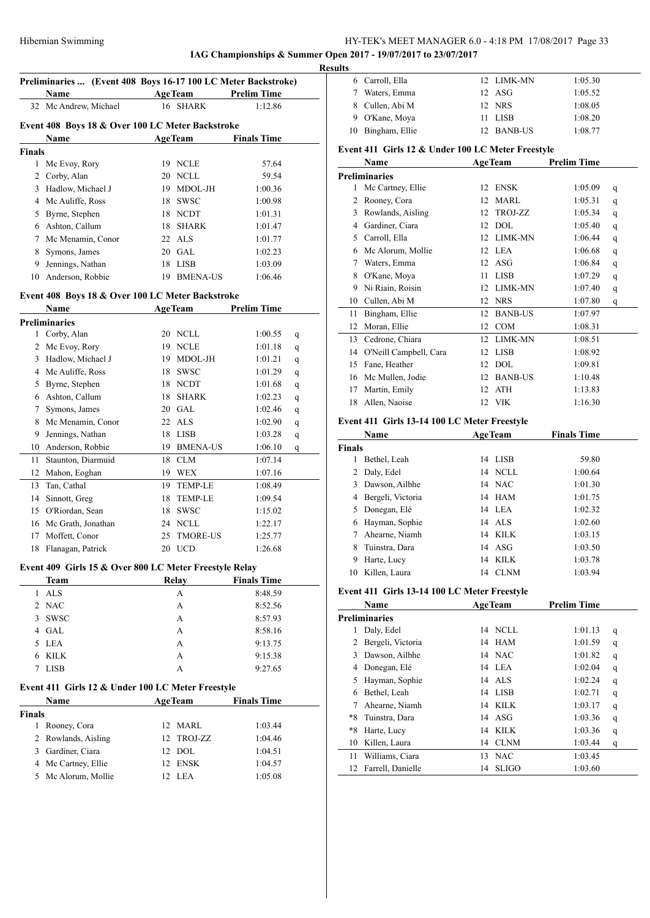# **IAG Championships & Summer Open 2017 - 19/07/2017 to 23/07/2017**

|               | Preliminaries  (Event 408 Boys 16-17 100 LC Meter Backstroke)<br>Name | <b>AgeTeam</b> | <b>Prelim Time</b> |   |
|---------------|-----------------------------------------------------------------------|----------------|--------------------|---|
| 32            | Mc Andrew, Michael                                                    | 16 SHARK       | 1:12.86            |   |
|               | Event 408 Boys 18 & Over 100 LC Meter Backstroke                      |                |                    |   |
|               | Name                                                                  | AgeTeam        | <b>Finals Time</b> |   |
| <b>Finals</b> |                                                                       |                |                    |   |
|               | 1 Mc Evoy, Rory                                                       | 19 NCLE        | 57.64              |   |
|               | 2 Corby, Alan                                                         | 20 NCLL        | 59.54              |   |
|               | 3 Hadlow, Michael J                                                   | 19 MDOL-JH     | 1:00.36            |   |
|               | 4 Mc Auliffe, Ross                                                    | 18 SWSC        | 1:00.98            |   |
|               | 5 Byrne, Stephen                                                      | 18 NCDT        | 1:01.31            |   |
|               | 6 Ashton, Callum                                                      | 18 SHARK       | 1:01.47            |   |
|               | 7 Mc Menamin, Conor                                                   | 22 ALS         | 1:01.77            |   |
|               | 8 Symons, James                                                       | 20 GAL         | 1:02.23            |   |
| 9.            | Jennings, Nathan                                                      | 18 LISB        | 1:03.09            |   |
| 10            | Anderson, Robbie                                                      | 19 BMENA-US    | 1:06.46            |   |
|               | Event 408 Boys 18 & Over 100 LC Meter Backstroke                      |                |                    |   |
|               | Name                                                                  | <b>AgeTeam</b> | <b>Prelim Time</b> |   |
|               | <b>Preliminaries</b>                                                  |                |                    |   |
|               | 1 Corby, Alan                                                         | 20 NCLL        | 1:00.55            | q |
|               | 2 Mc Evoy, Rory                                                       | 19 NCLE        | 1:01.18            | q |
|               | 3 Hadlow, Michael J                                                   | 19 MDOL-JH     | 1:01.21            | q |
|               | 4 Mc Auliffe, Ross                                                    | 18 SWSC        | 1:01.29            | q |
|               | 5 Byrne, Stephen                                                      | 18 NCDT        | 1:01.68            | q |
|               | 6 Ashton, Callum                                                      | 18 SHARK       | 1:02.23            | q |
| 7             | Symons, James                                                         | 20 GAL         | 1:02.46            | q |
|               | 8 Mc Menamin, Conor                                                   | 22 ALS         | 1:02.90            | q |
| 9             | Jennings, Nathan                                                      | 18 LISB        | 1:03.28            |   |
|               | 10 Anderson, Robbie                                                   | 19 BMENA-US    | 1:06.10            | q |
| 11            | Staunton, Diarmuid                                                    | 18 CLM         | 1:07.14            | q |
| 12            |                                                                       |                | 1:07.16            |   |
|               | Mahon, Eoghan                                                         | 19 WEX         |                    |   |
| 13            | Tan, Cathal                                                           | 19 TEMP-LE     | 1:08.49            |   |
| 14            | Sinnott, Greg                                                         | 18 TEMP-LE     | 1:09.54            |   |
|               | 15 O'Riordan, Sean                                                    | 18 SWSC        | 1:15.02            |   |
|               | 16 Mc Grath, Jonathan                                                 | 24 NCLL        | 1:22.17            |   |
| 17            | Moffett, Conor                                                        | 25 TMORE-US    | 1:25.77            |   |
| 18            | Flanagan, Patrick                                                     | 20 UCD         | 1:26.68            |   |
|               | Event 409 Girls 15 & Over 800 LC Meter Freestyle Relay                |                |                    |   |
|               | <b>Team</b>                                                           | Relay          | <b>Finals Time</b> |   |
| $\mathbf{1}$  | <b>ALS</b>                                                            | A              | 8:48.59            |   |
|               | 2 NAC                                                                 | А              | 8:52.56            |   |
|               | 3 SWSC                                                                | А              | 8:57.93            |   |
|               | 4 GAL                                                                 | A              | 8:58.16            |   |
|               | 5 LEA                                                                 | A              | 9:13.75            |   |
| 6             | KILK                                                                  | А              | 9:15.38            |   |
| 7             | <b>LISB</b>                                                           | A              | 9:27.65            |   |
|               | Event 411 Girls 12 & Under 100 LC Meter Freestyle                     |                |                    |   |
|               | Name                                                                  | <b>AgeTeam</b> | <b>Finals Time</b> |   |
| <b>Finals</b> |                                                                       |                |                    |   |
| 1             | Rooney, Cora                                                          | 12 MARL        | 1:03.44            |   |
|               | 2 Rowlands, Aisling                                                   | 12 TROJ-ZZ     | 1:04.46            |   |
|               |                                                                       |                |                    |   |
|               | 3 Gardiner, Ciara                                                     | 12 DOL         | 1:04.51            |   |
|               | 4 Mc Cartney, Ellie                                                   | 12 ENSK        | 1:04.57            |   |

| 6 Carroll, Ella   | 12 LIMK-MN | 1:05.30 |
|-------------------|------------|---------|
| Waters, Emma      | $12$ ASG   | 1:05.52 |
| 8 Cullen, Abi M   | 12 NRS     | 1:08.05 |
| 9 O'Kane, Moya    | 11 LISB    | 1:08.20 |
| 10 Bingham, Ellie | 12 BANB-US | 1:08.77 |

# **Event 411 Girls 12 & Under 100 LC Meter Freestyle**

|        | Name                                         |    | <b>AgeTeam</b>              | <b>Prelim Time</b> |             |
|--------|----------------------------------------------|----|-----------------------------|--------------------|-------------|
|        | <b>Preliminaries</b>                         |    |                             |                    |             |
| 1      | Mc Cartney, Ellie                            |    | 12 ENSK                     | 1:05.09            | q           |
|        | 2 Rooney, Cora                               |    | 12 MARL                     | 1:05.31            | q           |
|        | 3 Rowlands, Aisling                          | 12 | TROJ-ZZ                     | 1:05.34            | q           |
|        | 4 Gardiner, Ciara                            |    | 12 DOL                      | 1:05.40            | q           |
|        | 5 Carroll, Ella                              |    | 12 LIMK-MN                  | 1:06.44            | q           |
|        | 6 Mc Alorum, Mollie                          |    | 12 LEA                      | 1:06.68            | q           |
|        | 7 Waters, Emma                               |    | 12 ASG                      | 1:06.84            | q           |
|        | 8 O'Kane, Moya                               |    | 11 LISB                     | 1:07.29            | q           |
|        | 9 Ni Riain, Roisin                           |    | 12 LIMK-MN                  | 1:07.40            | q           |
|        | 10 Cullen, Abi M                             |    | 12 NRS                      | 1:07.80            | q           |
| 11     | Bingham, Ellie                               |    | 12 BANB-US                  | 1:07.97            |             |
|        | 12 Moran, Ellie                              |    | 12 COM                      | 1:08.31            |             |
|        | 13 Cedrone, Chiara                           |    | 12 LIMK-MN                  | 1:08.51            |             |
|        | 14 O'Neill Campbell, Cara                    |    | 12 LISB                     | 1:08.92            |             |
|        | 15 Fane, Heather                             |    | 12 DOL                      | 1:09.81            |             |
|        | 16 Mc Mullen, Jodie                          |    | 12 BANB-US                  | 1:10.48            |             |
|        | 17 Martin, Emily                             | 12 | ATH                         | 1:13.83            |             |
|        | 18 Allen, Naoise                             |    | 12 VIK                      | 1:16.30            |             |
|        |                                              |    |                             |                    |             |
|        | Event 411 Girls 13-14 100 LC Meter Freestyle |    |                             |                    |             |
|        | Name                                         |    | <b>AgeTeam</b>              | <b>Finals Time</b> |             |
| Finals |                                              |    |                             |                    |             |
| 1      | Bethel, Leah                                 |    | 14 LISB                     | 59.80              |             |
|        | 2 Daly, Edel                                 |    | 14 NCLL                     | 1:00.64            |             |
|        | 3 Dawson, Ailbhe                             |    | 14 NAC                      | 1:01.30            |             |
|        | 4 Bergeli, Victoria                          |    | 14 HAM                      | 1:01.75            |             |
|        | 5 Donegan, Elé                               |    | 14 LEA                      | 1:02.32            |             |
|        | 6 Hayman, Sophie                             |    | 14 ALS                      | 1:02.60            |             |
|        | 7 Ahearne, Niamh                             |    | 14 KILK                     | 1:03.15            |             |
|        | 8 Tuinstra, Dara                             | 14 | ASG                         | 1:03.50            |             |
|        | 9 Harte, Lucy                                | 14 | <b>KILK</b>                 | 1:03.78            |             |
|        | 10 Killen, Laura                             |    | 14 CLNM                     | 1:03.94            |             |
|        | Event 411 Girls 13-14 100 LC Meter Freestyle |    |                             |                    |             |
|        | Name                                         |    | <b>AgeTeam</b>              | <b>Prelim Time</b> |             |
|        | <b>Preliminaries</b>                         |    |                             |                    |             |
| 1      | Daly, Edel                                   |    | 14 NCLL                     | 1:01.13            | q           |
| 2      | Bergeli, Victoria                            | 14 | HAM                         | 1:01.59            | q           |
| 3      | Dawson, Ailbhe                               |    | 14 NAC                      | 1:01.82            | q           |
| 4      | Donegan, Elé                                 | 14 | LEA                         | 1:02.04            | q           |
| 5      | Hayman, Sophie                               | 14 | $\ensuremath{\mathsf{ALS}}$ | 1:02.24            | $\mathbf q$ |
| 6      | Bethel, Leah                                 | 14 | LISB                        | 1:02.71            | $\mathbf q$ |
| 7      | Ahearne, Niamh                               | 14 | <b>KILK</b>                 | 1:03.17            | q           |
| *8     | Tuinstra, Dara                               | 14 | ASG                         | 1:03.36            | q           |
| *8     | Harte, Lucy                                  | 14 | <b>KILK</b>                 | 1:03.36            | q           |
| 10     | Killen, Laura                                | 14 | <b>CLNM</b>                 | 1:03.44            | q           |
| 11     | Williams, Ciara                              | 13 | <b>NAC</b>                  | 1:03.45            |             |
| 12     | Farrell, Danielle                            | 14 | <b>SLIGO</b>                | 1:03.60            |             |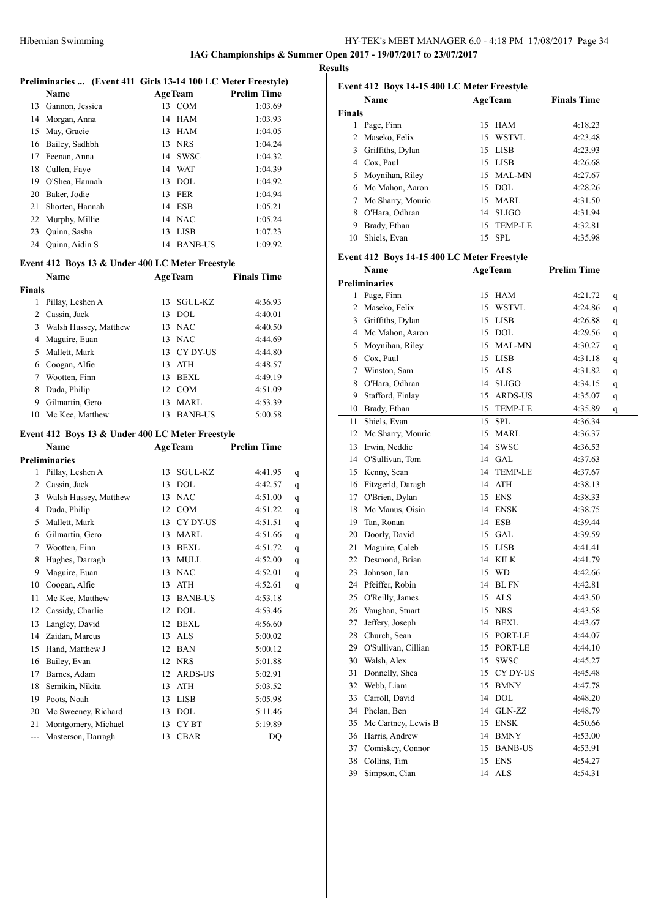**IAG Championships & Summer Open 2017 - 19/07/2017 to 23/07/2017 Results**

|                | Preliminaries  (Event 411 Girls 13-14 100 LC Meter Freestyle) |    |                  |                    |   |
|----------------|---------------------------------------------------------------|----|------------------|--------------------|---|
|                | Name                                                          |    | <b>AgeTeam</b>   | <b>Prelim Time</b> |   |
| 13             | Gannon, Jessica                                               |    | 13 COM           | 1:03.69            |   |
| 14             | Morgan, Anna                                                  |    | 14 HAM           |                    |   |
|                |                                                               |    |                  | 1:03.93            |   |
| 15             | May, Gracie                                                   |    | 13 HAM<br>13 NRS | 1:04.05            |   |
| 16             | Bailey, Sadhbh                                                |    |                  | 1:04.24            |   |
| 17             | Feenan, Anna                                                  |    | 14 SWSC          | 1:04.32            |   |
| 18             | Cullen, Faye                                                  |    | 14 WAT           | 1:04.39            |   |
| 19             | O'Shea, Hannah                                                |    | 13 DOL           | 1:04.92            |   |
| 20             | Baker, Jodie                                                  |    | 13 FER           | 1:04.94            |   |
| 21             | Shorten, Hannah                                               |    | 14 ESB           | 1:05.21            |   |
| 22             | Murphy, Millie                                                |    | 14 NAC           | 1:05.24            |   |
| 23             | Quinn, Sasha                                                  |    | 13 LISB          | 1:07.23            |   |
|                | 24 Quinn, Aidin S                                             |    | 14 BANB-US       | 1:09.92            |   |
|                | Event 412 Boys 13 & Under 400 LC Meter Freestyle              |    |                  |                    |   |
|                | Name                                                          |    | <b>AgeTeam</b>   | <b>Finals Time</b> |   |
| Finals         |                                                               |    |                  |                    |   |
| 1              | Pillay, Leshen A                                              | 13 | <b>SGUL-KZ</b>   | 4:36.93            |   |
| 2              | Cassin, Jack                                                  | 13 | DOL              | 4:40.01            |   |
|                | 3 Walsh Hussey, Matthew                                       |    | 13 NAC           | 4:40.50            |   |
| 4              | Maguire, Euan                                                 |    | 13 NAC           | 4:44.69            |   |
| 5              | Mallett, Mark                                                 |    | 13 CY DY-US      | 4:44.80            |   |
| 6              | Coogan, Alfie                                                 |    | 13 ATH           | 4:48.57            |   |
| 7              | Wootten, Finn                                                 |    | 13 BEXL          | 4:49.19            |   |
| 8              | Duda, Philip                                                  |    | 12 COM           | 4:51.09            |   |
| 9.             | Gilmartin, Gero                                               |    | 13 MARL          | 4:53.39            |   |
|                | 10 Mc Kee, Matthew                                            |    | 13 BANB-US       | 5:00.58            |   |
|                |                                                               |    |                  |                    |   |
|                | Event 412 Boys 13 & Under 400 LC Meter Freestyle              |    |                  |                    |   |
|                | <b>Name</b>                                                   |    | AgeTeam          | <b>Prelim Time</b> |   |
|                | Preliminaries                                                 |    |                  |                    |   |
| 1              | Pillay, Leshen A                                              | 13 | SGUL-KZ          | 4:41.95            | q |
| $\overline{2}$ | Cassin, Jack                                                  |    | 13 DOL           | 4:42.57            | q |
|                | 3 Walsh Hussey, Matthew                                       |    | 13 NAC           | 4:51.00            | q |
|                | 4 Duda, Philip                                                |    | 12 COM           | 4:51.22            | q |
| 5              | Mallett, Mark                                                 |    | 13 CY DY-US      | 4:51.51            | q |
| 6              | Gilmartin, Gero                                               |    | 13 MARL          | 4:51.66            | q |
| 7              | Wootten, Finn                                                 | 13 | BEXL             | 4:51.72            | q |
|                | 8 Hughes, Darragh                                             |    | 13 MULL          | 4:52.00            | q |
| 9              | Maguire, Euan                                                 | 13 | <b>NAC</b>       | 4:52.01            | q |
| 10             | Coogan, Alfie                                                 | 13 | ATH              | 4:52.61            | q |
| 11             | Mc Kee, Matthew                                               | 13 | <b>BANB-US</b>   | 4:53.18            |   |
| 12             | Cassidy, Charlie                                              | 12 | DOL              | 4:53.46            |   |
| 13             | Langley, David                                                | 12 | <b>BEXL</b>      | 4:56.60            |   |
| 14             | Zaidan, Marcus                                                | 13 | <b>ALS</b>       | 5:00.02            |   |
| 15             | Hand, Matthew J                                               | 12 | <b>BAN</b>       | 5:00.12            |   |
| 16             | Bailey, Evan                                                  | 12 | <b>NRS</b>       | 5:01.88            |   |
| 17             | Barnes, Adam                                                  | 12 | ARDS-US          | 5:02.91            |   |
| 18             | Semikin, Nikita                                               | 13 | ATH              | 5:03.52            |   |
| 19             | Poots, Noah                                                   | 13 | <b>LISB</b>      | 5:05.98            |   |
| 20             | Mc Sweeney, Richard                                           | 13 | DOL              | 5:11.46            |   |
| 21             | Montgomery, Michael                                           | 13 | CY BT            | 5:19.89            |   |
|                | Masterson, Darragh                                            | 13 | <b>CBAR</b>      | DQ                 |   |

|               | Event 412 Boys 14-15 400 LC Meter Freestyle         |    |                |                    |   |
|---------------|-----------------------------------------------------|----|----------------|--------------------|---|
|               | <b>Name</b>                                         |    | <b>AgeTeam</b> | <b>Finals Time</b> |   |
| <b>Finals</b> |                                                     |    |                |                    |   |
|               | 1 Page, Finn                                        | 15 | HAM            | 4:18.23            |   |
|               | 2 Maseko, Felix                                     |    | 15 WSTVL       | 4:23.48            |   |
|               | 3 Griffiths, Dylan                                  |    | 15 LISB        | 4:23.93            |   |
|               | 4 Cox, Paul                                         |    | 15 LISB        | 4:26.68            |   |
|               | 5 Moynihan, Riley                                   |    | 15 MAL-MN      | 4:27.67            |   |
|               | 6 Mc Mahon, Aaron                                   |    | 15 DOL         | 4:28.26            |   |
|               | 7 Mc Sharry, Mouric                                 |    | 15 MARL        | 4:31.50            |   |
|               | 8 O'Hara, Odhran                                    |    | 14 SLIGO       | 4:31.94            |   |
|               | 9 Brady, Ethan                                      | 15 | TEMP-LE        | 4:32.81            |   |
|               | 10 Shiels, Evan                                     | 15 | <b>SPL</b>     | 4:35.98            |   |
|               |                                                     |    |                |                    |   |
|               | Event 412 Boys 14-15 400 LC Meter Freestyle<br>Name |    | <b>AgeTeam</b> | <b>Prelim Time</b> |   |
|               | <b>Preliminaries</b>                                |    |                |                    |   |
|               | 1 Page, Finn                                        |    | 15 HAM         | 4:21.72            |   |
|               |                                                     |    | 15 WSTVL       |                    | q |
|               | 2 Maseko, Felix                                     |    |                | 4:24.86            | q |
|               | 3 Griffiths, Dylan                                  |    | 15 LISB        | 4:26.88            | q |
|               | 4 Mc Mahon, Aaron                                   |    | 15 DOL         | 4:29.56            | q |
|               | 5 Moynihan, Riley                                   |    | 15 MAL-MN      | 4:30.27            | q |
|               | 6 Cox, Paul                                         |    | 15 LISB        | 4:31.18            | q |
|               | 7 Winston, Sam                                      |    | 15 ALS         | 4:31.82            | q |
| 8             | O'Hara, Odhran                                      | 14 | <b>SLIGO</b>   | 4:34.15            | q |
|               | 9 Stafford, Finlay                                  |    | 15 ARDS-US     | 4:35.07            | q |
|               | 10 Brady, Ethan                                     | 15 | TEMP-LE        | 4:35.89            | q |
| 11            | Shiels, Evan                                        | 15 | <b>SPL</b>     | 4:36.34            |   |
|               | 12 Mc Sharry, Mouric                                | 15 | MARL           | 4:36.37            |   |
|               | 13 Irwin, Neddie                                    | 14 | <b>SWSC</b>    | 4:36.53            |   |
|               | 14 O'Sullivan, Tom                                  | 14 | GAL            | 4:37.63            |   |
|               | 15 Kenny, Sean                                      | 14 | <b>TEMP-LE</b> | 4:37.67            |   |
|               | 16 Fitzgerld, Daragh                                |    | 14 ATH         | 4:38.13            |   |
|               | 17 O'Brien, Dylan                                   |    | 15 ENS         | 4:38.33            |   |
|               | 18 Mc Manus, Oisin                                  |    | 14 ENSK        | 4:38.75            |   |
|               | 19 Tan. Ronan                                       |    | 14 ESB         | 4:39.44            |   |
|               | 20 Doorly, David                                    |    | 15 GAL         | 4:39.59            |   |
|               | 21 Maguire, Caleb                                   |    | 15 LISB        | 4:41.41            |   |
|               | 22 Desmond, Brian                                   |    | 14 KILK        | 4:41.79            |   |
|               | 23 Johnson, Ian                                     |    | 15 WD          | 4:42.66            |   |
|               | 24 Pfeiffer, Robin                                  |    | 14 BL FN       | 4:42.81            |   |
|               | 25 O'Reilly, James                                  |    | 15 ALS         | 4:43.50            |   |
|               | 26 Vaughan, Stuart                                  | 15 | <b>NRS</b>     | 4:43.58            |   |
|               | 27 Jeffery, Joseph                                  | 14 | BEXL           | 4:43.67            |   |
|               | 28 Church, Sean                                     | 15 | PORT-LE        | 4:44.07            |   |
|               | 29 O'Sullivan, Cillian                              | 15 | PORT-LE        | 4:44.10            |   |
|               | 30 Walsh, Alex                                      |    |                |                    |   |
|               | Donnelly, Shea                                      | 15 | SWSC           | 4:45.27            |   |
| 31            |                                                     | 15 | CY DY-US       | 4:45.48            |   |
|               | 32 Webb, Liam                                       | 15 | <b>BMNY</b>    | 4:47.78            |   |
|               | 33 Carroll, David                                   |    | 14 DOL         | 4:48.20            |   |
|               | 34 Phelan, Ben                                      | 14 | GLN-ZZ         | 4:48.79            |   |
|               | 35 Mc Cartney, Lewis B                              | 15 | ENSK           | 4:50.66            |   |
|               | 36 Harris, Andrew                                   | 14 | <b>BMNY</b>    | 4:53.00            |   |
|               | 37 Comiskey, Connor                                 | 15 | <b>BANB-US</b> | 4:53.91            |   |
| 38            | Collins, Tim                                        | 15 | <b>ENS</b>     | 4:54.27            |   |
| 39            | Simpson, Cian                                       | 14 | ALS            | 4:54.31            |   |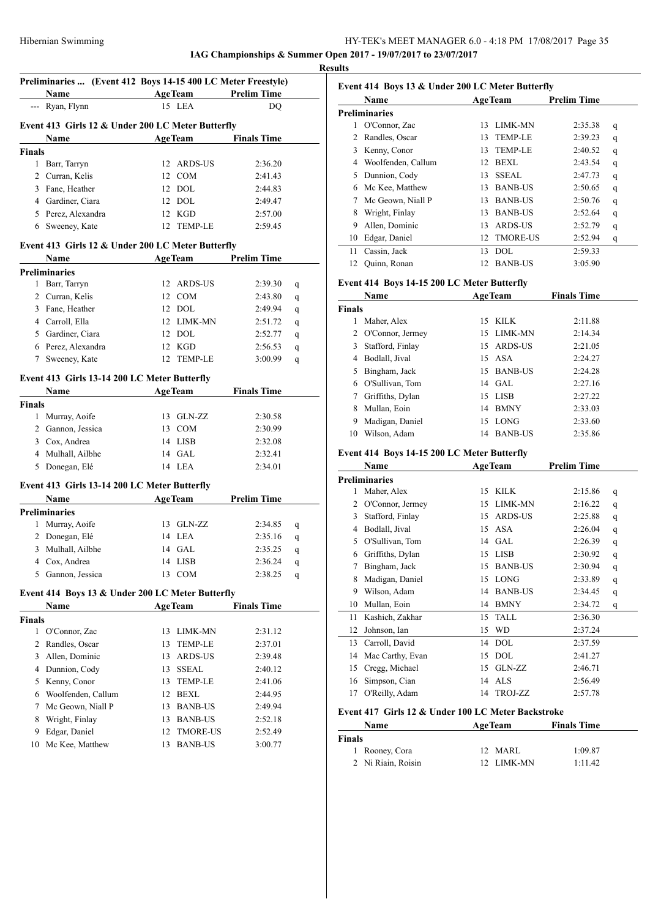**IAG Championships & Summer Open 2017 - 19/07/2017 to 23/07/2017 Results**

 $\overline{a}$ 

Í.

|         | <b>Example 2</b> AgeTeam<br>Name                  |          |                                   | <b>Prelim Time</b> |   |
|---------|---------------------------------------------------|----------|-----------------------------------|--------------------|---|
|         | --- Ryan, Flynn                                   |          | 15 LEA                            | DQ                 |   |
|         | Event 413 Girls 12 & Under 200 LC Meter Butterfly |          |                                   |                    |   |
|         | Name                                              |          | <b>AgeTeam</b>                    | <b>Finals Time</b> |   |
| Finals  |                                                   |          |                                   |                    |   |
| 1       | Barr, Tarryn                                      |          | 12 ARDS-US                        | 2:36.20            |   |
| 2       | Curran, Kelis                                     |          | 12 COM                            | 2:41.43            |   |
|         | 3 Fane, Heather                                   |          | 12 DOL                            | 2:44.83            |   |
|         | 4 Gardiner, Ciara                                 |          | 12 DOL                            | 2:49.47            |   |
|         | 5 Perez, Alexandra                                |          | 12 KGD                            | 2:57.00            |   |
|         | 6 Sweeney, Kate                                   |          | 12 TEMP-LE                        | 2:59.45            |   |
|         |                                                   |          |                                   |                    |   |
|         | Event 413 Girls 12 & Under 200 LC Meter Butterfly |          |                                   |                    |   |
|         | Name<br><b>Example 2018 Age Team</b>              |          |                                   | <b>Prelim Time</b> |   |
|         | <b>Preliminaries</b>                              |          |                                   |                    |   |
|         | 1 Barr, Tarryn<br>2 Curran, Kelis                 |          | 12 ARDS-US                        | 2:39.30            | q |
|         |                                                   |          | 12 COM                            | 2:43.80            | q |
|         | 3 Fane, Heather                                   |          | 12 DOL                            | 2:49.94            | q |
|         | 4 Carroll, Ella                                   |          | 12 LIMK-MN                        | 2:51.72            | q |
|         | 5 Gardiner, Ciara                                 |          | 12 DOL                            | 2:52.77            | q |
|         | 6 Perez, Alexandra                                |          | 12 KGD                            | 2:56.53            | q |
|         | 7 Sweeney, Kate                                   |          | 12 TEMP-LE                        | 3:00.99            | q |
|         | Event 413 Girls 13-14 200 LC Meter Butterfly      |          |                                   |                    |   |
|         | Name                                              |          | <b>AgeTeam</b>                    | <b>Finals Time</b> |   |
| Finals  |                                                   |          |                                   |                    |   |
|         | 1 Murray, Aoife                                   |          | 13 GLN-ZZ                         | 2:30.58            |   |
|         | 2 Gannon, Jessica                                 |          | 13 COM                            | 2:30.99            |   |
|         | 3 Cox, Andrea                                     |          | 14 LISB                           | 2:32.08            |   |
|         | 4 Mulhall, Ailbhe                                 |          | 14 GAL                            | 2:32.41            |   |
|         | 5 Donegan, Elé                                    |          | 14 LEA                            | 2:34.01            |   |
|         | Event 413 Girls 13-14 200 LC Meter Butterfly      |          |                                   |                    |   |
|         | Name                                              |          | <b>AgeTeam</b>                    | <b>Prelim Time</b> |   |
|         | <b>Preliminaries</b>                              |          |                                   |                    |   |
| 1       | Murray, Aoife                                     |          | 13 GLN-ZZ                         | 2:34.85            | q |
|         | 2 Donegan, Elé                                    |          | 14 LEA                            | 2:35.16            | q |
| 3       | Mulhall, Ailbhe                                   |          | 14 GAL                            | 2:35.25            | q |
|         | 4 Cox, Andrea                                     |          | 14 LISB                           | 2:36.24            | q |
|         |                                                   |          | 13 COM                            | 2:38.25            | q |
|         | 5 Gannon, Jessica                                 |          |                                   |                    |   |
|         |                                                   |          |                                   |                    |   |
|         | Event 414 Boys 13 & Under 200 LC Meter Butterfly  |          |                                   |                    |   |
|         | Name                                              |          | AgeTeam                           | <b>Finals Time</b> |   |
| Finals  |                                                   |          |                                   |                    |   |
| 1       | O'Connor, Zac                                     | 13       | LIMK-MN                           | 2:31.12            |   |
| 2       | Randles, Oscar                                    | 13       | TEMP-LE                           | 2:37.01            |   |
| 3       | Allen, Dominic                                    | 13       | ARDS-US                           | 2:39.48            |   |
| 4       | Dunnion, Cody                                     | 13       | SSEAL                             | 2:40.12            |   |
| 5       | Kenny, Conor                                      | 13       | <b>TEMP-LE</b>                    | 2:41.06            |   |
| 6       | Woolfenden, Callum                                | 12       | BEXL                              | 2:44.95            |   |
| 7       | Mc Geown, Niall P                                 | 13       | <b>BANB-US</b>                    | 2:49.94            |   |
| 8       | Wright, Finlay                                    | 13       | <b>BANB-US</b>                    | 2:52.18            |   |
| 9<br>10 | Edgar, Daniel<br>Mc Kee, Matthew                  | 12<br>13 | <b>TMORE-US</b><br><b>BANB-US</b> | 2:52.49<br>3:00.77 |   |

|    | Event 414 Boys 13 & Under 200 LC Meter Butterfly<br>Name |    | <b>AgeTeam</b>  | <b>Prelim Time</b> |   |
|----|----------------------------------------------------------|----|-----------------|--------------------|---|
|    | Preliminaries                                            |    |                 |                    |   |
| 1  | O'Connor, Zac                                            | 13 | LIMK-MN         | 2:35.38            | q |
| 2  | Randles, Oscar                                           | 13 | <b>TEMP-LE</b>  | 2:39.23            | q |
| 3  | Kenny, Conor                                             | 13 | <b>TEMP-LE</b>  | 2:40.52            | q |
| 4  | Woolfenden, Callum                                       | 12 | <b>BEXL</b>     | 2:43.54            | q |
| 5  | Dunnion, Cody                                            | 13 | SSEAL.          | 2:47.73            | q |
| 6  | Mc Kee, Matthew                                          | 13 | <b>BANB-US</b>  | 2:50.65            | q |
| 7  | Mc Geown, Niall P                                        | 13 | <b>BANB-US</b>  | 2:50.76            | q |
| 8  | Wright, Finlay                                           | 13 | <b>BANB-US</b>  | 2:52.64            | q |
| 9  | Allen, Dominic                                           | 13 | ARDS-US         | 2:52.79            | q |
| 10 | Edgar, Daniel                                            | 12 | <b>TMORE-US</b> | 2:52.94            | q |
| 11 | Cassin, Jack                                             | 13 | DOL             | 2:59.33            |   |
| 12 | Quinn, Ronan                                             | 12 | <b>BANB-US</b>  | 3:05.90            |   |

# **Event 414 Boys 14-15 200 LC Meter Butterfly**

| Name          |                    |    | <b>AgeTeam</b> | <b>Finals Time</b> |  |
|---------------|--------------------|----|----------------|--------------------|--|
| <b>Finals</b> |                    |    |                |                    |  |
| 1             | Maher, Alex        | 15 | <b>KILK</b>    | 2:11.88            |  |
|               | 2 O'Connor, Jermey |    | 15 LIMK-MN     | 2:14.34            |  |
| 3             | Stafford, Finlay   |    | 15 ARDS-US     | 2:21.05            |  |
| 4             | Bodlall, Jival     |    | $15A$ SA       | 2:24.27            |  |
| 5             | Bingham, Jack      | 15 | <b>BANB-US</b> | 2:24.28            |  |
|               | 6 O'Sullivan, Tom  |    | 14 GAL         | 2:27.16            |  |
| 7             | Griffiths, Dylan   | 15 | LISB           | 2:27.22            |  |
| 8             | Mullan, Eoin       | 14 | <b>BMNY</b>    | 2:33.03            |  |
| 9             | Madigan, Daniel    | 15 | LONG           | 2:33.60            |  |
| 10            | Wilson, Adam       | 14 | <b>BANB-US</b> | 2:35.86            |  |

# **Event 414 Boys 14-15 200 LC Meter Butterfly**

|    | <b>Name</b>          | <b>AgeTeam</b> |                | <b>Prelim Time</b> |   |
|----|----------------------|----------------|----------------|--------------------|---|
|    | <b>Preliminaries</b> |                |                |                    |   |
| 1  | Maher, Alex          | 15             | <b>KILK</b>    | 2:15.86            | q |
| 2  | O'Connor, Jermey     | 15             | <b>LIMK-MN</b> | 2:16.22            | q |
| 3  | Stafford, Finlay     | 15             | <b>ARDS-US</b> | 2:25.88            | q |
| 4  | Bodlall, Jival       | 15             | ASA            | 2:26.04            | q |
| 5  | O'Sullivan, Tom      | 14             | <b>GAL</b>     | 2:26.39            | q |
| 6  | Griffiths, Dylan     | 15             | <b>LISB</b>    | 2:30.92            | q |
| 7  | Bingham, Jack        | 15             | <b>BANB-US</b> | 2:30.94            | q |
| 8  | Madigan, Daniel      | 15             | <b>LONG</b>    | 2:33.89            | q |
| 9  | Wilson, Adam         | 14             | <b>BANB-US</b> | 2:34.45            | q |
| 10 | Mullan, Eoin         | 14             | <b>BMNY</b>    | 2:34.72            | q |
| 11 | Kashich, Zakhar      | 15             | <b>TALL</b>    | 2:36.30            |   |
| 12 | Johnson, Ian         | 15             | WD             | 2:37.24            |   |
| 13 | Carroll, David       | 14             | DOL            | 2:37.59            |   |
| 14 | Mac Carthy, Evan     | 15             | <b>DOL</b>     | 2:41.27            |   |
| 15 | Cregg, Michael       | 15             | GLN-ZZ         | 2:46.71            |   |
| 16 | Simpson, Cian        | 14             | <b>ALS</b>     | 2:56.49            |   |
| 17 | O'Reilly, Adam       | 14             | TROJ-ZZ        | 2:57.78            |   |
|    |                      |                |                |                    |   |

### **Event 417 Girls 12 & Under 100 LC Meter Backstroke**

|        | <b>Name</b>        | <b>AgeTeam</b> | <b>Finals Time</b> |
|--------|--------------------|----------------|--------------------|
| Finals |                    |                |                    |
|        | 1 Rooney, Cora     | 12 MARL        | 1:09.87            |
|        | 2 Ni Riain, Roisin | 12 LIMK-MN     | 1:11.42            |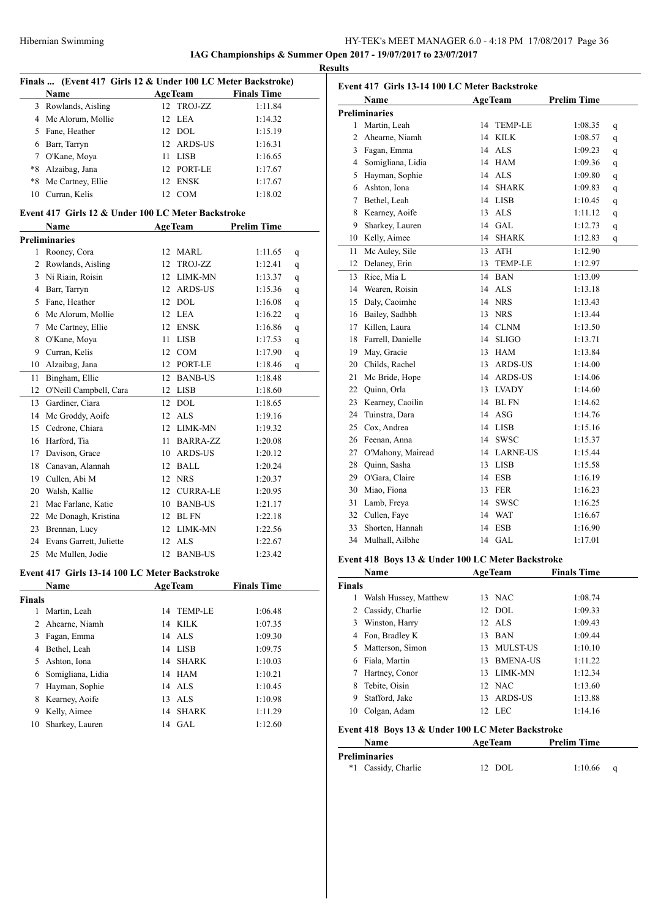# HY-TEK's MEET MANAGER 6.0 - 4:18 PM 17/08/2017 Page 36 **IAG Championships & Summer Open 2017 - 19/07/2017 to 23/07/2017**

**Results**

| Finals  (Event 417 Girls 12 & Under 100 LC Meter Backstroke) |                                                    |    |                |                    |  |  |  |  |
|--------------------------------------------------------------|----------------------------------------------------|----|----------------|--------------------|--|--|--|--|
|                                                              | Name                                               |    | <b>AgeTeam</b> | <b>Finals Time</b> |  |  |  |  |
|                                                              | 3 Rowlands, Aisling                                | 12 | TROJ-ZZ        | 1:11.84            |  |  |  |  |
|                                                              | 4 Mc Alorum, Mollie                                |    | 12 LEA         | 1:14.32            |  |  |  |  |
|                                                              | 5 Fane, Heather                                    |    | 12 DOL         | 1:15.19            |  |  |  |  |
|                                                              | 6 Barr, Tarryn                                     |    | 12 ARDS-US     | 1:16.31            |  |  |  |  |
|                                                              | 7 O'Kane, Moya                                     |    | 11 LISB        | 1:16.65            |  |  |  |  |
|                                                              | *8 Alzaibag, Jana                                  |    | 12 PORT-LE     | 1:17.67            |  |  |  |  |
|                                                              | *8 Mc Cartney, Ellie                               |    | 12 ENSK        | 1:17.67            |  |  |  |  |
|                                                              | 10 Curran, Kelis                                   |    | 12 COM         | 1:18.02            |  |  |  |  |
|                                                              | Event 417 Girls 12 & Under 100 LC Meter Backstroke |    |                |                    |  |  |  |  |
|                                                              | <b>AgeTeam</b><br><b>Prelim Time</b><br>Name       |    |                |                    |  |  |  |  |
|                                                              | <b>Preliminaries</b>                               |    |                |                    |  |  |  |  |
|                                                              | 1 Rooney, Cora                                     |    | 12 MARL        | 1:11.65<br>q       |  |  |  |  |
|                                                              | 2 Rowlands, Aisling                                | 12 | TROJ-ZZ        | 1:12.41<br>q       |  |  |  |  |
|                                                              | 3 Ni Riain, Roisin                                 |    | 12 LIMK-MN     | 1:13.37<br>q       |  |  |  |  |
|                                                              | 4 Barr, Tarryn                                     |    | 12 ARDS-US     | 1:15.36<br>q       |  |  |  |  |
|                                                              | 5 Fane, Heather                                    |    | 12 DOL         | 1:16.08<br>q       |  |  |  |  |
|                                                              | 6 Mc Alorum, Mollie                                |    | 12 LEA         | 1:16.22<br>q       |  |  |  |  |
|                                                              | 7 Mc Cartney, Ellie                                |    | 12 ENSK        | 1:16.86<br>q       |  |  |  |  |
|                                                              | 8 O'Kane, Moya                                     |    | 11 LISB        | 1:17.53<br>q       |  |  |  |  |
|                                                              | 9 Curran, Kelis                                    |    | 12 COM         | 1:17.90<br>q       |  |  |  |  |
|                                                              | 10 Alzaibag, Jana                                  |    | 12 PORT-LE     | 1:18.46<br>q       |  |  |  |  |
| 11                                                           | Bingham, Ellie                                     |    | 12 BANB-US     | 1:18.48            |  |  |  |  |
| 12                                                           | O'Neill Campbell, Cara                             |    | 12 LISB        | 1:18.60            |  |  |  |  |
|                                                              | 13 Gardiner, Ciara                                 |    | 12 DOL         | 1:18.65            |  |  |  |  |
|                                                              | 14 Mc Groddy, Aoife                                |    | 12 ALS         | 1:19.16            |  |  |  |  |
|                                                              | 15 Cedrone, Chiara                                 |    | 12 LIMK-MN     | 1:19.32            |  |  |  |  |
|                                                              | 16 Harford, Tia                                    |    | 11 BARRA-ZZ    | 1:20.08            |  |  |  |  |
|                                                              | 17 Davison, Grace                                  |    | 10 ARDS-US     | 1:20.12            |  |  |  |  |
|                                                              | 18 Canavan, Alannah                                |    | 12 BALL        | 1:20.24            |  |  |  |  |
|                                                              | 19 Cullen, Abi M                                   |    | 12 NRS         | 1:20.37            |  |  |  |  |
|                                                              | 20 Walsh, Kallie                                   |    | 12 CURRA-LE    | 1:20.95            |  |  |  |  |
|                                                              | 21 Mac Farlane, Katie                              |    | 10 BANB-US     | 1:21.17            |  |  |  |  |
|                                                              | 22 Mc Donagh, Kristina                             |    | 12 BL FN       | 1:22.18            |  |  |  |  |
| 23                                                           | Brennan, Lucy                                      |    | 12 LIMK-MN     | 1:22.56            |  |  |  |  |
|                                                              | 24 Evans Garrett, Juliette                         |    | 12 ALS         | 1:22.67            |  |  |  |  |
| 25                                                           | Mc Mullen, Jodie                                   |    | 12 BANB-US     | 1:23.42            |  |  |  |  |
|                                                              | Event 417 Girls 13-14 100 LC Meter Backstroke      |    |                |                    |  |  |  |  |
|                                                              | Name                                               |    | <b>AgeTeam</b> | <b>Finals Time</b> |  |  |  |  |
| <b>Finals</b>                                                |                                                    |    |                |                    |  |  |  |  |
|                                                              | 1 Martin, Leah                                     | 14 | <b>TEMP-LE</b> | 1:06.48            |  |  |  |  |
| $\overline{2}$                                               | Ahearne, Niamh                                     | 14 | <b>KILK</b>    | 1:07.35            |  |  |  |  |
| $\mathbf{3}$                                                 | Fagan, Emma                                        |    | 14 ALS         | 1:09.30            |  |  |  |  |
|                                                              | 4 Bethel, Leah                                     |    | 14 LISB        | 1:09.75            |  |  |  |  |
|                                                              | 5 Ashton, Iona                                     |    | 14 SHARK       | 1:10.03            |  |  |  |  |
|                                                              | 6 Somigliana, Lidia                                |    | 14 HAM         | 1:10.21            |  |  |  |  |
| 7                                                            | Hayman, Sophie                                     |    | 14 ALS         | 1:10.45            |  |  |  |  |
| 8                                                            | Kearney, Aoife                                     |    | 13 ALS         | 1:10.98            |  |  |  |  |
| 9                                                            | Kelly, Aimee                                       |    | 14 SHARK       | 1:11.29            |  |  |  |  |
| 10                                                           | Sharkey, Lauren                                    |    | 14 GAL         | 1:12.60            |  |  |  |  |
|                                                              |                                                    |    |                |                    |  |  |  |  |

|    | Event 417 Girls 13-14 100 LC Meter Backstroke |    |                |                    |              |
|----|-----------------------------------------------|----|----------------|--------------------|--------------|
|    | Name                                          |    | <b>AgeTeam</b> | <b>Prelim Time</b> |              |
|    | <b>Preliminaries</b>                          |    |                |                    |              |
|    | 1 Martin, Leah                                | 14 | <b>TEMP-LE</b> | 1:08.35            | q            |
| 2  | Ahearne, Niamh                                | 14 | <b>KILK</b>    | 1:08.57            | q            |
|    | 3 Fagan, Emma                                 | 14 | <b>ALS</b>     | 1:09.23            | q            |
|    | 4 Somigliana, Lidia                           | 14 | <b>HAM</b>     | 1:09.36            | q            |
|    | 5 Hayman, Sophie                              |    | 14 ALS         | 1:09.80            | q            |
|    | 6 Ashton, Iona                                | 14 | <b>SHARK</b>   | 1:09.83            | q            |
|    | 7 Bethel, Leah                                |    | 14 LISB        | 1:10.45            | q            |
| 8  | Kearney, Aoife                                |    | 13 ALS         | 1:11.12            | q            |
| 9  | Sharkey, Lauren                               |    | 14 GAL         | 1:12.73            | q            |
|    | 10 Kelly, Aimee                               | 14 | <b>SHARK</b>   | 1:12.83            | $\mathbf{q}$ |
| 11 | Mc Auley, Sile                                | 13 | ATH            | 1:12.90            |              |
| 12 | Delaney, Erin                                 | 13 | <b>TEMP-LE</b> | 1:12.97            |              |
| 13 | Rice, Mia L                                   |    | 14 BAN         | 1:13.09            |              |
|    | 14 Wearen, Roisin                             |    | 14 ALS         | 1:13.18            |              |
|    | 15 Daly, Caoimhe                              |    | 14 NRS         | 1:13.43            |              |
|    | 16 Bailey, Sadhbh                             |    | 13 NRS         | 1:13.44            |              |
|    | 17 Killen, Laura                              |    | 14 CLNM        | 1:13.50            |              |
|    | 18 Farrell, Danielle                          | 14 | <b>SLIGO</b>   | 1:13.71            |              |
|    | 19 May, Gracie                                |    | 13 HAM         | 1:13.84            |              |
|    | 20 Childs, Rachel                             |    | 13 ARDS-US     | 1:14.00            |              |
|    | 21 Mc Bride, Hope                             |    | 14 ARDS-US     | 1:14.06            |              |
|    | 22 Quinn, Orla                                |    | 13 LVADY       | 1:14.60            |              |
|    | 23 Kearney, Caoilin                           |    | 14 BL FN       | 1:14.62            |              |
|    | 24 Tuinstra, Dara                             |    | 14 ASG         | 1:14.76            |              |
|    | 25 Cox, Andrea                                |    | 14 LISB        | 1:15.16            |              |
|    | 26 Feenan, Anna                               | 14 | <b>SWSC</b>    | 1:15.37            |              |
|    | 27 O'Mahony, Mairead                          |    | 14 LARNE-US    | 1:15.44            |              |
|    | 28 Quinn, Sasha                               |    | 13 LISB        | 1:15.58            |              |
|    | 29 O'Gara, Claire                             |    | 14 ESB         | 1:16.19            |              |
|    | 30 Miao, Fiona                                |    | 13 FER         | 1:16.23            |              |
|    | 31 Lamb, Freya                                |    | 14 SWSC        | 1:16.25            |              |
|    | 32 Cullen, Faye                               |    | 14 WAT         | 1:16.67            |              |
|    | 33 Shorten, Hannah                            |    | 14 ESB         | 1:16.90            |              |
|    | 34 Mulhall, Ailbhe                            |    | $14$ GAL       | 1:17.01            |              |
|    |                                               |    |                |                    |              |

### **Event 418 Boys 13 & Under 100 LC Meter Backstroke**

| Name                  |     |                 | <b>Finals Time</b>                                                  |  |
|-----------------------|-----|-----------------|---------------------------------------------------------------------|--|
| Finals                |     |                 |                                                                     |  |
| Walsh Hussey, Matthew |     |                 | 1:08.74                                                             |  |
| Cassidy, Charlie      |     |                 | 1:09.33                                                             |  |
| Winston, Harry        |     |                 | 1:09.43                                                             |  |
| Fon, Bradley K        | 13  | <b>BAN</b>      | 1:09.44                                                             |  |
| Matterson, Simon      | 13  | <b>MULST-US</b> | 1:10.10                                                             |  |
| Fiala, Martin         | 13  | <b>BMENA-US</b> | 1:11.22                                                             |  |
| Hartney, Conor        | 13. |                 | 1:12.34                                                             |  |
| Tebite, Oisin         |     |                 | 1:13.60                                                             |  |
| Stafford, Jake        | 13  | ARDS-US         | 1:13.88                                                             |  |
| Colgan, Adam          | 12. | LEC             | 1:14.16                                                             |  |
|                       |     |                 | <b>AgeTeam</b><br>13 NAC<br>12 DOL<br>$12$ ALS<br>LIMK-MN<br>12 NAC |  |

# **Event 418 Boys 13 & Under 100 LC Meter Backstroke**

| <b>Name</b>          | <b>AgeTeam</b> | <b>Prelim Time</b> |  |  |  |  |
|----------------------|----------------|--------------------|--|--|--|--|
| <b>Preliminaries</b> |                |                    |  |  |  |  |
| *1 Cassidy, Charlie  | 12 DOL         | 1:10.66            |  |  |  |  |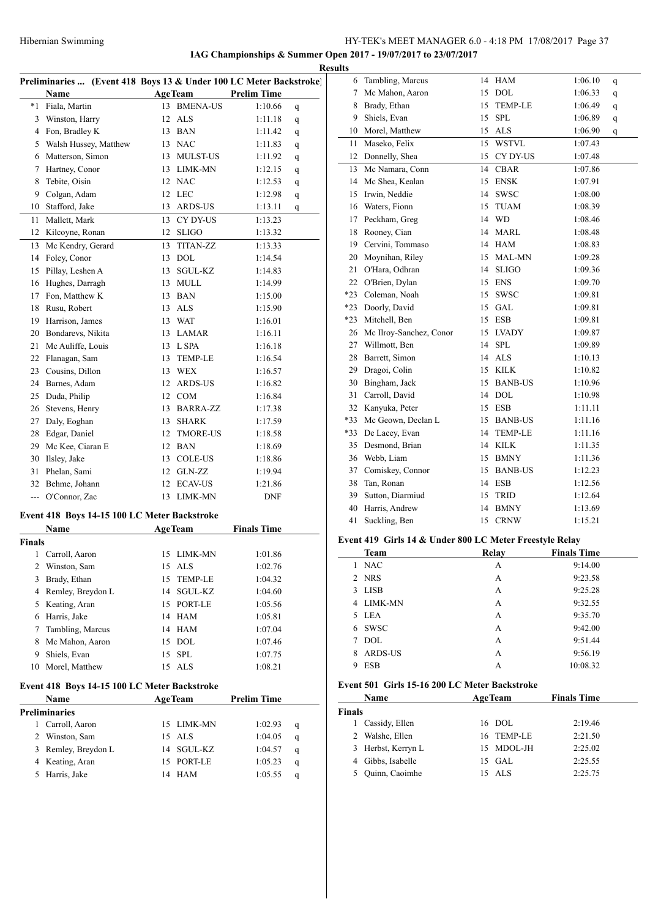**IAG Championships & Summer Open 2017 - 19/07/2017 to 23/07/2017**

|                | Preliminaries  (Event 418 Boys 13 & Under 100 LC Meter Backstroke) |    |                 |                    |              |
|----------------|--------------------------------------------------------------------|----|-----------------|--------------------|--------------|
|                | Name                                                               |    | <b>AgeTeam</b>  | <b>Prelim Time</b> |              |
| $*1$           | Fiala, Martin                                                      |    | 13 BMENA-US     | 1:10.66            | q            |
| 3              | Winston, Harry                                                     |    | 12 ALS          | 1:11.18            | q            |
|                | 4 Fon, Bradley K                                                   |    | 13 BAN          | 1:11.42            | q            |
|                | 5 Walsh Hussey, Matthew                                            |    | 13 NAC          | 1:11.83            | q            |
|                | 6 Matterson, Simon                                                 |    | 13 MULST-US     | 1:11.92            | q            |
| 7              | Hartney, Conor                                                     |    | 13 LIMK-MN      | 1:12.15            | q            |
| 8              | Tebite, Oisin                                                      |    | 12 NAC          | 1:12.53            | q            |
| 9              | Colgan, Adam                                                       |    | 12 LEC          | 1:12.98            | q            |
| 10             | Stafford, Jake                                                     | 13 | ARDS-US         | 1:13.11            | q            |
| 11             | Mallett, Mark                                                      | 13 | CY DY-US        | 1:13.23            |              |
| 12             | Kilcoyne, Ronan                                                    |    | 12 SLIGO        | 1:13.32            |              |
| 13             | Mc Kendry, Gerard                                                  | 13 | <b>TITAN-ZZ</b> | 1:13.33            |              |
| 14             | Foley, Conor                                                       |    | 13 DOL          | 1:14.54            |              |
| 15             | Pillay, Leshen A                                                   |    | 13 SGUL-KZ      | 1:14.83            |              |
|                | 16 Hughes, Darragh                                                 |    | 13 MULL         | 1:14.99            |              |
|                | 17 Fon, Matthew K                                                  |    | 13 BAN          | 1:15.00            |              |
|                | 18 Rusu, Robert                                                    |    | 13 ALS          | 1:15.90            |              |
|                | 19 Harrison, James                                                 |    | 13 WAT          | 1:16.01            |              |
|                | 20 Bondarevs, Nikita                                               |    | 13 LAMAR        | 1:16.11            |              |
| 21             | Mc Auliffe, Louis                                                  |    | 13 L SPA        | 1:16.18            |              |
|                | 22 Flanagan, Sam                                                   |    | 13 TEMP-LE      | 1:16.54            |              |
|                | 23 Cousins, Dillon                                                 |    | 13 WEX          | 1:16.57            |              |
|                | 24 Barnes, Adam                                                    |    | 12 ARDS-US      |                    |              |
| 25             |                                                                    |    | 12 COM          | 1:16.82<br>1:16.84 |              |
|                | Duda, Philip                                                       |    |                 |                    |              |
|                | 26 Stevens, Henry                                                  |    | 13 BARRA-ZZ     | 1:17.38            |              |
| 27             | Daly, Eoghan                                                       |    | 13 SHARK        | 1:17.59            |              |
| 28             | Edgar, Daniel                                                      |    | 12 TMORE-US     | 1:18.58            |              |
| 29             | Mc Kee, Ciaran E                                                   |    | 12 BAN          | 1:18.69            |              |
| 30             | Ilsley, Jake                                                       |    | 13 COLE-US      | 1:18.86            |              |
| 31             | Phelan, Sami                                                       |    | 12 GLN-ZZ       | 1:19.94            |              |
|                | 32 Behme, Johann                                                   | 12 | <b>ECAV-US</b>  | 1:21.86            |              |
|                | --- O'Connor, Zac                                                  | 13 | <b>LIMK-MN</b>  | <b>DNF</b>         |              |
|                | Event 418 Boys 14-15 100 LC Meter Backstroke                       |    |                 |                    |              |
|                | Name                                                               |    | <b>AgeTeam</b>  | <b>Finals Time</b> |              |
| <b>Finals</b>  |                                                                    |    |                 |                    |              |
| 1              | Carroll, Aaron                                                     | 15 | LIMK-MN         | 1:01.86            |              |
| 2              | Winston, Sam                                                       |    | 15 ALS          | 1:02.76            |              |
| 3              | Brady, Ethan                                                       | 15 | TEMP-LE         | 1:04.32            |              |
|                | 4 Remley, Breydon L                                                |    | 14 SGUL-KZ      | 1:04.60            |              |
|                | 5 Keating, Aran                                                    |    | 15 PORT-LE      | 1:05.56            |              |
|                | 6 Harris, Jake                                                     |    | 14 HAM          | 1:05.81            |              |
| 7              | Tambling, Marcus                                                   |    | 14 HAM          | 1:07.04            |              |
|                | 8 Mc Mahon, Aaron                                                  |    | 15 DOL          | 1:07.46            |              |
| 9              | Shiels, Evan                                                       |    | 15 SPL          | 1:07.75            |              |
| 10             | Morel, Matthew                                                     |    | 15 ALS          | 1:08.21            |              |
|                | Event 418 Boys 14-15 100 LC Meter Backstroke                       |    |                 |                    |              |
|                | Name                                                               |    | <b>AgeTeam</b>  | <b>Prelim Time</b> |              |
|                | <b>Preliminaries</b>                                               |    |                 |                    |              |
|                | 1 Carroll, Aaron                                                   |    | 15 LIMK-MN      | 1:02.93            | q            |
| $\overline{2}$ | Winston, Sam                                                       |    | 15 ALS          | 1:04.05            | q            |
|                | 3 Remley, Breydon L                                                |    | 14 SGUL-KZ      | 1:04.57            | q            |
|                | 4 Keating, Aran                                                    |    | 15 PORT-LE      | 1:05.23            | q            |
|                | 5 Harris, Jake                                                     |    | 14 HAM          | 1:05.55            | $\mathbf{q}$ |

|    | <b>Results</b>  |                            |    |                |         |   |
|----|-----------------|----------------------------|----|----------------|---------|---|
| E) | 6               | Tambling, Marcus           |    | 14 HAM         | 1:06.10 | q |
|    | $7\overline{ }$ | Mc Mahon, Aaron            | 15 | <b>DOL</b>     | 1:06.33 | q |
|    | 8               | Brady, Ethan               | 15 | <b>TEMP-LE</b> | 1:06.49 | q |
|    |                 | 9 Shiels, Evan             | 15 | <b>SPL</b>     | 1:06.89 | q |
|    | 10              | Morel, Matthew             | 15 | <b>ALS</b>     | 1:06.90 | q |
|    | 11              | Maseko, Felix              | 15 | WSTVL          | 1:07.43 |   |
|    | 12              | Donnelly, Shea             | 15 | CY DY-US       | 1:07.48 |   |
|    | 13              | Mc Namara, Conn            | 14 | <b>CBAR</b>    | 1:07.86 |   |
|    | 14              | Mc Shea, Kealan            | 15 | <b>ENSK</b>    | 1:07.91 |   |
|    | 15              | Irwin, Neddie              |    | 14 SWSC        | 1:08.00 |   |
|    | 16              | Waters, Fionn              | 15 | <b>TUAM</b>    | 1:08.39 |   |
|    | 17              | Peckham, Greg              |    | 14 WD          | 1:08.46 |   |
|    | 18              | Rooney, Cian               | 14 | MARL           | 1:08.48 |   |
|    |                 | 19 Cervini, Tommaso        |    | 14 HAM         | 1:08.83 |   |
|    |                 | 20 Moynihan, Riley         |    | 15 MAL-MN      | 1:09.28 |   |
|    | 21              | O'Hara, Odhran             |    | 14 SLIGO       | 1:09.36 |   |
|    |                 | 22 O'Brien, Dylan          |    | 15 ENS         | 1:09.70 |   |
|    | $*23$           | Coleman, Noah              |    | 15 SWSC        | 1:09.81 |   |
|    | $*23$           | Doorly, David              | 15 | GAL            | 1:09.81 |   |
|    | $*23$           | Mitchell, Ben              | 15 | <b>ESB</b>     | 1:09.81 |   |
|    |                 | 26 Mc Ilroy-Sanchez, Conor |    | 15 LVADY       | 1:09.87 |   |
|    | 27              | Willmott, Ben              |    | 14 SPL         | 1:09.89 |   |
|    | 28              | Barrett, Simon             |    | 14 ALS         | 1:10.13 |   |
|    | 29              | Dragoi, Colin              |    | 15 KILK        | 1:10.82 |   |
|    |                 | 30 Bingham, Jack           | 15 | <b>BANB-US</b> | 1:10.96 |   |
|    | 31              | Carroll, David             |    | 14 DOL         | 1:10.98 |   |
|    |                 | 32 Kanyuka, Peter          |    | 15 ESB         | 1:11.11 |   |
|    | $*33$           | Mc Geown, Declan L         |    | 15 BANB-US     | 1:11.16 |   |
|    | *33             | De Lacey, Evan             |    | 14 TEMP-LE     | 1:11.16 |   |
|    | 35              | Desmond, Brian             |    | 14 KILK        | 1:11.35 |   |
|    |                 | 36 Webb, Liam              |    | 15 BMNY        | 1:11.36 |   |
|    | 37              | Comiskey, Connor           |    | 15 BANB-US     | 1:12.23 |   |
|    | 38              | Tan, Ronan                 |    | 14 ESB         | 1:12.56 |   |
|    |                 | 39 Sutton, Diarmiud        | 15 | TRID           | 1:12.64 |   |
|    | 40              | Harris, Andrew             | 14 | <b>BMNY</b>    | 1:13.69 |   |
|    | 41              | Suckling, Ben              | 15 | <b>CRNW</b>    | 1:15.21 |   |
|    |                 |                            |    |                |         |   |

# **Event 419 Girls 14 & Under 800 LC Meter Freestyle Relay**

|             | $\cdot$ |                    |  |  |
|-------------|---------|--------------------|--|--|
| <b>Team</b> |         | <b>Finals Time</b> |  |  |
| <b>NAC</b>  | А       | 9:14.00            |  |  |
| 2 NRS       | А       | 9:23.58            |  |  |
| 3 LISB      | А       | 9:25.28            |  |  |
| 4 LIMK-MN   | А       | 9:32.55            |  |  |
| 5 LEA       | А       | 9:35.70            |  |  |
| <b>SWSC</b> | А       | 9:42.00            |  |  |
| DOL.        | А       | 9:51.44            |  |  |
| ARDS-US     | А       | 9:56.19            |  |  |
| <b>ESB</b>  | А       | 10:08.32           |  |  |
|             |         | Relay              |  |  |

### **Event 501 Girls 15-16 200 LC Meter Backstroke**

| Name          |                    | <b>AgeTeam</b> |            | <b>Finals Time</b> |  |
|---------------|--------------------|----------------|------------|--------------------|--|
| <b>Finals</b> |                    |                |            |                    |  |
|               | Cassidy, Ellen     |                | 16 DOL     | 2:19.46            |  |
|               | 2 Walshe, Ellen    |                | 16 TEMP-LE | 2:21.50            |  |
|               | 3 Herbst, Kerryn L |                | 15 MDOL-JH | 2:25.02            |  |
|               | 4 Gibbs, Isabelle  |                | $15$ GAL   | 2:25.55            |  |
|               | Quinn, Caoimhe     |                | 15 ALS     | 2:25.75            |  |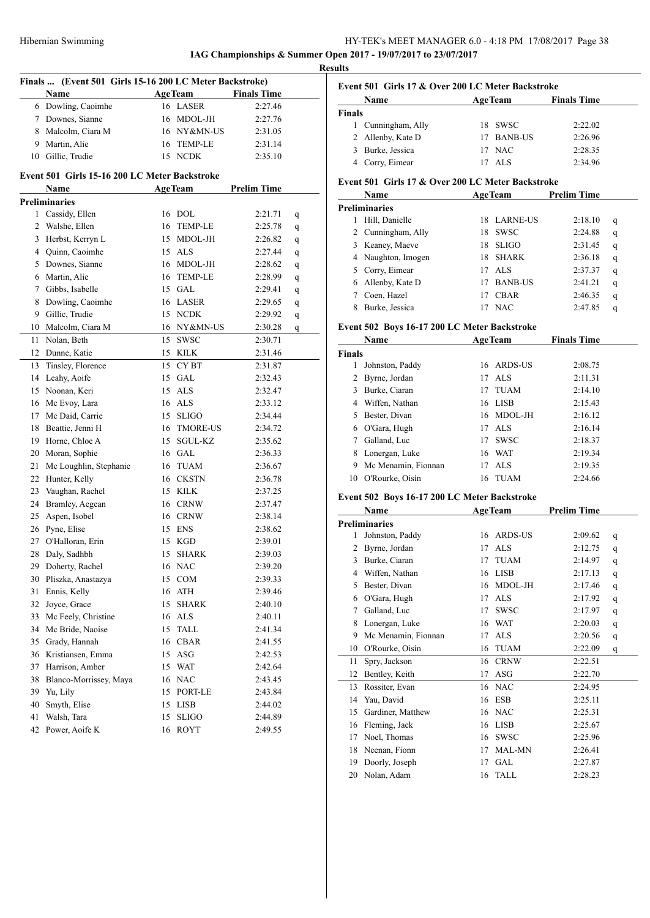# HY-TEK's MEET MANAGER 6.0 - 4:18 PM 17/08/2017 Page 38 **IAG Championships & Summer Open 2017 - 19/07/2017 to 23/07/2017**

**Results**

|                | Finals  (Event 501 Girls 15-16 200 LC Meter Backstroke) |    |                |                    |   |
|----------------|---------------------------------------------------------|----|----------------|--------------------|---|
|                | <b>Name</b>                                             |    | AgeTeam        | <b>Finals Time</b> |   |
|                | 6 Dowling, Caoimhe                                      |    | 16 LASER       | 2:27.46            |   |
| 7              | Downes, Sianne                                          |    | 16 MDOL-JH     | 2:27.76            |   |
| 8              | Malcolm, Ciara M                                        |    | 16 NY&MN-US    | 2:31.05            |   |
|                | 9 Martin, Alie                                          |    | 16 TEMP-LE     | 2:31.14            |   |
| 10             | Gillic, Trudie                                          |    | 15 NCDK        | 2:35.10            |   |
|                |                                                         |    |                |                    |   |
|                | Event 501 Girls 15-16 200 LC Meter Backstroke           |    |                |                    |   |
|                | Name                                                    |    | <b>AgeTeam</b> | <b>Prelim Time</b> |   |
|                | <b>Preliminaries</b>                                    |    |                |                    |   |
|                | 1 Cassidy, Ellen                                        |    | 16 DOL         | 2:21.71            | q |
| $\overline{2}$ | Walshe, Ellen                                           |    | 16 TEMP-LE     | 2:25.78            | q |
| 3              | Herbst, Kerryn L                                        |    | 15 MDOL-JH     | 2:26.82            | q |
|                | 4 Quinn, Caoimhe                                        |    | 15 ALS         | 2:27.44            | q |
|                | 5 Downes, Sianne                                        |    | 16 MDOL-JH     | 2:28.62            | q |
| 6              | Martin, Alie                                            |    | 16 TEMP-LE     | 2:28.99            | q |
| 7              | Gibbs, Isabelle                                         |    | 15 GAL         | 2:29.41            | q |
| 8              | Dowling, Caoimhe                                        |    | 16 LASER       | 2:29.65            | q |
| 9              | Gillic, Trudie                                          |    | 15 NCDK        | 2:29.92            | q |
| 10             | Malcolm, Ciara M                                        |    | 16 NY&MN-US    | 2:30.28            | q |
| 11             | Nolan, Beth                                             |    | 15 SWSC        | 2:30.71            |   |
| 12             | Dunne, Katie                                            |    | 15 KILK        | 2:31.46            |   |
| 13             | Tinsley, Florence                                       |    | 15 CYBT        | 2:31.87            |   |
| 14             | Leahy, Aoife                                            |    | $15$ GAL       | 2:32.43            |   |
|                | 15 Noonan, Keri                                         |    | 15 ALS         | 2:32.47            |   |
|                | 16 Mc Evoy, Lara                                        |    | 16 ALS         | 2:33.12            |   |
|                | 17 Mc Daid, Carrie                                      |    | 15 SLIGO       | 2:34.44            |   |
| 18             | Beattie, Jenni H                                        |    | 16 TMORE-US    | 2:34.72            |   |
| 19             | Horne, Chloe A                                          |    | 15 SGUL-KZ     | 2:35.62            |   |
| 20             | Moran, Sophie                                           |    | 16 GAL         | 2:36.33            |   |
| 21             | Mc Loughlin, Stephanie                                  |    | 16 TUAM        | 2:36.67            |   |
| 22             | Hunter, Kelly                                           |    | 16 CKSTN       | 2:36.78            |   |
| 23             | Vaughan, Rachel                                         |    | 15 KILK        | 2:37.25            |   |
| 24             | Bramley, Aegean                                         |    | 16 CRNW        | 2:37.47            |   |
| 25             | Aspen, Isobel                                           |    | 16 CRNW        | 2:38.14            |   |
|                | 26 Pyne, Elise                                          |    | 15 ENS         | 2:38.62            |   |
| 27             | O'Halloran, Erin                                        |    | 15 KGD         | 2:39.01            |   |
| 28             | Daly, Sadhbh                                            | 15 | <b>SHARK</b>   | 2:39.03            |   |
| 29             | Doherty, Rachel                                         | 16 | <b>NAC</b>     | 2:39.20            |   |
| 30             | Pliszka, Anastazya                                      | 15 | COM            | 2:39.33            |   |
| 31             | Ennis, Kelly                                            | 16 | ATH            | 2:39.46            |   |
| 32             | Joyce, Grace                                            | 15 | <b>SHARK</b>   |                    |   |
|                |                                                         |    | 16 ALS         | 2:40.10            |   |
| 33             | Mc Feely, Christine                                     |    |                | 2:40.11            |   |
| 34             | Mc Bride, Naoíse                                        | 15 | TALL           | 2:41.34            |   |
| 35             | Grady, Hannah                                           | 16 | <b>CBAR</b>    | 2:41.55            |   |
| 36             | Kristiansen, Emma                                       |    | 15 ASG         | 2:42.53            |   |
| 37             | Harrison, Amber                                         |    | 15 WAT         | 2:42.64            |   |
| 38             | Blanco-Morrissey, Maya                                  |    | 16 NAC         | 2:43.45            |   |
| 39             | Yu, Lily                                                |    | 15 PORT-LE     | 2:43.84            |   |
| 40             | Smyth, Elise                                            |    | 15 LISB        | 2:44.02            |   |
| 41             | Walsh, Tara                                             | 15 | <b>SLIGO</b>   | 2:44.89            |   |
| 42             | Power, Aoife K                                          |    | 16 ROYT        | 2:49.55            |   |

### **Event 501 Girls 17 & Over 200 LC Meter Backstroke Name Age Team Finals Time Finals**

| 1 Cunningham, Ally | 18 SWSC    | 2:22.02 |
|--------------------|------------|---------|
| 2 Allenby, Kate D  | 17 BANB-US | 2:26.96 |
| 3 Burke, Jessica   | 17 NAC     | 2:28.35 |
| 4 Corry, Eimear    | 17 ALS     | 2:34.96 |
|                    |            |         |

### **Event 501 Girls 17 & Over 200 LC Meter Backstroke**

|   | <b>Name</b>        | <b>AgeTeam</b> |                 | <b>Prelim Time</b> |   |
|---|--------------------|----------------|-----------------|--------------------|---|
|   | Preliminaries      |                |                 |                    |   |
|   | Hill, Danielle     | 18             | <b>LARNE-US</b> | 2:18.10            | q |
|   | 2 Cunningham, Ally | 18             | <b>SWSC</b>     | 2:24.88            | q |
| 3 | Keaney, Maeve      | 18             | <b>SLIGO</b>    | 2:31.45            | q |
| 4 | Naughton, Imogen   | 18             | <b>SHARK</b>    | 2:36.18            | q |
|   | Corry, Eimear      | 17             | ALS             | 2:37.37            | q |
| 6 | Allenby, Kate D    | 17             | <b>BANB-US</b>  | 2:41.21            | q |
|   | Coen, Hazel        |                | <b>CBAR</b>     | 2:46.35            | q |
|   | Burke, Jessica     |                | <b>NAC</b>      | 2:47.85            | q |

# **Event 502 Boys 16-17 200 LC Meter Backstroke**

|               | Name                |    | <b>AgeTeam</b> | <b>Finals Time</b> |  |
|---------------|---------------------|----|----------------|--------------------|--|
| <b>Finals</b> |                     |    |                |                    |  |
| 1             | Johnston, Paddy     | 16 | ARDS-US        | 2:08.75            |  |
| 2             | Byrne, Jordan       | 17 | ALS            | 2:11.31            |  |
| 3             | Burke, Ciaran       | 17 | <b>TUAM</b>    | 2:14.10            |  |
| 4             | Wiffen, Nathan      | 16 | LISB           | 2:15.43            |  |
|               | Bester, Divan       |    | 16 MDOL-JH     | 2:16.12            |  |
| 6             | O'Gara, Hugh        | 17 | ALS            | 2:16.14            |  |
|               | Galland, Luc        | 17 | <b>SWSC</b>    | 2:18.37            |  |
| 8             | Lonergan, Luke      | 16 | WAT            | 2:19.34            |  |
| 9             | Mc Menamin, Fionnan | 17 | ALS            | 2:19.35            |  |
| 10            | O'Rourke, Oisín     | 16 | <b>TUAM</b>    | 2:24.66            |  |

### **Event 502 Boys 16-17 200 LC Meter Backstroke**

|    | Name                 | <b>AgeTeam</b>    | <b>Prelim Time</b> |
|----|----------------------|-------------------|--------------------|
|    | <b>Preliminaries</b> |                   |                    |
| 1  | Johnston, Paddy      | ARDS-US<br>16     | 2:09.62<br>q       |
| 2  | Byrne, Jordan        | <b>ALS</b><br>17  | 2:12.75<br>q       |
| 3  | Burke, Ciaran        | <b>TUAM</b><br>17 | 2:14.97<br>q       |
| 4  | Wiffen, Nathan       | <b>LISB</b><br>16 | 2:17.13<br>q       |
| 5  | Bester, Divan        | MDOL-JH<br>16     | 2:17.46<br>q       |
| 6  | O'Gara, Hugh         | <b>ALS</b><br>17  | 2:17.92<br>q       |
| 7  | Galland, Luc         | <b>SWSC</b><br>17 | 2:17.97<br>q       |
| 8  | Lonergan, Luke       | <b>WAT</b><br>16  | 2:20.03<br>q       |
| 9  | Mc Menamin, Fionnan  | <b>ALS</b><br>17  | 2:20.56<br>q       |
| 10 | O'Rourke, Oisín      | <b>TUAM</b><br>16 | 2:22.09<br>q       |
| 11 | Spry, Jackson        | <b>CRNW</b><br>16 | 2:22.51            |
| 12 | Bentley, Keith       | <b>ASG</b><br>17  | 2:22.70            |
| 13 | Rossiter, Evan       | <b>NAC</b><br>16  | 2:24.95            |
| 14 | Yau, David           | <b>ESB</b><br>16  | 2:25.11            |
| 15 | Gardiner, Matthew    | <b>NAC</b><br>16  | 2:25.31            |
| 16 | Fleming, Jack        | <b>LISB</b><br>16 | 2:25.67            |
| 17 | Noel, Thomas         | <b>SWSC</b><br>16 | 2:25.96            |
| 18 | Neenan, Fionn        | MAL-MN<br>17      | 2:26.41            |
| 19 | Doorly, Joseph       | GAL<br>17         | 2:27.87            |
| 20 | Nolan, Adam          | <b>TALL</b><br>16 | 2:28.23            |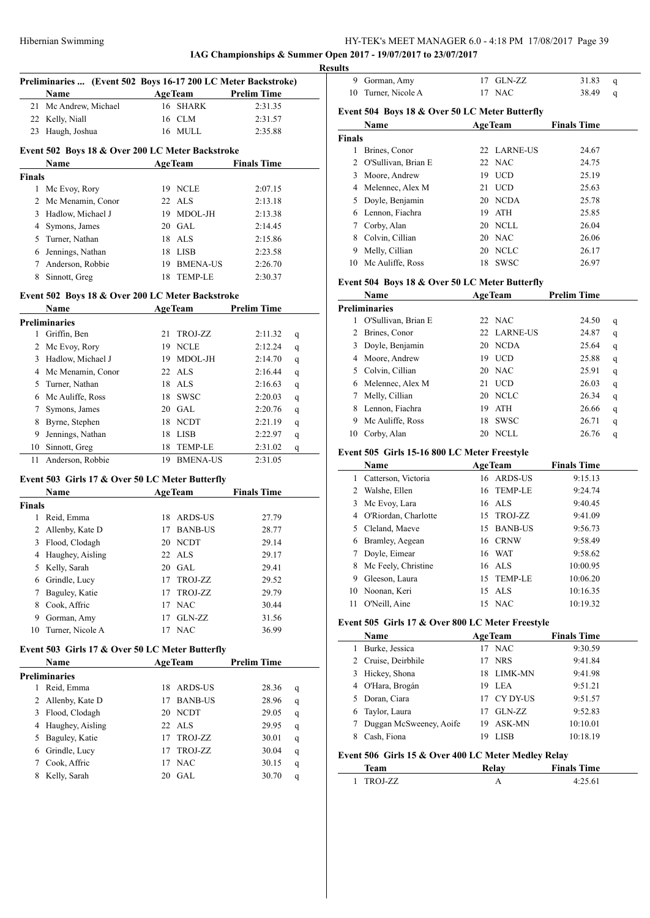**IAG Championships & Summer Open 2017 - 19/07/2017 to 23/07/2017 Results**

|                | Preliminaries  (Event 502 Boys 16-17 200 LC Meter Backstroke) |    |                 |                    |   |
|----------------|---------------------------------------------------------------|----|-----------------|--------------------|---|
|                | <b>Name</b>                                                   |    | <b>AgeTeam</b>  | <b>Prelim Time</b> |   |
| 21             | Mc Andrew, Michael                                            | 16 | SHARK           | 2:31.35            |   |
| 22             | Kelly, Niall                                                  | 16 | CLM             | 2:31.57            |   |
| 23             | Haugh, Joshua                                                 | 16 | MULL            | 2:35.88            |   |
|                | Event 502 Boys 18 & Over 200 LC Meter Backstroke              |    |                 |                    |   |
|                | Name                                                          |    | AgeTeam         | <b>Finals Time</b> |   |
| Finals         |                                                               |    |                 |                    |   |
| 1              | Mc Evoy, Rory                                                 |    | 19 NCLE         | 2:07.15            |   |
| $\overline{2}$ | Mc Menamin, Conor                                             |    | 22 ALS          | 2:13.18            |   |
| 3              | Hadlow, Michael J                                             |    | 19 MDOL-JH      | 2:13.38            |   |
|                | 4 Symons, James                                               |    | 20 GAL          | 2:14.45            |   |
|                | 5 Turner, Nathan                                              |    | 18 ALS          | 2:15.86            |   |
| 6              | Jennings, Nathan                                              |    | 18 LISB         | 2:23.58            |   |
| 7              | Anderson, Robbie                                              |    | 19 BMENA-US     | 2:26.70            |   |
| 8              | Sinnott, Greg                                                 | 18 | <b>TEMP-LE</b>  | 2:30.37            |   |
|                | Event 502 Boys 18 & Over 200 LC Meter Backstroke              |    |                 |                    |   |
|                | Name                                                          |    | <b>AgeTeam</b>  | <b>Prelim Time</b> |   |
|                | <b>Preliminaries</b>                                          |    |                 |                    |   |
| 1              | Griffin, Ben                                                  | 21 | TROJ-ZZ         | 2:11.32            | q |
|                | 2 Mc Evoy, Rory                                               |    | 19 NCLE         | 2:12.24            | q |
| 3              | Hadlow, Michael J                                             |    | 19 MDOL-JH      | 2:14.70            | q |
| 4              | Mc Menamin, Conor                                             |    | 22 ALS          | 2:16.44            | q |
| 5              | Turner, Nathan                                                |    | 18 ALS          | 2:16.63            | q |
| 6              | Mc Auliffe, Ross                                              |    | 18 SWSC         | 2:20.03            | q |
| 7              | Symons, James                                                 |    | 20 GAL          | 2:20.76            | q |
| 8              | Byrne, Stephen                                                |    | 18 NCDT         | 2:21.19            | q |
| 9              | Jennings, Nathan                                              |    | 18 LISB         | 2:22.97            | q |
| 10             | Sinnott, Greg                                                 | 18 | TEMP-LE         | 2:31.02            | q |
| 11             | Anderson, Robbie                                              | 19 | <b>BMENA-US</b> | 2:31.05            |   |
|                | Event 503 Girls 17 & Over 50 LC Meter Butterfly               |    |                 |                    |   |
|                | Name                                                          |    | <b>AgeTeam</b>  | <b>Finals Time</b> |   |
| Finals         |                                                               |    |                 |                    |   |
| 1              | Reid, Emma                                                    |    | 18 ARDS-US      | 27.79              |   |
| 2              | Allenby, Kate D                                               |    | 17 BANB-US      | 28.77              |   |
| 3              | Flood, Clodagh                                                |    | 20 NCDT         | 29.14              |   |
| 4              | Haughey, Aisling                                              |    | 22 ALS          | 29.17              |   |
| 5              | Kelly, Sarah                                                  | 20 | GAL             | 29.41              |   |
| 6              | Grindle, Lucy                                                 | 17 | TROJ-ZZ         | 29.52              |   |
| 7              | Baguley, Katie                                                | 17 | TROJ-ZZ         | 29.79              |   |
| 8              | Cook, Affric                                                  |    | 17 NAC          | 30.44              |   |
| 9              | Gorman, Amy                                                   | 17 | GLN-ZZ          | 31.56              |   |
| 10             | Turner, Nicole A                                              | 17 | <b>NAC</b>      | 36.99              |   |
|                | Event 503 Girls 17 & Over 50 LC Meter Butterfly               |    |                 |                    |   |
|                | Name                                                          |    | <b>AgeTeam</b>  | <b>Prelim Time</b> |   |
|                | Preliminaries                                                 |    |                 |                    |   |
| 1              | Reid, Emma                                                    | 18 | ARDS-US         | 28.36              | q |
| 2              | Allenby, Kate D                                               | 17 | <b>BANB-US</b>  | 28.96              | q |
| 3              | Flood, Clodagh                                                | 20 | NCDT            | 29.05              | q |
| 4              | Haughey, Aisling                                              | 22 | ALS             | 29.95              | q |
| 5              | Baguley, Katie                                                | 17 | TROJ-ZZ         | 30.01              | q |
| 6              | Grindle, Lucy                                                 | 17 | TROJ-ZZ         | 30.04              | q |
| 7              | Cook, Affric                                                  | 17 | <b>NAC</b>      | 30.15              | q |
| 8              | Kelly, Sarah                                                  | 20 | GAL             | 30.70              | q |
|                |                                                               |    |                 |                    |   |

| uns                                            |                     |    |                |                    |   |  |  |  |
|------------------------------------------------|---------------------|----|----------------|--------------------|---|--|--|--|
| 9                                              | Gorman, Amy         | 17 | GLN-ZZ         | 31.83              | q |  |  |  |
| 10                                             | Turner, Nicole A    | 17 | <b>NAC</b>     | 38.49              | q |  |  |  |
| Event 504 Boys 18 & Over 50 LC Meter Butterfly |                     |    |                |                    |   |  |  |  |
|                                                | Name                |    | <b>AgeTeam</b> | <b>Finals Time</b> |   |  |  |  |
| <b>Finals</b>                                  |                     |    |                |                    |   |  |  |  |
|                                                | Brines, Conor       |    | 22 LARNE-US    | 24.67              |   |  |  |  |
| 2                                              | O'Sullivan, Brian E |    | 22 NAC         | 24.75              |   |  |  |  |
| 3                                              | Moore, Andrew       | 19 | <b>UCD</b>     | 25.19              |   |  |  |  |
| 4                                              | Melennec, Alex M    | 21 | <b>UCD</b>     | 25.63              |   |  |  |  |
| 5                                              | Doyle, Benjamin     | 20 | NCDA           | 25.78              |   |  |  |  |
| 6                                              | Lennon, Fiachra     | 19 | <b>ATH</b>     | 25.85              |   |  |  |  |
|                                                | Corby, Alan         | 20 | NCLL           | 26.04              |   |  |  |  |
| 8                                              | Colvin, Cillian     | 20 | <b>NAC</b>     | 26.06              |   |  |  |  |
| 9                                              | Melly, Cillian      | 20 | <b>NCLC</b>    | 26.17              |   |  |  |  |
| 10                                             | Mc Auliffe, Ross    | 18 | <b>SWSC</b>    | 26.97              |   |  |  |  |

# **Event 504 Boys 18 & Over 50 LC Meter Butterfly**

|    | <b>Name</b>          |    | <b>AgeTeam</b> | <b>Prelim Time</b> |   |
|----|----------------------|----|----------------|--------------------|---|
|    | <b>Preliminaries</b> |    |                |                    |   |
|    | O'Sullivan, Brian E  |    | $22$ NAC       | 24.50              | q |
|    | Brines, Conor        |    | 22 LARNE-US    | 24.87              | q |
| 3. | Doyle, Benjamin      | 20 | <b>NCDA</b>    | 25.64              | q |
|    | 4 Moore, Andrew      | 19 | <b>UCD</b>     | 25.88              | q |
|    | 5 Colvin, Cillian    |    | 20 NAC         | 25.91              | q |
| 6. | Melennec, Alex M     | 21 | <b>UCD</b>     | 26.03              | q |
|    | Melly, Cillian       | 20 | <b>NCLC</b>    | 26.34              | q |
| 8. | Lennon, Fiachra      | 19 | <b>ATH</b>     | 26.66              | q |
| 9  | Mc Auliffe, Ross     | 18 | <b>SWSC</b>    | 26.71              | q |
| 10 | Corby, Alan          | 20 | <b>NCLL</b>    | 26.76              | q |

### **Event 505 Girls 15-16 800 LC Meter Freestyle**

|    | Name                   | <b>AgeTeam</b> |            | <b>Finals Time</b> |  |
|----|------------------------|----------------|------------|--------------------|--|
| 1  | Catterson, Victoria    |                | 16 ARDS-US | 9:15.13            |  |
| 2  | Walshe, Ellen          |                | 16 TEMP-LE | 9:24.74            |  |
|    | 3 Mc Evoy, Lara        |                | 16 ALS     | 9:40.45            |  |
|    | 4 O'Riordan, Charlotte |                | 15 TROJ-ZZ | 9:41.09            |  |
|    | 5 Cleland, Maeve       |                | 15 BANB-US | 9:56.73            |  |
| 6  | Bramley, Aegean        |                | 16 CRNW    | 9:58.49            |  |
|    | Doyle, Eimear          |                | 16 WAT     | 9:58.62            |  |
| 8  | Mc Feely, Christine    |                | 16 ALS     | 10:00.95           |  |
| 9  | Gleeson, Laura         |                | 15 TEMP-LE | 10:06.20           |  |
| 10 | Noonan, Keri           |                | 15 ALS     | 10:16.35           |  |
| 11 | O'Neill, Aine          |                | 15 NAC     | 10:19.32           |  |

### **Event 505 Girls 17 & Over 800 LC Meter Freestyle**

|   | <b>Name</b>             |     | <b>AgeTeam</b> | <b>Finals Time</b> |  |
|---|-------------------------|-----|----------------|--------------------|--|
| 1 | Burke, Jessica          |     | 17 NAC         | 9:30.59            |  |
|   | 2 Cruise, Deirbhile     |     | 17 NRS         | 9:41.84            |  |
|   | 3 Hickey, Shona         |     | 18 LIMK-MN     | 9:41.98            |  |
|   | 4 O'Hara, Brogán        |     | 19 LEA         | 9:51.21            |  |
|   | 5 Doran, Ciara          |     | 17 CY DY-US    | 9:51.57            |  |
|   | 6 Taylor, Laura         | 17  | GLN-ZZ         | 9:52.83            |  |
|   | Duggan McSweeney, Aoife | 19. | ASK-MN         | 10:10.01           |  |
|   | Cash, Fiona             | 19  | <b>LISB</b>    | 10:18.19           |  |

### **Event 506 Girls 15 & Over 400 LC Meter Medley Relay**

| Team    | <b>Finals Time</b> |  |
|---------|--------------------|--|
| TDAI 77 |                    |  |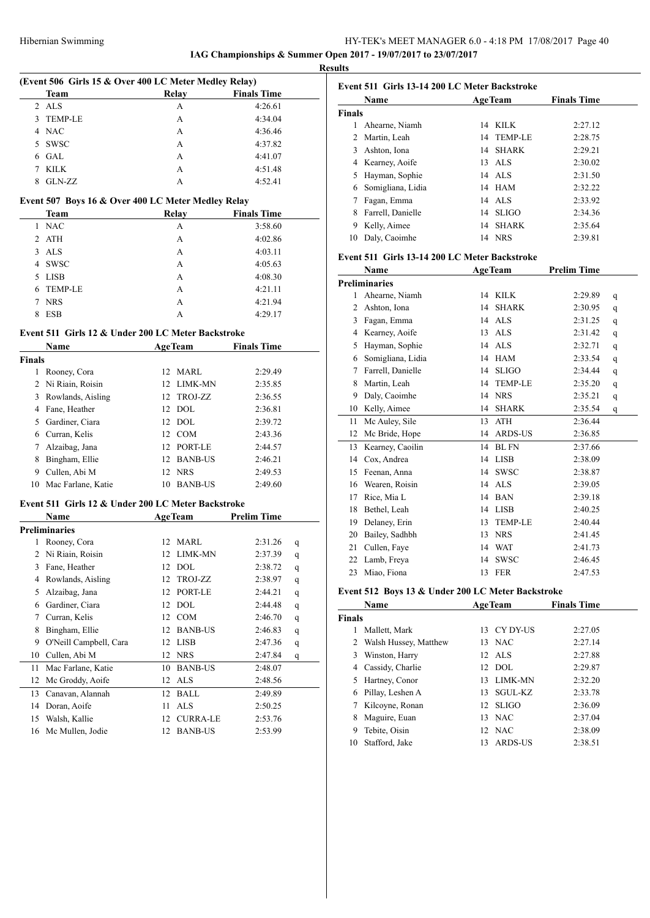**IAG Championships & Summer Open 2017 - 19/07/2017 to 23/07/2017**

| (Event 506 Girls 15 & Over 400 LC Meter Medley Relay) |                                                    |    |                                                |                    |   |  |
|-------------------------------------------------------|----------------------------------------------------|----|------------------------------------------------|--------------------|---|--|
|                                                       | Team                                               |    | Relay                                          | <b>Finals Time</b> |   |  |
| 2                                                     | <b>ALS</b>                                         |    | А                                              | 4:26.61            |   |  |
| 3                                                     | <b>TEMP-LE</b>                                     |    | А                                              | 4:34.04            |   |  |
| 4                                                     | <b>NAC</b>                                         |    | А                                              | 4:36.46            |   |  |
| 5.                                                    | <b>SWSC</b>                                        |    | A                                              | 4:37.82            |   |  |
| 6                                                     | GAL                                                |    | A                                              | 4:41.07            |   |  |
| 7                                                     | <b>KILK</b>                                        |    | А                                              | 4:51.48            |   |  |
| 8                                                     | GLN-ZZ                                             |    | A                                              | 4:52.41            |   |  |
|                                                       | Event 507 Boys 16 & Over 400 LC Meter Medley Relay |    |                                                |                    |   |  |
|                                                       | Team                                               |    | Relay                                          | <b>Finals Time</b> |   |  |
| 1                                                     | <b>NAC</b>                                         |    | А                                              | 3:58.60            |   |  |
|                                                       | 2 ATH                                              |    | А                                              | 4:02.86            |   |  |
| 3                                                     | ALS                                                |    | А                                              | 4:03.11            |   |  |
| 4                                                     | <b>SWSC</b>                                        |    | А                                              | 4:05.63            |   |  |
| 5                                                     | LISB                                               |    | А                                              | 4:08.30            |   |  |
| 6                                                     | <b>TEMP-LE</b>                                     |    | А                                              | 4:21.11            |   |  |
| 7                                                     | <b>NRS</b>                                         |    | А                                              | 4:21.94            |   |  |
| 8                                                     | <b>ESB</b>                                         |    | A                                              | 4:29.17            |   |  |
|                                                       | Event 511 Girls 12 & Under 200 LC Meter Backstroke |    |                                                |                    |   |  |
|                                                       | Name                                               |    |                                                | <b>Finals Time</b> |   |  |
|                                                       |                                                    |    | <b>AgeTeam</b>                                 |                    |   |  |
| <b>Finals</b><br>1                                    |                                                    |    | 12 MARL                                        | 2:29.49            |   |  |
|                                                       | Rooney, Cora<br>2 Ni Riain, Roisin                 |    | 12 LIMK-MN                                     |                    |   |  |
|                                                       |                                                    |    |                                                | 2:35.85            |   |  |
|                                                       | 3 Rowlands, Aisling                                |    | 12 TROJ-ZZ<br>12 DOL                           | 2:36.55            |   |  |
|                                                       | 4 Fane, Heather                                    |    | 12 DOL                                         | 2:36.81            |   |  |
|                                                       | 5 Gardiner, Ciara                                  |    |                                                | 2:39.72            |   |  |
|                                                       | 6 Curran, Kelis                                    |    | 12 COM                                         | 2:43.36            |   |  |
|                                                       | 7 Alzaibag, Jana                                   |    | 12 PORT-LE                                     | 2:44.57            |   |  |
|                                                       | 8 Bingham, Ellie                                   | 12 | <b>BANB-US</b>                                 | 2:46.21            |   |  |
|                                                       | 9 Cullen, Abi M                                    | 12 | <b>NRS</b>                                     | 2:49.53            |   |  |
|                                                       | 10 Mac Farlane, Katie                              |    | 10 BANB-US                                     | 2:49.60            |   |  |
|                                                       | Event 511 Girls 12 & Under 200 LC Meter Backstroke |    |                                                |                    |   |  |
|                                                       | Name                                               |    | <b>AgeTeam</b>                                 | <b>Prelim Time</b> |   |  |
|                                                       | <b>Preliminaries</b>                               |    |                                                |                    |   |  |
| 1                                                     | Rooney, Cora                                       |    | 12 MARL                                        | 2:31.26            | q |  |
| 2                                                     | Ni Riain, Roisin                                   | 12 | LIMK-MN                                        | 2:37.39            | q |  |
| 3                                                     | Fane, Heather                                      | 12 | <b>DOL</b>                                     | 2:38.72            | q |  |
| 4                                                     | Rowlands, Aisling                                  | 12 | TROJ-ZZ                                        | 2:38.97            | q |  |
| 5                                                     | Alzaibag, Jana                                     | 12 | PORT-LE                                        | 2:44.21            | q |  |
| 6                                                     | Gardiner, Ciara                                    | 12 | $\rm DOL$                                      | 2:44.48            | q |  |
| 7                                                     | Curran, Kelis                                      | 12 | COM                                            | 2:46.70            | q |  |
| 8                                                     | Bingham, Ellie                                     | 12 | <b>BANB-US</b>                                 | 2:46.83            | q |  |
| 9                                                     | O'Neill Campbell, Cara                             | 12 | LISB                                           | 2:47.36            | q |  |
| 10                                                    | Cullen, Abi M                                      | 12 | <b>NRS</b>                                     | 2:47.84            | q |  |
| 11                                                    | Mac Farlane, Katie                                 | 10 | <b>BANB-US</b>                                 | 2:48.07            |   |  |
| 12                                                    | Mc Groddy, Aoife                                   | 12 | ALS                                            | 2:48.56            |   |  |
| 13                                                    | Canavan, Alannah                                   | 12 | <b>BALL</b>                                    | 2:49.89            |   |  |
| 14                                                    | Doran, Aoife                                       | 11 | <b>ALS</b>                                     | 2:50.25            |   |  |
| 15                                                    | Walsh, Kallie                                      | 12 | $\ensuremath{\mathrm{CURRA\text{-}LE}}\xspace$ | 2:53.76            |   |  |
| 16                                                    | Mc Mullen, Jodie                                   | 12 | <b>BANB-US</b>                                 | 2:53.99            |   |  |

|               | Name              |    | <b>AgeTeam</b> | <b>Finals Time</b> |
|---------------|-------------------|----|----------------|--------------------|
| <b>Finals</b> |                   |    |                |                    |
|               | Ahearne, Niamh    | 14 | KILK.          | 2:27.12            |
|               | 2 Martin, Leah    |    | 14 TEMP-LE     | 2:28.75            |
| 3             | Ashton, Iona      |    | 14 SHARK       | 2:29.21            |
|               | 4 Kearney, Aoife  |    | $13$ ALS       | 2:30.02            |
|               | Hayman, Sophie    |    | $14$ ALS       | 2:31.50            |
| 6             | Somigliana, Lidia |    | 14 HAM         | 2:32.22            |
|               | Fagan, Emma       |    | 14 ALS         | 2:33.92            |
| 8             | Farrell, Danielle |    | 14 SLIGO       | 2:34.36            |
| 9             | Kelly, Aimee      | 14 | SHARK          | 2:35.64            |
| 10            | Daly, Caoimhe     |    | 14 NRS         | 2:39.81            |

### **Event 511 Girls 13-14 200 LC Meter Backstroke**

|    | Name                 | <b>AgeTeam</b>        | <b>Prelim Time</b> |
|----|----------------------|-----------------------|--------------------|
|    | <b>Preliminaries</b> |                       |                    |
| 1  | Ahearne, Niamh       | KILK<br>14            | 2:29.89<br>q       |
| 2  | Ashton, Iona         | <b>SHARK</b><br>14    | 2:30.95<br>q       |
| 3  | Fagan, Emma          | <b>ALS</b><br>14      | 2:31.25<br>q       |
| 4  | Kearney, Aoife       | <b>ALS</b><br>13      | 2:31.42<br>q       |
| 5  | Hayman, Sophie       | ALS <sub></sub><br>14 | 2:32.71<br>q       |
| 6  | Somigliana, Lidia    | <b>HAM</b><br>14      | 2:33.54<br>q       |
| 7  | Farrell, Danielle    | <b>SLIGO</b><br>14    | 2:34.44<br>q       |
| 8  | Martin, Leah         | <b>TEMP-LE</b><br>14  | 2:35.20<br>q       |
| 9  | Daly, Caoimhe        | <b>NRS</b><br>14      | 2:35.21<br>q       |
| 10 | Kelly, Aimee         | <b>SHARK</b><br>14    | 2:35.54<br>q       |
| 11 | Mc Auley, Sile       | <b>ATH</b><br>13      | 2:36.44            |
| 12 | Mc Bride, Hope       | <b>ARDS-US</b><br>14  | 2:36.85            |
| 13 | Kearney, Caoilin     | <b>BLFN</b><br>14     | 2:37.66            |
| 14 | Cox, Andrea          | <b>LISB</b><br>14     | 2:38.09            |
| 15 | Feenan, Anna         | <b>SWSC</b><br>14     | 2:38.87            |
| 16 | Wearen, Roisin       | ALS<br>14             | 2:39.05            |
| 17 | Rice, Mia L          | <b>BAN</b><br>14      | 2:39.18            |
| 18 | Bethel, Leah         | <b>LISB</b><br>14     | 2:40.25            |
| 19 | Delaney, Erin        | <b>TEMP-LE</b><br>13  | 2:40.44            |
| 20 | Bailey, Sadhbh       | <b>NRS</b><br>13      | 2:41.45            |
| 21 | Cullen, Faye         | <b>WAT</b><br>14      | 2:41.73            |
| 22 | Lamb, Freya          | <b>SWSC</b><br>14     | 2:46.45            |
| 23 | Miao, Fiona          | <b>FER</b><br>13      | 2:47.53            |

# **Event 512 Boys 13 & Under 200 LC Meter Backstroke**

| Name          |                       | <b>AgeTeam</b>     | <b>Finals Time</b> |
|---------------|-----------------------|--------------------|--------------------|
| <b>Finals</b> |                       |                    |                    |
| 1             | Mallett, Mark         | CY DY-US<br>13     | 2:27.05            |
| 2             | Walsh Hussey, Matthew | 13 NAC             | 2:27.14            |
| 3             | Winston, Harry        | $12$ ALS           | 2:27.88            |
| 4             | Cassidy, Charlie      | DOL.<br>12         | 2:29.87            |
| 5             | Hartney, Conor        | LIMK-MN<br>13.     | 2:32.20            |
| 6             | Pillay, Leshen A      | SGUL-KZ<br>13.     | 2:33.78            |
| 7             | Kilcoyne, Ronan       | <b>SLIGO</b><br>12 | 2:36.09            |
| 8             | Maguire, Euan         | <b>NAC</b><br>13   | 2:37.04            |
| 9             | Tebite, Oisin         | 12 NAC             | 2:38.09            |
| 10            | Stafford, Jake        | ARDS-US<br>13      | 2:38.51            |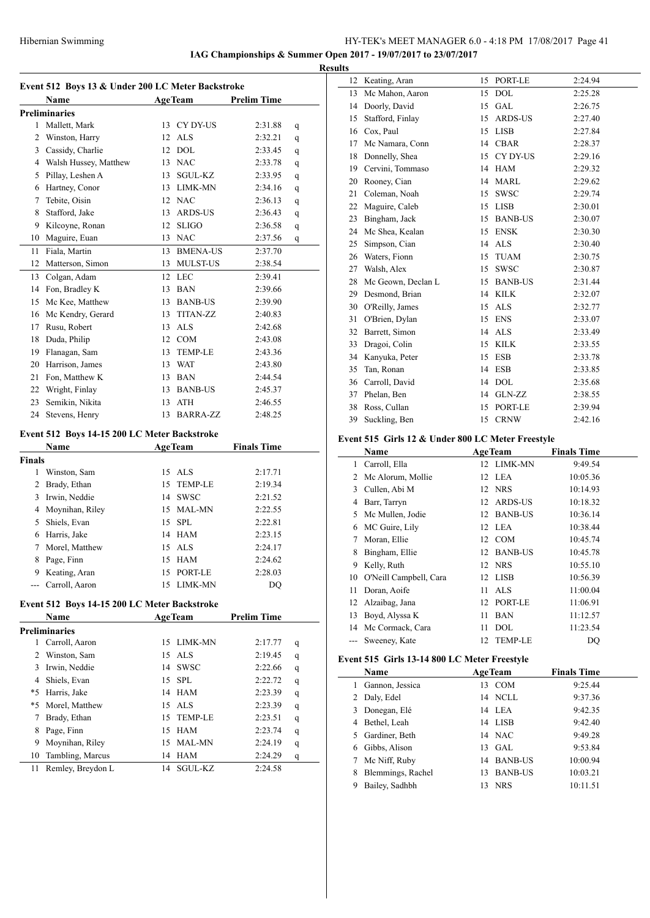### Hibernian Swimming HY-TEK's MEET MANAGER 6.0 - 4:18 PM 17/08/2017 Page 41

**IAG Championships & Summer Open 2017 - 19/07/2017 to 23/07/2017**

**Event 512 Boys 13 & Under 200 LC Meter Backstroke Name Age Team Prelim Time Preliminaries** 1 Mallett, Mark 13 CY DY-US 2:31.88 q Winston, Harry 12 ALS 2:32.21 q Cassidy, Charlie 12 DOL 2:33.45 q Walsh Hussey, Matthew 13 NAC 2:33.78 q Pillay, Leshen A 13 SGUL-KZ 2:33.95 q Hartney, Conor 13 LIMK-MN 2:34.16 q Tebite, Oisin 12 NAC 2:36.13 q Stafford, Jake 13 ARDS-US 2:36.43 q Kilcoyne, Ronan 12 SLIGO 2:36.58 q Maguire, Euan 13 NAC 2:37.56 q Fiala, Martin 13 BMENA-US 2:37.70 Matterson, Simon 13 MULST-US 2:38.54 Colgan, Adam 12 LEC 2:39.41 14 Fon, Bradley K 13 BAN 2:39.66 Mc Kee, Matthew 13 BANB-US 2:39.90 16 Mc Kendry, Gerard 13 TITAN-ZZ 2:40.83 Rusu, Robert 13 ALS 2:42.68 Duda, Philip 12 COM 2:43.08 Flanagan, Sam 13 TEMP-LE 2:43.36 Harrison, James 13 WAT 2:43.80 21 Fon, Matthew K 13 BAN 2:44.54 Wright, Finlay 13 BANB-US 2:45.37 Semikin, Nikita 13 ATH 2:46.55 24 Stevens, Henry 13 BARRA-ZZ 2:48.25 **Event 512 Boys 14-15 200 LC Meter Backstroke Name Age Team Finals Time Finals** Winston, Sam 15 ALS 2:17.71 Brady, Ethan 15 TEMP-LE 2:19.34 Irwin, Neddie 14 SWSC 2:21.52 Moynihan, Riley 15 MAL-MN 2:22.55 Shiels, Evan 15 SPL 2:22.81 Harris, Jake 14 HAM 2:23.15 Morel, Matthew 15 ALS 2:24.17 Page, Finn 15 HAM 2:24.62 Keating, Aran 15 PORT-LE 2:28.03 --- Carroll, Aaron 15 LIMK-MN DO **Event 512 Boys 14-15 200 LC Meter Backstroke Name Age Team Prelim Time Preliminaries** Carroll, Aaron 15 LIMK-MN 2:17.77 q Winston, Sam 15 ALS 2:19.45 q Irwin, Neddie 14 SWSC 2:22.66 q Shiels, Evan 15 SPL 2:22.72 q \*5 Harris, Jake 14 HAM 2:23.39 q \*5 Morel, Matthew 15 ALS 2:23.39 q Brady, Ethan 15 TEMP-LE 2:23.51 q Page, Finn 15 HAM 2:23.74 q Moynihan, Riley 15 MAL-MN 2:24.19 q Tambling, Marcus 14 HAM 2:24.29 q 11 Remley, Breydon L 14 SGUL-KZ 2:24.58

| <b>Results</b> |                    |    |                |         |
|----------------|--------------------|----|----------------|---------|
| 12             | Keating, Aran      | 15 | PORT-LE        | 2:24.94 |
| 13             | Mc Mahon, Aaron    | 15 | <b>DOL</b>     | 2:25.28 |
| 14             | Doorly, David      | 15 | <b>GAL</b>     | 2:26.75 |
| 15             | Stafford, Finlay   | 15 | <b>ARDS-US</b> | 2:27.40 |
| 16             | Cox, Paul          | 15 | <b>LISB</b>    | 2:27.84 |
| 17             | Mc Namara, Conn    |    | 14 CBAR        | 2:28.37 |
| 18             | Donnelly, Shea     | 15 | CY DY-US       | 2:29.16 |
| 19             | Cervini, Tommaso   |    | 14 HAM         | 2:29.32 |
| 20             | Rooney, Cian       | 14 | MARL           | 2:29.62 |
| 21             | Coleman, Noah      | 15 | SWSC           | 2:29.74 |
| 22             | Maguire, Caleb     | 15 | <b>LISB</b>    | 2:30.01 |
| 23             | Bingham, Jack      | 15 | <b>BANB-US</b> | 2:30.07 |
| 24             | Mc Shea, Kealan    | 15 | <b>ENSK</b>    | 2:30.30 |
| 25             | Simpson, Cian      | 14 | <b>ALS</b>     | 2:30.40 |
| 26             | Waters, Fionn      | 15 | <b>TUAM</b>    | 2:30.75 |
| 27             | Walsh, Alex        | 15 | <b>SWSC</b>    | 2:30.87 |
| 28             | Mc Geown, Declan L | 15 | <b>BANB-US</b> | 2:31.44 |
| 29             | Desmond, Brian     | 14 | <b>KILK</b>    | 2:32.07 |
| 30             | O'Reilly, James    | 15 | <b>ALS</b>     | 2:32.77 |
| 31             | O'Brien, Dylan     | 15 | <b>ENS</b>     | 2:33.07 |
| 32             | Barrett, Simon     |    | 14 ALS         | 2:33.49 |
| 33             | Dragoi, Colin      | 15 | <b>KILK</b>    | 2:33.55 |
| 34             | Kanyuka, Peter     | 15 | <b>ESB</b>     | 2:33.78 |
| 35             | Tan, Ronan         | 14 | <b>ESB</b>     | 2:33.85 |
| 36             | Carroll, David     | 14 | DOL            | 2:35.68 |
| 37             | Phelan, Ben        |    | 14 GLN-ZZ      | 2:38.55 |
| 38             | Ross, Cullan       | 15 | PORT-LE        | 2:39.94 |
| 39             | Suckling, Ben      | 15 | <b>CRNW</b>    | 2:42.16 |

### **Event 515 Girls 12 & Under 800 LC Meter Freestyle**

|       | Name                   |    | <b>AgeTeam</b> | <b>Finals Time</b> |
|-------|------------------------|----|----------------|--------------------|
| 1     | Carroll, Ella          |    | 12 LIMK-MN     | 9:49.54            |
| 2     | Mc Alorum, Mollie      |    | 12 LEA         | 10:05.36           |
| 3     | Cullen, Abi M          |    | 12 NRS         | 10:14.93           |
| 4     | Barr, Tarryn           |    | 12 ARDS-US     | 10:18.32           |
| 5     | Mc Mullen, Jodie       | 12 | <b>BANB-US</b> | 10:36.14           |
| 6     | MC Guire, Lily         |    | 12 LEA         | 10:38.44           |
| 7     | Moran, Ellie           |    | 12 COM         | 10:45.74           |
| 8     | Bingham, Ellie         |    | 12 BANB-US     | 10:45.78           |
| 9     | Kelly, Ruth            |    | 12 NRS         | 10:55.10           |
| 10    | O'Neill Campbell, Cara |    | 12 LISB        | 10:56.39           |
| 11    | Doran, Aoife           | 11 | <b>ALS</b>     | 11:00.04           |
| 12    | Alzaibag, Jana         | 12 | PORT-LE        | 11:06.91           |
| 13    | Boyd, Alyssa K         | 11 | <b>BAN</b>     | 11:12.57           |
| 14    | Mc Cormack, Cara       | 11 | <b>DOL</b>     | 11:23.54           |
| $---$ | Sweeney, Kate          |    | 12 TEMP-LE     | DO                 |

### **Event 515 Girls 13-14 800 LC Meter Freestyle**

|    | <b>Name</b>       | <b>AgeTeam</b>       | <b>Finals Time</b> |  |  |
|----|-------------------|----------------------|--------------------|--|--|
|    | Gannon, Jessica   | 13 COM               | 9:25.44            |  |  |
| 2  | Daly, Edel        | 14 NCLL              | 9:37.36            |  |  |
| 3  | Donegan, Elé      | 14 LEA               | 9:42.35            |  |  |
|    | Bethel, Leah      | 14 LISB              | 9:42.40            |  |  |
| 5. | Gardiner, Beth    | 14 NAC               | 9:49.28            |  |  |
|    | Gibbs, Alison     | $13$ GAL             | 9:53.84            |  |  |
| 7  | Mc Niff, Ruby     | 14 BANB-US           | 10:00.94           |  |  |
|    | Blemmings, Rachel | <b>BANB-US</b><br>13 | 10:03.21           |  |  |
|    | Bailey, Sadhbh    | <b>NRS</b><br>13.    | 10:11.51           |  |  |